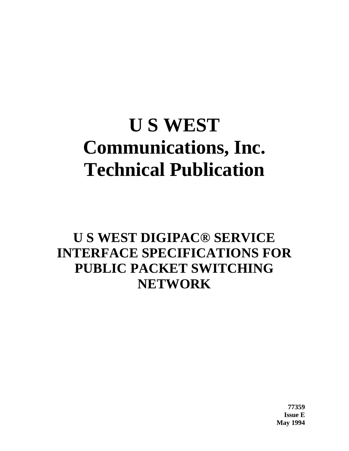# **U S WEST Communications, Inc. Technical Publication**

## **U S WEST DIGIPAC® SERVICE INTERFACE SPECIFICATIONS FOR PUBLIC PACKET SWITCHING NETWORK**

**77359 Issue E May 1994**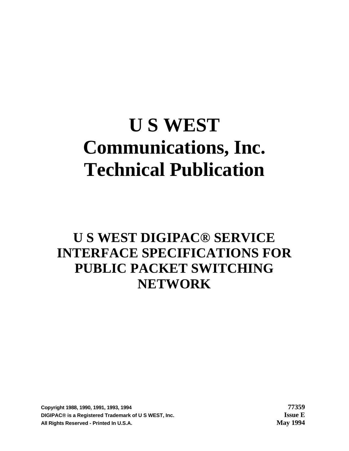# **U S WEST Communications, Inc. Technical Publication**

## **U S WEST DIGIPAC® SERVICE INTERFACE SPECIFICATIONS FOR PUBLIC PACKET SWITCHING NETWORK**

**Copyright 1988, 1990, 1991, 1993, 1994 77359 DIGIPAC® is a Registered Trademark of U S WEST, Inc. Issue E All Rights Reserved - Printed In U.S.A. May 1994**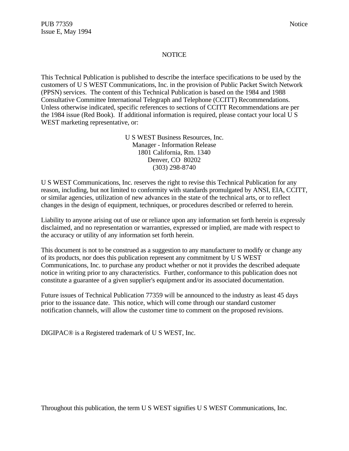#### NOTICE

This Technical Publication is published to describe the interface specifications to be used by the customers of U S WEST Communications, Inc. in the provision of Public Packet Switch Network (PPSN) services. The content of this Technical Publication is based on the 1984 and 1988 Consultative Committee International Telegraph and Telephone (CCITT) Recommendations. Unless otherwise indicated, specific references to sections of CCITT Recommendations are per the 1984 issue (Red Book). If additional information is required, please contact your local U S WEST marketing representative, or:

> U S WEST Business Resources, Inc. Manager - Information Release 1801 California, Rm. 1340 Denver, CO 80202 (303) 298-8740

U S WEST Communications, Inc. reserves the right to revise this Technical Publication for any reason, including, but not limited to conformity with standards promulgated by ANSI, EIA, CCITT, or similar agencies, utilization of new advances in the state of the technical arts, or to reflect changes in the design of equipment, techniques, or procedures described or referred to herein.

Liability to anyone arising out of use or reliance upon any information set forth herein is expressly disclaimed, and no representation or warranties, expressed or implied, are made with respect to the accuracy or utility of any information set forth herein.

This document is not to be construed as a suggestion to any manufacturer to modify or change any of its products, nor does this publication represent any commitment by U S WEST Communications, Inc. to purchase any product whether or not it provides the described adequate notice in writing prior to any characteristics. Further, conformance to this publication does not constitute a guarantee of a given supplier's equipment and/or its associated documentation.

Future issues of Technical Publication 77359 will be announced to the industry as least 45 days prior to the issuance date. This notice, which will come through our standard customer notification channels, will allow the customer time to comment on the proposed revisions.

DIGIPAC® is a Registered trademark of U S WEST, Inc.

Throughout this publication, the term U S WEST signifies U S WEST Communications, Inc.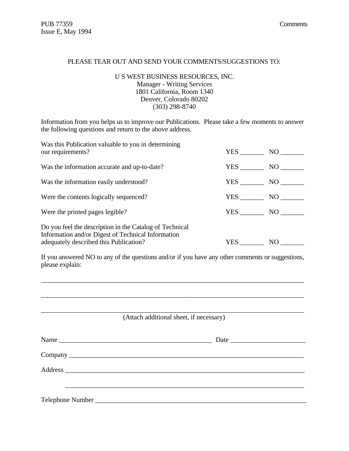#### PLEASE TEAR OUT AND SEND YOUR COMMENTS/SUGGESTIONS TO:

#### U S WEST BUSINESS RESOURCES, INC. Manager - Writing Services 1801 California, Room 1340 Denver, Colorado 80202 (303) 298-8740

Information from you helps us to improve our Publications. Please take a few moments to answer the following questions and return to the above address.

| Was this Publication valuable to you in determining<br>our requirements?                                                                                | YES NO     |                 |
|---------------------------------------------------------------------------------------------------------------------------------------------------------|------------|-----------------|
| Was the information accurate and up-to-date?                                                                                                            | YES        | NO <sub>1</sub> |
| Was the information easily understood?                                                                                                                  | <b>YES</b> | NO              |
| Were the contents logically sequenced?                                                                                                                  |            | NO              |
| Were the printed pages legible?                                                                                                                         | <b>YES</b> | NO <sub>1</sub> |
| Do you feel the description in the Catalog of Technical<br>Information and/or Digest of Technical Information<br>adequately described this Publication? | YES .      | NO.             |

If you answered NO to any of the questions and/or if you have any other comments or suggestions, please explain:

\_\_\_\_\_\_\_\_\_\_\_\_\_\_\_\_\_\_\_\_\_\_\_\_\_\_\_\_\_\_\_\_\_\_\_\_\_\_\_\_\_\_\_\_\_\_\_\_\_\_\_\_\_\_\_\_\_\_\_\_\_\_\_\_\_\_\_\_\_\_\_\_\_\_\_\_\_

| Name |  |
|------|--|
|      |  |
|      |  |
|      |  |
|      |  |
|      |  |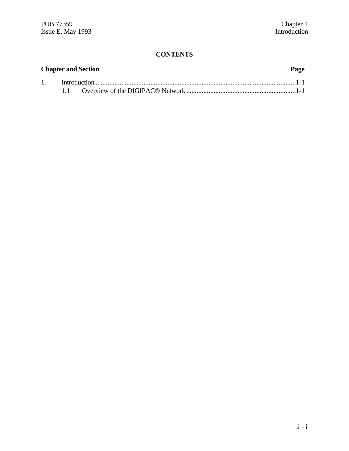#### **CONTENTS**

|                  | <b>Chapter and Section</b> | Page |
|------------------|----------------------------|------|
| $1 \quad \cdots$ |                            |      |
|                  |                            |      |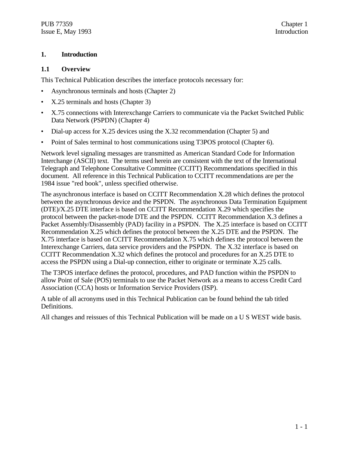#### **1. Introduction**

#### **1.1 Overview**

This Technical Publication describes the interface protocols necessary for:

- Asynchronous terminals and hosts (Chapter 2)
- X.25 terminals and hosts (Chapter 3)
- X.75 connections with Interexchange Carriers to communicate via the Packet Switched Public Data Network (PSPDN) (Chapter 4)
- Dial-up access for X.25 devices using the X.32 recommendation (Chapter 5) and
- Point of Sales terminal to host communications using T3POS protocol (Chapter 6).

Network level signaling messages are transmitted as American Standard Code for Information Interchange (ASCII) text. The terms used herein are consistent with the text of the International Telegraph and Telephone Consultative Committee (CCITT) Recommendations specified in this document. All reference in this Technical Publication to CCITT recommendations are per the 1984 issue "red book", unless specified otherwise.

The asynchronous interface is based on CCITT Recommendation X.28 which defines the protocol between the asynchronous device and the PSPDN. The asynchronous Data Termination Equipment (DTE)/X.25 DTE interface is based on CCITT Recommendation X.29 which specifies the protocol between the packet-mode DTE and the PSPDN. CCITT Recommendation X.3 defines a Packet Assembly/Disassembly (PAD) facility in a PSPDN. The X.25 interface is based on CCITT Recommendation X.25 which defines the protocol between the X.25 DTE and the PSPDN. The X.75 interface is based on CCITT Recommendation X.75 which defines the protocol between the Interexchange Carriers, data service providers and the PSPDN. The X.32 interface is based on CCITT Recommendation X.32 which defines the protocol and procedures for an X.25 DTE to access the PSPDN using a Dial-up connection, either to originate or terminate X.25 calls.

The T3POS interface defines the protocol, procedures, and PAD function within the PSPDN to allow Point of Sale (POS) terminals to use the Packet Network as a means to access Credit Card Association (CCA) hosts or Information Service Providers (ISP).

A table of all acronyms used in this Technical Publication can be found behind the tab titled Definitions.

All changes and reissues of this Technical Publication will be made on a U S WEST wide basis.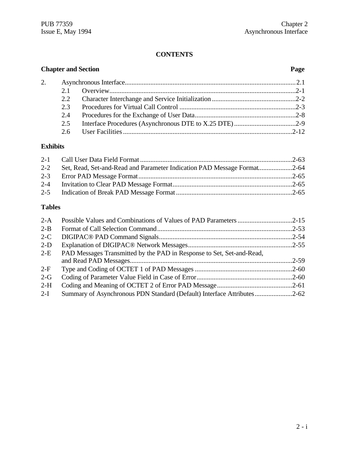#### **CONTENTS**

### **Chapter and Section Page**

| 2. |     |  |
|----|-----|--|
|    |     |  |
|    |     |  |
|    | 23  |  |
|    | 2.4 |  |
|    | 2.5 |  |
|    |     |  |

#### **Exhibits**

| 2-2 Set, Read, Set-and-Read and Parameter Indication PAD Message Format2-64 |  |
|-----------------------------------------------------------------------------|--|
|                                                                             |  |
|                                                                             |  |
|                                                                             |  |

#### **Tables**

| $2-A$   |                                                                         |  |
|---------|-------------------------------------------------------------------------|--|
| $2 - B$ |                                                                         |  |
| $2-C$   |                                                                         |  |
| $2-D$   |                                                                         |  |
| $2-E$   | PAD Messages Transmitted by the PAD in Response to Set, Set-and-Read,   |  |
|         |                                                                         |  |
| $2-F$   |                                                                         |  |
| $2-G$   |                                                                         |  |
| $2-H$   |                                                                         |  |
| $2-I$   | Summary of Asynchronous PDN Standard (Default) Interface Attributes2-62 |  |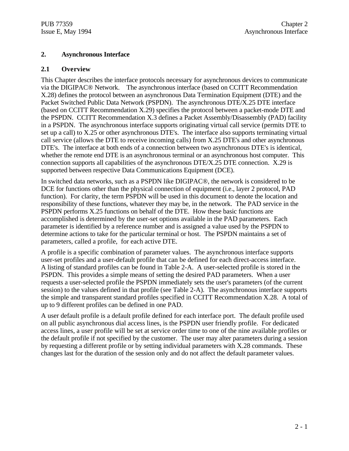#### **2. Asynchronous Interface**

#### **2.1 Overview**

This Chapter describes the interface protocols necessary for asynchronous devices to communicate via the DIGIPAC® Network. The asynchronous interface (based on CCITT Recommendation X.28) defines the protocol between an asynchronous Data Termination Equipment (DTE) and the Packet Switched Public Data Network (PSPDN). The asynchronous DTE/X.25 DTE interface (based on CCITT Recommendation X.29) specifies the protocol between a packet-mode DTE and the PSPDN. CCITT Recommendation X.3 defines a Packet Assembly/Disassembly (PAD) facility in a PSPDN. The asynchronous interface supports originating virtual call service (permits DTE to set up a call) to X.25 or other asynchronous DTE's. The interface also supports terminating virtual call service (allows the DTE to receive incoming calls) from X.25 DTE's and other asynchronous DTE's. The interface at both ends of a connection between two asynchronous DTE's is identical, whether the remote end DTE is an asynchronous terminal or an asynchronous host computer. This connection supports all capabilities of the asynchronous DTE/X.25 DTE connection. X.29 is supported between respective Data Communications Equipment (DCE).

In switched data networks, such as a PSPDN like DIGIPAC®, the network is considered to be DCE for functions other than the physical connection of equipment (i.e., layer 2 protocol, PAD function). For clarity, the term PSPDN will be used in this document to denote the location and responsibility of these functions, whatever they may be, in the network. The PAD service in the PSPDN performs X.25 functions on behalf of the DTE. How these basic functions are accomplished is determined by the user-set options available in the PAD parameters. Each parameter is identified by a reference number and is assigned a value used by the PSPDN to determine actions to take for the particular terminal or host. The PSPDN maintains a set of parameters, called a profile, for each active DTE.

A profile is a specific combination of parameter values. The asynchronous interface supports user-set profiles and a user-default profile that can be defined for each direct-access interface. A listing of standard profiles can be found in Table 2-A. A user-selected profile is stored in the PSPDN. This provides a simple means of setting the desired PAD parameters. When a user requests a user-selected profile the PSPDN immediately sets the user's parameters (of the current session) to the values defined in that profile (see Table 2-A). The asynchronous interface supports the simple and transparent standard profiles specified in CCITT Recommendation X.28. A total of up to 9 different profiles can be defined in one PAD.

A user default profile is a default profile defined for each interface port. The default profile used on all public asynchronous dial access lines, is the PSPDN user friendly profile. For dedicated access lines, a user profile will be set at service order time to one of the nine available profiles or the default profile if not specified by the customer. The user may alter parameters during a session by requesting a different profile or by setting individual parameters with X.28 commands. These changes last for the duration of the session only and do not affect the default parameter values.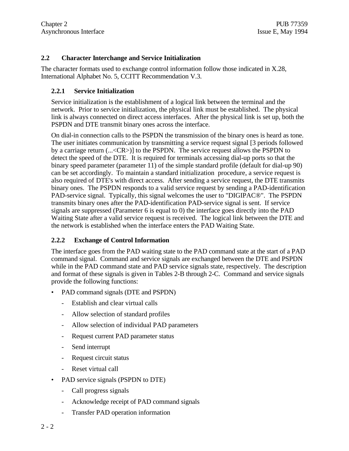#### **2.2 Character Interchange and Service Initialization**

The character formats used to exchange control information follow those indicated in X.28, International Alphabet No. 5, CCITT Recommendation V.3.

#### **2.2.1 Service Initialization**

Service initialization is the establishment of a logical link between the terminal and the network. Prior to service initialization, the physical link must be established. The physical link is always connected on direct access interfaces. After the physical link is set up, both the PSPDN and DTE transmit binary ones across the interface.

On dial-in connection calls to the PSPDN the transmission of the binary ones is heard as tone. The user initiates communication by transmitting a service request signal [3 periods followed by a carriage return (...<CR>)] to the PSPDN. The service request allows the PSPDN to detect the speed of the DTE. It is required for terminals accessing dial-up ports so that the binary speed parameter (parameter 11) of the simple standard profile (default for dial-up 90) can be set accordingly. To maintain a standard initialization procedure, a service request is also required of DTE's with direct access. After sending a service request, the DTE transmits binary ones. The PSPDN responds to a valid service request by sending a PAD-identification PAD-service signal. Typically, this signal welcomes the user to "DIGIPAC®". The PSPDN transmits binary ones after the PAD-identification PAD-service signal is sent. If service signals are suppressed (Parameter 6 is equal to 0) the interface goes directly into the PAD Waiting State after a valid service request is received. The logical link between the DTE and the network is established when the interface enters the PAD Waiting State.

#### **2.2.2 Exchange of Control Information**

The interface goes from the PAD waiting state to the PAD command state at the start of a PAD command signal. Command and service signals are exchanged between the DTE and PSPDN while in the PAD command state and PAD service signals state, respectively. The description and format of these signals is given in Tables 2-B through 2-C. Command and service signals provide the following functions:

- PAD command signals (DTE and PSPDN)
	- Establish and clear virtual calls
	- Allow selection of standard profiles
	- Allow selection of individual PAD parameters
	- Request current PAD parameter status
	- Send interrupt
	- Request circuit status
	- Reset virtual call
- PAD service signals (PSPDN to DTE)
	- Call progress signals
	- Acknowledge receipt of PAD command signals
	- Transfer PAD operation information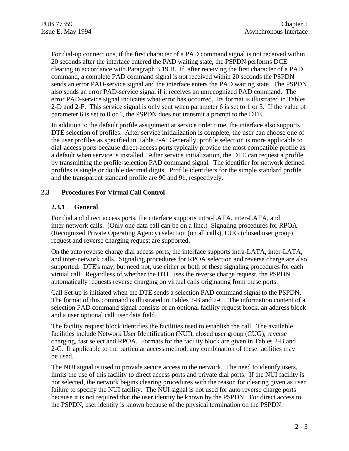For dial-up connections, if the first character of a PAD command signal is not received within 20 seconds after the interface entered the PAD waiting state, the PSPDN performs DCE clearing in accordance with Paragraph 3.19 B. If, after receiving the first character of a PAD command, a complete PAD command signal is not received within 20 seconds the PSPDN sends an error PAD-service signal and the interface enters the PAD waiting state. The PSPDN also sends an error PAD-service signal if it receives an unrecognized PAD command. The error PAD-service signal indicates what error has occurred. Its format is illustrated in Tables 2-D and 2-F. This service signal is only sent when parameter 6 is set to 1 or 5. If the value of parameter 6 is set to 0 or 1, the PSPDN does not transmit a prompt to the DTE.

In addition to the default profile assignment at service order time, the interface also supports DTE selection of profiles. After service initialization is complete, the user can choose one of the user profiles as specified in Table 2-A Generally, profile selection is more applicable to dial-access ports because direct-access ports typically provide the most compatible profile as a default when service is installed. After service initialization, the DTE can request a profile by transmitting the profile-selection PAD command signal. The identifier for network defined profiles is single or double decimal digits. Profile identifiers for the simple standard profile and the transparent standard profile are 90 and 91, respectively.

#### **2.3 Procedures For Virtual Call Control**

#### **2.3.1 General**

For dial and direct access ports, the interface supports intra-LATA, inter-LATA, and inter-network calls. (Only one data call can be on a line.) Signaling procedures for RPOA (Recognized Private Operating Agency) selection (on all calls), CUG (closed user group) request and reverse charging request are supported.

On the auto reverse charge dial access ports, the interface supports intra-LATA, inter-LATA, and inter-network calls. Signaling procedures for RPOA selection and reverse charge are also supported. DTE's may, but need not, use either or both of these signaling procedures for each virtual call. Regardless of whether the DTE uses the reverse charge request, the PSPDN automatically requests reverse charging on virtual calls originating from these ports.

Call Set-up is initiated when the DTE sends a selection PAD command signal to the PSPDN. The format of this command is illustrated in Tables 2-B and 2-C. The information content of a selection PAD command signal consists of an optional facility request block, an address block and a user optional call user data field.

The facility request block identifies the facilities used to establish the call. The available facilities include Network User Identification (NUI), closed user group (CUG), reverse charging, fast select and RPOA. Formats for the facility block are given in Tables 2-B and 2-C. If applicable to the particular access method, any combination of these facilities may be used.

The NUI signal is used to provide secure access to the network. The need to identify users, limits the use of this facility to direct access ports and private dial ports. If the NUI facility is not selected, the network begins clearing procedures with the reason for clearing given as user failure to specify the NUI facility. The NUI signal is not used for auto reverse charge ports because it is not required that the user identity be known by the PSPDN. For direct access to the PSPDN, user identity is known because of the physical termination on the PSPDN.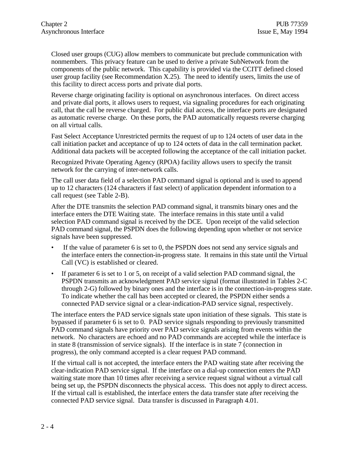Closed user groups (CUG) allow members to communicate but preclude communication with nonmembers. This privacy feature can be used to derive a private SubNetwork from the components of the public network. This capability is provided via the CCITT defined closed user group facility (see Recommendation X.25). The need to identify users, limits the use of this facility to direct access ports and private dial ports.

Reverse charge originating facility is optional on asynchronous interfaces. On direct access and private dial ports, it allows users to request, via signaling procedures for each originating call, that the call be reverse charged. For public dial access, the interface ports are designated as automatic reverse charge. On these ports, the PAD automatically requests reverse charging on all virtual calls.

Fast Select Acceptance Unrestricted permits the request of up to 124 octets of user data in the call initiation packet and acceptance of up to 124 octets of data in the call termination packet. Additional data packets will be accepted following the acceptance of the call initiation packet.

Recognized Private Operating Agency (RPOA) facility allows users to specify the transit network for the carrying of inter-network calls.

The call user data field of a selection PAD command signal is optional and is used to append up to 12 characters (124 characters if fast select) of application dependent information to a call request (see Table 2-B).

After the DTE transmits the selection PAD command signal, it transmits binary ones and the interface enters the DTE Waiting state. The interface remains in this state until a valid selection PAD command signal is received by the DCE. Upon receipt of the valid selection PAD command signal, the PSPDN does the following depending upon whether or not service signals have been suppressed.

- If the value of parameter 6 is set to 0, the PSPDN does not send any service signals and the interface enters the connection-in-progress state. It remains in this state until the Virtual Call (VC) is established or cleared.
- If parameter 6 is set to 1 or 5, on receipt of a valid selection PAD command signal, the PSPDN transmits an acknowledgment PAD service signal (format illustrated in Tables 2-C through 2-G) followed by binary ones and the interface is in the connection-in-progress state. To indicate whether the call has been accepted or cleared, the PSPDN either sends a connected PAD service signal or a clear-indication-PAD service signal, respectively.

The interface enters the PAD service signals state upon initiation of these signals. This state is bypassed if parameter 6 is set to 0. PAD service signals responding to previously transmitted PAD command signals have priority over PAD service signals arising from events within the network. No characters are echoed and no PAD commands are accepted while the interface is in state 8 (transmission of service signals). If the interface is in state 7 (connection in progress), the only command accepted is a clear request PAD command.

If the virtual call is not accepted, the interface enters the PAD waiting state after receiving the clear-indication PAD service signal. If the interface on a dial-up connection enters the PAD waiting state more than 10 times after receiving a service request signal without a virtual call being set up, the PSPDN disconnects the physical access. This does not apply to direct access. If the virtual call is established, the interface enters the data transfer state after receiving the connected PAD service signal. Data transfer is discussed in Paragraph 4.01.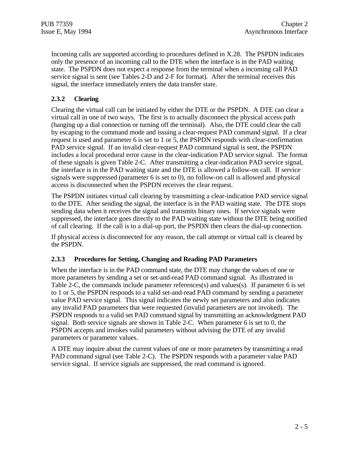Incoming calls are supported according to procedures defined in X.28. The PSPDN indicates only the presence of an incoming call to the DTE when the interface is in the PAD waiting state. The PSPDN does not expect a response from the terminal when a incoming call PAD service signal is sent (see Tables 2-D and 2-F for format). After the terminal receives this signal, the interface immediately enters the data transfer state.

#### **2.3.2 Clearing**

Clearing the virtual call can be initiated by either the DTE or the PSPDN. A DTE can clear a virtual call in one of two ways. The first is to actually disconnect the physical access path (hanging up a dial connection or turning off the terminal). Also, the DTE could clear the call by escaping to the command mode and issuing a clear-request PAD command signal. If a clear request is used and parameter 6 is set to 1 or 5, the PSPDN responds with clear-confirmation PAD service signal. If an invalid clear-request PAD command signal is sent, the PSPDN includes a local procedural error cause in the clear-indication PAD service signal. The format of these signals is given Table 2-C. After transmitting a clear-indication PAD service signal, the interface is in the PAD waiting state and the DTE is allowed a follow-on call. If service signals were suppressed (parameter 6 is set to 0), no follow-on call is allowed and physical access is disconnected when the PSPDN receives the clear request.

The PSPDN initiates virtual call clearing by transmitting a clear-indication PAD service signal to the DTE. After sending the signal, the interface is in the PAD waiting state. The DTE stops sending data when it receives the signal and transmits binary ones. If service signals were suppressed, the interface goes directly to the PAD waiting state without the DTE being notified of call clearing. If the call is to a dial-up port, the PSPDN then clears the dial-up connection.

If physical access is disconnected for any reason, the call attempt or virtual call is cleared by the PSPDN.

#### **2.3.3 Procedures for Setting, Changing and Reading PAD Parameters**

When the interface is in the PAD command state, the DTE may change the values of one or more parameters by sending a set or set-and-read PAD command signal. As illustrated in Table 2-C, the commands include parameter references(s) and values(s). If parameter 6 is set to 1 or 5, the PSPDN responds to a valid set-and-read PAD command by sending a parameter value PAD service signal. This signal indicates the newly set parameters and also indicates any invalid PAD parameters that were requested (invalid parameters are not invoked). The PSPDN responds to a valid set PAD command signal by transmitting an acknowledgment PAD signal. Both service signals are shown in Table 2-C. When parameter 6 is set to 0, the PSPDN accepts and invokes valid parameters without advising the DTE of any invalid parameters or parameter values.

A DTE may inquire about the current values of one or more parameters by transmitting a read PAD command signal (see Table 2-C). The PSPDN responds with a parameter value PAD service signal. If service signals are suppressed, the read command is ignored.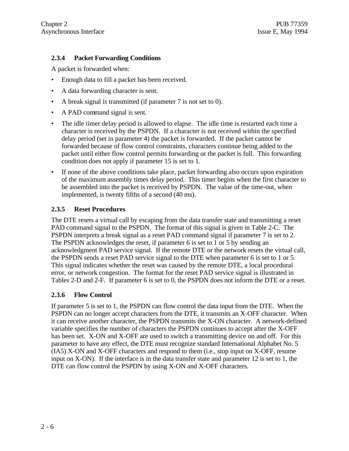#### **2.3.4 Packet Forwarding Conditions**

A packet is forwarded when:

- Enough data to fill a packet has been received.
- A data forwarding character is sent.
- A break signal is transmitted (if parameter 7 is not set to 0).
- A PAD command signal is sent.
- The idle timer delay period is allowed to elapse. The idle time is restarted each time a character is received by the PSPDN. If a character is not received within the specified delay period (set in parameter 4) the packet is forwarded. If the packet cannot be forwarded because of flow control constraints, characters continue being added to the packet until either flow control permits forwarding or the packet is full. This forwarding condition does not apply if parameter 15 is set to 1.
- If none of the above conditions take place, packet forwarding also occurs upon expiration of the maximum assembly times delay period. This timer begins when the first character to be assembled into the packet is received by PSPDN. The value of the time-out, when implemented, is twenty fifths of a second (40 ms).

#### **2.3.5 Reset Procedures**

The DTE resets a virtual call by escaping from the data transfer state and transmitting a reset PAD command signal to the PSPDN. The format of this signal is given in Table 2-C. The PSPDN interprets a break signal as a reset PAD command signal if parameter 7 is set to 2. The PSPDN acknowledges the reset, if parameter 6 is set to 1 or 5 by sending an acknowledgment PAD service signal. If the remote DTE or the network resets the virtual call, the PSPDN sends a reset PAD service signal to the DTE when parameter 6 is set to 1 or 5. This signal indicates whether the reset was caused by the remote DTE, a local procedural error, or network congestion. The format for the reset PAD service signal is illustrated in Tables 2-D and 2-F. If parameter 6 is set to 0, the PSPDN does not inform the DTE or a reset.

#### **2.3.6 Flow Control**

If parameter 5 is set to 1, the PSPDN can flow control the data input from the DTE. When the PSPDN can no longer accept characters from the DTE, it transmits an X-OFF character. When it can receive another character, the PSPDN transmits the X-ON character. A network-defined variable specifies the number of characters the PSPDN continues to accept after the X-OFF has been set. X-ON and X-OFF are used to switch a transmitting device on and off. For this parameter to have any effect, the DTE must recognize standard International Alphabet No. 5 (IA5) X-ON and X-OFF characters and respond to them (i.e., stop input on X-OFF, resume input on X-ON). If the interface is in the data transfer state and parameter 12 is set to 1, the DTE can flow control the PSPDN by using X-ON and X-OFF characters.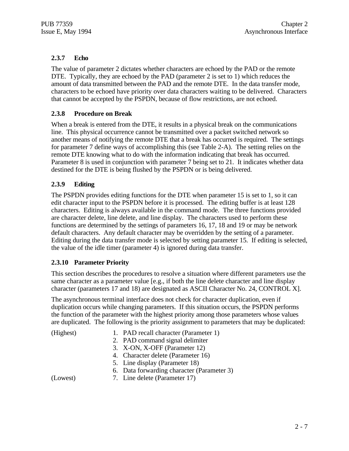#### **2.3.7 Echo**

The value of parameter 2 dictates whether characters are echoed by the PAD or the remote DTE. Typically, they are echoed by the PAD (parameter 2 is set to 1) which reduces the amount of data transmitted between the PAD and the remote DTE. In the data transfer mode, characters to be echoed have priority over data characters waiting to be delivered. Characters that cannot be accepted by the PSPDN, because of flow restrictions, are not echoed.

#### **2.3.8 Procedure on Break**

When a break is entered from the DTE, it results in a physical break on the communications line. This physical occurrence cannot be transmitted over a packet switched network so another means of notifying the remote DTE that a break has occurred is required. The settings for parameter 7 define ways of accomplishing this (see Table 2-A). The setting relies on the remote DTE knowing what to do with the information indicating that break has occurred. Parameter 8 is used in conjunction with parameter 7 being set to 21. It indicates whether data destined for the DTE is being flushed by the PSPDN or is being delivered.

#### **2.3.9 Editing**

The PSPDN provides editing functions for the DTE when parameter 15 is set to 1, so it can edit character input to the PSPDN before it is processed. The editing buffer is at least 128 characters. Editing is always available in the command mode. The three functions provided are character delete, line delete, and line display. The characters used to perform these functions are determined by the settings of parameters 16, 17, 18 and 19 or may be network default characters. Any default character may be overridden by the setting of a parameter. Editing during the data transfer mode is selected by setting parameter 15. If editing is selected, the value of the idle timer (parameter 4) is ignored during data transfer.

#### **2.3.10 Parameter Priority**

This section describes the procedures to resolve a situation where different parameters use the same character as a parameter value [e.g., if both the line delete character and line display character (parameters 17 and 18) are designated as ASCII Character No. 24, CONTROL X].

The asynchronous terminal interface does not check for character duplication, even if duplication occurs while changing parameters. If this situation occurs, the PSPDN performs the function of the parameter with the highest priority among those parameters whose values are duplicated. The following is the priority assignment to parameters that may be duplicated:

| (Highest) | 1. PAD recall character (Parameter 1)      |
|-----------|--------------------------------------------|
|           | 2. PAD command signal delimiter            |
|           | 3. X-ON, X-OFF (Parameter 12)              |
|           | 4. Character delete (Parameter 16)         |
|           | 5. Line display (Parameter 18)             |
|           | 6. Data forwarding character (Parameter 3) |
| (Lowest)  | 7. Line delete (Parameter 17)              |
|           |                                            |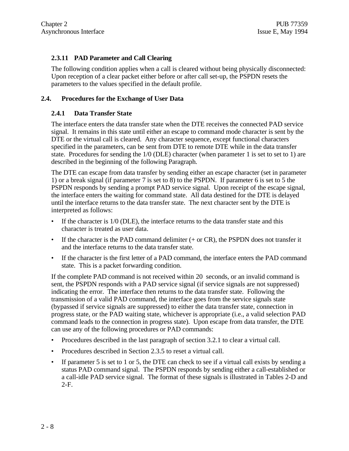#### **2.3.11 PAD Parameter and Call Clearing**

The following condition applies when a call is cleared without being physically disconnected: Upon reception of a clear packet either before or after call set-up, the PSPDN resets the parameters to the values specified in the default profile.

#### **2.4. Procedures for the Exchange of User Data**

#### **2.4.1 Data Transfer State**

The interface enters the data transfer state when the DTE receives the connected PAD service signal. It remains in this state until either an escape to command mode character is sent by the DTE or the virtual call is cleared. Any character sequence, except functional characters specified in the parameters, can be sent from DTE to remote DTE while in the data transfer state. Procedures for sending the 1/0 (DLE) character (when parameter 1 is set to set to 1) are described in the beginning of the following Paragraph.

The DTE can escape from data transfer by sending either an escape character (set in parameter 1) or a break signal (if parameter 7 is set to 8) to the PSPDN. If parameter 6 is set to 5 the PSPDN responds by sending a prompt PAD service signal. Upon receipt of the escape signal, the interface enters the waiting for command state. All data destined for the DTE is delayed until the interface returns to the data transfer state. The next character sent by the DTE is interpreted as follows:

- If the character is  $1/0$  (DLE), the interface returns to the data transfer state and this character is treated as user data.
- If the character is the PAD command delimiter  $(+$  or CR), the PSPDN does not transfer it and the interface returns to the data transfer state.
- If the character is the first letter of a PAD command, the interface enters the PAD command state. This is a packet forwarding condition.

If the complete PAD command is not received within 20 seconds, or an invalid command is sent, the PSPDN responds with a PAD service signal (if service signals are not suppressed) indicating the error. The interface then returns to the data transfer state. Following the transmission of a valid PAD command, the interface goes from the service signals state (bypassed if service signals are suppressed) to either the data transfer state, connection in progress state, or the PAD waiting state, whichever is appropriate (i.e., a valid selection PAD command leads to the connection in progress state). Upon escape from data transfer, the DTE can use any of the following procedures or PAD commands:

- Procedures described in the last paragraph of section 3.2.1 to clear a virtual call.
- Procedures described in Section 2.3.5 to reset a virtual call.
- If parameter 5 is set to 1 or 5, the DTE can check to see if a virtual call exists by sending a status PAD command signal. The PSPDN responds by sending either a call-established or a call-idle PAD service signal. The format of these signals is illustrated in Tables 2-D and 2-F.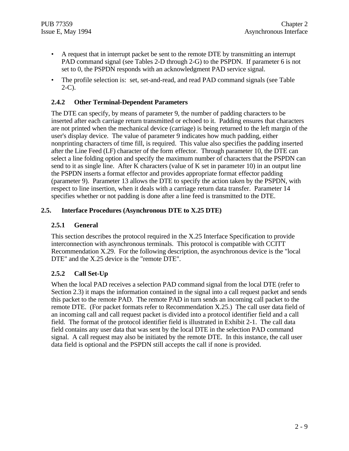- A request that in interrupt packet be sent to the remote DTE by transmitting an interrupt PAD command signal (see Tables 2-D through 2-G) to the PSPDN. If parameter 6 is not set to 0, the PSPDN responds with an acknowledgment PAD service signal.
- The profile selection is: set, set-and-read, and read PAD command signals (see Table  $2-C$ ).

#### **2.4.2 Other Terminal-Dependent Parameters**

The DTE can specify, by means of parameter 9, the number of padding characters to be inserted after each carriage return transmitted or echoed to it. Padding ensures that characters are not printed when the mechanical device (carriage) is being returned to the left margin of the user's display device. The value of parameter 9 indicates how much padding, either nonprinting characters of time fill, is required. This value also specifies the padding inserted after the Line Feed (LF) character of the form effector. Through parameter 10, the DTE can select a line folding option and specify the maximum number of characters that the PSPDN can send to it as single line. After K characters (value of K set in parameter 10) in an output line the PSPDN inserts a format effector and provides appropriate format effector padding (parameter 9). Parameter 13 allows the DTE to specify the action taken by the PSPDN, with respect to line insertion, when it deals with a carriage return data transfer. Parameter 14 specifies whether or not padding is done after a line feed is transmitted to the DTE.

#### **2.5. Interface Procedures (Asynchronous DTE to X.25 DTE)**

#### **2.5.1 General**

This section describes the protocol required in the X.25 Interface Specification to provide interconnection with asynchronous terminals. This protocol is compatible with CCITT Recommendation X.29. For the following description, the asynchronous device is the "local DTE" and the X.25 device is the "remote DTE".

#### **2.5.2 Call Set-Up**

When the local PAD receives a selection PAD command signal from the local DTE (refer to Section 2.3) it maps the information contained in the signal into a call request packet and sends this packet to the remote PAD. The remote PAD in turn sends an incoming call packet to the remote DTE. (For packet formats refer to Recommendation X.25.) The call user data field of an incoming call and call request packet is divided into a protocol identifier field and a call field. The format of the protocol identifier field is illustrated in Exhibit 2-1. The call data field contains any user data that was sent by the local DTE in the selection PAD command signal. A call request may also be initiated by the remote DTE. In this instance, the call user data field is optional and the PSPDN still accepts the call if none is provided.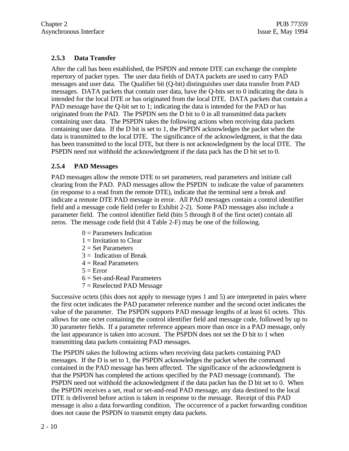#### **2.5.3 Data Transfer**

After the call has been established, the PSPDN and remote DTE can exchange the complete repertory of packet types. The user data fields of DATA packets are used to carry PAD messages and user data. The Qualifier bit (Q-bit) distinguishes user data transfer from PAD messages. DATA packets that contain user data, have the Q-bits set to 0 indicating the data is intended for the local DTE or has originated from the local DTE. DATA packets that contain a PAD message have the Q-bit set to 1; indicating the data is intended for the PAD or has originated from the PAD. The PSPDN sets the D bit to 0 in all transmitted data packets containing user data. The PSPDN takes the following actions when receiving data packets containing user data. If the D bit is set to 1, the PSPDN acknowledges the packet when the data is transmitted to the local DTE. The significance of the acknowledgment, is that the data has been transmitted to the local DTE, but there is not acknowledgment by the local DTE. The PSPDN need not withhold the acknowledgment if the data pack has the D bit set to 0.

#### **2.5.4 PAD Messages**

PAD messages allow the remote DTE to set parameters, read parameters and initiate call clearing from the PAD. PAD messages allow the PSPDN to indicate the value of parameters (in response to a read from the remote DTE), indicate that the terminal sent a break and indicate a remote DTE PAD message in error. All PAD messages contain a control identifier field and a message code field (refer to Exhibit 2-2). Some PAD messages also include a parameter field. The control identifier field (bits 5 through 8 of the first octet) contain all zeros. The message code field (bit 4 Table 2-F) may be one of the following.

- $0$  = Parameters Indication
- $1 =$  Invitation to Clear
- $2 =$  Set Parameters
- $3 =$  Indication of Break
- $4 =$ Read Parameters
- $5 =$  Error
- $6 = Set$ -and-Read Parameters
- 7 = Reselected PAD Message

Successive octets (this does not apply to message types 1 and 5) are interpreted in pairs where the first octet indicates the PAD parameter reference number and the second octet indicates the value of the parameter. The PSPDN supports PAD message lengths of at least 61 octets. This allows for one octet containing the control identifier field and message code, followed by up to 30 parameter fields. If a parameter reference appears more than once in a PAD message, only the last appearance is taken into account. The PSPDN does not set the D bit to 1 when transmitting data packets containing PAD messages.

The PSPDN takes the following actions when receiving data packets containing PAD messages. If the D is set to 1, the PSPDN acknowledges the packet when the command contained in the PAD message has been affected. The significance of the acknowledgment is that the PSPDN has completed the actions specified by the PAD message (command). The PSPDN need not withhold the acknowledgment if the data packet has the D bit set to 0. When the PSPDN receives a set, read or set-and-read PAD message, any data destined to the local DTE is delivered before action is taken in response to the message. Receipt of this PAD message is also a data forwarding condition. The occurrence of a packet forwarding condition does not cause the PSPDN to transmit empty data packets.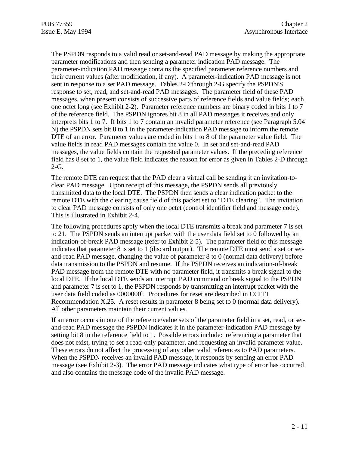The PSPDN responds to a valid read or set-and-read PAD message by making the appropriate parameter modifications and then sending a parameter indication PAD message. The parameter-indication PAD message contains the specified parameter reference numbers and their current values (after modification, if any). A parameter-indication PAD message is not sent in response to a set PAD message. Tables 2-D through 2-G specify the PSPDN'S response to set, read, and set-and-read PAD messages. The parameter field of these PAD messages, when present consists of successive parts of reference fields and value fields; each one octet long (see Exhibit 2-2). Parameter reference numbers are binary coded in bits 1 to 7 of the reference field. The PSPDN ignores bit 8 in all PAD messages it receives and only interprets bits 1 to 7. If bits 1 to 7 contain an invalid parameter reference (see Paragraph 5.04 N) the PSPDN sets bit 8 to 1 in the parameter-indication PAD message to inform the remote DTE of an error. Parameter values are coded in bits 1 to 8 of the parameter value field. The value fields in read PAD messages contain the value 0. In set and set-and-read PAD messages, the value fields contain the requested parameter values. If the preceding reference field has 8 set to 1, the value field indicates the reason for error as given in Tables 2-D through 2-G.

The remote DTE can request that the PAD clear a virtual call be sending it an invitation-toclear PAD message. Upon receipt of this message, the PSPDN sends all previously transmitted data to the local DTE. The PSPDN then sends a clear indication packet to the remote DTE with the clearing cause field of this packet set to "DTE clearing". The invitation to clear PAD message consists of only one octet (control identifier field and message code). This is illustrated in Exhibit 2-4.

The following procedures apply when the local DTE transmits a break and parameter 7 is set to 21. The PSPDN sends an interrupt packet with the user data field set to 0 followed by an indication-of-break PAD message (refer to Exhibit 2-5). The parameter field of this message indicates that parameter 8 is set to 1 (discard output). The remote DTE must send a set or setand-read PAD message, changing the value of parameter 8 to 0 (normal data delivery) before data transmission to the PSPDN and resume. If the PSPDN receives an indication-of-break PAD message from the remote DTE with no parameter field, it transmits a break signal to the local DTE. If the local DTE sends an interrupt PAD command or break signal to the PSPDN and parameter 7 is set to 1, the PSPDN responds by transmitting an interrupt packet with the user data field coded as 0000000l. Procedures for reset are described in CCITT Recommendation X.25. A reset results in parameter 8 being set to 0 (normal data delivery). All other parameters maintain their current values.

If an error occurs in one of the reference/value sets of the parameter field in a set, read, or setand-read PAD message the PSPDN indicates it in the parameter-indication PAD message by setting bit 8 in the reference field to 1. Possible errors include: referencing a parameter that does not exist, trying to set a read-only parameter, and requesting an invalid parameter value. These errors do not affect the processing of any other valid references to PAD parameters. When the PSPDN receives an invalid PAD message, it responds by sending an error PAD message (see Exhibit 2-3). The error PAD message indicates what type of error has occurred and also contains the message code of the invalid PAD message.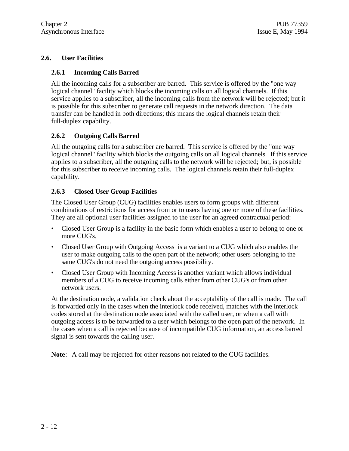#### **2.6. User Facilities**

#### **2.6.1 Incoming Calls Barred**

All the incoming calls for a subscriber are barred. This service is offered by the "one way logical channel" facility which blocks the incoming calls on all logical channels. If this service applies to a subscriber, all the incoming calls from the network will be rejected; but it is possible for this subscriber to generate call requests in the network direction. The data transfer can be handled in both directions; this means the logical channels retain their full-duplex capability.

#### **2.6.2 Outgoing Calls Barred**

All the outgoing calls for a subscriber are barred. This service is offered by the "one way logical channel" facility which blocks the outgoing calls on all logical channels. If this service applies to a subscriber, all the outgoing calls to the network will be rejected; but, is possible for this subscriber to receive incoming calls. The logical channels retain their full-duplex capability.

#### **2.6.3 Closed User Group Facilities**

The Closed User Group (CUG) facilities enables users to form groups with different combinations of restrictions for access from or to users having one or more of these facilities. They are all optional user facilities assigned to the user for an agreed contractual period:

- Closed User Group is a facility in the basic form which enables a user to belong to one or more CUG's.
- Closed User Group with Outgoing Access is a variant to a CUG which also enables the user to make outgoing calls to the open part of the network; other users belonging to the same CUG's do not need the outgoing access possibility.
- Closed User Group with Incoming Access is another variant which allows individual members of a CUG to receive incoming calls either from other CUG's or from other network users.

At the destination node, a validation check about the acceptability of the call is made. The call is forwarded only in the cases when the interlock code received, matches with the interlock codes stored at the destination node associated with the called user, or when a call with outgoing access is to be forwarded to a user which belongs to the open part of the network. In the cases when a call is rejected because of incompatible CUG information, an access barred signal is sent towards the calling user.

**Note**: A call may be rejected for other reasons not related to the CUG facilities.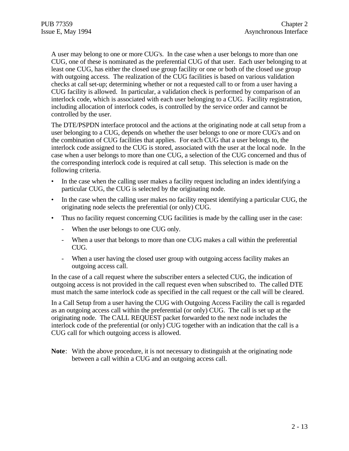A user may belong to one or more CUG's. In the case when a user belongs to more than one CUG, one of these is nominated as the preferential CUG of that user. Each user belonging to at least one CUG, has either the closed use group facility or one or both of the closed use group with outgoing access. The realization of the CUG facilities is based on various validation checks at call set-up; determining whether or not a requested call to or from a user having a CUG facility is allowed. In particular, a validation check is performed by comparison of an interlock code, which is associated with each user belonging to a CUG. Facility registration, including allocation of interlock codes, is controlled by the service order and cannot be controlled by the user.

The DTE/PSPDN interface protocol and the actions at the originating node at call setup from a user belonging to a CUG, depends on whether the user belongs to one or more CUG's and on the combination of CUG facilities that applies. For each CUG that a user belongs to, the interlock code assigned to the CUG is stored, associated with the user at the local node. In the case when a user belongs to more than one CUG, a selection of the CUG concerned and thus of the corresponding interlock code is required at call setup. This selection is made on the following criteria.

- In the case when the calling user makes a facility request including an index identifying a particular CUG, the CUG is selected by the originating node.
- In the case when the calling user makes no facility request identifying a particular CUG, the originating node selects the preferential (or only) CUG.
- Thus no facility request concerning CUG facilities is made by the calling user in the case:
	- When the user belongs to one CUG only.
	- When a user that belongs to more than one CUG makes a call within the preferential CUG.
	- When a user having the closed user group with outgoing access facility makes an outgoing access call.

In the case of a call request where the subscriber enters a selected CUG, the indication of outgoing access is not provided in the call request even when subscribed to. The called DTE must match the same interlock code as specified in the call request or the call will be cleared.

In a Call Setup from a user having the CUG with Outgoing Access Facility the call is regarded as an outgoing access call within the preferential (or only) CUG. The call is set up at the originating node. The CALL REQUEST packet forwarded to the next node includes the interlock code of the preferential (or only) CUG together with an indication that the call is a CUG call for which outgoing access is allowed.

**Note**: With the above procedure, it is not necessary to distinguish at the originating node between a call within a CUG and an outgoing access call.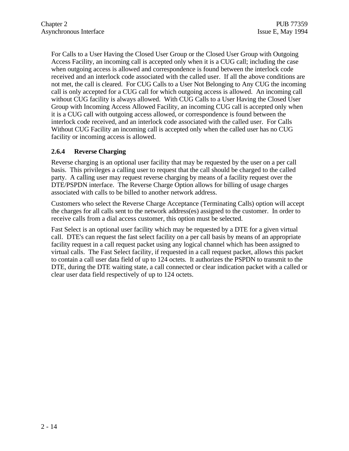For Calls to a User Having the Closed User Group or the Closed User Group with Outgoing Access Facility, an incoming call is accepted only when it is a CUG call; including the case when outgoing access is allowed and correspondence is found between the interlock code received and an interlock code associated with the called user. If all the above conditions are not met, the call is cleared. For CUG Calls to a User Not Belonging to Any CUG the incoming call is only accepted for a CUG call for which outgoing access is allowed. An incoming call without CUG facility is always allowed. With CUG Calls to a User Having the Closed User Group with Incoming Access Allowed Facility, an incoming CUG call is accepted only when it is a CUG call with outgoing access allowed, or correspondence is found between the interlock code received, and an interlock code associated with the called user. For Calls Without CUG Facility an incoming call is accepted only when the called user has no CUG facility or incoming access is allowed.

#### **2.6.4 Reverse Charging**

Reverse charging is an optional user facility that may be requested by the user on a per call basis. This privileges a calling user to request that the call should be charged to the called party. A calling user may request reverse charging by means of a facility request over the DTE/PSPDN interface. The Reverse Charge Option allows for billing of usage charges associated with calls to be billed to another network address.

Customers who select the Reverse Charge Acceptance (Terminating Calls) option will accept the charges for all calls sent to the network address(es) assigned to the customer. In order to receive calls from a dial access customer, this option must be selected.

Fast Select is an optional user facility which may be requested by a DTE for a given virtual call. DTE's can request the fast select facility on a per call basis by means of an appropriate facility request in a call request packet using any logical channel which has been assigned to virtual calls. The Fast Select facility, if requested in a call request packet, allows this packet to contain a call user data field of up to 124 octets. It authorizes the PSPDN to transmit to the DTE, during the DTE waiting state, a call connected or clear indication packet with a called or clear user data field respectively of up to 124 octets.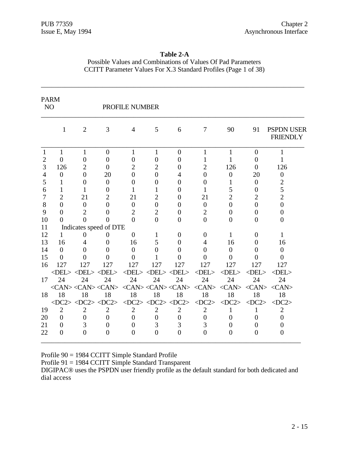| N <sub>O</sub> | <b>PARM</b>       |                                                               |                               | PROFILE NUMBER                                                |                  |                               |                |                   |                   |                                           |
|----------------|-------------------|---------------------------------------------------------------|-------------------------------|---------------------------------------------------------------|------------------|-------------------------------|----------------|-------------------|-------------------|-------------------------------------------|
|                | $\mathbf{1}$      | $\overline{2}$                                                | 3                             | $\overline{4}$                                                | 5                | 6                             | 7              | 90                | 91                | <b>PSPDN USER</b><br><b>FRIENDLY</b>      |
| $\mathbf{1}$   | $\mathbf{1}$      | $\mathbf{1}$                                                  | $\mathbf{0}$                  | $\mathbf{1}$                                                  | $\mathbf{1}$     | $\overline{0}$                | $\mathbf{1}$   | $\mathbf{1}$      | $\overline{0}$    | $\mathbf{1}$                              |
| $\overline{2}$ | $\overline{0}$    | $\theta$                                                      | $\overline{0}$                | $\overline{0}$                                                | 0                | $\overline{0}$                | 1              | 1                 | 0                 | $\mathbf{1}$                              |
| 3              | 126               | 2                                                             | $\theta$                      | 2                                                             | 2                | $\Omega$                      | $\overline{2}$ | 126               | $\Omega$          | 126                                       |
| $\overline{4}$ | $\theta$          | $\Omega$                                                      | 20                            | $\Omega$                                                      | 0                | 4                             | $\Omega$       | $\theta$          | 20                | $\theta$                                  |
| 5              | 1                 | $\Omega$                                                      | $\theta$                      | $\Omega$                                                      | 0                | $\theta$                      | $\theta$       | 1                 | $\overline{0}$    | $\overline{2}$                            |
| 6              | 1                 |                                                               | $\overline{0}$                | 1                                                             |                  | $\overline{0}$                |                | 5                 | $\overline{0}$    | 5                                         |
| 7              | $\overline{2}$    | 21                                                            | $\overline{2}$                | 21                                                            | 2                | $\theta$                      | 21             | $\overline{2}$    | $\overline{2}$    | $\overline{2}$                            |
| 8              | $\overline{0}$    | $\boldsymbol{0}$                                              | $\overline{0}$                | $\theta$                                                      | $\boldsymbol{0}$ | $\theta$                      | $\theta$       | $\overline{0}$    | $\overline{0}$    | $\overline{0}$                            |
| 9              | $\overline{0}$    | 2                                                             | 0                             | $\overline{2}$                                                | 2                | $\Omega$                      | 2              | $\overline{0}$    | 0                 | $\overline{0}$                            |
| 10             | $\theta$          |                                                               | 0                             | $\theta$                                                      | $\theta$         | $\Omega$                      | $\theta$       | $\theta$          | $\Omega$          | $\Omega$                                  |
| 11             |                   |                                                               | Indicates speed of DTE        |                                                               |                  |                               |                |                   |                   |                                           |
| 12             | 1                 | $\theta$                                                      | $\overline{0}$                | $\overline{0}$                                                | 1                | $\overline{0}$                | $\overline{0}$ | $\mathbf{1}$      | $\theta$          | 1                                         |
| 13             | 16                | 4                                                             | 0                             | 16                                                            | 5                | $\Omega$                      | 4              | 16                | $\theta$          | 16                                        |
| 14             | $\theta$          | $\mathbf{0}$                                                  | 0                             | $\theta$                                                      | 0                | 0                             | $\mathbf{0}$   | $\theta$          | $\mathbf{0}$      | $\theta$                                  |
| 15             | $\Omega$          |                                                               | 0                             | 0                                                             |                  | 0                             |                | 0                 |                   | $\mathbf{\Omega}$                         |
| 16             | 127               | 127                                                           | 127                           | 127                                                           | 127              | 127                           | 127            | 127               | 127               | 127                                       |
|                | $\langle$ DEI $>$ |                                                               | $\langle$ DEL> $\langle$ DEL> | $\langle$ DEI $>$                                             |                  | $\langle$ DEL> $\langle$ DEL> | $<$ DEL $>$    | $\langle$ DEI $>$ | $\langle$ DEL $>$ | $<$ DEI $>$                               |
| 17             | 24                | 24                                                            | 24                            | 24                                                            | 24               | 24                            | 24             | 24                | 24                | 24                                        |
|                |                   |                                                               |                               |                                                               |                  |                               |                |                   |                   | $\langle CAN \rangle \langle CAN \rangle$ |
| 18             | 18                | 18                                                            | 18                            | 18                                                            | 18               | 18                            | 18             | 18                | 18                | 18                                        |
|                |                   | $\langle DC2 \rangle \langle DC2 \rangle \langle DC2 \rangle$ |                               | $\langle DC2 \rangle \langle DC2 \rangle \langle DC2 \rangle$ |                  |                               | $\langle$ DC2> | $\langle$ DC2>    | $\langle$ DC2>    | $<$ DC2>                                  |
| 19             | $\overline{2}$    | $\overline{2}$                                                | $\overline{2}$                | $\overline{2}$                                                | $\overline{2}$   | $\overline{2}$                | $\overline{2}$ | 1                 |                   | $\overline{2}$                            |
| 20             | $\overline{0}$    | $\overline{0}$                                                | $\overline{0}$                | $\theta$                                                      | $\theta$         | $\overline{0}$                | $\theta$       | $\Omega$          | $\Omega$          | $\theta$                                  |
| 21             | 0                 | 3                                                             | $\Omega$                      | $\theta$                                                      | 3                | 3                             | 3              | $\theta$          | $\theta$          | $\theta$                                  |
| 22             | 0                 | $\theta$                                                      | 0                             | $\theta$                                                      | 0                | $\theta$                      | $\theta$       | $\overline{0}$    | 0                 | 0                                         |

**Table 2-A** Possible Values and Combinations of Values Of Pad Parameters CCITT Parameter Values For X.3 Standard Profiles (Page 1 of 38)

\_\_\_\_\_\_\_\_\_\_\_\_\_\_\_\_\_\_\_\_\_\_\_\_\_\_\_\_\_\_\_\_\_\_\_\_\_\_\_\_\_\_\_\_\_\_\_\_\_\_\_\_\_\_\_\_\_\_\_\_\_\_\_\_\_\_\_\_\_\_\_\_\_\_\_\_\_

Profile 90 = 1984 CCITT Simple Standard Profile

Profile 91 = 1984 CCITT Simple Standard Transparent

DIGIPAC® uses the PSPDN user friendly profile as the default standard for both dedicated and dial access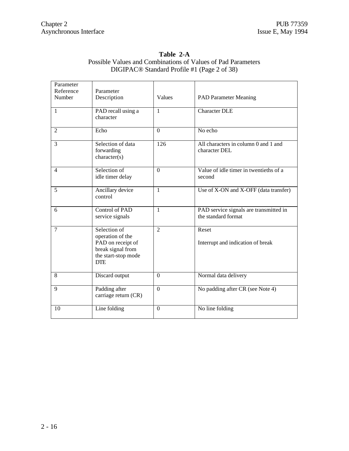| Parameter      |                       |                |                                        |
|----------------|-----------------------|----------------|----------------------------------------|
| Reference      | Parameter             |                |                                        |
|                |                       |                |                                        |
| Number         | Description           | Values         | <b>PAD Parameter Meaning</b>           |
|                |                       |                |                                        |
| $\mathbf{1}$   | PAD recall using a    | $\mathbf{1}$   | <b>Character DLE</b>                   |
|                | character             |                |                                        |
|                |                       |                |                                        |
| $\overline{2}$ | Echo                  | $\Omega$       | No echo                                |
|                |                       |                |                                        |
| 3              | Selection of data     | 126            | All characters in column 0 and 1 and   |
|                | forwarding            |                | character DEL                          |
|                | character(s)          |                |                                        |
|                |                       |                |                                        |
| $\overline{4}$ | Selection of          | $\Omega$       | Value of idle timer in twentieths of a |
|                | idle timer delay      |                | second                                 |
|                |                       |                |                                        |
| 5              | Ancillary device      | $\mathbf{1}$   | Use of X-ON and X-OFF (data transfer)  |
|                | control               |                |                                        |
|                |                       |                |                                        |
| 6              | <b>Control of PAD</b> | 1              | PAD service signals are transmitted in |
|                |                       |                | the standard format                    |
|                | service signals       |                |                                        |
|                | Selection of          |                |                                        |
| $\overline{7}$ |                       | $\overline{2}$ | Reset                                  |
|                | operation of the      |                |                                        |
|                | PAD on receipt of     |                | Interrupt and indication of break      |
|                | break signal from     |                |                                        |
|                | the start-stop mode   |                |                                        |
|                | <b>DTE</b>            |                |                                        |
|                |                       |                |                                        |
| 8              | Discard output        | $\theta$       | Normal data delivery                   |
|                |                       |                |                                        |
| 9              | Padding after         | $\overline{0}$ | No padding after CR (see Note 4)       |
|                | carriage return (CR)  |                |                                        |
|                |                       |                |                                        |
| 10             | Line folding          | $\overline{0}$ | No line folding                        |
|                |                       |                |                                        |

#### **Table 2-A** Possible Values and Combinations of Values of Pad Parameters DIGIPAC® Standard Profile #1 (Page 2 of 38)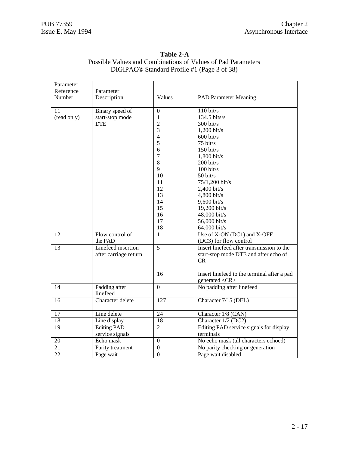| Parameter       |                           |                  |                                             |
|-----------------|---------------------------|------------------|---------------------------------------------|
| Reference       | Parameter                 |                  |                                             |
| Number          | Description               | Values           | <b>PAD Parameter Meaning</b>                |
| 11              | Binary speed of           | $\boldsymbol{0}$ | $110 \text{ bit/s}$                         |
| (read only)     | start-stop mode           | $\mathbf{1}$     | 134.5 bits/s                                |
|                 | <b>DTE</b>                | $\overline{c}$   | 300 bit/s                                   |
|                 |                           | 3                | $1,200$ bit/s                               |
|                 |                           | $\overline{4}$   | $600$ bit/s                                 |
|                 |                           | 5                | $75 \text{ bit/s}$                          |
|                 |                           | 6                | $150 \text{ bit/s}$                         |
|                 |                           | 7                | $1,800$ bit/s                               |
|                 |                           | 8                | $200$ bit/s                                 |
|                 |                           | 9                | $100 \text{ bit/s}$                         |
|                 |                           | 10               | 50 bit/s                                    |
|                 |                           | 11               | 75/1,200 bit/s                              |
|                 |                           | 12               | 2,400 bit/s                                 |
|                 |                           | 13               | 4,800 bit/s                                 |
|                 |                           | 14               | 9,600 bit/s                                 |
|                 |                           | 15               | 19,200 bit/s                                |
|                 |                           | 16               | 48,000 bit/s                                |
|                 |                           | 17               | 56,000 bit/s                                |
|                 |                           | 18               | 64,000 bit/s                                |
| 12              | Flow control of           | $\mathbf{1}$     | Use of X-ON (DC1) and X-OFF                 |
|                 | the PAD                   |                  | (DC3) for flow control                      |
| 13              | Linefeed insertion        | $\overline{5}$   | Insert linefeed after transmission to the   |
|                 | after carriage return     |                  | start-stop mode DTE and after echo of       |
|                 |                           |                  | <b>CR</b>                                   |
|                 |                           | 16               | Insert linefeed to the terminal after a pad |
|                 |                           |                  | generated <cr></cr>                         |
| 14              | Padding after<br>linefeed | $\overline{0}$   | No padding after linefeed                   |
| 16              | Character delete          | 127              | Character 7/15 (DEL)                        |
|                 |                           |                  |                                             |
| 17              | Line delete               | $\overline{24}$  | Character 1/8 (CAN)                         |
| $\overline{18}$ | Line display              | $\overline{18}$  | Character 1/2 (DC2)                         |
| 19              | <b>Editing PAD</b>        | $\overline{2}$   | Editing PAD service signals for display     |
|                 | service signals           |                  | terminals                                   |
| $20\,$          | Echo mask                 | $\boldsymbol{0}$ | No echo mask (all characters echoed)        |
| 21              | Parity treatment          | $\boldsymbol{0}$ | No parity checking or generation            |
| 22              | Page wait                 | $\overline{0}$   | Page wait disabled                          |

#### **Table 2-A** Possible Values and Combinations of Values of Pad Parameters DIGIPAC® Standard Profile #1 (Page 3 of 38)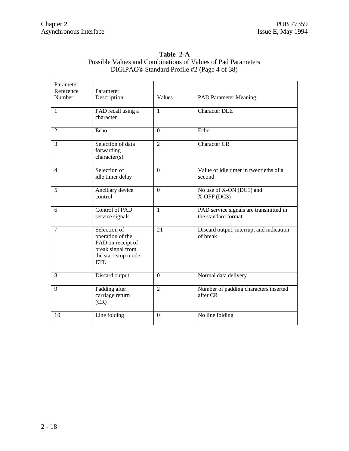| Parameter<br>Reference<br>Number | Parameter<br>Description                                                                                        | Values         | <b>PAD Parameter Meaning</b>                                  |
|----------------------------------|-----------------------------------------------------------------------------------------------------------------|----------------|---------------------------------------------------------------|
| $\mathbf{1}$                     | PAD recall using a<br>character                                                                                 | $\mathbf{1}$   | <b>Character DLE</b>                                          |
| $\overline{2}$                   | Echo                                                                                                            | $\overline{0}$ | Echo                                                          |
| 3                                | Selection of data<br>forwarding<br>character(s)                                                                 | $\overline{2}$ | <b>Character CR</b>                                           |
| $\overline{4}$                   | Selection of<br>idle timer delay                                                                                | $\Omega$       | Value of idle timer in twentieths of a<br>second              |
| 5                                | Ancillary device<br>control                                                                                     | $\overline{0}$ | No use of X-ON (DC1) and<br>$X-OFF(DC3)$                      |
| 6                                | Control of PAD<br>service signals                                                                               | $\mathbf{1}$   | PAD service signals are transmitted in<br>the standard format |
| $7\phantom{.0}$                  | Selection of<br>operation of the<br>PAD on receipt of<br>break signal from<br>the start-stop mode<br><b>DTE</b> | 21             | Discard output, interrupt and indication<br>of break          |
| 8                                | Discard output                                                                                                  | $\mathbf{0}$   | Normal data delivery                                          |
| $\mathbf Q$                      | Padding after<br>carriage return<br>(CR)                                                                        | $\overline{2}$ | Number of padding characters inserted<br>after CR             |
| 10                               | Line folding                                                                                                    | $\mathbf{0}$   | No line folding                                               |

#### **Table 2-A** Possible Values and Combinations of Values of Pad Parameters DIGIPAC® Standard Profile #2 (Page 4 of 38)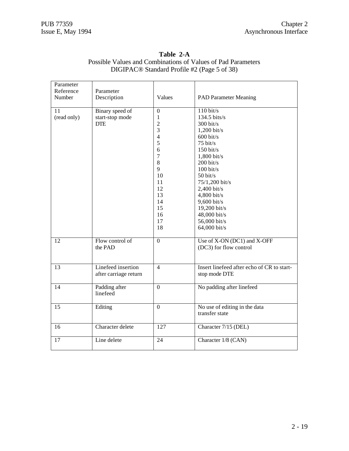| Parameter<br>Reference<br>Number | Parameter<br>Description                         | Values                                                                                                                                                 | <b>PAD Parameter Meaning</b>                                                                                                                                                                                                                                                                                                          |
|----------------------------------|--------------------------------------------------|--------------------------------------------------------------------------------------------------------------------------------------------------------|---------------------------------------------------------------------------------------------------------------------------------------------------------------------------------------------------------------------------------------------------------------------------------------------------------------------------------------|
| 11<br>(read only)                | Binary speed of<br>start-stop mode<br><b>DTE</b> | $\mathbf{0}$<br>1<br>$\overline{2}$<br>3<br>$\overline{4}$<br>5<br>6<br>$\overline{7}$<br>8<br>9<br>10<br>11<br>12<br>13<br>14<br>15<br>16<br>17<br>18 | $110 \text{ bit/s}$<br>134.5 bits/s<br>$300$ bit/s<br>1,200 bit/s<br>$600$ bit/s<br>$75 \text{ bit/s}$<br>$150 \text{ bit/s}$<br>$1,800$ bit/s<br>$200$ bit/s<br>$100 \text{ bit/s}$<br>$50$ bit/s<br>75/1,200 bit/s<br>$2,400$ bit/s<br>$4,800$ bit/s<br>9,600 bit/s<br>19,200 bit/s<br>48,000 bit/s<br>56,000 bit/s<br>64,000 bit/s |
| 12                               | Flow control of<br>the PAD                       | $\overline{0}$                                                                                                                                         | Use of X-ON (DC1) and X-OFF<br>(DC3) for flow control                                                                                                                                                                                                                                                                                 |
| 13                               | Linefeed insertion<br>after carriage return      | $\overline{4}$                                                                                                                                         | Insert linefeed after echo of CR to start-<br>stop mode DTE                                                                                                                                                                                                                                                                           |
| 14                               | Padding after<br>linefeed                        | $\overline{0}$                                                                                                                                         | No padding after linefeed                                                                                                                                                                                                                                                                                                             |
| 15                               | Editing                                          | $\overline{0}$                                                                                                                                         | No use of editing in the data<br>transfer state                                                                                                                                                                                                                                                                                       |
| 16                               | Character delete                                 | 127                                                                                                                                                    | Character 7/15 (DEL)                                                                                                                                                                                                                                                                                                                  |
| 17                               | Line delete                                      | 24                                                                                                                                                     | Character 1/8 (CAN)                                                                                                                                                                                                                                                                                                                   |

#### **Table 2-A** Possible Values and Combinations of Values of Pad Parameters DIGIPAC® Standard Profile #2 (Page 5 of 38)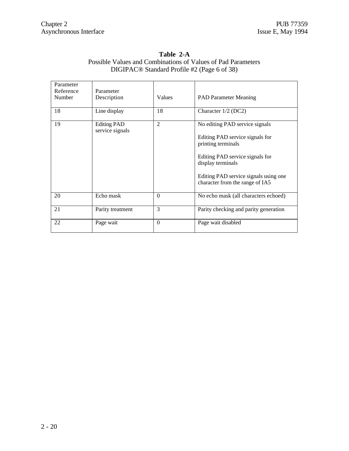#### **Table 2-A** Possible Values and Combinations of Values of Pad Parameters DIGIPAC® Standard Profile #2 (Page 6 of 38)

| Parameter<br>Reference<br>Number | Parameter<br>Description              | Values         | <b>PAD Parameter Meaning</b>                                                                                                                                                                                                |
|----------------------------------|---------------------------------------|----------------|-----------------------------------------------------------------------------------------------------------------------------------------------------------------------------------------------------------------------------|
| 18                               | Line display                          | 18             | Character 1/2 (DC2)                                                                                                                                                                                                         |
| 19                               | <b>Editing PAD</b><br>service signals | $\overline{2}$ | No editing PAD service signals<br>Editing PAD service signals for<br>printing terminals<br>Editing PAD service signals for<br>display terminals<br>Editing PAD service signals using one<br>character from the range of IA5 |
| 20                               | Echo mask                             | $\Omega$       | No echo mask (all characters echoed)                                                                                                                                                                                        |
| 21                               | Parity treatment                      | 3              | Parity checking and parity generation                                                                                                                                                                                       |
| 22                               | Page wait                             | $\mathbf{0}$   | Page wait disabled                                                                                                                                                                                                          |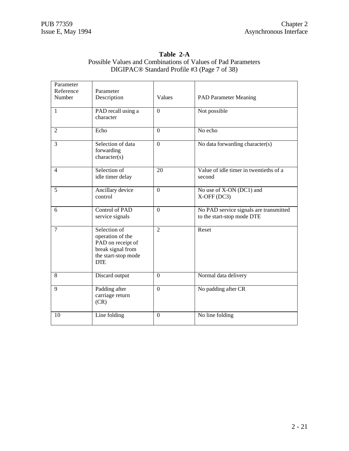| Parameter<br>Reference<br>Number | Parameter<br>Description                                                                                        | Values          | <b>PAD Parameter Meaning</b>                                         |
|----------------------------------|-----------------------------------------------------------------------------------------------------------------|-----------------|----------------------------------------------------------------------|
| $\mathbf{1}$                     | PAD recall using a<br>character                                                                                 | $\overline{0}$  | Not possible                                                         |
| $\overline{2}$                   | Echo                                                                                                            | $\theta$        | No echo                                                              |
| 3                                | Selection of data<br>forwarding<br>character(s)                                                                 | $\overline{0}$  | No data forwarding character(s)                                      |
| 4                                | Selection of<br>idle timer delay                                                                                | $\overline{20}$ | Value of idle timer in twentieths of a<br>second                     |
| 5                                | Ancillary device<br>control                                                                                     | $\Omega$        | No use of X-ON (DC1) and<br>$X-OFF(DC3)$                             |
| 6                                | Control of PAD<br>service signals                                                                               | $\overline{0}$  | No PAD service signals are transmitted<br>to the start-stop mode DTE |
| $\overline{7}$                   | Selection of<br>operation of the<br>PAD on receipt of<br>break signal from<br>the start-stop mode<br><b>DTE</b> | $\overline{2}$  | Reset                                                                |
| 8                                | Discard output                                                                                                  | $\overline{0}$  | Normal data delivery                                                 |
| 9                                | Padding after<br>carriage return<br>(CR)                                                                        | $\Omega$        | No padding after CR                                                  |
| 10                               | Line folding                                                                                                    | $\Omega$        | No line folding                                                      |
|                                  |                                                                                                                 |                 |                                                                      |

#### **Table 2-A** Possible Values and Combinations of Values of Pad Parameters DIGIPAC® Standard Profile #3 (Page 7 of 38)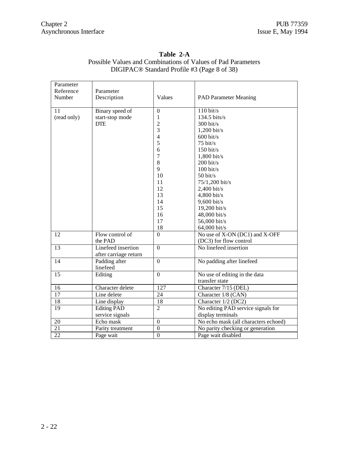| Parameter<br>Reference | Parameter             |                  |                                      |
|------------------------|-----------------------|------------------|--------------------------------------|
| Number                 | Description           | Values           | <b>PAD Parameter Meaning</b>         |
| 11                     | Binary speed of       | $\boldsymbol{0}$ | $110 \text{ bit/s}$                  |
| (read only)            | start-stop mode       | $\mathbf{1}$     | 134.5 bits/s                         |
|                        | <b>DTE</b>            | $\overline{c}$   | $300 \text{ bit/s}$                  |
|                        |                       | 3                | $1,200$ bit/s                        |
|                        |                       | $\overline{4}$   | $600$ bit/s                          |
|                        |                       | 5                | 75 bit/s                             |
|                        |                       | 6                | $150 \text{ bit/s}$                  |
|                        |                       | $\overline{7}$   | $1,800$ bit/s                        |
|                        |                       | 8                | $200$ bit/s                          |
|                        |                       | 9                | $100 \text{ bit/s}$                  |
|                        |                       | 10               | $50 \text{ bit/s}$                   |
|                        |                       | 11               | 75/1,200 bit/s                       |
|                        |                       | 12               | 2,400 bit/s                          |
|                        |                       | 13               | $4,800 \text{ bit/s}$                |
|                        |                       | 14               | 9,600 bit/s                          |
|                        |                       | 15               | 19,200 bit/s                         |
|                        |                       | 16               | 48,000 bit/s                         |
|                        |                       | 17               | 56,000 bit/s                         |
|                        |                       | 18               | 64,000 bit/s                         |
| 12                     | Flow control of       | $\overline{0}$   | No use of X-ON (DC1) and X-OFF       |
|                        | the PAD               |                  | (DC3) for flow control               |
| 13                     | Linefeed insertion    | $\overline{0}$   | No linefeed insertion                |
|                        | after carriage return |                  |                                      |
| 14                     | Padding after         | $\boldsymbol{0}$ | No padding after linefeed            |
|                        | linefeed              |                  |                                      |
| $\overline{15}$        | Editing               | $\boldsymbol{0}$ | No use of editing in the data        |
|                        |                       |                  | transfer state                       |
| 16                     | Character delete      | 127              | Character 7/15 (DEL)                 |
| $17\,$                 | Line delete           | 24               | Character 1/8 (CAN)                  |
| 18                     | Line display          | 18               | Character 1/2 (DC2)                  |
| 19                     | <b>Editing PAD</b>    | $\overline{2}$   | No editing PAD service signals for   |
|                        | service signals       |                  | display terminals                    |
| 20                     | Echo mask             | $\boldsymbol{0}$ | No echo mask (all characters echoed) |
| 21                     | Parity treatment      | $\overline{0}$   | No parity checking or generation     |
| 22                     | Page wait             | $\overline{0}$   | Page wait disabled                   |

#### **Table 2-A** Possible Values and Combinations of Values of Pad Parameters DIGIPAC® Standard Profile #3 (Page 8 of 38)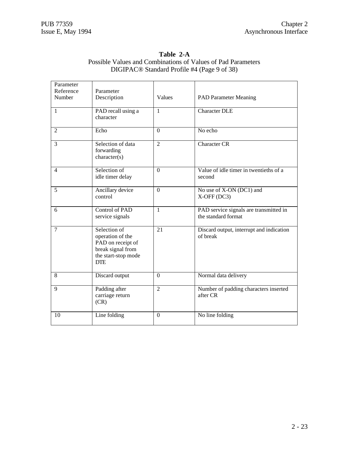| Parameter<br>Reference<br>Number | Parameter<br>Description                                                                                        | Values         | <b>PAD Parameter Meaning</b>                                  |
|----------------------------------|-----------------------------------------------------------------------------------------------------------------|----------------|---------------------------------------------------------------|
| $\mathbf{1}$                     | PAD recall using a<br>character                                                                                 | $\mathbf{1}$   | <b>Character DLE</b>                                          |
| $\overline{2}$                   | Echo                                                                                                            | $\Omega$       | No echo                                                       |
| 3                                | Selection of data<br>forwarding<br>character(s)                                                                 | $\overline{2}$ | <b>Character CR</b>                                           |
| 4                                | Selection of<br>idle timer delay                                                                                | $\Omega$       | Value of idle timer in twentieths of a<br>second              |
| 5                                | Ancillary device<br>control                                                                                     | $\overline{0}$ | No use of X-ON (DC1) and<br>$X-OFF(DC3)$                      |
| 6                                | Control of PAD<br>service signals                                                                               | 1              | PAD service signals are transmitted in<br>the standard format |
| $\overline{7}$                   | Selection of<br>operation of the<br>PAD on receipt of<br>break signal from<br>the start-stop mode<br><b>DTE</b> | 21             | Discard output, interrupt and indication<br>of break          |
| 8                                | Discard output                                                                                                  | $\overline{0}$ | Normal data delivery                                          |
| 9                                | Padding after<br>carriage return<br>(CR)                                                                        | $\overline{2}$ | Number of padding characters inserted<br>after CR             |
| 10                               | Line folding                                                                                                    | $\overline{0}$ | No line folding                                               |

#### **Table 2-A** Possible Values and Combinations of Values of Pad Parameters DIGIPAC® Standard Profile #4 (Page 9 of 38)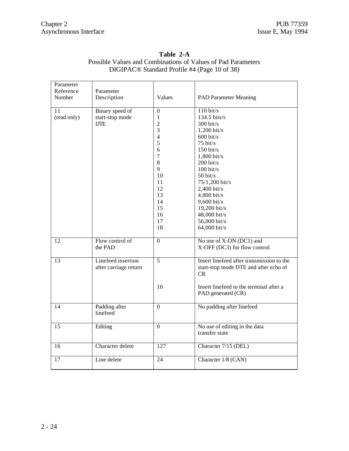| Parameter       |                       |                  |                                           |
|-----------------|-----------------------|------------------|-------------------------------------------|
| Reference       | Parameter             |                  |                                           |
| Number          | Description           | Values           | <b>PAD Parameter Meaning</b>              |
|                 |                       |                  |                                           |
| 11              | Binary speed of       | $\overline{0}$   | $110 \text{ bit/s}$                       |
| (read only)     | start-stop mode       | $\mathbf{1}$     | 134.5 bits/s                              |
|                 | <b>DTE</b>            | $\overline{c}$   | 300 bit/s                                 |
|                 |                       | $\overline{3}$   | $1,200$ bit/s                             |
|                 |                       | $\overline{4}$   | $600 \frac{\text{bit}}{\text{s}}$         |
|                 |                       | 5                | $75 \text{ bit/s}$                        |
|                 |                       | 6                | $150 \text{ bit/s}$                       |
|                 |                       |                  |                                           |
|                 |                       | 7                | 1,800 bit/s                               |
|                 |                       | 8                | $200$ bit/s                               |
|                 |                       | 9                | $100 \text{ bit/s}$                       |
|                 |                       | 10               | $50$ bit/s                                |
|                 |                       | 11               | 75/1,200 bit/s                            |
|                 |                       | 12               | 2,400 bit/s                               |
|                 |                       | 13               | 4,800 bit/s                               |
|                 |                       | 14               | 9,600 bit/s                               |
|                 |                       | 15               | 19,200 bit/s                              |
|                 |                       | 16               | 48,000 bit/s                              |
|                 |                       | 17               | 56,000 bit/s                              |
|                 |                       | 18               | 64,000 bit/s                              |
|                 |                       |                  |                                           |
| 12              | Flow control of       | $\mathbf{0}$     | No use of X-ON (DC1) and                  |
|                 | the PAD               |                  | X-OFF (DC3) for flow control              |
|                 |                       |                  |                                           |
| $\overline{13}$ | Linefeed insertion    | $\overline{5}$   | Insert linefeed after transmission to the |
|                 | after carriage return |                  | start-stop mode DTE and after echo of     |
|                 |                       |                  | <b>CR</b>                                 |
|                 |                       |                  |                                           |
|                 |                       | 16               | Insert linefeed to the terminal after a   |
|                 |                       |                  | PAD generated (CR)                        |
| 14              | Padding after         | $\mathbf{0}$     | No padding after linefeed                 |
|                 | linefeed              |                  |                                           |
|                 |                       |                  |                                           |
| 15              | Editing               | $\mathbf{0}$     | No use of editing in the data             |
|                 |                       |                  | transfer state                            |
|                 |                       |                  |                                           |
| 16              | Character delete      | $\overline{127}$ | Character 7/15 (DEL)                      |
|                 |                       |                  |                                           |
| 17              | Line delete           | 24               | Character 1/8 (CAN)                       |
|                 |                       |                  |                                           |

#### **Table 2-A** Possible Values and Combinations of Values of Pad Parameters DIGIPAC® Standard Profile #4 (Page 10 of 38)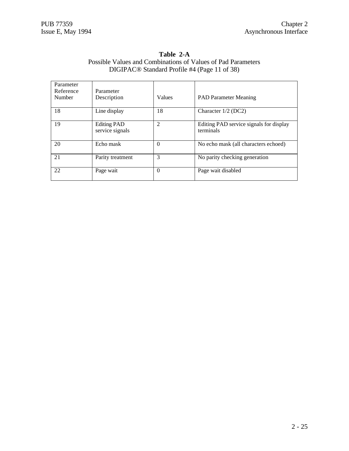| Table 2-A                                                    |
|--------------------------------------------------------------|
| Possible Values and Combinations of Values of Pad Parameters |
| DIGIPAC <sup>®</sup> Standard Profile #4 (Page 11 of 38)     |

| Parameter<br>Reference<br>Number | Parameter<br>Description              | Values         | <b>PAD Parameter Meaning</b>                         |
|----------------------------------|---------------------------------------|----------------|------------------------------------------------------|
| 18                               | Line display                          | 18             | Character $1/2$ (DC2)                                |
| 19                               | <b>Editing PAD</b><br>service signals | $\overline{2}$ | Editing PAD service signals for display<br>terminals |
| 20                               | Echo mask                             | $\Omega$       | No echo mask (all characters echoed)                 |
| 21                               | Parity treatment                      | 3              | No parity checking generation                        |
| 22                               | Page wait                             | $\theta$       | Page wait disabled                                   |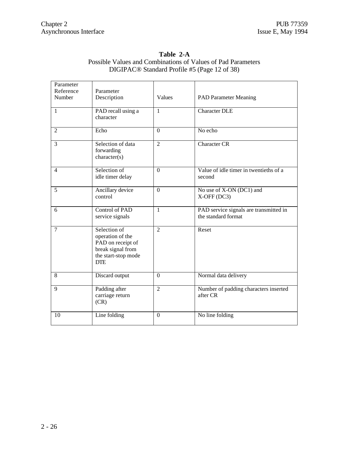| Parameter<br>Reference<br>Number | Parameter<br>Description                                                                                        | Values         | <b>PAD Parameter Meaning</b>                                  |
|----------------------------------|-----------------------------------------------------------------------------------------------------------------|----------------|---------------------------------------------------------------|
| $\mathbf{1}$                     | PAD recall using a<br>character                                                                                 | $\mathbf{1}$   | <b>Character DLE</b>                                          |
| $\overline{2}$                   | Echo                                                                                                            | $\overline{0}$ | No echo                                                       |
| 3                                | Selection of data<br>forwarding<br>character(s)                                                                 | $\overline{2}$ | <b>Character CR</b>                                           |
| $\overline{4}$                   | Selection of<br>idle timer delay                                                                                | $\Omega$       | Value of idle timer in twentieths of a<br>second              |
| 5                                | Ancillary device<br>control                                                                                     | $\overline{0}$ | No use of X-ON (DC1) and<br>$X-OFF(DC3)$                      |
| 6                                | Control of PAD<br>service signals                                                                               | $\mathbf{1}$   | PAD service signals are transmitted in<br>the standard format |
| $7\phantom{.0}$                  | Selection of<br>operation of the<br>PAD on receipt of<br>break signal from<br>the start-stop mode<br><b>DTE</b> | $\overline{2}$ | Reset                                                         |
| 8                                | Discard output                                                                                                  | $\mathbf{0}$   | Normal data delivery                                          |
| 9                                | Padding after<br>carriage return<br>(CR)                                                                        | $\overline{2}$ | Number of padding characters inserted<br>after CR             |
| 10                               | Line folding                                                                                                    | $\mathbf{0}$   | No line folding                                               |

#### **Table 2-A** Possible Values and Combinations of Values of Pad Parameters DIGIPAC® Standard Profile #5 (Page 12 of 38)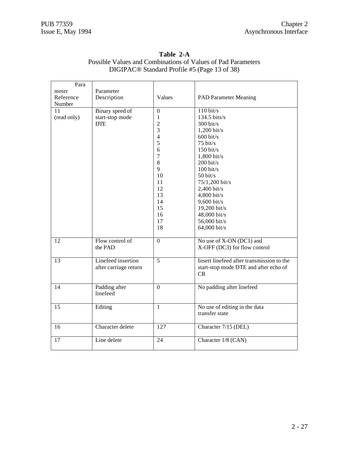| Para               |                          |                  |                                                 |
|--------------------|--------------------------|------------------|-------------------------------------------------|
| meter<br>Reference | Parameter<br>Description | Values           | <b>PAD Parameter Meaning</b>                    |
| Number             |                          |                  |                                                 |
| 11                 | Binary speed of          | $\boldsymbol{0}$ | $110 \text{ bit/s}$                             |
| (read only)        | start-stop mode          | $\mathbf{1}$     | 134.5 bits/s                                    |
|                    | <b>DTE</b>               | $\overline{c}$   | $300 \text{ bit/s}$                             |
|                    |                          | 3                | $1,200$ bit/s                                   |
|                    |                          | $\overline{4}$   | $600 \text{ bit/s}$                             |
|                    |                          | 5                | $75 \text{ bit/s}$                              |
|                    |                          | 6                | $150 \text{ bit/s}$                             |
|                    |                          | 7                | $1,800$ bit/s                                   |
|                    |                          | 8                | $200 \text{ bit/s}$                             |
|                    |                          | 9                | $100 \text{ bit/s}$                             |
|                    |                          | 10               | $50$ bit/s                                      |
|                    |                          | 11               | 75/1,200 bit/s                                  |
|                    |                          | 12               | 2,400 bit/s                                     |
|                    |                          | 13               | 4,800 bit/s                                     |
|                    |                          | 14               | 9,600 bit/s                                     |
|                    |                          | 15               | 19,200 bit/s                                    |
|                    |                          | 16               | 48,000 bit/s                                    |
|                    |                          | 17               | 56,000 bit/s                                    |
|                    |                          | 18               | 64,000 bit/s                                    |
| 12                 | Flow control of          | $\overline{0}$   | No use of X-ON (DC1) and                        |
|                    | the PAD                  |                  | X-OFF (DC3) for flow control                    |
|                    |                          |                  |                                                 |
| 13                 | Linefeed insertion       | $\overline{5}$   | Insert linefeed after transmission to the       |
|                    | after carriage return    |                  | start-stop mode DTE and after echo of           |
|                    |                          |                  | CR                                              |
|                    |                          |                  |                                                 |
| 14                 | Padding after            | $\overline{0}$   | No padding after linefeed                       |
|                    | linefeed                 |                  |                                                 |
|                    |                          | $\overline{1}$   |                                                 |
| 15                 | Editing                  |                  | No use of editing in the data<br>transfer state |
|                    |                          |                  |                                                 |
| 16                 | Character delete         | 127              | Character 7/15 (DEL)                            |
|                    |                          |                  |                                                 |
| 17                 | Line delete              | 24               | Character 1/8 (CAN)                             |
|                    |                          |                  |                                                 |

#### **Table 2-A** Possible Values and Combinations of Values of Pad Parameters DIGIPAC® Standard Profile #5 (Page 13 of 38)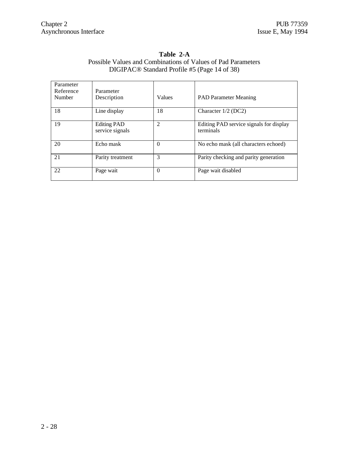#### **Table 2-A** Possible Values and Combinations of Values of Pad Parameters DIGIPAC® Standard Profile #5 (Page 14 of 38)

| Parameter<br>Reference<br>Number | Parameter<br>Description              | Values         | <b>PAD Parameter Meaning</b>                         |
|----------------------------------|---------------------------------------|----------------|------------------------------------------------------|
| 18                               | Line display                          | 18             | Character 1/2 (DC2)                                  |
| 19                               | <b>Editing PAD</b><br>service signals | $\overline{2}$ | Editing PAD service signals for display<br>terminals |
| 20                               | Echo mask                             | $\theta$       | No echo mask (all characters echoed)                 |
| 21                               | Parity treatment                      | 3              | Parity checking and parity generation                |
| 22                               | Page wait                             | $\Omega$       | Page wait disabled                                   |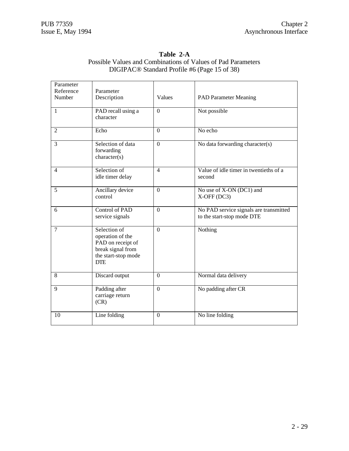| Parameter      |                       |                  |                                        |
|----------------|-----------------------|------------------|----------------------------------------|
| Reference      | Parameter             |                  |                                        |
| Number         | Description           | Values           | <b>PAD Parameter Meaning</b>           |
|                |                       |                  |                                        |
| 1              | PAD recall using a    | $\mathbf{0}$     | Not possible                           |
|                | character             |                  |                                        |
|                |                       |                  |                                        |
|                |                       |                  |                                        |
| $\overline{2}$ | Echo                  | $\Omega$         | No echo                                |
|                |                       |                  |                                        |
| 3              | Selection of data     | $\mathbf{0}$     | No data forwarding character(s)        |
|                | forwarding            |                  |                                        |
|                | character(s)          |                  |                                        |
|                |                       |                  |                                        |
| 4              | Selection of          | $\overline{4}$   | Value of idle timer in twentieths of a |
|                |                       |                  | second                                 |
|                | idle timer delay      |                  |                                        |
|                |                       |                  |                                        |
| 5              | Ancillary device      | $\mathbf{0}$     | No use of X-ON (DC1) and               |
|                | control               |                  | $X-OFF(DC3)$                           |
|                |                       |                  |                                        |
| 6              | <b>Control of PAD</b> | $\boldsymbol{0}$ | No PAD service signals are transmitted |
|                | service signals       |                  | to the start-stop mode DTE             |
|                |                       |                  |                                        |
| 7              | Selection of          | $\mathbf{0}$     | Nothing                                |
|                | operation of the      |                  |                                        |
|                |                       |                  |                                        |
|                | PAD on receipt of     |                  |                                        |
|                | break signal from     |                  |                                        |
|                | the start-stop mode   |                  |                                        |
|                | <b>DTE</b>            |                  |                                        |
|                |                       |                  |                                        |
| 8              | Discard output        | $\overline{0}$   | Normal data delivery                   |
|                |                       |                  |                                        |
| 9              | Padding after         | $\boldsymbol{0}$ | No padding after CR                    |
|                |                       |                  |                                        |
|                | carriage return       |                  |                                        |
|                | (CR)                  |                  |                                        |
|                |                       |                  |                                        |
| 10             | Line folding          | $\theta$         | No line folding                        |
|                |                       |                  |                                        |

#### **Table 2-A** Possible Values and Combinations of Values of Pad Parameters DIGIPAC® Standard Profile #6 (Page 15 of 38)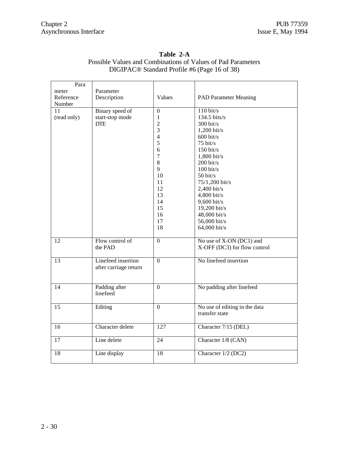| Para        |                       |                  |                               |
|-------------|-----------------------|------------------|-------------------------------|
| meter       | Parameter             |                  |                               |
| Reference   | Description           | Values           | <b>PAD Parameter Meaning</b>  |
| Number      |                       |                  |                               |
| 11          | Binary speed of       | $\boldsymbol{0}$ | $110 \text{ bit/s}$           |
| (read only) | start-stop mode       | $\mathbf 1$      | 134.5 bits/s                  |
|             | <b>DTE</b>            | $\overline{c}$   | $300$ bit/s                   |
|             |                       | 3                | $1,200$ bit/s                 |
|             |                       | $\overline{4}$   | $600$ bit/s                   |
|             |                       | 5                | $75 \text{ bit/s}$            |
|             |                       | 6                | $150$ bit/s                   |
|             |                       | $\overline{7}$   | 1,800 bit/s                   |
|             |                       | 8                | $200$ bit/s                   |
|             |                       | 9                | $100 \text{ bit/s}$           |
|             |                       | 10               | 50 bit/s                      |
|             |                       | 11               | 75/1,200 bit/s                |
|             |                       | 12               | 2,400 bit/s                   |
|             |                       | 13               | 4,800 bit/s                   |
|             |                       | 14               | 9,600 bit/s                   |
|             |                       | 15               | 19,200 bit/s                  |
|             |                       | 16               | 48,000 bit/s                  |
|             |                       | 17               | 56,000 bit/s                  |
|             |                       | 18               | 64,000 bit/s                  |
|             |                       |                  |                               |
| 12          | Flow control of       | $\mathbf{0}$     | No use of X-ON (DC1) and      |
|             | the PAD               |                  | X-OFF (DC3) for flow control  |
|             |                       |                  |                               |
| 13          | Linefeed insertion    | $\mathbf{0}$     | No linefeed insertion         |
|             | after carriage return |                  |                               |
|             |                       |                  |                               |
|             |                       |                  |                               |
| 14          | Padding after         | $\overline{0}$   | No padding after linefeed     |
|             | linefeed              |                  |                               |
|             |                       |                  |                               |
| 15          | Editing               | $\overline{0}$   | No use of editing in the data |
|             |                       |                  | transfer state                |
|             |                       |                  |                               |
| 16          | Character delete      | 127              | Character 7/15 (DEL)          |
|             |                       |                  |                               |
| 17          | Line delete           | $\overline{24}$  | Character 1/8 (CAN)           |
|             |                       |                  |                               |
| 18          | Line display          | <sup>18</sup>    | Character 1/2 (DC2)           |
|             |                       |                  |                               |

#### **Table 2-A** Possible Values and Combinations of Values of Pad Parameters DIGIPAC® Standard Profile #6 (Page 16 of 38)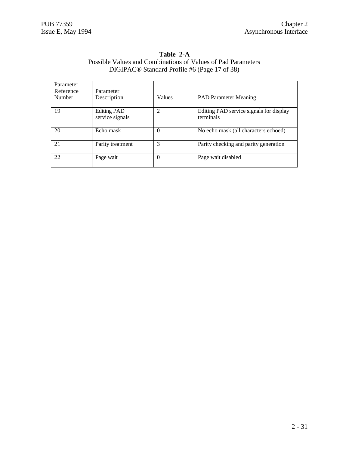#### **Table 2-A** Possible Values and Combinations of Values of Pad Parameters DIGIPAC® Standard Profile #6 (Page 17 of 38)

| Parameter<br>Reference<br>Number | Parameter<br>Description              | Values         | <b>PAD Parameter Meaning</b>                         |
|----------------------------------|---------------------------------------|----------------|------------------------------------------------------|
| 19                               | <b>Editing PAD</b><br>service signals | $\overline{2}$ | Editing PAD service signals for display<br>terminals |
| 20                               | Echo mask                             | $\Omega$       | No echo mask (all characters echoed)                 |
| 21                               | Parity treatment                      | 3              | Parity checking and parity generation                |
| 22                               | Page wait                             | $\theta$       | Page wait disabled                                   |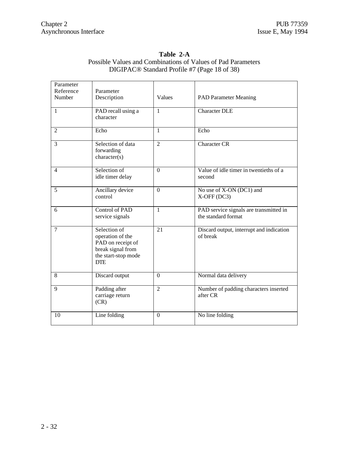| Parameter<br>Reference<br>Number | Parameter<br>Description                                                                                        | Values         | <b>PAD Parameter Meaning</b>                                  |
|----------------------------------|-----------------------------------------------------------------------------------------------------------------|----------------|---------------------------------------------------------------|
| $\mathbf{1}$                     | PAD recall using a<br>character                                                                                 | $\mathbf{1}$   | <b>Character DLE</b>                                          |
| $\overline{2}$                   | Echo                                                                                                            | $\mathbf{1}$   | Echo                                                          |
| 3                                | Selection of data<br>forwarding<br>character(s)                                                                 | $\overline{2}$ | Character CR                                                  |
| $\overline{4}$                   | Selection of<br>idle timer delay                                                                                | $\Omega$       | Value of idle timer in twentieths of a<br>second              |
| 5                                | Ancillary device<br>control                                                                                     | $\overline{0}$ | No use of X-ON (DC1) and<br>$X-OFF(DC3)$                      |
| 6                                | <b>Control of PAD</b><br>service signals                                                                        | $\mathbf{1}$   | PAD service signals are transmitted in<br>the standard format |
| $\tau$                           | Selection of<br>operation of the<br>PAD on receipt of<br>break signal from<br>the start-stop mode<br><b>DTE</b> | 21             | Discard output, interrupt and indication<br>of break          |
| 8                                | Discard output                                                                                                  | $\mathbf{0}$   | Normal data delivery                                          |
| 9                                | Padding after<br>carriage return<br>(CR)                                                                        | $\overline{2}$ | Number of padding characters inserted<br>after CR             |
| 10                               | Line folding                                                                                                    | $\Omega$       | No line folding                                               |

#### **Table 2-A** Possible Values and Combinations of Values of Pad Parameters DIGIPAC® Standard Profile #7 (Page 18 of 38)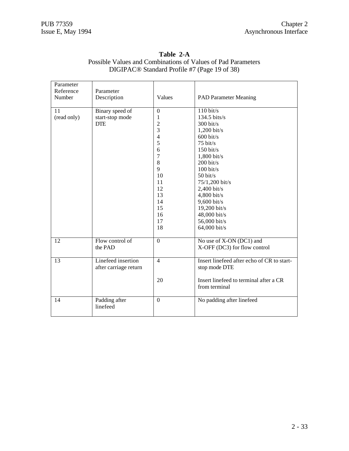| Parameter<br>Reference<br>Number | Parameter<br>Description                         | Values                                                                                                                                                        | <b>PAD Parameter Meaning</b>                                                                                                                                                                                                                                                                                                                |
|----------------------------------|--------------------------------------------------|---------------------------------------------------------------------------------------------------------------------------------------------------------------|---------------------------------------------------------------------------------------------------------------------------------------------------------------------------------------------------------------------------------------------------------------------------------------------------------------------------------------------|
| 11<br>(read only)                | Binary speed of<br>start-stop mode<br><b>DTE</b> | $\Omega$<br>$\mathbf{1}$<br>$\overline{c}$<br>3<br>$\overline{4}$<br>5<br>6<br>$\overline{7}$<br>8<br>9<br>10<br>11<br>12<br>13<br>14<br>15<br>16<br>17<br>18 | $110 \frac{\text{bit}}{\text{s}}$<br>134.5 bits/s<br>$300 \text{ bit/s}$<br>$1,200$ bit/s<br>$600$ bit/s<br>75 bit/s<br>$150 \text{ bit/s}$<br>1,800 bit/s<br>$200$ bit/s<br>$100 \text{ bit/s}$<br>50 bit/s<br>75/1,200 bit/s<br>2,400 bit/s<br>4,800 bit/s<br>9,600 bit/s<br>19,200 bit/s<br>48,000 bit/s<br>56,000 bit/s<br>64,000 bit/s |
| 12                               | Flow control of<br>the PAD                       | $\mathbf{0}$                                                                                                                                                  | No use of X-ON (DC1) and<br>X-OFF (DC3) for flow control                                                                                                                                                                                                                                                                                    |
| 13                               | Linefeed insertion<br>after carriage return      | $\overline{4}$<br>20                                                                                                                                          | Insert linefeed after echo of CR to start-<br>stop mode DTE<br>Insert linefeed to terminal after a CR<br>from terminal                                                                                                                                                                                                                      |
| 14                               | Padding after<br>linefeed                        | $\boldsymbol{0}$                                                                                                                                              | No padding after linefeed                                                                                                                                                                                                                                                                                                                   |

#### **Table 2-A** Possible Values and Combinations of Values of Pad Parameters DIGIPAC® Standard Profile #7 (Page 19 of 38)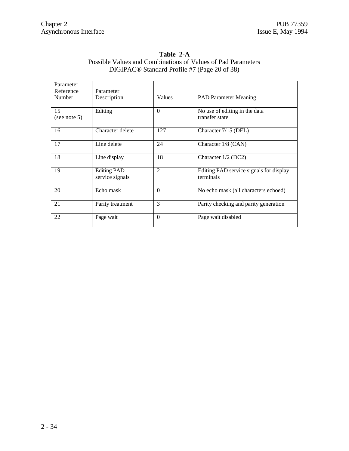| Table 2-A                                                    |  |  |  |  |
|--------------------------------------------------------------|--|--|--|--|
| Possible Values and Combinations of Values of Pad Parameters |  |  |  |  |
| DIGIPAC <sup>®</sup> Standard Profile #7 (Page 20 of 38)     |  |  |  |  |

| Parameter<br>Reference<br>Number | Parameter<br>Description              | Values         | <b>PAD Parameter Meaning</b>                         |
|----------------------------------|---------------------------------------|----------------|------------------------------------------------------|
| 15<br>(see note 5)               | Editing                               | $\Omega$       | No use of editing in the data<br>transfer state      |
| 16                               | Character delete                      | 127            | Character 7/15 (DEL)                                 |
| 17                               | Line delete                           | 24             | Character 1/8 (CAN)                                  |
| 18                               | Line display                          | 18             | Character 1/2 (DC2)                                  |
| 19                               | <b>Editing PAD</b><br>service signals | $\overline{2}$ | Editing PAD service signals for display<br>terminals |
| 20                               | Echo mask                             | $\Omega$       | No echo mask (all characters echoed)                 |
| 21                               | Parity treatment                      | 3              | Parity checking and parity generation                |
| 22                               | Page wait                             | $\Omega$       | Page wait disabled                                   |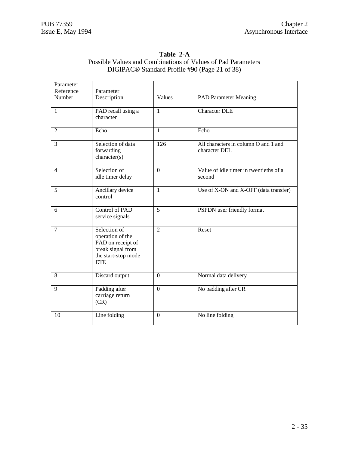| Table 2-A                                                    |  |  |  |
|--------------------------------------------------------------|--|--|--|
| Possible Values and Combinations of Values of Pad Parameters |  |  |  |
| DIGIPAC <sup>®</sup> Standard Profile #90 (Page 21 of 38)    |  |  |  |

| Parameter |                       |                |                                                  |
|-----------|-----------------------|----------------|--------------------------------------------------|
| Reference | Parameter             |                |                                                  |
| Number    | Description           | Values         | <b>PAD Parameter Meaning</b>                     |
|           |                       |                |                                                  |
| 1         | PAD recall using a    | $\mathbf{1}$   | <b>Character DLE</b>                             |
|           | character             |                |                                                  |
|           |                       | $\mathbf{1}$   | Echo                                             |
| 2         | Echo                  |                |                                                  |
| 3         | Selection of data     | 126            | All characters in column O and 1 and             |
|           | forwarding            |                | character DEL                                    |
|           | character(s)          |                |                                                  |
|           |                       |                |                                                  |
| 4         | Selection of          | $\Omega$       | Value of idle timer in twentieths of a<br>second |
|           | idle timer delay      |                |                                                  |
| 5         | Ancillary device      | $\mathbf{1}$   | Use of X-ON and X-OFF (data transfer)            |
|           | control               |                |                                                  |
|           |                       |                |                                                  |
| 6         | <b>Control of PAD</b> | 5              | PSPDN user friendly format                       |
|           | service signals       |                |                                                  |
| 7         | Selection of          | $\overline{2}$ | Reset                                            |
|           | operation of the      |                |                                                  |
|           | PAD on receipt of     |                |                                                  |
|           | break signal from     |                |                                                  |
|           | the start-stop mode   |                |                                                  |
|           | <b>DTE</b>            |                |                                                  |
| 8         | Discard output        | $\mathbf{0}$   | Normal data delivery                             |
|           |                       |                |                                                  |
| 9         | Padding after         | $\mathbf{0}$   | No padding after $CR$                            |
|           | carriage return       |                |                                                  |
|           | (CR)                  |                |                                                  |
| 10        | Line folding          | $\mathbf{0}$   | No line folding                                  |
|           |                       |                |                                                  |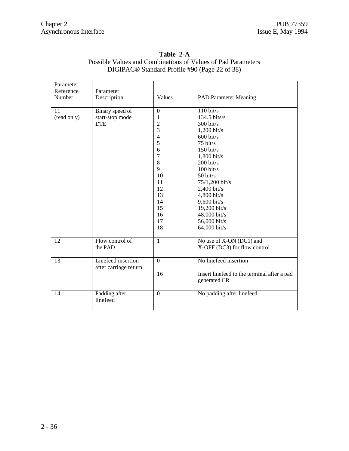| Parameter<br>Reference<br>Number | Parameter<br>Description  | Values           | <b>PAD Parameter Meaning</b>                                |
|----------------------------------|---------------------------|------------------|-------------------------------------------------------------|
| 11                               | Binary speed of           | $\boldsymbol{0}$ | $110 \text{ bit/s}$                                         |
| (read only)                      | start-stop mode           | 1                | $134.5 \text{ bits/s}$                                      |
|                                  | <b>DTE</b>                | $\overline{c}$   | $300$ bit/s                                                 |
|                                  |                           | 3                | $1,200$ bit/s                                               |
|                                  |                           | $\overline{4}$   | $600$ bit/s                                                 |
|                                  |                           | 5                | $75 \text{ bit/s}$                                          |
|                                  |                           | 6                | $150 \text{ bit/s}$                                         |
|                                  |                           | $\overline{7}$   | 1,800 bit/s                                                 |
|                                  |                           | 8                | $200 \frac{bit}{s}$                                         |
|                                  |                           | 9                | $100 \frac{\text{bit}}{\text{s}}$                           |
|                                  |                           | 10               | $50$ bit/s                                                  |
|                                  |                           | 11               | 75/1,200 bit/s                                              |
|                                  |                           | 12               | 2,400 bit/s                                                 |
|                                  |                           | 13               | 4,800 bit/s                                                 |
|                                  |                           | 14               | 9,600 bit/s                                                 |
|                                  |                           | 15               | 19,200 bit/s                                                |
|                                  |                           | 16               | 48,000 bit/s                                                |
|                                  |                           | 17               | 56,000 bit/s                                                |
|                                  |                           | 18               | 64,000 bit/s                                                |
| 12                               | Flow control of           | $\mathbf{1}$     | No use of X-ON (DC1) and                                    |
|                                  | the PAD                   |                  | X-OFF (DC3) for flow control                                |
| 13                               | Linefeed insertion        | $\boldsymbol{0}$ | No linefeed insertion                                       |
|                                  | after carriage return     |                  |                                                             |
|                                  |                           | 16               | Insert linefeed to the terminal after a pad<br>generated CR |
| 14                               | Padding after<br>linefeed | $\boldsymbol{0}$ | No padding after linefeed                                   |

#### **Table 2-A** Possible Values and Combinations of Values of Pad Parameters DIGIPAC® Standard Profile #90 (Page 22 of 38)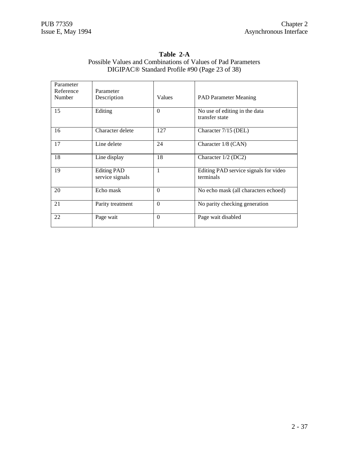#### **Table 2-A** Possible Values and Combinations of Values of Pad Parameters DIGIPAC® Standard Profile #90 (Page 23 of 38)

| Parameter<br>Reference<br>Number | Parameter<br>Description              | Values       | <b>PAD Parameter Meaning</b>                       |
|----------------------------------|---------------------------------------|--------------|----------------------------------------------------|
| 15                               | Editing                               | $\Omega$     | No use of editing in the data<br>transfer state    |
| 16                               | Character delete                      | 127          | Character 7/15 (DEL)                               |
| 17                               | Line delete                           | 24           | Character 1/8 (CAN)                                |
| 18                               | Line display                          | 18           | Character 1/2 (DC2)                                |
| 19                               | <b>Editing PAD</b><br>service signals | $\mathbf{1}$ | Editing PAD service signals for video<br>terminals |
| 20                               | Echo mask                             | $\Omega$     | No echo mask (all characters echoed)               |
| 21                               | Parity treatment                      | $\theta$     | No parity checking generation                      |
| 22                               | Page wait                             | $\Omega$     | Page wait disabled                                 |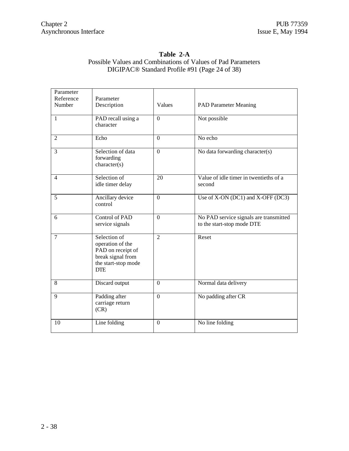#### **Table 2-A** Possible Values and Combinations of Values of Pad Parameters DIGIPAC® Standard Profile #91 (Page 24 of 38)

| Parameter<br>Reference<br>Number | Parameter<br>Description                                                                                        | Values         | <b>PAD Parameter Meaning</b>                                         |
|----------------------------------|-----------------------------------------------------------------------------------------------------------------|----------------|----------------------------------------------------------------------|
| $\mathbf{1}$                     | PAD recall using a<br>character                                                                                 | $\Omega$       | Not possible                                                         |
| $\overline{2}$                   | Echo                                                                                                            | $\Omega$       | No echo                                                              |
| $\overline{3}$                   | Selection of data<br>forwarding<br>character(s)                                                                 | $\theta$       | No data forwarding character(s)                                      |
| $\overline{4}$                   | Selection of<br>idle timer delay                                                                                | 20             | Value of idle timer in twentieths of a<br>second                     |
| 5                                | Ancillary device<br>control                                                                                     | $\Omega$       | Use of X-ON (DC1) and X-OFF (DC3)                                    |
| 6                                | <b>Control of PAD</b><br>service signals                                                                        | $\mathbf{0}$   | No PAD service signals are transmitted<br>to the start-stop mode DTE |
| $\tau$                           | Selection of<br>operation of the<br>PAD on receipt of<br>break signal from<br>the start-stop mode<br><b>DTE</b> | $\overline{2}$ | Reset                                                                |
| 8                                | Discard output                                                                                                  | $\Omega$       | Normal data delivery                                                 |
| 9                                | Padding after<br>carriage return<br>(CR)                                                                        | $\overline{0}$ | No padding after CR                                                  |
| 10                               | Line folding                                                                                                    | $\overline{0}$ | No line folding                                                      |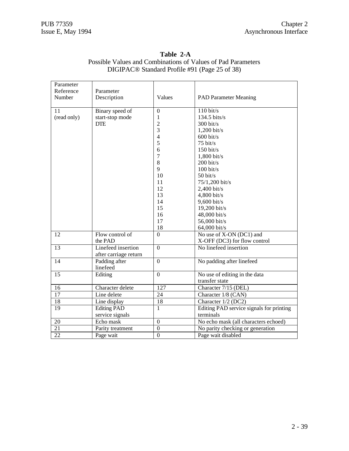| Parameter<br>Reference<br>Number | Parameter<br>Description     | Values           | <b>PAD Parameter Meaning</b>             |
|----------------------------------|------------------------------|------------------|------------------------------------------|
| 11                               | Binary speed of              | $\boldsymbol{0}$ | $110 \text{ bit/s}$                      |
| (read only)                      | start-stop mode              | $\mathbf{1}$     | 134.5 bits/s                             |
|                                  | <b>DTE</b>                   | $\overline{c}$   | $300$ bit/s                              |
|                                  |                              | 3                | $1,200$ bit/s                            |
|                                  |                              | $\overline{4}$   | $600$ bit/s                              |
|                                  |                              | 5                | $75 \text{ bit/s}$                       |
|                                  |                              | 6                | $150$ bit/s                              |
|                                  |                              | $\overline{7}$   | $1,800$ bit/s                            |
|                                  |                              | 8                | $200$ bit/s                              |
|                                  |                              | 9                | $100 \text{ bit/s}$                      |
|                                  |                              | 10               | $50 \text{ bit/s}$                       |
|                                  |                              | 11               | 75/1,200 bit/s                           |
|                                  |                              | 12               | $2,400$ bit/s                            |
|                                  |                              | 13               | $4,800$ bit/s                            |
|                                  |                              | 14               | $9,600$ bit/s                            |
|                                  |                              | 15               | 19,200 bit/s                             |
|                                  |                              | 16               | 48,000 bit/s                             |
|                                  |                              | 17               | 56,000 bit/s                             |
|                                  |                              | 18               | 64,000 bit/s                             |
| 12                               | Flow control $\overline{of}$ | $\overline{0}$   | No use of X-ON (DC1) and                 |
|                                  | the PAD                      |                  | X-OFF (DC3) for flow control             |
| 13                               | Linefeed insertion           | $\overline{0}$   | No linefeed insertion                    |
|                                  | after carriage return        |                  |                                          |
| 14                               | Padding after                | $\boldsymbol{0}$ | No padding after linefeed                |
|                                  | linefeed                     |                  |                                          |
| 15                               | Editing                      | $\overline{0}$   | No use of editing in the data            |
|                                  |                              |                  | transfer state                           |
| 16                               | Character delete             | 127              | Character 7/15 (DEL)                     |
| 17                               | Line delete                  | 24               | Character 1/8 (CAN)                      |
| $18\,$                           | Line display                 | 18               | Character 1/2 (DC2)                      |
| 19                               | <b>Editing PAD</b>           | $\mathbf{1}$     | Editing PAD service signals for printing |
|                                  | service signals              |                  | terminals                                |
| 20                               | Echo mask                    | $\boldsymbol{0}$ | No echo mask (all characters echoed)     |
| 21                               | Parity treatment             | $\boldsymbol{0}$ | No parity checking or generation         |
| $\overline{22}$                  | Page wait                    | $\overline{0}$   | Page wait disabled                       |

#### **Table 2-A** Possible Values and Combinations of Values of Pad Parameters DIGIPAC® Standard Profile #91 (Page 25 of 38)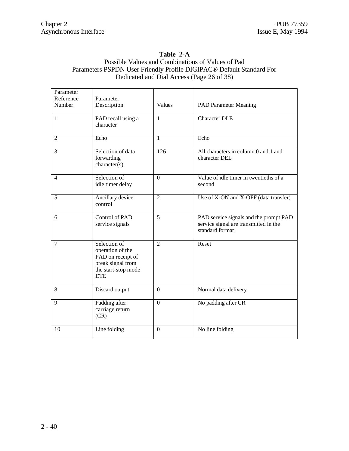# **Table 2-A**

## Possible Values and Combinations of Values of Pad Parameters PSPDN User Friendly Profile DIGIPAC® Default Standard For Dedicated and Dial Access (Page 26 of 38)

| Parameter<br>Reference<br>Number | Parameter<br>Description                                                                                        | Values         | <b>PAD Parameter Meaning</b>                                                                       |
|----------------------------------|-----------------------------------------------------------------------------------------------------------------|----------------|----------------------------------------------------------------------------------------------------|
| $\mathbf{1}$                     | PAD recall using a<br>character                                                                                 | $\mathbf{1}$   | <b>Character DLE</b>                                                                               |
| $\overline{2}$                   | Echo                                                                                                            | $\mathbf{1}$   | Echo                                                                                               |
| 3                                | Selection of data<br>forwarding<br>character(s)                                                                 | 126            | All characters in column 0 and 1 and<br>character DEL                                              |
| $\overline{4}$                   | Selection of<br>idle timer delay                                                                                | $\theta$       | Value of idle timer in twentieths of a<br>second                                                   |
| 5                                | Ancillary device<br>control                                                                                     | $\overline{2}$ | Use of X-ON and X-OFF (data transfer)                                                              |
| 6                                | Control of PAD<br>service signals                                                                               | 5              | PAD service signals and the prompt PAD<br>service signal are transmitted in the<br>standard format |
| 7                                | Selection of<br>operation of the<br>PAD on receipt of<br>break signal from<br>the start-stop mode<br><b>DTE</b> | $\mathfrak{D}$ | Reset                                                                                              |
| 8                                | Discard output                                                                                                  | $\mathbf{0}$   | Normal data delivery                                                                               |
| 9                                | Padding after<br>carriage return<br>(CR)                                                                        | $\mathbf{0}$   | No padding after CR                                                                                |
| 10                               | Line folding                                                                                                    | $\Omega$       | No line folding                                                                                    |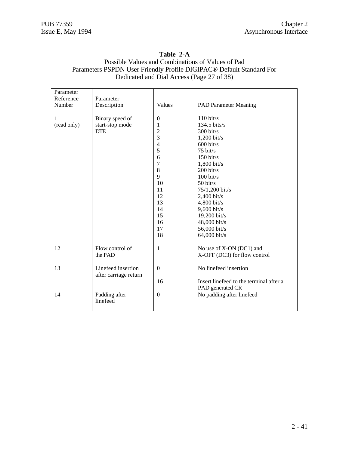# **Table 2-A**

## Possible Values and Combinations of Values of Pad Parameters PSPDN User Friendly Profile DIGIPAC® Default Standard For Dedicated and Dial Access (Page 27 of 38)

| Parameter<br>Reference<br>Number | Parameter<br>Description                    | Values           | <b>PAD Parameter Meaning</b>            |
|----------------------------------|---------------------------------------------|------------------|-----------------------------------------|
| 11                               | Binary speed of                             | $\boldsymbol{0}$ | $110 \text{ bit/s}$                     |
| (read only)                      | start-stop mode                             | 1                | $134.5$ bits/s                          |
|                                  | <b>DTE</b>                                  | $\overline{c}$   | $300$ bit/s                             |
|                                  |                                             | $\overline{3}$   | $1,200 \text{ bit/s}$                   |
|                                  |                                             | $\overline{4}$   | $600$ bit/s                             |
|                                  |                                             | 5                | $75 \text{ bit/s}$                      |
|                                  |                                             | 6                | $150 \text{ bit/s}$                     |
|                                  |                                             | $\overline{7}$   | $1,800$ bit/s                           |
|                                  |                                             | 8                | $200$ bit/s                             |
|                                  |                                             | 9                | $100 \frac{\text{bit}}{\text{s}}$       |
|                                  |                                             | 10               | $50$ bit/s                              |
|                                  |                                             | 11               | 75/1,200 bit/s                          |
|                                  |                                             | 12               | 2,400 bit/s                             |
|                                  |                                             | 13               | $4,800 \text{ bit/s}$                   |
|                                  |                                             | 14               | $9,600$ bit/s                           |
|                                  |                                             | 15               | 19,200 bit/s                            |
|                                  |                                             | 16               | 48,000 bit/s                            |
|                                  |                                             | 17               | 56,000 bit/s                            |
|                                  |                                             | 18               | 64,000 bit/s                            |
| 12                               | Flow control of                             | $\mathbf{1}$     | No use of X-ON (DC1) and                |
|                                  | the PAD                                     |                  | X-OFF (DC3) for flow control            |
| 13                               | Linefeed insertion<br>after carriage return | $\boldsymbol{0}$ | No linefeed insertion                   |
|                                  |                                             | 16               | Insert linefeed to the terminal after a |
|                                  |                                             |                  | PAD generated CR                        |
| 14                               | Padding after                               | $\boldsymbol{0}$ | No padding after linefeed               |
|                                  | linefeed                                    |                  |                                         |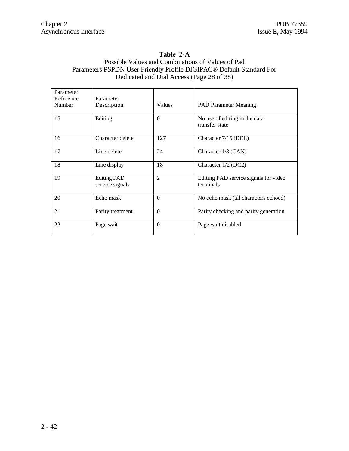# **Table 2-A**

## Possible Values and Combinations of Values of Pad Parameters PSPDN User Friendly Profile DIGIPAC® Default Standard For Dedicated and Dial Access (Page 28 of 38)

| Parameter<br>Reference | Parameter                             |                |                                                    |
|------------------------|---------------------------------------|----------------|----------------------------------------------------|
| Number                 | Description                           | Values         | <b>PAD Parameter Meaning</b>                       |
| 15                     | Editing                               | $\Omega$       | No use of editing in the data<br>transfer state    |
| 16                     | Character delete                      | 127            | Character 7/15 (DEL)                               |
| 17                     | Line delete                           | 24             | Character 1/8 (CAN)                                |
| 18                     | Line display                          | 18             | Character 1/2 (DC2)                                |
| 19                     | <b>Editing PAD</b><br>service signals | $\mathfrak{D}$ | Editing PAD service signals for video<br>terminals |
| 20                     | Echo mask                             | $\Omega$       | No echo mask (all characters echoed)               |
| 21                     | Parity treatment                      | $\theta$       | Parity checking and parity generation              |
| 22                     | Page wait                             | $\theta$       | Page wait disabled                                 |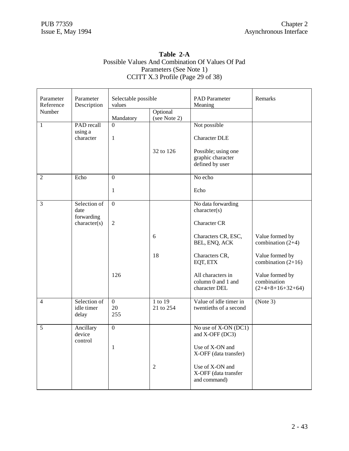### **Table 2-A** Possible Values And Combination Of Values Of Pad Parameters (See Note 1) CCITT X.3 Profile (Page 29 of 38)

| Parameter<br>Reference | Parameter<br>Description            | Selectable possible<br>values |                          | <b>PAD</b> Parameter<br>Meaning                             | Remarks                                              |
|------------------------|-------------------------------------|-------------------------------|--------------------------|-------------------------------------------------------------|------------------------------------------------------|
| Number                 |                                     | Mandatory                     | Optional<br>(see Note 2) |                                                             |                                                      |
| $\mathbf{1}$           | PAD recall                          | $\Omega$                      |                          | Not possible                                                |                                                      |
|                        | using a<br>character                | 1                             |                          | <b>Character DLE</b>                                        |                                                      |
|                        |                                     |                               | 32 to 126                | Possible; using one<br>graphic character<br>defined by user |                                                      |
| $\overline{2}$         | Echo                                | $\mathbf{0}$                  |                          | No echo                                                     |                                                      |
|                        |                                     | 1                             |                          | Echo                                                        |                                                      |
| $\mathfrak{Z}$         | Selection of<br>date                | $\mathbf{0}$                  |                          | No data forwarding<br>character(s)                          |                                                      |
|                        | forwarding<br>character(s)          | $\overline{2}$                |                          | <b>Character CR</b>                                         |                                                      |
|                        |                                     |                               | 6                        | Characters CR, ESC,<br>BEL, ENQ, ACK                        | Value formed by<br>combination $(2+4)$               |
|                        |                                     |                               | 18                       | Characters CR,<br>EQT, ETX                                  | Value formed by<br>combination $(2+16)$              |
|                        |                                     | 126                           |                          | All characters in<br>column 0 and 1 and<br>character DEL    | Value formed by<br>combination<br>$(2+4+8+16+32+64)$ |
| $\overline{4}$         | Selection of<br>idle timer<br>delay | $\overline{0}$<br>20<br>255   | 1 to 19<br>21 to 254     | Value of idle timer in<br>twentieths of a second            | (Note $\overline{3}$ )                               |
| 5                      | Ancillary<br>device<br>control      | $\boldsymbol{0}$              |                          | No use of X-ON (DC1)<br>and X-OFF (DC3)                     |                                                      |
|                        |                                     | 1                             |                          | Use of X-ON and<br>X-OFF (data transfer)                    |                                                      |
|                        |                                     |                               | $\overline{2}$           | Use of X-ON and<br>X-OFF (data transfer<br>and command)     |                                                      |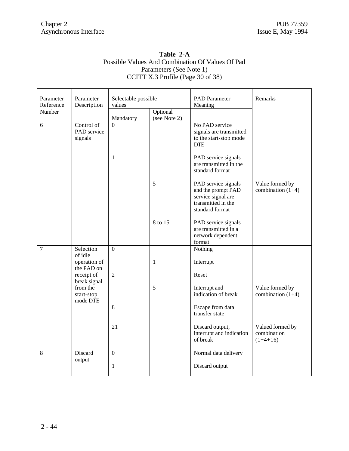$\blacksquare$ 

 $\overline{\mathbf{r}}$ 

### **Table 2-A** Possible Values And Combination Of Values Of Pad Parameters (See Note 1) CCITT X.3 Profile (Page 30 of 38)

| Parameter<br>Reference | Parameter<br>Description                           | Selectable possible<br>values |                          | <b>PAD</b> Parameter<br>Meaning                                                                          | Remarks                                       |
|------------------------|----------------------------------------------------|-------------------------------|--------------------------|----------------------------------------------------------------------------------------------------------|-----------------------------------------------|
| Number                 |                                                    | Mandatory                     | Optional<br>(see Note 2) |                                                                                                          |                                               |
| 6                      | Control of<br>PAD service<br>signals               | $\Omega$                      |                          | No PAD service<br>signals are transmitted<br>to the start-stop mode<br><b>DTE</b>                        |                                               |
|                        |                                                    | 1                             |                          | PAD service signals<br>are transmitted in the<br>standard format                                         |                                               |
|                        |                                                    |                               | 5                        | PAD service signals<br>and the prompt PAD<br>service signal are<br>transmitted in the<br>standard format | Value formed by<br>combination $(1+4)$        |
|                        |                                                    |                               | 8 to 15                  | PAD service signals<br>are transmitted in a<br>network dependent<br>format                               |                                               |
| $\overline{7}$         | Selection<br>of idle<br>operation of               | $\Omega$                      | $\mathbf{1}$             | Nothing<br>Interrupt                                                                                     |                                               |
|                        | the PAD on<br>receipt of                           | $\overline{2}$                |                          | Reset                                                                                                    |                                               |
|                        | break signal<br>from the<br>start-stop<br>mode DTE |                               | 5                        | Interrupt and<br>indication of break                                                                     | Value formed by<br>combination $(1+4)$        |
|                        |                                                    | $8\,$                         |                          | Escape from data<br>transfer state                                                                       |                                               |
|                        |                                                    | 21                            |                          | Discard output,<br>interrupt and indication<br>of break                                                  | Valued formed by<br>combination<br>$(1+4+16)$ |
| 8                      | Discard<br>output                                  | $\overline{0}$                |                          | Normal data delivery                                                                                     |                                               |
|                        |                                                    | 1                             |                          | Discard output                                                                                           |                                               |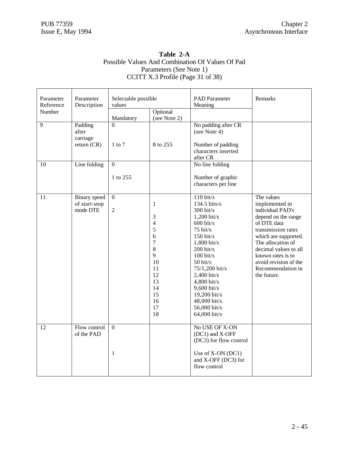### **Table 2-A** Possible Values And Combination Of Values Of Pad Parameters (See Note 1) CCITT X.3 Profile (Page 31 of 38)

| Parameter<br>Reference | Parameter<br>Description                         | Selectable possible<br>values  |                                                                                                                          | <b>PAD</b> Parameter<br>Meaning                                                                                                                                                                                                                                                                                                             | Remarks                                                                                                                                                                                                                                                              |
|------------------------|--------------------------------------------------|--------------------------------|--------------------------------------------------------------------------------------------------------------------------|---------------------------------------------------------------------------------------------------------------------------------------------------------------------------------------------------------------------------------------------------------------------------------------------------------------------------------------------|----------------------------------------------------------------------------------------------------------------------------------------------------------------------------------------------------------------------------------------------------------------------|
| Number                 |                                                  | Mandatory                      | Optional<br>(see Note 2)                                                                                                 |                                                                                                                                                                                                                                                                                                                                             |                                                                                                                                                                                                                                                                      |
| 9                      | Padding<br>after<br>carriage<br>return (CR)      | $\Omega$<br>$1$ to $7$         | 8 to 255                                                                                                                 | No padding after CR<br>(see Note 4)<br>Number of padding<br>characters inserted<br>after CR                                                                                                                                                                                                                                                 |                                                                                                                                                                                                                                                                      |
| 10                     | Line folding                                     | $\Omega$<br>1 to 255           |                                                                                                                          | No line folding<br>Number of graphic<br>characters per line                                                                                                                                                                                                                                                                                 |                                                                                                                                                                                                                                                                      |
| 11                     | <b>Binary</b> speed<br>of start-stop<br>mode DTE | $\mathbf{0}$<br>$\overline{2}$ | 1<br>3<br>$\overline{4}$<br>5<br>6<br>$\overline{7}$<br>$8\,$<br>9<br>10<br>11<br>12<br>13<br>14<br>15<br>16<br>17<br>18 | $110 \text{ bit/s}$<br>134.5 bits/s<br>$300$ bit/s<br>$1,200$ bit/s<br>$600$ bit/s<br>$75 \text{ bit/s}$<br>$150 \text{ bit/s}$<br>1,800 bit/s<br>$200$ bit/s<br>$100 \text{ bit/s}$<br>$50 \text{ bit/s}$<br>75/1,200 bit/s<br>2,400 bit/s<br>4,800 bit/s<br>$9,600$ bit/s<br>19,200 bit/s<br>48,000 bit/s<br>56,000 bit/s<br>64,000 bit/s | The values<br>implemented in<br>individual PAD's<br>depend on the range<br>of DTE data<br>transmission rates<br>which are supported.<br>The allocation of<br>decimal values to all<br>known rates is to<br>avoid revision of the<br>Recommendation in<br>the future. |
| 12                     | Flow control<br>of the PAD                       | $\overline{0}$                 |                                                                                                                          | No USE OF X-ON<br>(DC1) and X-OFF<br>(DC3) for flow control                                                                                                                                                                                                                                                                                 |                                                                                                                                                                                                                                                                      |
|                        |                                                  | 1                              |                                                                                                                          | Use of X-ON (DC1)<br>and X-OFF (DC3) for<br>flow control                                                                                                                                                                                                                                                                                    |                                                                                                                                                                                                                                                                      |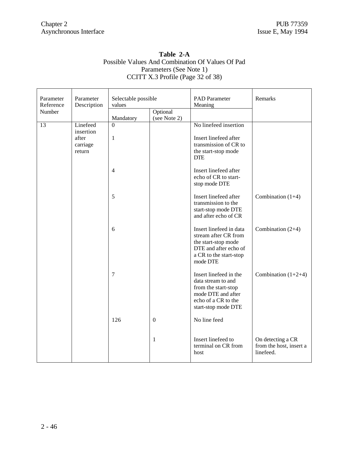| Table 2-A                                        |  |  |  |
|--------------------------------------------------|--|--|--|
| Possible Values And Combination Of Values Of Pad |  |  |  |
| Parameters (See Note 1)                          |  |  |  |
| CCITT X.3 Profile (Page 32 of 38)                |  |  |  |

| Parameter<br>Reference | Parameter<br>Description    | Selectable possible<br>values |                          | <b>PAD</b> Parameter<br>Meaning                                                                                                         | Remarks                                                   |
|------------------------|-----------------------------|-------------------------------|--------------------------|-----------------------------------------------------------------------------------------------------------------------------------------|-----------------------------------------------------------|
| Number                 |                             | Mandatory                     | Optional<br>(see Note 2) |                                                                                                                                         |                                                           |
| 13                     | Linefeed<br>insertion       | $\Omega$                      |                          | No linefeed insertion                                                                                                                   |                                                           |
|                        | after<br>carriage<br>return | 1                             |                          | Insert linefeed after<br>transmission of CR to<br>the start-stop mode<br><b>DTE</b>                                                     |                                                           |
|                        |                             | $\overline{4}$                |                          | Insert linefeed after<br>echo of CR to start-<br>stop mode DTE                                                                          |                                                           |
|                        |                             | 5                             |                          | Insert linefeed after<br>transmission to the<br>start-stop mode DTE<br>and after echo of CR                                             | Combination $(1+4)$                                       |
|                        |                             | 6                             |                          | Insert linefeed in data<br>stream after CR from<br>the start-stop mode<br>DTE and after echo of<br>a CR to the start-stop<br>mode DTE   | Combination $(2+4)$                                       |
|                        |                             | $\overline{7}$                |                          | Insert linefeed in the<br>data stream to and<br>from the start-stop<br>mode DTE and after<br>echo of a CR to the<br>start-stop mode DTE | Combination $(1+2+4)$                                     |
|                        |                             | 126                           | $\boldsymbol{0}$         | No line feed                                                                                                                            |                                                           |
|                        |                             |                               | $\mathbf{1}$             | Insert linefeed to<br>terminal on CR from<br>host                                                                                       | On detecting a CR<br>from the host, insert a<br>linefeed. |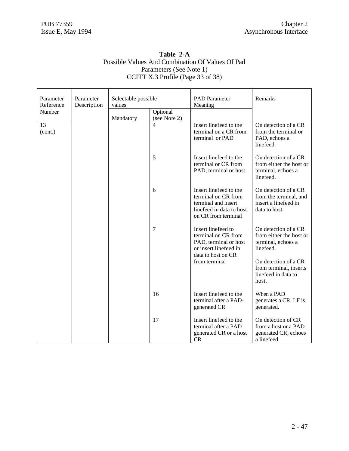| Table 2-A                                        |
|--------------------------------------------------|
| Possible Values And Combination Of Values Of Pad |
| Parameters (See Note 1)                          |
| CCITT X.3 Profile (Page 33 of 38)                |

| Parameter<br>Reference | Parameter<br>Description | Selectable possible<br>values |                          | <b>PAD</b> Parameter<br>Meaning                                                                                         | Remarks                                                                                 |
|------------------------|--------------------------|-------------------------------|--------------------------|-------------------------------------------------------------------------------------------------------------------------|-----------------------------------------------------------------------------------------|
| Number                 |                          | Mandatory                     | Optional<br>(see Note 2) |                                                                                                                         |                                                                                         |
| 13<br>(cont.)          |                          |                               | 4                        | Insert linefeed to the<br>terminal on a CR from<br>terminal or PAD                                                      | On detection of a CR<br>from the terminal or<br>PAD, echoes a<br>linefeed.              |
|                        |                          |                               | 5                        | Insert linefeed to the<br>terminal or CR from<br>PAD, terminal or host                                                  | On detection of a CR<br>from either the host or<br>terminal, echoes a<br>linefeed.      |
|                        |                          |                               | 6                        | Insert linefeed to the<br>terminal on CR from<br>terminal and insert<br>linefeed in data to host<br>on CR from terminal | On detection of a CR<br>from the terminal, and<br>insert a linefeed in<br>data to host. |
|                        |                          |                               | $\overline{7}$           | Insert linefeed to<br>terminal on CR from<br>PAD, terminal or host<br>or insert linefeed in<br>data to host on CR       | On detection of a CR<br>from either the host or<br>terminal, echoes a<br>linefeed.      |
|                        |                          |                               |                          | from terminal                                                                                                           | On detection of a CR<br>from terminal, inserts<br>linefeed in data to<br>host.          |
|                        |                          |                               | 16                       | Insert linefeed to the<br>terminal after a PAD-<br>generated CR                                                         | When a PAD<br>generates a CR, LF is<br>generated.                                       |
|                        |                          |                               | 17                       | Insert linefeed to the<br>terminal after a PAD<br>generated CR or a host<br><b>CR</b>                                   | On detection of CR<br>from a host or a PAD<br>generated CR, echoes<br>a linefeed.       |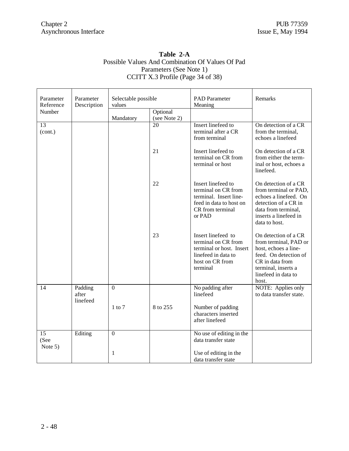$\mathsf{r}$ 

### **Table 2-A** Possible Values And Combination Of Values Of Pad Parameters (See Note 1) CCITT X.3 Profile (Page 34 of 38)

| Parameter<br>Reference | Parameter<br>Description     | Selectable possible<br>values |                          | <b>PAD</b> Parameter<br>Meaning                                                                                              | Remarks                                                                                                                                                                  |
|------------------------|------------------------------|-------------------------------|--------------------------|------------------------------------------------------------------------------------------------------------------------------|--------------------------------------------------------------------------------------------------------------------------------------------------------------------------|
| Number                 |                              | Mandatory                     | Optional<br>(see Note 2) |                                                                                                                              |                                                                                                                                                                          |
| 13<br>(cont.)          |                              |                               | 20                       | Insert linefeed to<br>terminal after a CR<br>from terminal                                                                   | On detection of a CR<br>from the terminal,<br>echoes a linefeed                                                                                                          |
|                        |                              |                               | 21                       | Insert linefeed to<br>terminal on CR from<br>terminal or host                                                                | On detection of a CR<br>from either the term-<br>inal or host, echoes a<br>linefeed.                                                                                     |
|                        |                              |                               | 22                       | Insert linefeed to<br>terminal on CR from<br>terminal. Insert line-<br>feed in data to host on<br>CR from terminal<br>or PAD | On detection of a CR<br>from terminal or PAD,<br>echoes a linefeed. On<br>detection of a CR in<br>data from terminal,<br>inserts a linefeed in<br>data to host.          |
|                        |                              |                               | 23                       | Insert linefeed to<br>terminal on CR from<br>terminal or host. Insert<br>linefeed in data to<br>host on CR from<br>terminal  | On detection of a CR<br>from terminal, PAD or<br>host, echoes a line-<br>feed. On detection of<br>CR in data from<br>terminal, inserts a<br>linefeed in data to<br>host. |
| 14                     | Padding<br>after<br>linefeed | $\overline{0}$                |                          | No padding after<br>linefeed                                                                                                 | NOTE: Applies only<br>to data transfer state.                                                                                                                            |
|                        |                              | $1 \text{ to } 7$             | 8 to 255                 | Number of padding<br>characters inserted<br>after linefeed                                                                   |                                                                                                                                                                          |
| 15<br>(See<br>Note 5)  | Editing                      | $\overline{0}$                |                          | No use of editing in the<br>data transfer state                                                                              |                                                                                                                                                                          |
|                        |                              | 1                             |                          | Use of editing in the<br>data transfer state                                                                                 |                                                                                                                                                                          |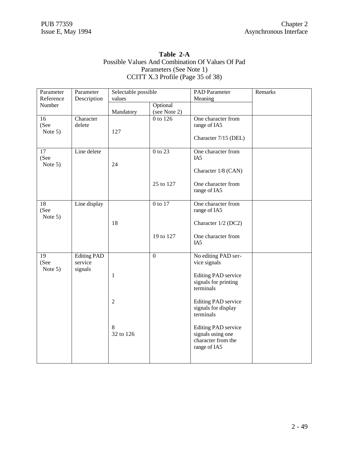### **Table 2-A** Possible Values And Combination Of Values Of Pad Parameters (See Note 1) CCITT X.3 Profile (Page 35 of 38)

| Parameter       | Parameter          | Selectable possible |                | <b>PAD</b> Parameter       | Remarks |
|-----------------|--------------------|---------------------|----------------|----------------------------|---------|
| Reference       | Description        | values              |                | Meaning                    |         |
| Number          |                    |                     | Optional       |                            |         |
|                 |                    | Mandatory           | (see Note 2)   |                            |         |
| 16              | Character          |                     | 0 to 126       | One character from         |         |
| (See            | delete             |                     |                | range of IA5               |         |
| Note 5)         |                    | 127                 |                |                            |         |
|                 |                    |                     |                | Character 7/15 (DEL)       |         |
| 17              | Line delete        |                     | $0$ to 23      | One character from         |         |
| (See            |                    |                     |                | IA <sub>5</sub>            |         |
| Note 5)         |                    | 24                  |                |                            |         |
|                 |                    |                     |                | Character 1/8 (CAN)        |         |
|                 |                    |                     | 25 to 127      | One character from         |         |
|                 |                    |                     |                | range of IA5               |         |
|                 |                    |                     |                |                            |         |
| 18              | Line display       |                     | $0$ to $17$    | One character from         |         |
| (See            |                    |                     |                | range of IA5               |         |
| Note 5)         |                    |                     |                |                            |         |
|                 |                    | 18                  |                | Character 1/2 (DC2)        |         |
|                 |                    |                     | 19 to 127      | One character from         |         |
|                 |                    |                     |                | IA <sub>5</sub>            |         |
|                 |                    |                     |                |                            |         |
| 19              | <b>Editing PAD</b> |                     | $\overline{0}$ | No editing PAD ser-        |         |
| (See<br>Note 5) | service<br>signals |                     |                | vice signals               |         |
|                 |                    | 1                   |                | <b>Editing PAD service</b> |         |
|                 |                    |                     |                | signals for printing       |         |
|                 |                    |                     |                | terminals                  |         |
|                 |                    |                     |                |                            |         |
|                 |                    | $\overline{2}$      |                | <b>Editing PAD service</b> |         |
|                 |                    |                     |                | signals for display        |         |
|                 |                    |                     |                | terminals                  |         |
|                 |                    | 8                   |                | <b>Editing PAD service</b> |         |
|                 |                    | 32 to 126           |                | signals using one          |         |
|                 |                    |                     |                | character from the         |         |
|                 |                    |                     |                | range of IA5               |         |
|                 |                    |                     |                |                            |         |
|                 |                    |                     |                |                            |         |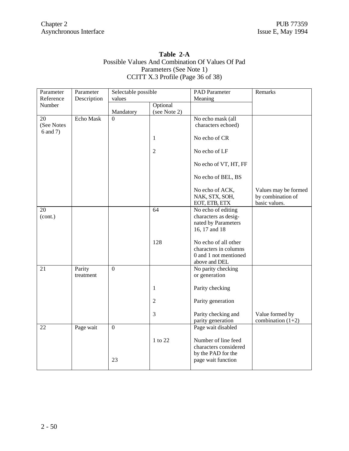### **Table 2-A** Possible Values And Combination Of Values Of Pad Parameters (See Note 1) CCITT X.3 Profile (Page 36 of 38)

| Parameter  | Parameter   | Selectable possible |              | <b>PAD</b> Parameter  | Remarks              |
|------------|-------------|---------------------|--------------|-----------------------|----------------------|
| Reference  | Description | values              |              | Meaning               |                      |
| Number     |             |                     | Optional     |                       |                      |
|            |             | Mandatory           | (see Note 2) |                       |                      |
| 20         | Echo Mask   | $\Omega$            |              | No echo mask (all     |                      |
| (See Notes |             |                     |              | characters echoed)    |                      |
| 6 and 7)   |             |                     |              |                       |                      |
|            |             |                     | 1            | No echo of CR         |                      |
|            |             |                     | $\sqrt{2}$   | No echo of LF         |                      |
|            |             |                     |              | No echo of VT, HT, FF |                      |
|            |             |                     |              | No echo of BEL, BS    |                      |
|            |             |                     |              | No echo of ACK,       | Values may be formed |
|            |             |                     |              | NAK, STX, SOH,        | by combination of    |
|            |             |                     |              | EOT, ETB, ETX         | basic values.        |
| 20         |             |                     | 64           | No echo of editing    |                      |
| (cont.)    |             |                     |              | characters as desig-  |                      |
|            |             |                     |              | nated by Parameters   |                      |
|            |             |                     |              | 16, 17 and 18         |                      |
|            |             |                     | 128          | No echo of all other  |                      |
|            |             |                     |              | characters in columns |                      |
|            |             |                     |              | 0 and 1 not mentioned |                      |
|            |             |                     |              | above and DEL         |                      |
| 21         | Parity      | $\boldsymbol{0}$    |              | No parity checking    |                      |
|            | treatment   |                     |              | or generation         |                      |
|            |             |                     |              |                       |                      |
|            |             |                     | 1            | Parity checking       |                      |
|            |             |                     | $\sqrt{2}$   | Parity generation     |                      |
|            |             |                     | 3            | Parity checking and   | Value formed by      |
|            |             |                     |              | parity generation     | combination $(1+2)$  |
| 22         | Page wait   | $\mathbf{0}$        |              | Page wait disabled    |                      |
|            |             |                     | 1 to 22      | Number of line feed   |                      |
|            |             |                     |              | characters considered |                      |
|            |             |                     |              | by the PAD for the    |                      |
|            |             | 23                  |              | page wait function    |                      |
|            |             |                     |              |                       |                      |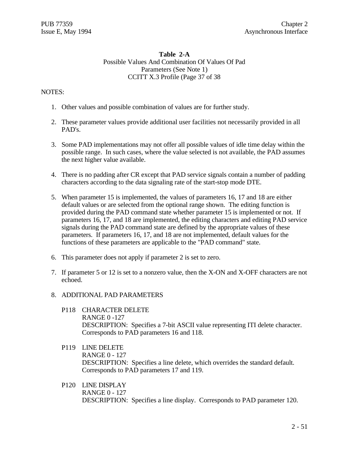#### **Table 2-A** Possible Values And Combination Of Values Of Pad Parameters (See Note 1) CCITT X.3 Profile (Page 37 of 38

#### NOTES:

- 1. Other values and possible combination of values are for further study.
- 2. These parameter values provide additional user facilities not necessarily provided in all PAD's.
- 3. Some PAD implementations may not offer all possible values of idle time delay within the possible range. In such cases, where the value selected is not available, the PAD assumes the next higher value available.
- 4. There is no padding after CR except that PAD service signals contain a number of padding characters according to the data signaling rate of the start-stop mode DTE.
- 5. When parameter 15 is implemented, the values of parameters 16, 17 and 18 are either default values or are selected from the optional range shown. The editing function is provided during the PAD command state whether parameter 15 is implemented or not. If parameters 16, 17, and 18 are implemented, the editing characters and editing PAD service signals during the PAD command state are defined by the appropriate values of these parameters. If parameters 16, 17, and 18 are not implemented, default values for the functions of these parameters are applicable to the "PAD command" state.
- 6. This parameter does not apply if parameter 2 is set to zero.
- 7. If parameter 5 or 12 is set to a nonzero value, then the X-ON and X-OFF characters are not echoed.
- 8. ADDITIONAL PAD PARAMETERS
	- P118 CHARACTER DELETE RANGE 0 -127 DESCRIPTION: Specifies a 7-bit ASCII value representing ITI delete character. Corresponds to PAD parameters 16 and 118.
	- P119 LINE DELETE RANGE 0 - 127 DESCRIPTION: Specifies a line delete, which overrides the standard default. Corresponds to PAD parameters 17 and 119.
	- P120 LINE DISPLAY RANGE 0 - 127 DESCRIPTION: Specifies a line display. Corresponds to PAD parameter 120.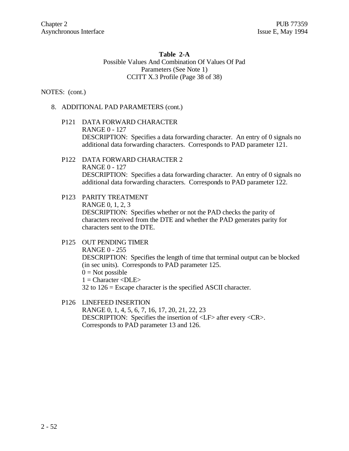#### **Table 2-A** Possible Values And Combination Of Values Of Pad Parameters (See Note 1) CCITT X.3 Profile (Page 38 of 38)

#### NOTES: (cont.)

- 8. ADDITIONAL PAD PARAMETERS (cont.)
	- P121 DATA FORWARD CHARACTER RANGE 0 - 127 DESCRIPTION: Specifies a data forwarding character. An entry of 0 signals no additional data forwarding characters. Corresponds to PAD parameter 121.
	- P122 DATA FORWARD CHARACTER 2 RANGE 0 - 127 DESCRIPTION: Specifies a data forwarding character. An entry of 0 signals no additional data forwarding characters. Corresponds to PAD parameter 122.
	- P123 PARITY TREATMENT RANGE 0, 1, 2, 3 DESCRIPTION: Specifies whether or not the PAD checks the parity of characters received from the DTE and whether the PAD generates parity for characters sent to the DTE.
	- P125 OUT PENDING TIMER RANGE 0 - 255 DESCRIPTION: Specifies the length of time that terminal output can be blocked (in sec units). Corresponds to PAD parameter 125.  $0 = Not possible$  $1 =$ Character <DLE> 32 to 126 = Escape character is the specified ASCII character.
	- P126 LINEFEED INSERTION RANGE 0, 1, 4, 5, 6, 7, 16, 17, 20, 21, 22, 23 DESCRIPTION: Specifies the insertion of <LF> after every <CR>. Corresponds to PAD parameter 13 and 126.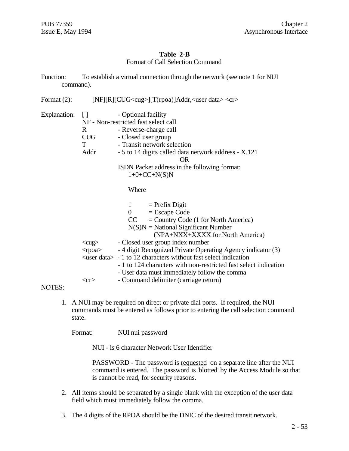#### **Table 2-B**

#### Format of Call Selection Command

Function: To establish a virtual connection through the network (see note 1 for NUI command).

| Format $(2)$ :  |                                                                                                                                                                                                                                                                                | $[NF][R][CUG[T(ropa)]Addr,cr>$                                                                                                                                                                                                                                                                                                                                                                                                                                                                                                                         |
|-----------------|--------------------------------------------------------------------------------------------------------------------------------------------------------------------------------------------------------------------------------------------------------------------------------|--------------------------------------------------------------------------------------------------------------------------------------------------------------------------------------------------------------------------------------------------------------------------------------------------------------------------------------------------------------------------------------------------------------------------------------------------------------------------------------------------------------------------------------------------------|
| Explanation:    | $\Box$<br>$\mathbf{R}$<br><b>CUG</b><br>T and the set of the set of the set of the set of the set of the set of the set of the set of the set of the set of the set of the set of the set of the set of the set of the set of the set of the set of the set of the set<br>Addr | - Optional facility<br>NF - Non-restricted fast select call<br>- Reverse-charge call<br>- Closed user group<br>- Transit network selection<br>- 5 to 14 digits called data network address - X.121<br><b>OR</b><br>ISDN Packet address in the following format:<br>$1+0+C C+N(S)N$                                                                                                                                                                                                                                                                     |
|                 | $<$ cug $>$<br>$<$ rpoa $>$<br>$<$ cr $>$                                                                                                                                                                                                                                      | Where<br>$=$ Prefix Digit<br>$\begin{matrix} 0 \end{matrix}$<br>$=$ Escape Code<br>$CC = Country Code (1 for North America)$<br>$N(S)N = National Significant Number$<br>(NPA+NXX+XXXX for North America)<br>- Closed user group index number<br>- 4 digit Recognized Private Operating Agency indicator (3)<br>$\langle$ user data> - 1 to 12 characters without fast select indication<br>- 1 to 124 characters with non-restricted fast select indication<br>- User data must immediately follow the comma<br>- Command delimiter (carriage return) |
| $\lambda$ IOTEC |                                                                                                                                                                                                                                                                                |                                                                                                                                                                                                                                                                                                                                                                                                                                                                                                                                                        |

#### NOTES:

1. A NUI may be required on direct or private dial ports. If required, the NUI commands must be entered as follows prior to entering the call selection command state.

Format: NUI nui password

NUI - is 6 character Network User Identifier

PASSWORD - The password is requested on a separate line after the NUI command is entered. The password is 'blotted' by the Access Module so that is cannot be read, for security reasons.

- 2. All items should be separated by a single blank with the exception of the user data field which must immediately follow the comma.
- 3. The 4 digits of the RPOA should be the DNIC of the desired transit network.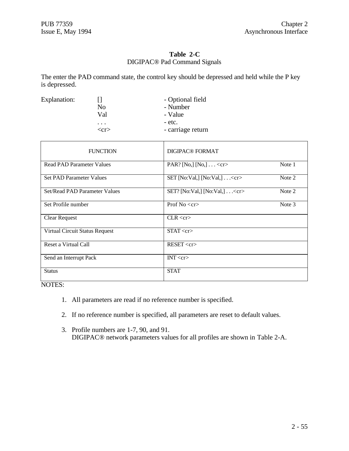#### **Table 2-C** DIGIPAC® Pad Command Signals

The enter the PAD command state, the control key should be depressed and held while the P key is depressed.

| Explanation: |                | - Optional field  |
|--------------|----------------|-------------------|
|              | N <sub>0</sub> | - Number          |
|              | Val            | - Value           |
|              | $\cdot$        | - etc.            |
|              | <cr></cr>      | - carriage return |

| <b>FUNCTION</b>                  | DIGIPAC® FORMAT                          |        |
|----------------------------------|------------------------------------------|--------|
| <b>Read PAD Parameter Values</b> | PAR? [No,] [No,] < cr >                  | Note 1 |
| <b>Set PAD Parameter Values</b>  | SET [No:Val,] [No:Val,] $\ldots$ < cr >  | Note 2 |
| Set/Read PAD Parameter Values    | SET? [No:Val,] [No:Val,] $\ldots$ < cr > | Note 2 |
| Set Profile number               | Prof $No < cr$                           | Note 3 |
| <b>Clear Request</b>             | CLR < cr>                                |        |
| Virtual Circuit Status Request   | $STAT < c$ r $>$                         |        |
| Reset a Virtual Call             | RESET < cr                               |        |
| Send an Interrupt Pack           | INT < cr                                 |        |
| <b>Status</b>                    | <b>STAT</b>                              |        |

NOTES:

- 1. All parameters are read if no reference number is specified.
- 2. If no reference number is specified, all parameters are reset to default values.
- 3. Profile numbers are 1-7, 90, and 91. DIGIPAC® network parameters values for all profiles are shown in Table 2-A.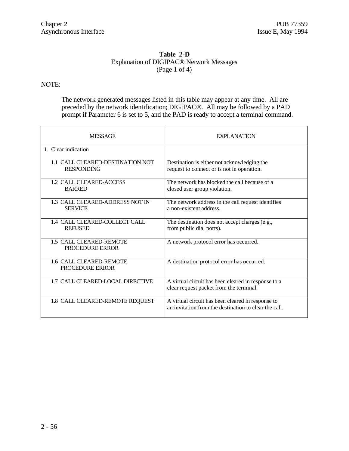#### **Table 2-D** Explanation of DIGIPAC® Network Messages (Page 1 of 4)

# NOTE:

The network generated messages listed in this table may appear at any time. All are preceded by the network identification; DIGIPAC®. All may be followed by a PAD prompt if Parameter 6 is set to 5, and the PAD is ready to accept a terminal command.

| <b>MESSAGE</b>                                        | <b>EXPLANATION</b>                                                                                         |  |
|-------------------------------------------------------|------------------------------------------------------------------------------------------------------------|--|
| 1. Clear indication                                   |                                                                                                            |  |
| 1.1 CALL CLEARED-DESTINATION NOT<br><b>RESPONDING</b> | Destination is either not acknowledging the<br>request to connect or is not in operation.                  |  |
| 1.2 CALL CLEARED-ACCESS<br><b>BARRED</b>              | The network has blocked the call because of a<br>closed user group violation.                              |  |
| 1.3 CALL CLEARED-ADDRESS NOT IN<br><b>SERVICE</b>     | The network address in the call request identifies<br>a non-existent address.                              |  |
| 1.4 CALL CLEARED-COLLECT CALL<br><b>REFUSED</b>       | The destination does not accept charges (e.g.,<br>from public dial ports).                                 |  |
| 1.5 CALL CLEARED-REMOTE<br>PROCEDURE ERROR            | A network protocol error has occurred.                                                                     |  |
| 1.6 CALL CLEARED-REMOTE<br>PROCEDURE ERROR            | A destination protocol error has occurred.                                                                 |  |
| 1.7 CALL CLEARED-LOCAL DIRECTIVE                      | A virtual circuit has been cleared in response to a<br>clear request packet from the terminal.             |  |
| 1.8 CALL CLEARED-REMOTE REQUEST                       | A virtual circuit has been cleared in response to<br>an invitation from the destination to clear the call. |  |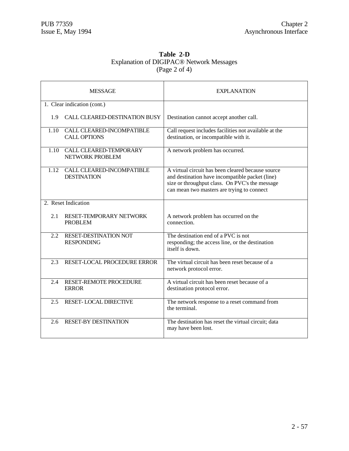| Table 2-D                                                  |
|------------------------------------------------------------|
| <b>Explanation of DIGIPAC<sup>®</sup> Network Messages</b> |
| (Page 2 of 4)                                              |

| <b>MESSAGE</b> |                                                  | <b>EXPLANATION</b>                                                                                                                                                                                   |
|----------------|--------------------------------------------------|------------------------------------------------------------------------------------------------------------------------------------------------------------------------------------------------------|
|                | 1. Clear indication (cont.)                      |                                                                                                                                                                                                      |
| 1.9            | <b>CALL CLEARED-DESTINATION BUSY</b>             | Destination cannot accept another call.                                                                                                                                                              |
| 1.10           | CALL CLEARED-INCOMPATIBLE<br><b>CALL OPTIONS</b> | Call request includes facilities not available at the<br>destination, or incompatible with it.                                                                                                       |
| 1.10           | CALL CLEARED-TEMPORARY<br>NETWORK PROBLEM        | A network problem has occurred.                                                                                                                                                                      |
| 1.12           | CALL CLEARED-INCOMPATIBLE<br><b>DESTINATION</b>  | A virtual circuit has been cleared because source<br>and destination have incompatible packet (line)<br>size or throughput class. On PVC's the message<br>can mean two masters are trying to connect |
|                | 2. Reset Indication                              |                                                                                                                                                                                                      |
| 2.1            | RESET-TEMPORARY NETWORK<br><b>PROBLEM</b>        | A network problem has occurred on the<br>connection.                                                                                                                                                 |
| 2.2            | RESET-DESTINATION NOT<br><b>RESPONDING</b>       | The destination end of a PVC is not<br>responding; the access line, or the destination<br>itself is down.                                                                                            |
| 2.3            | RESET-LOCAL PROCEDURE ERROR                      | The virtual circuit has been reset because of a<br>network protocol error.                                                                                                                           |
| 2.4            | RESET-REMOTE PROCEDURE<br><b>ERROR</b>           | A virtual circuit has been reset because of a<br>destination protocol error.                                                                                                                         |
| 2.5            | <b>RESET-LOCAL DIRECTIVE</b>                     | The network response to a reset command from<br>the terminal.                                                                                                                                        |
| 2.6            | <b>RESET-BY DESTINATION</b>                      | The destination has reset the virtual circuit; data<br>may have been lost.                                                                                                                           |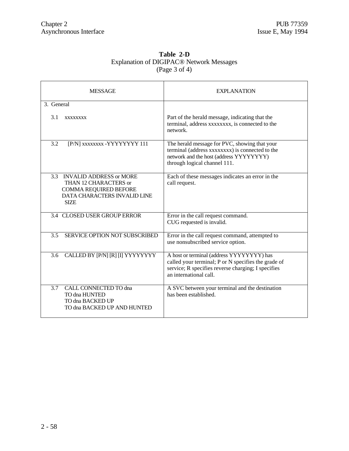<u> 1980 - Johann Barbara, martxa amerikan per</u>

| Table 2-D                                                  |
|------------------------------------------------------------|
| <b>Explanation of DIGIPAC<sup>®</sup> Network Messages</b> |
| (Page $3$ of $4$ )                                         |
|                                                            |
|                                                            |

| <b>MESSAGE</b>                                                                                                                         | <b>EXPLANATION</b>                                                                                                                                                               |
|----------------------------------------------------------------------------------------------------------------------------------------|----------------------------------------------------------------------------------------------------------------------------------------------------------------------------------|
| 3. General                                                                                                                             |                                                                                                                                                                                  |
| 3.1<br><b>XXXXXXXX</b>                                                                                                                 | Part of the herald message, indicating that the<br>terminal, address xxxxxxxx, is connected to the<br>network.                                                                   |
| 3.2<br>[P/N] xxxxxxxx - YYYYYYYYY 111                                                                                                  | The herald message for PVC, showing that your<br>terminal (address xxxxxxxx) is connected to the<br>network and the host (address YYYYYYYY)<br>through logical channel 111.      |
| <b>INVALID ADDRESS or MORE</b><br>3.3<br>THAN 12 CHARACTERS or<br>COMMA REQUIRED BEFORE<br>DATA CHARACTERS INVALID LINE<br><b>SIZE</b> | Each of these messages indicates an error in the<br>call request.                                                                                                                |
| 3.4 CLOSED USER GROUP ERROR                                                                                                            | Error in the call request command.<br>CUG requested is invalid.                                                                                                                  |
| 3.5<br>SERVICE OPTION NOT SUBSCRIBED                                                                                                   | Error in the call request command, attempted to<br>use nonsubscribed service option.                                                                                             |
| CALLED BY [P/N] [R] [I] YYYYYYYY<br>3.6                                                                                                | A host or terminal (address YYYYYYYY) has<br>called your terminal; P or N specifies the grade of<br>service; R specifies reverse charging; I specifies<br>an international call. |
| 3.7<br>CALL CONNECTED TO dna<br>TO dna HUNTED<br>TO dna BACKED UP<br>TO dna BACKED UP AND HUNTED                                       | A SVC between your terminal and the destination<br>has been established.                                                                                                         |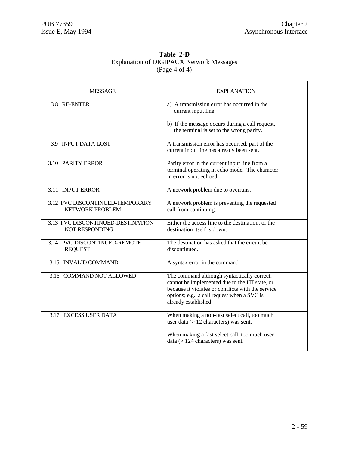$\overline{\mathbf{u}}$ 

<u> 1980 - Johann Barbara, martxa a</u>

#### **Table 2-D** Explanation of DIGIPAC® Network Messages (Page 4 of 4)

| MESSAGE                                                    | <b>EXPLANATION</b>                                                                                                                                                                                                        |
|------------------------------------------------------------|---------------------------------------------------------------------------------------------------------------------------------------------------------------------------------------------------------------------------|
| 3.8 RE-ENTER                                               | a) A transmission error has occurred in the<br>current input line.                                                                                                                                                        |
|                                                            | b) If the message occurs during a call request,<br>the terminal is set to the wrong parity.                                                                                                                               |
| 3.9 INPUT DATA LOST                                        | A transmission error has occurred; part of the<br>current input line has already been sent.                                                                                                                               |
| <b>3.10 PARITY ERROR</b>                                   | Parity error in the current input line from a<br>terminal operating in echo mode. The character<br>in error is not echoed.                                                                                                |
| 3.11 INPUT ERROR                                           | A network problem due to overruns.                                                                                                                                                                                        |
| 3.12 PVC DISCONTINUED-TEMPORARY<br>NETWORK PROBLEM         | A network problem is preventing the requested<br>call from continuing.                                                                                                                                                    |
| 3.13 PVC DISCONTINUED-DESTINATION<br><b>NOT RESPONDING</b> | Either the access line to the destination, or the<br>destination itself is down.                                                                                                                                          |
| 3.14 PVC DISCONTINUED-REMOTE<br><b>REQUEST</b>             | The destination has asked that the circuit be<br>discontinued.                                                                                                                                                            |
| 3.15 INVALID COMMAND                                       | A syntax error in the command.                                                                                                                                                                                            |
| 3.16 COMMAND NOT ALLOWED                                   | The command although syntactically correct,<br>cannot be implemented due to the ITI state, or<br>because it violates or conflicts with the service<br>options; e.g., a call request when a SVC is<br>already established. |
| 3.17 EXCESS USER DATA                                      | When making a non-fast select call, too much<br>user data $(>12$ characters) was sent.<br>When making a fast select call, too much user<br>data ( $> 124$ characters) was sent.                                           |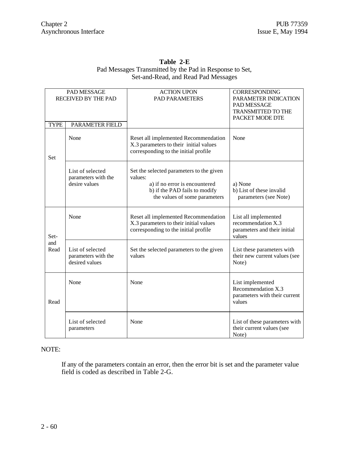| PAD MESSAGE<br>RECEIVED BY THE PAD |                                                           | <b>ACTION UPON</b><br><b>PAD PARAMETERS</b>                                                                                                            | <b>CORRESPONDING</b><br>PARAMETER INDICATION<br>PAD MESSAGE<br><b>TRANSMITTED TO THE</b><br>PACKET MODE DTE |
|------------------------------------|-----------------------------------------------------------|--------------------------------------------------------------------------------------------------------------------------------------------------------|-------------------------------------------------------------------------------------------------------------|
| <b>TYPE</b>                        | PARAMETER FIELD                                           |                                                                                                                                                        |                                                                                                             |
| Set                                | None                                                      | Reset all implemented Recommendation<br>X.3 parameters to their initial values<br>corresponding to the initial profile                                 | None                                                                                                        |
|                                    | List of selected<br>parameters with the<br>desire values  | Set the selected parameters to the given<br>values:<br>a) if no error is encountered<br>b) if the PAD fails to modify<br>the values of some parameters | a) None<br>b) List of these invalid<br>parameters (see Note)                                                |
| Set-                               | None                                                      | Reset all implemented Recommendation<br>X.3 parameters to their initial values<br>corresponding to the initial profile                                 | List all implemented<br>recommendation X.3<br>parameters and their initial<br>values                        |
| and<br>Read                        | List of selected<br>parameters with the<br>desired values | Set the selected parameters to the given<br>values                                                                                                     | List these parameters with<br>their new current values (see<br>Note)                                        |
| Read                               | None                                                      | None                                                                                                                                                   | List implemented<br>Recommendation X.3<br>parameters with their current<br>values                           |
|                                    | List of selected<br>parameters                            | None                                                                                                                                                   | List of these parameters with<br>their current values (see<br>Note)                                         |

## **Table 2-E** Pad Messages Transmitted by the Pad in Response to Set, Set-and-Read, and Read Pad Messages

# NOTE:

If any of the parameters contain an error, then the error bit is set and the parameter value field is coded as described in Table 2-G.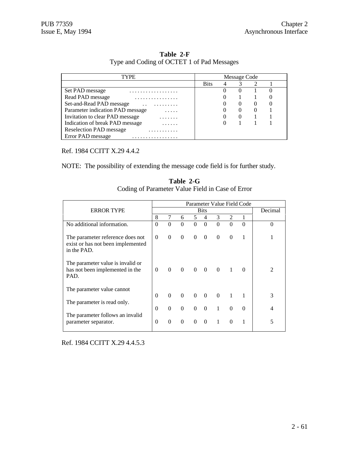| Table 2-F                                  |
|--------------------------------------------|
| Type and Coding of OCTET 1 of Pad Messages |

| TYPF                                        |             | Message Code |  |  |
|---------------------------------------------|-------------|--------------|--|--|
|                                             | <b>Bits</b> |              |  |  |
| Set PAD message<br>.                        |             | 0            |  |  |
| Read PAD message                            |             |              |  |  |
| Set-and-Read PAD message<br>$\cdot$ $\cdot$ |             | $\theta$     |  |  |
| Parameter indication PAD message<br>.       |             | $\cup$       |  |  |
| Invitation to clear PAD message<br>.        |             | $\theta$     |  |  |
| Indication of break PAD message<br>.        |             |              |  |  |
| <b>Reselection PAD message</b><br>.         |             |              |  |  |
| Error PAD message<br>.                      |             |              |  |  |

Ref. 1984 CCITT X.29 4.4.2

NOTE: The possibility of extending the message code field is for further study.

| <b>ERROR TYPE</b>                                                                    |          | Parameter Value Field Code |          |          |                |                |                |          |                |  |
|--------------------------------------------------------------------------------------|----------|----------------------------|----------|----------|----------------|----------------|----------------|----------|----------------|--|
|                                                                                      |          |                            | Decimal  |          |                |                |                |          |                |  |
|                                                                                      | 8        | 7                          | 6        | 5        | $\overline{4}$ | 3              | 2              | 1        |                |  |
| No additional information.                                                           | $\theta$ | $\Omega$                   | $\Omega$ | $\Omega$ | $\Omega$       | $\overline{0}$ | $\theta$       | $\Omega$ | $\Omega$       |  |
| The parameter reference does not<br>exist or has not been implemented<br>in the PAD. | $\Omega$ | $\Omega$                   | $\Omega$ | $\theta$ | $\Omega$       | $\Omega$       | $\theta$       |          |                |  |
| The parameter value is invalid or<br>has not been implemented in the<br>PAD.         | $\Omega$ | $\theta$                   | $\theta$ |          | $0 \quad 0$    | $\overline{0}$ | $\overline{1}$ | $\Omega$ | $\mathfrak{D}$ |  |
| The parameter value cannot                                                           |          |                            |          |          |                |                |                |          |                |  |
|                                                                                      | $\Omega$ | $\Omega$                   | $\Omega$ |          | $0 \quad 0$    | $\overline{0}$ |                |          | 3              |  |
| The parameter is read only.                                                          | $\Omega$ | $\Omega$                   | $\Omega$ | $\Omega$ | $\Omega$       | $\mathbf{1}$   | $\Omega$       | $\Omega$ | 4              |  |
| The parameter follows an invalid<br>parameter separator.                             | $\Omega$ | $\Omega$                   | $\Omega$ | $\Omega$ | $\Omega$       | 1              | $\Omega$       |          | 5              |  |

**Table 2-G** Coding of Parameter Value Field in Case of Error

Ref. 1984 CCITT X.29 4.4.5.3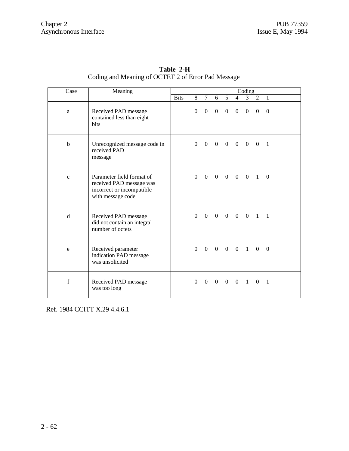| Case        | Meaning                                                                                                 | Coding      |          |                |                                     |                |                |                |                                       |                |  |
|-------------|---------------------------------------------------------------------------------------------------------|-------------|----------|----------------|-------------------------------------|----------------|----------------|----------------|---------------------------------------|----------------|--|
|             |                                                                                                         | <b>Bits</b> | 8        | $\tau$         | 6                                   | $\mathfrak{S}$ | $4 \quad$      | 3 <sup>7</sup> | $\overline{2}$                        | $\overline{1}$ |  |
| a           | Received PAD message<br>contained less than eight<br>bits                                               |             | $\Omega$ | $\overline{0}$ | $\mathbf{0}$                        | $\overline{0}$ | $\overline{0}$ | $\overline{0}$ | $\theta$                              | $\Omega$       |  |
| b           | Unrecognized message code in<br>received PAD<br>message                                                 |             |          |                | $0 \t 0 \t 0 \t 0 \t 0 \t 0 \t 0$   |                |                |                |                                       | $\overline{1}$ |  |
| $\mathbf c$ | Parameter field format of<br>received PAD message was<br>incorrect or incompatible<br>with message code |             | $\Omega$ |                |                                     |                |                |                | 0 0 0 0 0 1 0                         |                |  |
| $\mathbf d$ | Received PAD message<br>did not contain an integral<br>number of octets                                 |             | $\Omega$ |                | $0 \quad 0 \quad 0 \quad 0 \quad 0$ |                |                |                | $\begin{array}{cc} 1 & 1 \end{array}$ |                |  |
| e           | Received parameter<br>indication PAD message<br>was unsolicited                                         |             | $\Omega$ | $\Omega$       | $0 \quad 0 \quad 0 \quad 1$         |                |                |                | $\overline{0}$                        | $\Omega$       |  |
| $\mathbf f$ | Received PAD message<br>was too long                                                                    |             | $\Omega$ |                | $0 \t 0 \t 0 \t 1$                  |                |                |                | $\Omega$                              | $\overline{1}$ |  |

**Table 2-H** Coding and Meaning of OCTET 2 of Error Pad Message

Ref. 1984 CCITT X.29 4.4.6.1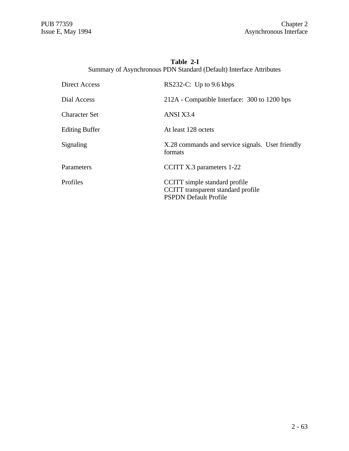## **Table 2-I** Summary of Asynchronous PDN Standard (Default) Interface Attributes

| <b>Direct Access</b>  | RS232-C: Up to $9.6$ kbps                                                                           |
|-----------------------|-----------------------------------------------------------------------------------------------------|
| Dial Access           | 212A - Compatible Interface: 300 to 1200 bps                                                        |
| Character Set         | ANSI X3.4                                                                                           |
| <b>Editing Buffer</b> | At least 128 octets                                                                                 |
| Signaling             | X.28 commands and service signals. User friendly<br>formats                                         |
| Parameters            | CCITT X.3 parameters 1-22                                                                           |
| Profiles              | CCITT simple standard profile<br>CCITT transparent standard profile<br><b>PSPDN Default Profile</b> |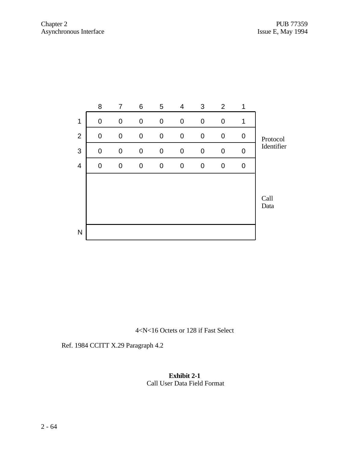

4<N<16 Octets or 128 if Fast Select

Ref. 1984 CCITT X.29 Paragraph 4.2

**Exhibit 2-1** Call User Data Field Format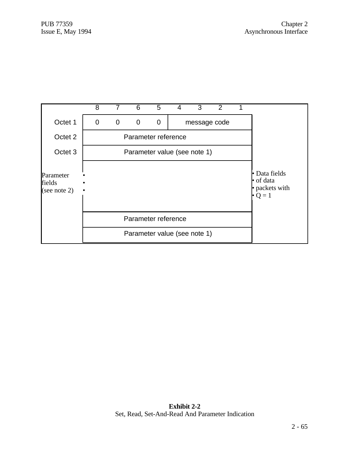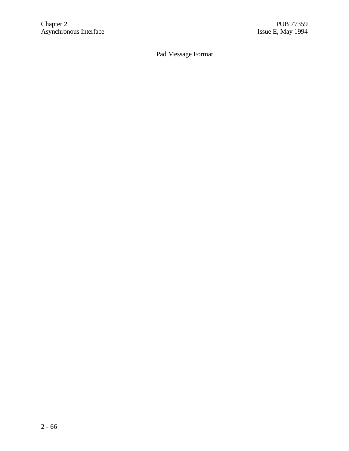# Pad Message Format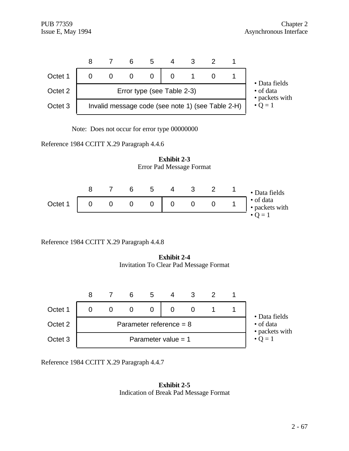

Note: Does not occur for error type 00000000

Reference 1984 CCITT X.29 Paragraph 4.4.6



**Exhibit 2-3** Error Pad Message Format

Reference 1984 CCITT X.29 Paragraph 4.4.8

**Exhibit 2-4** Invitation To Clear Pad Message Format



Reference 1984 CCITT X.29 Paragraph 4.4.7

**Exhibit 2-5** Indication of Break Pad Message Format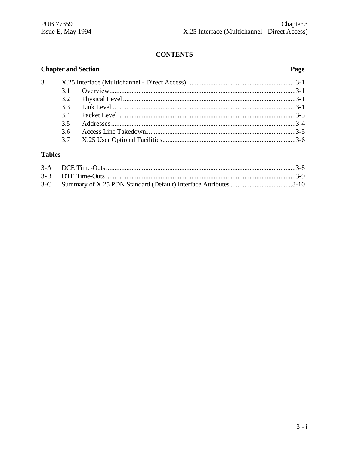# **CONTENTS**

| <b>Chapter and Section</b> |     |  |  |  |
|----------------------------|-----|--|--|--|
| 3.                         |     |  |  |  |
|                            | 31  |  |  |  |
|                            | 3.2 |  |  |  |
|                            | 3.3 |  |  |  |
|                            | 3.4 |  |  |  |
|                            | 3.5 |  |  |  |
|                            | 3.6 |  |  |  |
|                            | 3.7 |  |  |  |
|                            |     |  |  |  |

# **Tables**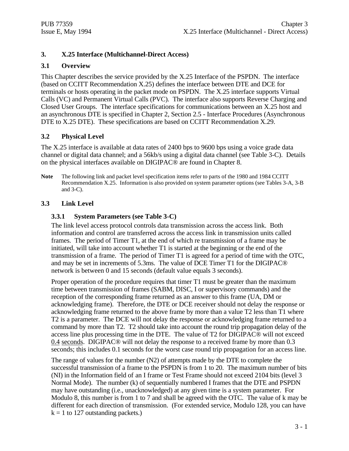#### **3. X.25 Interface (Multichannel-Direct Access)**

#### **3.1 Overview**

This Chapter describes the service provided by the X.25 Interface of the PSPDN. The interface (based on CCITT Recommendation X.25) defines the interface between DTE and DCE for terminals or hosts operating in the packet mode on PSPDN. The X.25 interface supports Virtual Calls (VC) and Permanent Virtual Calls (PVC). The interface also supports Reverse Charging and Closed User Groups. The interface specifications for communications between an X.25 host and an asynchronous DTE is specified in Chapter 2, Section 2.5 - Interface Procedures (Asynchronous DTE to X.25 DTE). These specifications are based on CCITT Recommendation X.29.

#### **3.2 Physical Level**

The X.25 interface is available at data rates of 2400 bps to 9600 bps using a voice grade data channel or digital data channel; and a 56kb/s using a digital data channel (see Table 3-C). Details on the physical interfaces available on DIGIPAC® are found in Chapter 8.

**Note** The following link and packet level specification items refer to parts of the 1980 and 1984 CCITT Recommendation X.25. Information is also provided on system parameter options (see Tables 3-A, 3-B and 3-C).

### **3.3 Link Level**

#### **3.3.1 System Parameters (see Table 3-C)**

The link level access protocol controls data transmission across the access link. Both information and control are transferred across the access link in transmission units called frames. The period of Timer T1, at the end of which re transmission of a frame may be initiated, will take into account whether T1 is started at the beginning or the end of the transmission of a frame. The period of Timer T1 is agreed for a period of time with the OTC, and may be set in increments of 5.3ms. The value of DCE Timer T1 for the DIGIPAC® network is between 0 and 15 seconds (default value equals 3 seconds).

Proper operation of the procedure requires that timer T1 must be greater than the maximum time between transmission of frames (SABM, DISC, I or supervisory commands) and the reception of the corresponding frame returned as an answer to this frame (UA, DM or acknowledging frame). Therefore, the DTE or DCE receiver should not delay the response or acknowledging frame returned to the above frame by more than a value T2 less than T1 where T2 is a parameter. The DCE will not delay the response or acknowledging frame returned to a command by more than T2. T2 should take into account the round trip propagation delay of the access line plus processing time in the DTE. The value of T2 for DIGIPAC® will not exceed 0.4 seconds. DIGIPAC® will not delay the response to a received frame by more than 0.3 seconds; this includes 0.1 seconds for the worst case round trip propagation for an access line.

The range of values for the number (N2) of attempts made by the DTE to complete the successful transmission of a frame to the PSPDN is from 1 to 20. The maximum number of bits (NI) in the Information field of an I frame or Test Frame should not exceed 2104 bits (level 3 Normal Mode). The number (k) of sequentially numbered I frames that the DTE and PSPDN may have outstanding (i.e., unacknowledged) at any given time is a system parameter. For Modulo 8, this number is from 1 to 7 and shall be agreed with the OTC. The value of k may be different for each direction of transmission. (For extended service, Modulo 128, you can have  $k = 1$  to 127 outstanding packets.)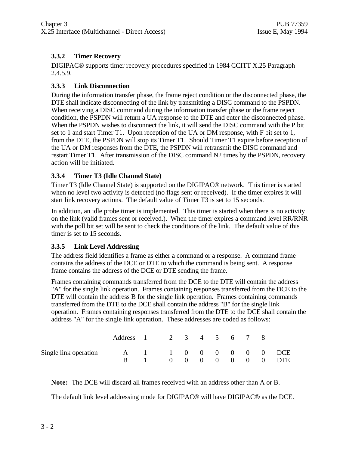# **3.3.2 Timer Recovery**

DIGIPAC® supports timer recovery procedures specified in 1984 CCITT X.25 Paragraph 2.4.5.9.

### **3.3.3 Link Disconnection**

During the information transfer phase, the frame reject condition or the disconnected phase, the DTE shall indicate disconnecting of the link by transmitting a DISC command to the PSPDN. When receiving a DISC command during the information transfer phase or the frame reject condition, the PSPDN will return a UA response to the DTE and enter the disconnected phase. When the PSPDN wishes to disconnect the link, it will send the DISC command with the P bit set to 1 and start Timer T1. Upon reception of the UA or DM response, with F bit set to 1, from the DTE, the PSPDN will stop its Timer T1. Should Timer T1 expire before reception of the UA or DM responses from the DTE, the PSPDN will retransmit the DISC command and restart Timer T1. After transmission of the DISC command N2 times by the PSPDN, recovery action will be initiated.

# **3.3.4 Timer T3 (Idle Channel State)**

Timer T3 (Idle Channel State) is supported on the DIGIPAC® network. This timer is started when no level two activity is detected (no flags sent or received). If the timer expires it will start link recovery actions. The default value of Timer T3 is set to 15 seconds.

In addition, an idle probe timer is implemented. This timer is started when there is no activity on the link (valid frames sent or received.). When the timer expires a command level RR/RNR with the poll bit set will be sent to check the conditions of the link. The default value of this timer is set to 15 seconds.

# **3.3.5 Link Level Addressing**

The address field identifies a frame as either a command or a response. A command frame contains the address of the DCE or DTE to which the command is being sent. A response frame contains the address of the DCE or DTE sending the frame.

Frames containing commands transferred from the DCE to the DTE will contain the address "A" for the single link operation. Frames containing responses transferred from the DCE to the DTE will contain the address B for the single link operation. Frames containing commands transferred from the DTE to the DCE shall contain the address "B" for the single link operation. Frames containing responses transferred from the DTE to the DCE shall contain the address "A" for the single link operation. These addresses are coded as follows:

|                       | Address 1 2 3 4 5 6 7 8 |  |  |  |  |                       |
|-----------------------|-------------------------|--|--|--|--|-----------------------|
| Single link operation | A 1 1 0 0 0 0 0 0 DCE   |  |  |  |  |                       |
|                       |                         |  |  |  |  | B 1 0 0 0 0 0 0 0 DTE |

**Note:** The DCE will discard all frames received with an address other than A or B.

The default link level addressing mode for DIGIPAC® will have DIGIPAC® as the DCE.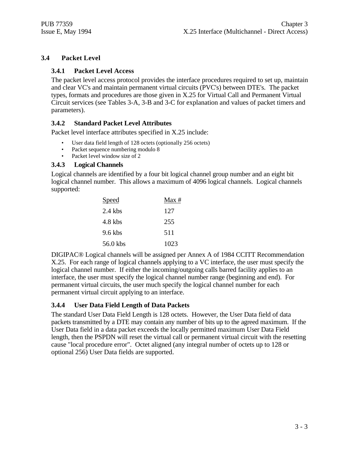# **3.4 Packet Level**

#### **3.4.1 Packet Level Access**

The packet level access protocol provides the interface procedures required to set up, maintain and clear VC's and maintain permanent virtual circuits (PVC's) between DTE's. The packet types, formats and procedures are those given in X.25 for Virtual Call and Permanent Virtual Circuit services (see Tables 3-A, 3-B and 3-C for explanation and values of packet timers and parameters).

#### **3.4.2 Standard Packet Level Attributes**

Packet level interface attributes specified in X.25 include:

- User data field length of 128 octets (optionally 256 octets)
- Packet sequence numbering modulo 8
- Packet level window size of 2

#### **3.4.3 Logical Channels**

Logical channels are identified by a four bit logical channel group number and an eight bit logical channel number. This allows a maximum of 4096 logical channels. Logical channels supported:

| Speed     | Max# |
|-----------|------|
| $2.4$ kbs | 127  |
| 4.8 kbs   | 255  |
| $9.6$ kbs | 511  |
| 56.0 kbs  | 1023 |

DIGIPAC® Logical channels will be assigned per Annex A of 1984 CCITT Recommendation X.25. For each range of logical channels applying to a VC interface, the user must specify the logical channel number. If either the incoming/outgoing calls barred facility applies to an interface, the user must specify the logical channel number range (beginning and end). For permanent virtual circuits, the user much specify the logical channel number for each permanent virtual circuit applying to an interface.

#### **3.4.4 User Data Field Length of Data Packets**

The standard User Data Field Length is 128 octets. However, the User Data field of data packets transmitted by a DTE may contain any number of bits up to the agreed maximum. If the User Data field in a data packet exceeds the locally permitted maximum User Data Field length, then the PSPDN will reset the virtual call or permanent virtual circuit with the resetting cause "local procedure error". Octet aligned (any integral number of octets up to 128 or optional 256) User Data fields are supported.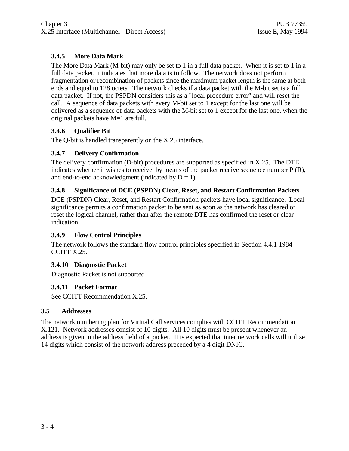# **3.4.5 More Data Mark**

The More Data Mark (M-bit) may only be set to 1 in a full data packet. When it is set to 1 in a full data packet, it indicates that more data is to follow. The network does not perform fragmentation or recombination of packets since the maximum packet length is the same at both ends and equal to 128 octets. The network checks if a data packet with the M-bit set is a full data packet. If not, the PSPDN considers this as a "local procedure error" and will reset the call. A sequence of data packets with every M-bit set to 1 except for the last one will be delivered as a sequence of data packets with the M-bit set to 1 except for the last one, when the original packets have M=1 are full.

# **3.4.6 Qualifier Bit**

The Q-bit is handled transparently on the X.25 interface.

# **3.4.7 Delivery Confirmation**

The delivery confirmation (D-bit) procedures are supported as specified in X.25. The DTE indicates whether it wishes to receive, by means of the packet receive sequence number P (R), and end-to-end acknowledgment (indicated by  $D = 1$ ).

# **3.4.8 Significance of DCE (PSPDN) Clear, Reset, and Restart Confirmation Packets**

DCE (PSPDN) Clear, Reset, and Restart Confirmation packets have local significance. Local significance permits a confirmation packet to be sent as soon as the network has cleared or reset the logical channel, rather than after the remote DTE has confirmed the reset or clear indication.

# **3.4.9 Flow Control Principles**

The network follows the standard flow control principles specified in Section 4.4.1 1984 CCITT X.25.

# **3.4.10 Diagnostic Packet**

Diagnostic Packet is not supported

# **3.4.11 Packet Format**

See CCITT Recommendation X.25.

# **3.5 Addresses**

The network numbering plan for Virtual Call services complies with CCITT Recommendation X.121. Network addresses consist of 10 digits. All 10 digits must be present whenever an address is given in the address field of a packet. It is expected that inter network calls will utilize 14 digits which consist of the network address preceded by a 4 digit DNIC.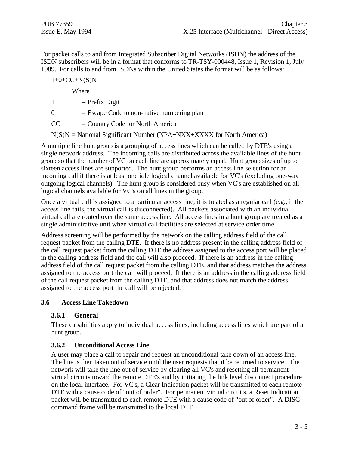For packet calls to and from Integrated Subscriber Digital Networks (ISDN) the address of the ISDN subscribers will be in a format that conforms to TR-TSY-000448, Issue 1, Revision 1, July 1989. For calls to and from ISDNs within the United States the format will be as follows:

#### $1+0+C<sub>C</sub>+N(S)N$

Where

 $1 =$ Prefix Digit

 $0 =$  Escape Code to non-native numbering plan

 $CC = Country Code for North America$ 

 $N(S)N = National Significant Number (NPA+NXX+XXXX)$  for North America)

A multiple line hunt group is a grouping of access lines which can be called by DTE's using a single network address. The incoming calls are distributed across the available lines of the hunt group so that the number of VC on each line are approximately equal. Hunt group sizes of up to sixteen access lines are supported. The hunt group performs an access line selection for an incoming call if there is at least one idle logical channel available for VC's (excluding one-way outgoing logical channels). The hunt group is considered busy when VC's are established on all logical channels available for VC's on all lines in the group.

Once a virtual call is assigned to a particular access line, it is treated as a regular call (e.g., if the access line fails, the virtual call is disconnected). All packets associated with an individual virtual call are routed over the same access line. All access lines in a hunt group are treated as a single administrative unit when virtual call facilities are selected at service order time.

Address screening will be performed by the network on the calling address field of the call request packet from the calling DTE. If there is no address present in the calling address field of the call request packet from the calling DTE the address assigned to the access port will be placed in the calling address field and the call will also proceed. If there is an address in the calling address field of the call request packet from the calling DTE, and that address matches the address assigned to the access port the call will proceed. If there is an address in the calling address field of the call request packet from the calling DTE, and that address does not match the address assigned to the access port the call will be rejected.

#### **3.6 Access Line Takedown**

#### **3.6.1 General**

These capabilities apply to individual access lines, including access lines which are part of a hunt group.

#### **3.6.2 Unconditional Access Line**

A user may place a call to repair and request an unconditional take down of an access line. The line is then taken out of service until the user requests that it be returned to service. The network will take the line out of service by clearing all VC's and resetting all permanent virtual circuits toward the remote DTE's and by initiating the link level disconnect procedure on the local interface. For VC's, a Clear Indication packet will be transmitted to each remote DTE with a cause code of "out of order". For permanent virtual circuits, a Reset Indication packet will be transmitted to each remote DTE with a cause code of "out of order". A DISC command frame will be transmitted to the local DTE.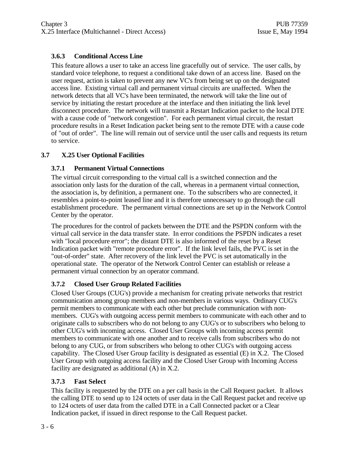# **3.6.3 Conditional Access Line**

This feature allows a user to take an access line gracefully out of service. The user calls, by standard voice telephone, to request a conditional take down of an access line. Based on the user request, action is taken to prevent any new VC's from being set up on the designated access line. Existing virtual call and permanent virtual circuits are unaffected. When the network detects that all VC's have been terminated, the network will take the line out of service by initiating the restart procedure at the interface and then initiating the link level disconnect procedure. The network will transmit a Restart Indication packet to the local DTE with a cause code of "network congestion". For each permanent virtual circuit, the restart procedure results in a Reset Indication packet being sent to the remote DTE with a cause code of "out of order". The line will remain out of service until the user calls and requests its return to service.

### **3.7 X.25 User Optional Facilities**

#### **3.7.1 Permanent Virtual Connections**

The virtual circuit corresponding to the virtual call is a switched connection and the association only lasts for the duration of the call, whereas in a permanent virtual connection, the association is, by definition, a permanent one. To the subscribers who are connected, it resembles a point-to-point leased line and it is therefore unnecessary to go through the call establishment procedure. The permanent virtual connections are set up in the Network Control Center by the operator.

The procedures for the control of packets between the DTE and the PSPDN conform with the virtual call service in the data transfer state. In error conditions the PSPDN indicates a reset with "local procedure error"; the distant DTE is also informed of the reset by a Reset Indication packet with "remote procedure error". If the link level fails, the PVC is set in the "out-of-order" state. After recovery of the link level the PVC is set automatically in the operational state. The operator of the Network Control Center can establish or release a permanent virtual connection by an operator command.

# **3.7.2 Closed User Group Related Facilities**

Closed User Groups (CUG's) provide a mechanism for creating private networks that restrict communication among group members and non-members in various ways. Ordinary CUG's permit members to communicate with each other but preclude communication with nonmembers. CUG's with outgoing access permit members to communicate with each other and to originate calls to subscribers who do not belong to any CUG's or to subscribers who belong to other CUG's with incoming access. Closed User Groups with incoming access permit members to communicate with one another and to receive calls from subscribers who do not belong to any CUG, or from subscribers who belong to other CUG's with outgoing access capability. The Closed User Group facility is designated as essential (E) in X.2. The Closed User Group with outgoing access facility and the Closed User Group with Incoming Access facility are designated as additional (A) in X.2.

#### **3.7.3 Fast Select**

This facility is requested by the DTE on a per call basis in the Call Request packet. It allows the calling DTE to send up to 124 octets of user data in the Call Request packet and receive up to 124 octets of user data from the called DTE in a Call Connected packet or a Clear Indication packet, if issued in direct response to the Call Request packet.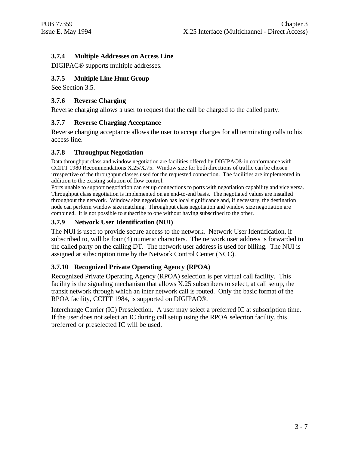#### **3.7.4 Multiple Addresses on Access Line**

DIGIPAC® supports multiple addresses.

#### **3.7.5 Multiple Line Hunt Group**

See Section 3.5.

#### **3.7.6 Reverse Charging**

Reverse charging allows a user to request that the call be charged to the called party.

#### **3.7.7 Reverse Charging Acceptance**

Reverse charging acceptance allows the user to accept charges for all terminating calls to his access line.

### **3.7.8 Throughput Negotiation**

Data throughput class and window negotiation are facilities offered by DIGIPAC® in conformance with CCITT 1980 Recommendations X.25/X.75. Window size for both directions of traffic can be chosen irrespective of the throughput classes used for the requested connection. The facilities are implemented in addition to the existing solution of flow control.

Ports unable to support negotiation can set up connections to ports with negotiation capability and vice versa. Throughput class negotiation is implemented on an end-to-end basis. The negotiated values are installed throughout the network. Window size negotiation has local significance and, if necessary, the destination node can perform window size matching. Throughput class negotiation and window size negotiation are combined. It is not possible to subscribe to one without having subscribed to the other.

# **3.7.9 Network User Identification (NUI)**

The NUI is used to provide secure access to the network. Network User Identification, if subscribed to, will be four (4) numeric characters. The network user address is forwarded to the called party on the calling DT. The network user address is used for billing. The NUI is assigned at subscription time by the Network Control Center (NCC).

#### **3.7.10 Recognized Private Operating Agency (RPOA)**

Recognized Private Operating Agency (RPOA) selection is per virtual call facility. This facility is the signaling mechanism that allows X.25 subscribers to select, at call setup, the transit network through which an inter network call is routed. Only the basic format of the RPOA facility, CCITT 1984, is supported on DIGIPAC®.

Interchange Carrier (IC) Preselection. A user may select a preferred IC at subscription time. If the user does not select an IC during call setup using the RPOA selection facility, this preferred or preselected IC will be used.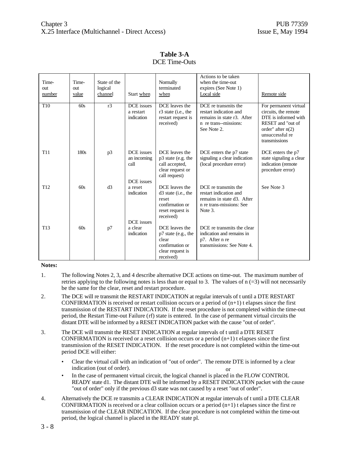| Time-<br>out<br>number | Time-<br>out<br>value | State of the<br>logical<br>channel | Start when                                      | Normally<br>terminated<br>when                                                                       | Actions to be taken<br>when the time-out<br>expires (See Note 1)<br>Local side                                       | Remote side                                                                                                                                           |
|------------------------|-----------------------|------------------------------------|-------------------------------------------------|------------------------------------------------------------------------------------------------------|----------------------------------------------------------------------------------------------------------------------|-------------------------------------------------------------------------------------------------------------------------------------------------------|
| T <sub>10</sub>        | 60s                   | r3                                 | DCE issues<br>a restart<br>indication           | DCE leaves the<br>r3 state (i.e., the<br>restart request is<br>received)                             | DCE re transmits the<br>restart indication and<br>remains in state r3. After<br>n re trans--missions:<br>See Note 2. | For permanent virtual<br>circuits, the remote<br>DTE is informed with<br>RESET and "out of<br>order" after $n(2)$<br>unsuccessful re<br>transmissions |
| <b>T11</b>             | 180s                  | p3                                 | DCE issues<br>an incoming<br>call<br>DCE issues | DCE leaves the<br>p3 state (e.g. the<br>call accepted,<br>clear request or<br>call request)          | DCE enters the p7 state<br>signaling a clear indication<br>(local procedure error)                                   | DCE enters the p7<br>state signaling a clear<br>indication (remote<br>procedure error)                                                                |
| T <sub>12</sub>        | 60s                   | d3                                 | a reset<br>indication                           | DCE leaves the<br>$d3$ state (i.e., the<br>reset<br>confirmation or<br>reset request is<br>received) | DCE re transmits the<br>restart indication and<br>remains in state d3. After<br>n re trans-missions: See<br>Note 3.  | See Note 3                                                                                                                                            |
| T <sub>13</sub>        | 60s                   | p7                                 | DCE issues<br>a clear<br>indication             | DCE leaves the<br>$p7$ state (e.g., the<br>clear<br>confirmation or<br>clear request is<br>received) | DCE re transmits the clear<br>indication and remains in<br>p7. After n re<br>transmissions: See Note 4.              |                                                                                                                                                       |

**Table 3-A** DCE Time-Outs

#### **Notes:**

- 1. The following Notes 2, 3, and 4 describe alternative DCE actions on time-out. The maximum number of retries applying to the following notes is less than or equal to 3. The values of  $n (=3)$  will not necessarily be the same for the clear, reset and restart procedure.
- 2. The DCE will re transmit the RESTART INDICATION at regular intervals of t until a DTE RESTART CONFIRMATION is received or restart collision occurs or a period of  $(n+1)$  t elapses since the first transmission of the RESTART INDICATION. If the reset procedure is not completed within the time-out period, the Restart Time-out Failure (rf) state is entered. In the case of permanent virtual circuits the distant DTE will be informed by a RESET INDICATION packet with the cause "out of order".
- 3. The DCE will transmit the RESET INDICATION at regular intervals of t until a DTE RESET CONFIRMATION is received or a reset collision occurs or a period  $(n+1)$  t elapses since the first transmission of the RESET INDICATION. If the reset procedure is not completed within the time-out period DCE will either:
	- Clear the virtual call with an indication of "out of order". The remote DTE is informed by a clear indication (out of order). or
	- In the case of permanent virtual circuit, the logical channel is placed in the FLOW CONTROL READY state d1. The distant DTE will be informed by a RESET INDICATION packet with the cause "out of order" only if the previous d3 state was not caused by a reset "out of order".
- 4. Alternatively the DCE re transmits a CLEAR INDICATION at regular intervals of t until a DTE CLEAR CONFIRMATION is received or a clear collision occurs or a period  $(n+1)$  t elapses since the first re transmission of the CLEAR INDICATION. If the clear procedure is not completed within the time-out period, the logical channel is placed in the READY state pl.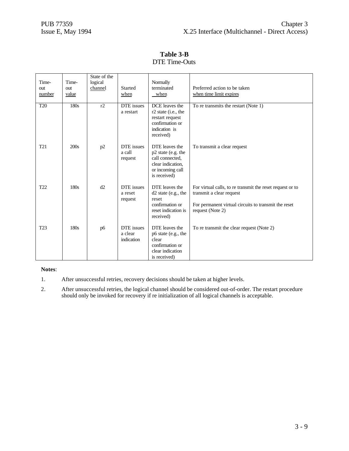**Table 3-B** DTE Time-Outs

| Time-<br>out<br>number | Time-<br>out<br>value | State of the<br>logical<br>channel | Started<br>when                     | Normally<br>terminated<br>when                                                                                   | Preferred action to be taken<br>when time limit expires                                                                                                           |
|------------------------|-----------------------|------------------------------------|-------------------------------------|------------------------------------------------------------------------------------------------------------------|-------------------------------------------------------------------------------------------------------------------------------------------------------------------|
| <b>T20</b>             | 180s                  | r2                                 | DTE issues<br>a restart             | DCE leaves the<br>$r2$ state (i.e., the<br>restart request<br>confirmation or<br>indication is<br>received)      | To re transmits the restart (Note 1)                                                                                                                              |
| T <sub>21</sub>        | 200s                  | p2                                 | DTE issues<br>a call<br>request     | DTE leaves the<br>p2 state (e.g. the<br>call connected.<br>clear indication.<br>or incoming call<br>is received) | To transmit a clear request                                                                                                                                       |
| T <sub>22</sub>        | 180s                  | d2                                 | DTE issues<br>a reset<br>request    | DTE leaves the<br>d2 state (e.g., the<br>reset<br>confirmation or<br>reset indication is<br>received)            | For virtual calls, to re transmit the reset request or to<br>transmit a clear request<br>For permanent virtual circuits to transmit the reset<br>request (Note 2) |
| T23                    | 180s                  | p6                                 | DTE issues<br>a clear<br>indication | DTE leaves the<br>p6 state (e.g., the<br>clear<br>confirmation or<br>clear indication<br>is received)            | To re transmit the clear request (Note 2)                                                                                                                         |

#### **Notes**:

1. After unsuccessful retries, recovery decisions should be taken at higher levels.

2. After unsuccessful retries, the logical channel should be considered out-of-order. The restart procedure should only be invoked for recovery if re initialization of all logical channels is acceptable.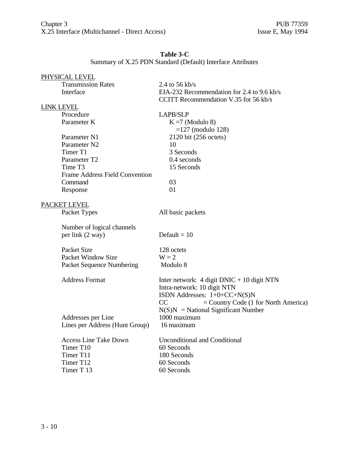# **Table 3-C**

# Summary of X.25 PDN Standard (Default) Interface Attributes

| PHYSICAL LEVEL                        |                                                                                     |
|---------------------------------------|-------------------------------------------------------------------------------------|
| <b>Transmission Rates</b>             | 2.4 to 56 kb/s                                                                      |
| Interface                             | EIA-232 Recommendation for 2.4 to 9.6 kb/s<br>CCITT Recommendation V.35 for 56 kb/s |
| <b>LINK LEVEL</b>                     |                                                                                     |
| Procedure                             | <b>LAPB/SLP</b>                                                                     |
| Parameter K                           | $K = 7$ (Modulo 8)                                                                  |
|                                       | $=127$ (modulo 128)                                                                 |
| Parameter N1                          | 2120 bit (256 octets)                                                               |
| Parameter N <sub>2</sub>              | 10                                                                                  |
| Timer T1                              | 3 Seconds                                                                           |
| Parameter T2                          | 0.4 seconds                                                                         |
| Time T3                               | 15 Seconds                                                                          |
| <b>Frame Address Field Convention</b> |                                                                                     |
| Command                               | 03                                                                                  |
| Response                              | 01                                                                                  |
|                                       |                                                                                     |
| <b>PACKET LEVEL</b>                   |                                                                                     |
| Packet Types                          | All basic packets                                                                   |
| Number of logical channels            |                                                                                     |
| per link (2 way)                      | Default = $10$                                                                      |
|                                       |                                                                                     |
| Packet Size                           | 128 octets                                                                          |
| <b>Packet Window Size</b>             | $W = 2$                                                                             |
| Packet Sequence Numbering             | Modulo 8                                                                            |
| <b>Address Format</b>                 | Inter network: $4$ digit DNIC + 10 digit NTN                                        |
|                                       | Intra-network: 10 digit NTN                                                         |
|                                       | ISDN Addresses: $1+0+C C+N(S)N$                                                     |
|                                       | $=$ Country Code (1 for North America)<br>CC                                        |
|                                       | $N(S)N = National Significant Number$                                               |
| Addresses per Line                    | 1000 maximum                                                                        |
| Lines per Address (Hunt Group)        | 16 maximum                                                                          |
| <b>Access Line Take Down</b>          | <b>Unconditional and Conditional</b>                                                |
| Timer T10                             | 60 Seconds                                                                          |
| Timer T11                             | 180 Seconds                                                                         |
| Timer T12                             | 60 Seconds                                                                          |
| Timer T 13                            | 60 Seconds                                                                          |
|                                       |                                                                                     |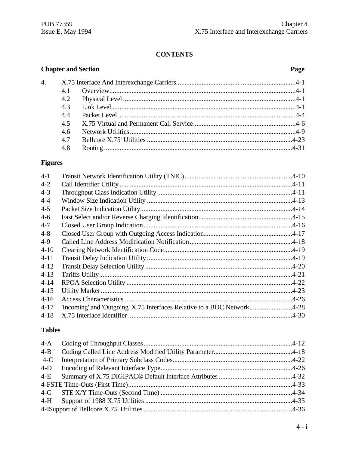### **CONTENTS**

#### **Chapter and Section** Page  $\overline{4}$ . 4.1  $4.2$  $4.3$ 4.4  $4.5$ 4.6 4.7 4.8

### **Figures**

| $4-1$    |                                                                         |  |
|----------|-------------------------------------------------------------------------|--|
| $4 - 2$  |                                                                         |  |
| $4 - 3$  |                                                                         |  |
| $4 - 4$  |                                                                         |  |
| $4 - 5$  |                                                                         |  |
| $4-6$    |                                                                         |  |
| $4 - 7$  |                                                                         |  |
| $4 - 8$  |                                                                         |  |
| 4-9      |                                                                         |  |
| $4 - 10$ |                                                                         |  |
| $4 - 11$ |                                                                         |  |
| $4 - 12$ |                                                                         |  |
| $4 - 13$ |                                                                         |  |
| $4 - 14$ |                                                                         |  |
| $4 - 15$ |                                                                         |  |
| $4-16$   |                                                                         |  |
| $4 - 17$ | 'Incoming' and 'Outgoing' X.75 Interfaces Relative to a BOC Network4-28 |  |
| $4 - 18$ |                                                                         |  |

#### **Tables**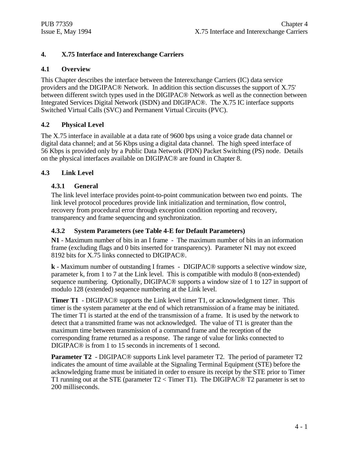#### **4. X.75 Interface and Interexchange Carriers**

#### **4.1 Overview**

This Chapter describes the interface between the Interexchange Carriers (IC) data service providers and the DIGIPAC® Network. In addition this section discusses the support of X.75' between different switch types used in the DIGIPAC® Network as well as the connection between Integrated Services Digital Network (ISDN) and DIGIPAC®. The X.75 IC interface supports Switched Virtual Calls (SVC) and Permanent Virtual Circuits (PVC).

#### **4.2 Physical Level**

The X.75 interface in available at a data rate of 9600 bps using a voice grade data channel or digital data channel; and at 56 Kbps using a digital data channel. The high speed interface of 56 Kbps is provided only by a Public Data Network (PDN) Packet Switching (PS) node. Details on the physical interfaces available on DIGIPAC® are found in Chapter 8.

#### **4.3 Link Level**

### **4.3.1 General**

The link level interface provides point-to-point communication between two end points. The link level protocol procedures provide link initialization and termination, flow control, recovery from procedural error through exception condition reporting and recovery, transparency and frame sequencing and synchronization.

#### **4.3.2 System Parameters (see Table 4-E for Default Parameters)**

**N1** - Maximum number of bits in an I frame - The maximum number of bits in an information frame (excluding flags and 0 bits inserted for transparency). Parameter N1 may not exceed 8192 bits for X.75 links connected to DIGIPAC®.

**k** - Maximum number of outstanding I frames - DIGIPAC® supports a selective window size, parameter k, from 1 to 7 at the Link level. This is compatible with modulo 8 (non-extended) sequence numbering. Optionally, DIGIPAC® supports a window size of 1 to 127 in support of modulo 128 (extended) sequence numbering at the Link level.

**Timer T1** - DIGIPAC<sup>®</sup> supports the Link level timer T1, or acknowledgment timer. This timer is the system parameter at the end of which retransmission of a frame may be initiated. The timer T1 is started at the end of the transmission of a frame. It is used by the network to detect that a transmitted frame was not acknowledged. The value of T1 is greater than the maximum time between transmission of a command frame and the reception of the corresponding frame returned as a response. The range of value for links connected to DIGIPAC® is from 1 to 15 seconds in increments of 1 second.

**Parameter T2** - DIGIPAC<sup>®</sup> supports Link level parameter T2. The period of parameter T2 indicates the amount of time available at the Signaling Terminal Equipment (STE) before the acknowledging frame must be initiated in order to ensure its receipt by the STE prior to Timer T1 running out at the STE (parameter T2 < Timer T1). The DIGIPAC® T2 parameter is set to 200 milliseconds.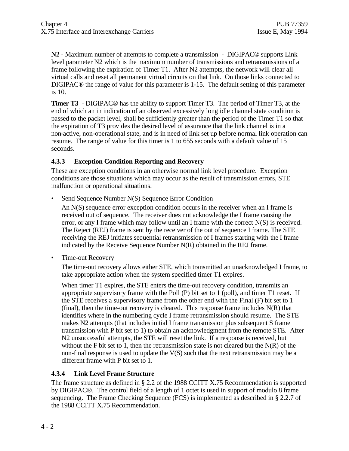**N2** - Maximum number of attempts to complete a transmission - DIGIPAC® supports Link level parameter N2 which is the maximum number of transmissions and retransmissions of a frame following the expiration of Timer T1. After N2 attempts, the network will clear all virtual calls and reset all permanent virtual circuits on that link. On those links connected to DIGIPAC® the range of value for this parameter is 1-15. The default setting of this parameter is 10.

**Timer T3** - DIGIPAC® has the ability to support Timer T3. The period of Timer T3, at the end of which an in indication of an observed excessively long idle channel state condition is passed to the packet level, shall be sufficiently greater than the period of the Timer T1 so that the expiration of T3 provides the desired level of assurance that the link channel is in a non-active, non-operational state, and is in need of link set up before normal link operation can resume. The range of value for this timer is 1 to 655 seconds with a default value of 15 seconds.

#### **4.3.3 Exception Condition Reporting and Recovery**

These are exception conditions in an otherwise normal link level procedure. Exception conditions are those situations which may occur as the result of transmission errors, STE malfunction or operational situations.

Send Sequence Number N(S) Sequence Error Condition

An N(S) sequence error exception condition occurs in the receiver when an I frame is received out of sequence. The receiver does not acknowledge the I frame causing the error, or any I frame which may follow until an I frame with the correct N(S) is received. The Reject (REJ) frame is sent by the receiver of the out of sequence I frame. The STE receiving the REJ initiates sequential retransmission of I frames starting with the I frame indicated by the Receive Sequence Number N(R) obtained in the REJ frame.

• Time-out Recovery

The time-out recovery allows either STE, which transmitted an unacknowledged I frame, to take appropriate action when the system specified timer T1 expires.

When timer T1 expires, the STE enters the time-out recovery condition, transmits an appropriate supervisory frame with the Poll (P) bit set to 1 (poll), and timer T1 reset. If the STE receives a supervisory frame from the other end with the Final (F) bit set to 1  $(final)$ , then the time-out recovery is cleared. This response frame includes  $N(R)$  that identifies where in the numbering cycle I frame retransmission should resume. The STE makes N2 attempts (that includes initial I frame transmission plus subsequent S frame transmission with P bit set to 1) to obtain an acknowledgment from the remote STE. After N2 unsuccessful attempts, the STE will reset the link. If a response is received, but without the F bit set to 1, then the retransmission state is not cleared but the  $N(R)$  of the non-final response is used to update the  $V(S)$  such that the next retransmission may be a different frame with P bit set to 1.

#### **4.3.4 Link Level Frame Structure**

The frame structure as defined in § 2.2 of the 1988 CCITT X.75 Recommendation is supported by DIGIPAC®. The control field of a length of 1 octet is used in support of modulo 8 frame sequencing. The Frame Checking Sequence (FCS) is implemented as described in § 2.2.7 of the 1988 CCITT X.75 Recommendation.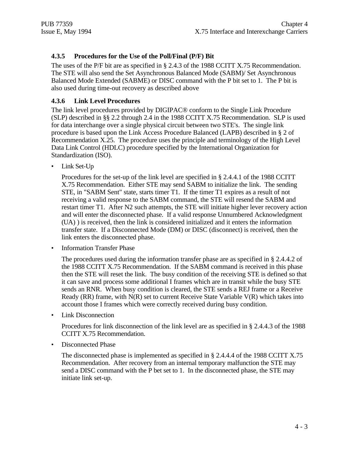#### **4.3.5 Procedures for the Use of the Poll/Final (P/F) Bit**

The uses of the P/F bit are as specified in § 2.4.3 of the 1988 CCITT X.75 Recommendation. The STE will also send the Set Asynchronous Balanced Mode (SABM)/ Set Asynchronous Balanced Mode Extended (SABME) or DISC command with the P bit set to 1. The P bit is also used during time-out recovery as described above

#### **4.3.6 Link Level Procedures**

The link level procedures provided by DIGIPAC® conform to the Single Link Procedure (SLP) described in §§ 2.2 through 2.4 in the 1988 CCITT X.75 Recommendation. SLP is used for data interchange over a single physical circuit between two STE's. The single link procedure is based upon the Link Access Procedure Balanced (LAPB) described in § 2 of Recommendation X.25. The procedure uses the principle and terminology of the High Level Data Link Control (HDLC) procedure specified by the International Organization for Standardization (ISO).

Link Set-Up

Procedures for the set-up of the link level are specified in § 2.4.4.1 of the 1988 CCITT X.75 Recommendation. Either STE may send SABM to initialize the link. The sending STE, in "SABM Sent" state, starts timer T1. If the timer T1 expires as a result of not receiving a valid response to the SABM command, the STE will resend the SABM and restart timer T1. After N2 such attempts, the STE will initiate higher lever recovery action and will enter the disconnected phase. If a valid response Unnumbered Acknowledgment (UA) ) is received, then the link is considered initialized and it enters the information transfer state. If a Disconnected Mode (DM) or DISC (disconnect) is received, then the link enters the disconnected phase.

• Information Transfer Phase

The procedures used during the information transfer phase are as specified in § 2.4.4.2 of the 1988 CCITT X.75 Recommendation. If the SABM command is received in this phase then the STE will reset the link. The busy condition of the receiving STE is defined so that it can save and process some additional I frames which are in transit while the busy STE sends an RNR. When busy condition is cleared, the STE sends a REJ frame or a Receive Ready (RR) frame, with  $N(R)$  set to current Receive State Variable  $V(R)$  which takes into account those I frames which were correctly received during busy condition.

• Link Disconnection

Procedures for link disconnection of the link level are as specified in § 2.4.4.3 of the 1988 CCITT X.75 Recommendation.

• Disconnected Phase

The disconnected phase is implemented as specified in § 2.4.4.4 of the 1988 CCITT X.75 Recommendation. After recovery from an internal temporary malfunction the STE may send a DISC command with the P bet set to 1. In the disconnected phase, the STE may initiate link set-up.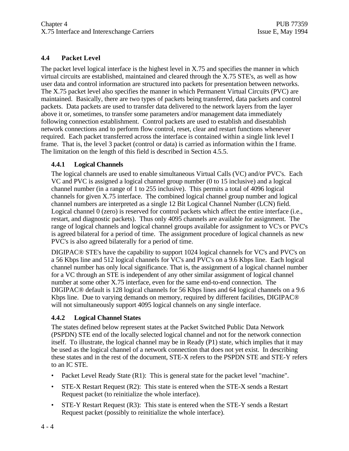# **4.4 Packet Level**

The packet level logical interface is the highest level in X.75 and specifies the manner in which virtual circuits are established, maintained and cleared through the X.75 STE's, as well as how user data and control information are structured into packets for presentation between networks. The X.75 packet level also specifies the manner in which Permanent Virtual Circuits (PVC) are maintained. Basically, there are two types of packets being transferred, data packets and control packets. Data packets are used to transfer data delivered to the network layers from the layer above it or, sometimes, to transfer some parameters and/or management data immediately following connection establishment. Control packets are used to establish and disestablish network connections and to perform flow control, reset, clear and restart functions whenever required. Each packet transferred across the interface is contained within a single link level I frame. That is, the level 3 packet (control or data) is carried as information within the I frame. The limitation on the length of this field is described in Section 4.5.5.

#### **4.4.1 Logical Channels**

The logical channels are used to enable simultaneous Virtual Calls (VC) and/or PVC's. Each VC and PVC is assigned a logical channel group number (0 to 15 inclusive) and a logical channel number (in a range of 1 to 255 inclusive). This permits a total of 4096 logical channels for given X.75 interface. The combined logical channel group number and logical channel numbers are interpreted as a single 12 Bit Logical Channel Number (LCN) field. Logical channel 0 (zero) is reserved for control packets which affect the entire interface (i.e., restart, and diagnostic packets). Thus only 4095 channels are available for assignment. The range of logical channels and logical channel groups available for assignment to VC's or PVC's is agreed bilateral for a period of time. The assignment procedure of logical channels as new PVC's is also agreed bilaterally for a period of time.

DIGIPAC® STE's have the capability to support 1024 logical channels for VC's and PVC's on a 56 Kbps line and 512 logical channels for VC's and PVC's on a 9.6 Kbps line. Each logical channel number has only local significance. That is, the assignment of a logical channel number for a VC through an STE is independent of any other similar assignment of logical channel number at some other X.75 interface, even for the same end-to-end connection. The DIGIPAC® default is 128 logical channels for 56 Kbps lines and 64 logical channels on a 9.6 Kbps line. Due to varying demands on memory, required by different facilities, DIGIPAC® will not simultaneously support 4095 logical channels on any single interface.

#### **4.4.2 Logical Channel States**

The states defined below represent states at the Packet Switched Public Data Network (PSPDN) STE end of the locally selected logical channel and not for the network connection itself. To illustrate, the logical channel may be in Ready (P1) state, which implies that it may be used as the logical channel of a network connection that does not yet exist. In describing these states and in the rest of the document, STE-X refers to the PSPDN STE and STE-Y refers to an IC STE.

- Packet Level Ready State (R1): This is general state for the packet level "machine".
- $\overline{\text{STE-X}}$  Restart Request (R2): This state is entered when the STE-X sends a Restart Request packet (to reinitialize the whole interface).
- STE-Y Restart Request (R3): This state is entered when the STE-Y sends a Restart Request packet (possibly to reinitialize the whole interface).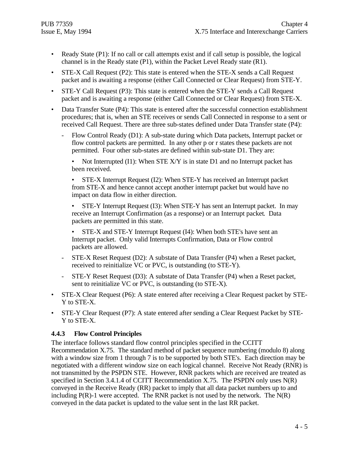- Ready State (P1): If no call or call attempts exist and if call setup is possible, the logical channel is in the Ready state (P1), within the Packet Level Ready state (R1).
- STE-X Call Request (P2): This state is entered when the STE-X sends a Call Request packet and is awaiting a response (either Call Connected or Clear Request) from STE-Y.
- STE-Y Call Request (P3): This state is entered when the STE-Y sends a Call Request packet and is awaiting a response (either Call Connected or Clear Request) from STE-X.
- Data Transfer State (P4): This state is entered after the successful connection establishment procedures; that is, when an STE receives or sends Call Connected in response to a sent or received Call Request. There are three sub-states defined under Data Transfer state (P4):
	- Flow Control Ready (D1): A sub-state during which Data packets, Interrupt packet or flow control packets are permitted. In any other p or r states these packets are not permitted. Four other sub-states are defined within sub-state D1. They are:

• Not Interrupted  $(I1)$ : When STE X/Y is in state D1 and no Interrupt packet has been received.

• STE-X Interrupt Request (I2): When STE-Y has received an Interrupt packet from STE-X and hence cannot accept another interrupt packet but would have no impact on data flow in either direction.

• STE-Y Interrupt Request (I3): When STE-Y has sent an Interrupt packet. In may receive an Interrupt Confirmation (as a response) or an Interrupt packet. Data packets are permitted in this state.

• STE-X and STE-Y Interrupt Request (I4): When both STE's have sent an Interrupt packet. Only valid Interrupts Confirmation, Data or Flow control packets are allowed.

- STE-X Reset Request (D2): A substate of Data Transfer (P4) when a Reset packet, received to reinitialize VC or PVC, is outstanding (to STE-Y).
- STE-Y Reset Request (D3): A substate of Data Transfer (P4) when a Reset packet, sent to reinitialize VC or PVC, is outstanding (to STE-X).
- STE-X Clear Request (P6): A state entered after receiving a Clear Request packet by STE-Y to STE-X.
- STE-Y Clear Request (P7): A state entered after sending a Clear Request Packet by STE-Y to STE-X.

#### **4.4.3 Flow Control Principles**

The interface follows standard flow control principles specified in the CCITT Recommendation X.75. The standard method of packet sequence numbering (modulo 8) along with a window size from 1 through 7 is to be supported by both STE's. Each direction may be negotiated with a different window size on each logical channel. Receive Not Ready (RNR) is not transmitted by the PSPDN STE. However, RNR packets which are received are treated as specified in Section 3.4.1.4 of CCITT Recommendation X.75. The PSPDN only uses  $N(R)$ conveyed in the Receive Ready (RR) packet to imply that all data packet numbers up to and including  $P(R)-1$  were accepted. The RNR packet is not used by the network. The  $N(R)$ conveyed in the data packet is updated to the value sent in the last RR packet.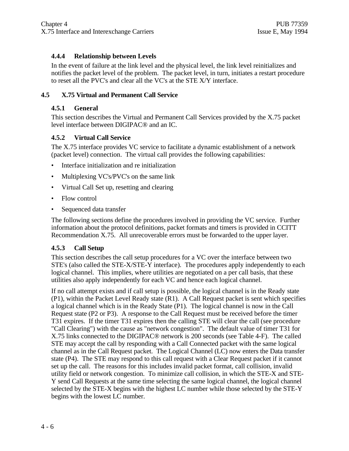#### **4.4.4 Relationship between Levels**

In the event of failure at the link level and the physical level, the link level reinitializes and notifies the packet level of the problem. The packet level, in turn, initiates a restart procedure to reset all the PVC's and clear all the VC's at the STE X/Y interface.

#### **4.5 X.75 Virtual and Permanent Call Service**

#### **4.5.1 General**

This section describes the Virtual and Permanent Call Services provided by the X.75 packet level interface between DIGIPAC® and an IC.

#### **4.5.2 Virtual Call Service**

The X.75 interface provides VC service to facilitate a dynamic establishment of a network (packet level) connection. The virtual call provides the following capabilities:

- Interface initialization and re initialization
- Multiplexing VC's/PVC's on the same link
- Virtual Call Set up, resetting and clearing
- Flow control
- Sequenced data transfer

The following sections define the procedures involved in providing the VC service. Further information about the protocol definitions, packet formats and timers is provided in CCITT Recommendation X.75. All unrecoverable errors must be forwarded to the upper layer.

#### **4.5.3 Call Setup**

This section describes the call setup procedures for a VC over the interface between two STE's (also called the STE-X/STE-Y interface). The procedures apply independently to each logical channel. This implies, where utilities are negotiated on a per call basis, that these utilities also apply independently for each VC and hence each logical channel.

If no call attempt exists and if call setup is possible, the logical channel is in the Ready state (P1), within the Packet Level Ready state (R1). A Call Request packet is sent which specifies a logical channel which is in the Ready State (P1). The logical channel is now in the Call Request state (P2 or P3). A response to the Call Request must be received before the timer T31 expires. If the timer T31 expires then the calling STE will clear the call (see procedure "Call Clearing") with the cause as "network congestion". The default value of timer T31 for X.75 links connected to the DIGIPAC® network is 200 seconds (see Table 4-F). The called STE may accept the call by responding with a Call Connected packet with the same logical channel as in the Call Request packet. The Logical Channel (LC) now enters the Data transfer state (P4). The STE may respond to this call request with a Clear Request packet if it cannot set up the call. The reasons for this includes invalid packet format, call collision, invalid utility field or network congestion. To minimize call collision, in which the STE-X and STE-Y send Call Requests at the same time selecting the same logical channel, the logical channel selected by the STE-X begins with the highest LC number while those selected by the STE-Y begins with the lowest LC number.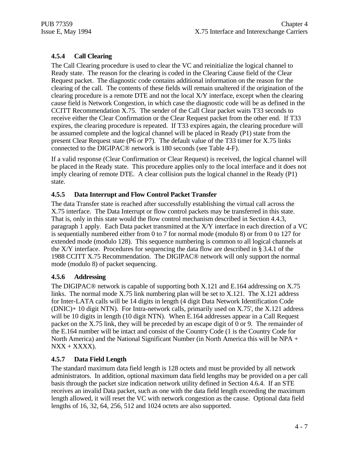# **4.5.4 Call Clearing**

The Call Clearing procedure is used to clear the VC and reinitialize the logical channel to Ready state. The reason for the clearing is coded in the Clearing Cause field of the Clear Request packet. The diagnostic code contains additional information on the reason for the clearing of the call. The contents of these fields will remain unaltered if the origination of the clearing procedure is a remote DTE and not the local X/Y interface, except when the clearing cause field is Network Congestion, in which case the diagnostic code will be as defined in the CCITT Recommendation X.75. The sender of the Call Clear packet waits T33 seconds to receive either the Clear Confirmation or the Clear Request packet from the other end. If T33 expires, the clearing procedure is repeated. If T33 expires again, the clearing procedure will be assumed complete and the logical channel will be placed in Ready (P1) state from the present Clear Request state (P6 or P7). The default value of the T33 timer for X.75 links connected to the DIGIPAC® network is 180 seconds (see Table 4-F).

If a valid response (Clear Confirmation or Clear Request) is received, the logical channel will be placed in the Ready state. This procedure applies only to the local interface and it does not imply clearing of remote DTE. A clear collision puts the logical channel in the Ready (P1) state.

#### **4.5.5 Data Interrupt and Flow Control Packet Transfer**

The data Transfer state is reached after successfully establishing the virtual call across the X.75 interface. The Data Interrupt or flow control packets may be transferred in this state. That is, only in this state would the flow control mechanism described in Section 4.4.3, paragraph 1 apply. Each Data packet transmitted at the X/Y interface in each direction of a VC is sequentially numbered either from 0 to 7 for normal mode (modulo 8) or from 0 to 127 for extended mode (modulo 128). This sequence numbering is common to all logical channels at the  $X/Y$  interface. Procedures for sequencing the data flow are described in § 3.4.1 of the 1988 CCITT X.75 Recommendation. The DIGIPAC® network will only support the normal mode (modulo 8) of packet sequencing.

#### **4.5.6 Addressing**

The DIGIPAC® network is capable of supporting both X.121 and E.164 addressing on X.75 links. The normal mode X.75 link numbering plan will be set to X.121. The X.121 address for Inter-LATA calls will be 14 digits in length (4 digit Data Network Identification Code (DNIC)+ 10 digit NTN). For Intra-network calls, primarily used on X.75', the X.121 address will be 10 digits in length (10 digit NTN). When E.164 addresses appear in a Call Request packet on the X.75 link, they will be preceded by an escape digit of 0 or 9. The remainder of the E.164 number will be intact and consist of the Country Code (1 is the Country Code for North America) and the National Significant Number (in North America this will be NPA +  $NXX + XXXX$ ).

#### **4.5.7 Data Field Length**

The standard maximum data field length is 128 octets and must be provided by all network administrators. In addition, optional maximum data field lengths may be provided on a per call basis through the packet size indication network utility defined in Section 4.6.4. If an STE receives an invalid Data packet, such as one with the data field length exceeding the maximum length allowed, it will reset the VC with network congestion as the cause. Optional data field lengths of 16, 32, 64, 256, 512 and 1024 octets are also supported.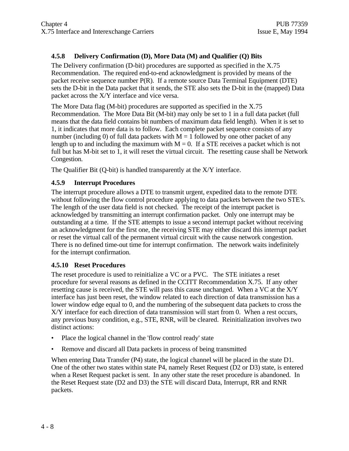# **4.5.8 Delivery Confirmation (D), More Data (M) and Qualifier (Q) Bits**

The Delivery confirmation (D-bit) procedures are supported as specified in the X.75 Recommendation. The required end-to-end acknowledgment is provided by means of the packet receive sequence number P(R). If a remote source Data Terminal Equipment (DTE) sets the D-bit in the Data packet that it sends, the STE also sets the D-bit in the (mapped) Data packet across the X/Y interface and vice versa.

The More Data flag (M-bit) procedures are supported as specified in the X.75 Recommendation. The More Data Bit (M-bit) may only be set to 1 in a full data packet (full means that the data field contains bit numbers of maximum data field length). When it is set to 1, it indicates that more data is to follow. Each complete packet sequence consists of any number (including 0) of full data packets with  $M = 1$  followed by one other packet of any length up to and including the maximum with  $M = 0$ . If a STE receives a packet which is not full but has M-bit set to 1, it will reset the virtual circuit. The resetting cause shall be Network Congestion.

The Qualifier Bit (Q-bit) is handled transparently at the X/Y interface.

#### **4.5.9 Interrupt Procedures**

The interrupt procedure allows a DTE to transmit urgent, expedited data to the remote DTE without following the flow control procedure applying to data packets between the two STE's. The length of the user data field is not checked. The receipt of the interrupt packet is acknowledged by transmitting an interrupt confirmation packet. Only one interrupt may be outstanding at a time. If the STE attempts to issue a second interrupt packet without receiving an acknowledgment for the first one, the receiving STE may either discard this interrupt packet or reset the virtual call of the permanent virtual circuit with the cause network congestion. There is no defined time-out time for interrupt confirmation. The network waits indefinitely for the interrupt confirmation.

#### **4.5.10 Reset Procedures**

The reset procedure is used to reinitialize a VC or a PVC. The STE initiates a reset procedure for several reasons as defined in the CCITT Recommendation X.75. If any other resetting cause is received, the STE will pass this cause unchanged. When a VC at the X/Y interface has just been reset, the window related to each direction of data transmission has a lower window edge equal to 0, and the numbering of the subsequent data packets to cross the X/Y interface for each direction of data transmission will start from 0. When a rest occurs, any previous busy condition, e.g., STE, RNR, will be cleared. Reinitialization involves two distinct actions:

- Place the logical channel in the 'flow control ready' state
- Remove and discard all Data packets in process of being transmitted

When entering Data Transfer (P4) state, the logical channel will be placed in the state D1. One of the other two states within state P4, namely Reset Request (D2 or D3) state, is entered when a Reset Request packet is sent. In any other state the reset procedure is abandoned. In the Reset Request state (D2 and D3) the STE will discard Data, Interrupt, RR and RNR packets.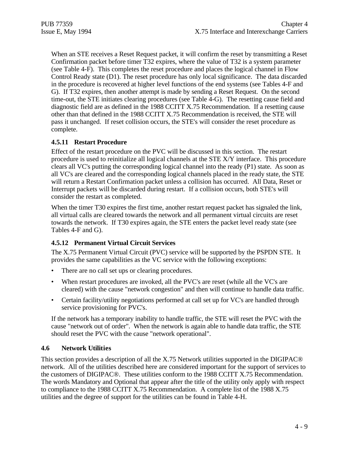When an STE receives a Reset Request packet, it will confirm the reset by transmitting a Reset Confirmation packet before timer T32 expires, where the value of T32 is a system parameter (see Table 4-F). This completes the reset procedure and places the logical channel in Flow Control Ready state (D1). The reset procedure has only local significance. The data discarded in the procedure is recovered at higher level functions of the end systems (see Tables 4-F and G). If T32 expires, then another attempt is made by sending a Reset Request. On the second time-out, the STE initiates clearing procedures (see Table 4-G). The resetting cause field and diagnostic field are as defined in the 1988 CCITT X.75 Recommendation. If a resetting cause other than that defined in the 1988 CCITT X.75 Recommendation is received, the STE will pass it unchanged. If reset collision occurs, the STE's will consider the reset procedure as complete.

#### **4.5.11 Restart Procedure**

Effect of the restart procedure on the PVC will be discussed in this section. The restart procedure is used to reinitialize all logical channels at the STE X/Y interface. This procedure clears all VC's putting the corresponding logical channel into the ready (P1) state. As soon as all VC's are cleared and the corresponding logical channels placed in the ready state, the STE will return a Restart Confirmation packet unless a collision has occurred. All Data, Reset or Interrupt packets will be discarded during restart. If a collision occurs, both STE's will consider the restart as completed.

When the timer T30 expires the first time, another restart request packet has signaled the link, all virtual calls are cleared towards the network and all permanent virtual circuits are reset towards the network. If T30 expires again, the STE enters the packet level ready state (see Tables 4-F and G).

#### **4.5.12 Permanent Virtual Circuit Services**

The X.75 Permanent Virtual Circuit (PVC) service will be supported by the PSPDN STE. It provides the same capabilities as the VC service with the following exceptions:

- There are no call set ups or clearing procedures.
- When restart procedures are invoked, all the PVC's are reset (while all the VC's are cleared) with the cause "network congestion" and then will continue to handle data traffic.
- Certain facility/utility negotiations performed at call set up for VC's are handled through service provisioning for PVC's.

If the network has a temporary inability to handle traffic, the STE will reset the PVC with the cause "network out of order". When the network is again able to handle data traffic, the STE should reset the PVC with the cause "network operational".

#### **4.6 Network Utilities**

This section provides a description of all the X.75 Network utilities supported in the DIGIPAC® network. All of the utilities described here are considered important for the support of services to the customers of DIGIPAC®. These utilities conform to the 1988 CCITT X.75 Recommendation. The words Mandatory and Optional that appear after the title of the utility only apply with respect to compliance to the 1988 CCITT X.75 Recommendation. A complete list of the 1988 X.75 utilities and the degree of support for the utilities can be found in Table 4-H.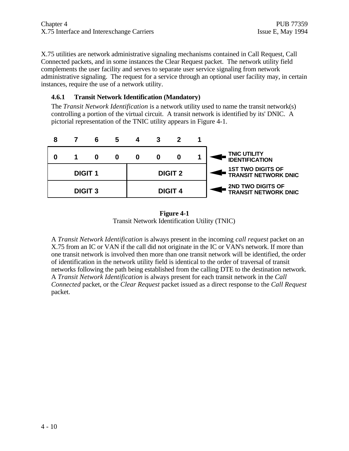X.75 utilities are network administrative signaling mechanisms contained in Call Request, Call Connected packets, and in some instances the Clear Request packet. The network utility field complements the user facility and serves to separate user service signaling from network administrative signaling. The request for a service through an optional user facility may, in certain instances, require the use of a network utility.

#### **4.6.1 Transit Network Identification (Mandatory)**

The *Transit Network Identification* is a network utility used to name the transit network(s) controlling a portion of the virtual circuit. A transit network is identified by its' DNIC. A pictorial representation of the TNIC utility appears in Figure 4-1.



**Figure 4-1** Transit Network Identification Utility (TNIC)

A *Transit Network Identification* is always present in the incoming *call request* packet on an X.75 from an IC or VAN if the call did not originate in the IC or VAN's network. If more than one transit network is involved then more than one transit network will be identified, the order of identification in the network utility field is identical to the order of traversal of transit networks following the path being established from the calling DTE to the destination network. A *Transit Network Identification* is always present for each transit network in the *Call Connected* packet, or the *Clear Request* packet issued as a direct response to the *Call Request* packet.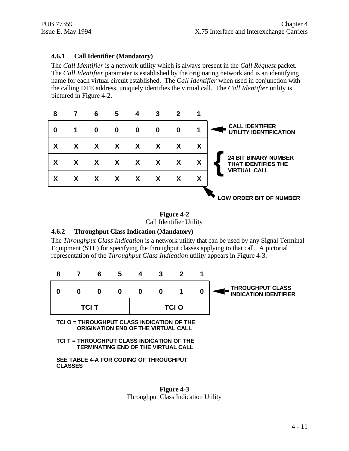#### **4.6.1 Call Identifier (Mandatory)**

The *Call Identifier* is a network utility which is always present in the *Call Request* packet. The *Call Identifier* parameter is established by the originating network and is an identifying name for each virtual circuit established. The *Call Identifier* when used in conjunction with the calling DTE address, uniquely identifies the virtual call. The *Call Identifier* utility is pictured in Figure 4-2.



**Figure 4-2** Call Identifier Utility

#### **4.6.2 Throughput Class Indication (Mandatory)**

The *Throughput Class Indication* is a network utility that can be used by any Signal Terminal Equipment (STE) for specifying the throughput classes applying to that call. A pictorial representation of the *Throughput Class Indication* utility appears in Figure 4-3.

|  | 6            | C |   |             |   |                                                         |
|--|--------------|---|---|-------------|---|---------------------------------------------------------|
|  |              | 0 | 0 |             | 0 | <b>THROUGHPUT CLASS</b><br><b>INDICATION IDENTIFIER</b> |
|  | <b>TCI T</b> |   |   | <b>TCIO</b> |   |                                                         |

**TCI O = THROUGHPUT CLASS INDICATION OF THE ORIGINATION END OF THE VIRTUAL CALL** 

**TCI T = THROUGHPUT CLASS INDICATION OF THE TERMINATING END OF THE VIRTUAL CALL** 

**SEE TABLE 4-A FOR CODING OF THROUGHPUT CLASSES**

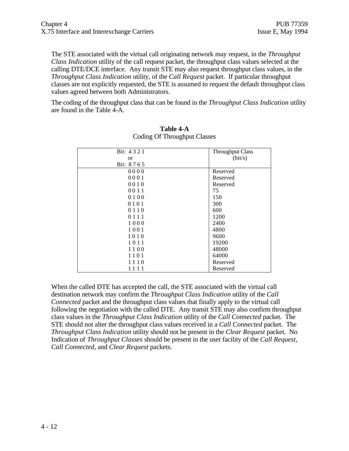The STE associated with the virtual call originating network may request, in the *Throughput Class Indication* utility of the call request packet, the throughput class values selected at the calling DTE/DCE interface. Any transit STE may also request throughput class values, in the *Throughput Class Indication* utility, of the *Call Request* packet. If particular throughput classes are not explicitly requested, the STE is assumed to request the default throughput class values agreed between both Administrators.

The coding of the throughput class that can be found in the *Throughput Class Indication* utility are found in the Table 4-A.

| Bit: 4321 | <b>Throughput Class</b> |
|-----------|-------------------------|
| <b>or</b> | (bit/s)                 |
| Bit: 8765 |                         |
| 0000      | Reserved                |
| 0001      | Reserved                |
| 0010      | Reserved                |
| 0011      | 75                      |
| 0100      | 150                     |
| 0101      | 300                     |
| 0110      | 600                     |
| 0 1 1 1   | 1200                    |
| 1000      | 2400                    |
| 1001      | 4800                    |
| 1010      | 9600                    |
| 1011      | 19200                   |
| 1100      | 48000                   |
| 1101      | 64000                   |
| 1110      | Reserved                |
| 1111      | Reserved                |

#### **Table 4-A** Coding Of Throughput Classes

When the called DTE has accepted the call, the STE associated with the virtual call destination network may confirm the *Throughput Class Indication* utility of the *Call Connected* packet and the throughput class values that finally apply to the virtual call following the negotiation with the called DTE. Any transit STE may also confirm throughput class values in the *Throughput Class Indication* utility of the *Call Connected* packet. The STE should not alter the throughput class values received in a *Call Connected* packet. The *Throughput Class Indication* utility should not be present in the *Clear Request* packet. No Indication of *Throughput Classes* should be present in the user facility of the *Call Request, Call Connected,* and *Clear Request* packets.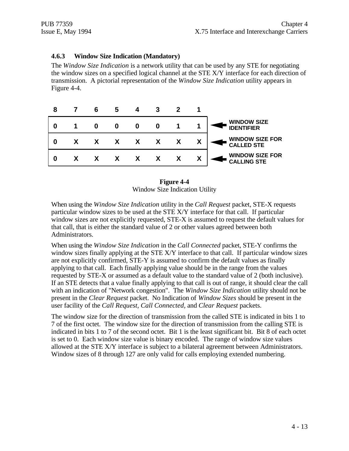#### **4.6.3 Window Size Indication (Mandatory)**

The *Window Size Indication* is a network utility that can be used by any STE for negotiating the window sizes on a specified logical channel at the STE X/Y interface for each direction of transmission. A pictorial representation of the *Window Size Indication* utility appears in Figure 4-4.

|  | 6 | b            |              |              |   |                                              |
|--|---|--------------|--------------|--------------|---|----------------------------------------------|
|  |   |              | 0            |              |   | <b>WINDOW SIZE</b><br><b>IDENTIFIER</b>      |
|  |   | $\mathsf{X}$ | $\mathsf{X}$ | $\mathsf{X}$ |   | <b>WINDOW SIZE FOR<br/>CALLED STE</b>        |
|  |   |              | X            |              | Y | <b>WINDOW SIZE FOR</b><br><b>CALLING STE</b> |

**Figure 4-4** Window Size Indication Utility

When using the *Window Size Indication* utility in the *Call Request* packet, STE-X requests particular window sizes to be used at the STE X/Y interface for that call. If particular window sizes are not explicitly requested, STE-X is assumed to request the default values for that call, that is either the standard value of 2 or other values agreed between both Administrators.

When using the *Window Size Indication* in the *Call Connected* packet, STE-Y confirms the window sizes finally applying at the STE X/Y interface to that call. If particular window sizes are not explicitly confirmed, STE-Y is assumed to confirm the default values as finally applying to that call. Each finally applying value should be in the range from the values requested by STE-X or assumed as a default value to the standard value of 2 (both inclusive). If an STE detects that a value finally applying to that call is out of range, it should clear the call with an indication of "Network congestion". The *Window Size Indication* utility should not be present in the *Clear Request* packet. No Indication of *Window Sizes* should be present in the user facility of the *Call Request, Call Connected,* and *Clear Request* packets.

The window size for the direction of transmission from the called STE is indicated in bits 1 to 7 of the first octet. The window size for the direction of transmission from the calling STE is indicated in bits 1 to 7 of the second octet. Bit 1 is the least significant bit. Bit 8 of each octet is set to 0. Each window size value is binary encoded. The range of window size values allowed at the STE X/Y interface is subject to a bilateral agreement between Administrators. Window sizes of 8 through 127 are only valid for calls employing extended numbering.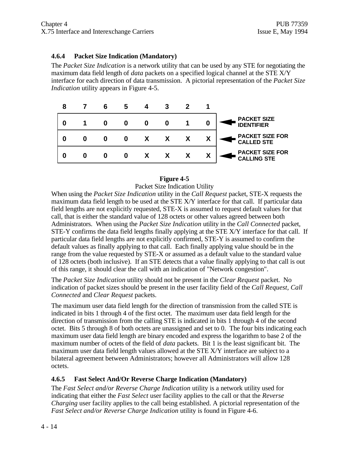#### **4.6.4 Packet Size Indication (Mandatory)**

The *Packet Size Indication* is a network utility that can be used by any STE for negotiating the maximum data field length of *data* packets on a specified logical channel at the STE X/Y interface for each direction of data transmission. A pictorial representation of the *Packet Size Indication* utility appears in Figure 4-5.



### **Figure 4-5**

Packet Size Indication Utility

When using the *Packet Size Indication* utility in the *Call Request* packet, STE-X requests the maximum data field length to be used at the STE X/Y interface for that call. If particular data field lengths are not explicitly requested, STE-X is assumed to request default values for that call, that is either the standard value of 128 octets or other values agreed between both Administrators. When using the *Packet Size Indication* utility in the *Call Connected* packet, STE-Y confirms the data field lengths finally applying at the STE X/Y interface for that call. If particular data field lengths are not explicitly confirmed, STE-Y is assumed to confirm the default values as finally applying to that call. Each finally applying value should be in the range from the value requested by STE-X or assumed as a default value to the standard value of 128 octets (both inclusive). If an STE detects that a value finally applying to that call is out of this range, it should clear the call with an indication of "Network congestion".

The *Packet Size Indication* utility should not be present in the *Clear Request* packet. No indication of packet sizes should be present in the user facility field of the *Call Request, Call Connected* and *Clear Request* packets.

The maximum user data field length for the direction of transmission from the called STE is indicated in bits 1 through 4 of the first octet. The maximum user data field length for the direction of transmission from the calling STE is indicated in bits 1 through 4 of the second octet. Bits 5 through 8 of both octets are unassigned and set to 0. The four bits indicating each maximum user data field length are binary encoded and express the logarithm to base 2 of the maximum number of octets of the field of *data* packets. Bit 1 is the least significant bit. The maximum user data field length values allowed at the STE X/Y interface are subject to a bilateral agreement between Administrators; however all Administrators will allow 128 octets.

# **4.6.5 Fast Select And/Or Reverse Charge Indication (Mandatory)**

The *Fast Select and/or Reverse Charge Indication* utility is a network utility used for indicating that either the *Fast Select* user facility applies to the call or that the *Reverse Charging* user facility applies to the call being established. A pictorial representation of the *Fast Select and/or Reverse Charge Indication* utility is found in Figure 4-6.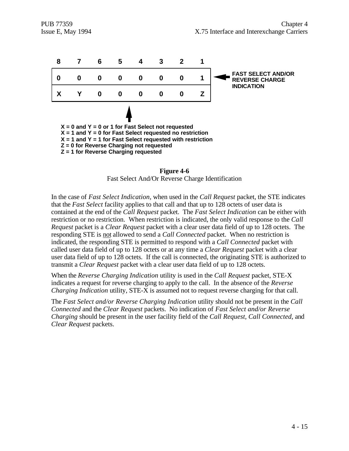



In the case of *Fast Select Indication*, when used in the *Call Request* packet, the STE indicates that the *Fast Select* facility applies to that call and that up to 128 octets of user data is contained at the end of the *Call Request* packet. The *Fast Select Indication* can be either with restriction or no restriction. When restriction is indicated, the only valid response to the *Call Request* packet is a *Clear Request* packet with a clear user data field of up to 128 octets. The responding STE is not allowed to send a *Call Connected* packet. When no restriction is indicated, the responding STE is permitted to respond with a *Call Connected* packet with called user data field of up to 128 octets or at any time a *Clear Request* packet with a clear user data field of up to 128 octets. If the call is connected, the originating STE is authorized to transmit a *Clear Request* packet with a clear user data field of up to 128 octets.

When the *Reverse Charging Indication* utility is used in the *Call Request* packet, STE-X indicates a request for reverse charging to apply to the call. In the absence of the *Reverse Charging Indication* utility, STE-X is assumed not to request reverse charging for that call.

The *Fast Select and/or Reverse Charging Indication* utility should not be present in the *Call Connected* and the *Clear Request* packets. No indication of *Fast Select and/or Reverse Charging* should be present in the user facility field of the *Call Request, Call Connected,* and *Clear Request* packets.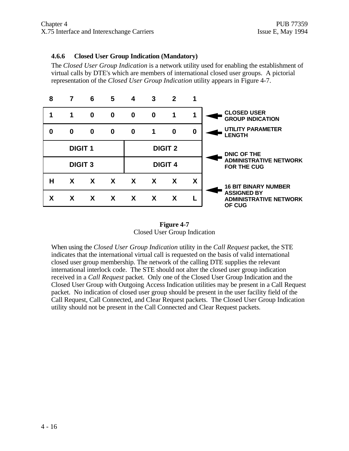#### **4.6.6 Closed User Group Indication (Mandatory)**

The *Closed User Group Indication* is a network utility used for enabling the establishment of virtual calls by DTE's which are members of international closed user groups. A pictorial representation of the *Closed User Group Indication* utility appears in Figure 4-7.



**Figure 4-7** Closed User Group Indication

When using the *Closed User Group Indication* utility in the *Call Request* packet, the STE indicates that the international virtual call is requested on the basis of valid international closed user group membership. The network of the calling DTE supplies the relevant international interlock code. The STE should not alter the closed user group indication received in a *Call Request* packet. Only one of the Closed User Group Indication and the Closed User Group with Outgoing Access Indication utilities may be present in a Call Request packet. No indication of closed user group should be present in the user facility field of the Call Request, Call Connected, and Clear Request packets. The Closed User Group Indication utility should not be present in the Call Connected and Clear Request packets.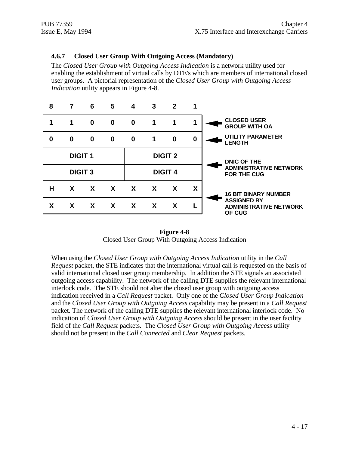#### **4.6.7 Closed User Group With Outgoing Access (Mandatory)**

The *Closed User Group with Outgoing Access Indication* is a network utility used for enabling the establishment of virtual calls by DTE's which are members of international closed user groups. A pictorial representation of the *Closed User Group with Outgoing Access Indication* utility appears in Figure 4-8.

| 8              | 7           | 6 | 5              | 4        | 3              | 2 |                                                     |                                                               |
|----------------|-------------|---|----------------|----------|----------------|---|-----------------------------------------------------|---------------------------------------------------------------|
|                | $\mathbf 1$ | 0 | $\bf{0}$       | $\bf{0}$ | 1              | 1 |                                                     | <b>CLOSED USER</b><br><b>GROUP WITH OA</b>                    |
| 0              | 0           | 0 | 0              | $\bf{0}$ | 1              | 0 | 0                                                   | <b>UTILITY PARAMETER</b><br><b>LENGTH</b>                     |
| <b>DIGIT 1</b> |             |   |                |          | <b>DIGIT 2</b> |   |                                                     | <b>DNIC OF THE</b>                                            |
| <b>DIGIT 3</b> |             |   | <b>DIGIT 4</b> |          |                |   | <b>ADMINISTRATIVE NETWORK</b><br><b>FOR THE CUG</b> |                                                               |
| Н              | X           | X | X              | X        | X              | X | X                                                   | <b>16 BIT BINARY NUMBER</b>                                   |
| χ              | X           | X | X              | X        | X              | X |                                                     | <b>ASSIGNED BY</b><br><b>ADMINISTRATIVE NETWORK</b><br>OF CUG |

**Figure 4-8** Closed User Group With Outgoing Access Indication

When using the *Closed User Group with Outgoing Access Indication* utility in the *Call Request* packet, the STE indicates that the international virtual call is requested on the basis of valid international closed user group membership. In addition the STE signals an associated outgoing access capability. The network of the calling DTE supplies the relevant international interlock code. The STE should not alter the closed user group with outgoing access indication received in a *Call Request* packet. Only one of the *Closed User Group Indication* and the *Closed User Group with Outgoing Access* capability may be present in a *Call Request* packet. The network of the calling DTE supplies the relevant international interlock code. No indication of *Closed User Group with Outgoing Access* should be present in the user facility field of the *Call Request* packets. The *Closed User Group with Outgoing Access* utility should not be present in the *Call Connected* and *Clear Request* packets.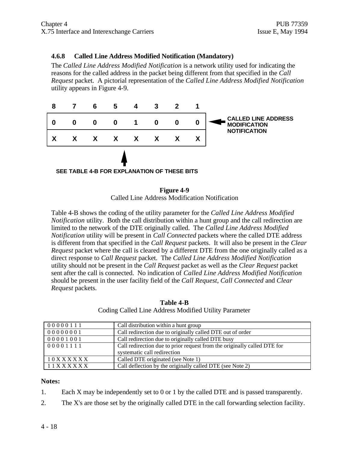#### **4.6.8 Called Line Address Modified Notification (Mandatory)**

The *Called Line Address Modified Notification* is a network utility used for indicating the reasons for the called address in the packet being different from that specified in the *Call Request* packet. A pictorial representation of the *Called Line Address Modified Notification* utility appears in Figure 4-9.



```
SEE TABLE 4-B FOR EXPLANATION OF THESE BITS
```

| <b>Figure 4-9</b>                                    |  |
|------------------------------------------------------|--|
| <b>Called Line Address Modification Notification</b> |  |

Table 4-B shows the coding of the utility parameter for the *Called Line Address Modified Notification* utility. Both the call distribution within a hunt group and the call redirection are limited to the network of the DTE originally called. The *Called Line Address Modified Notification* utility will be present in *Call Connected* packets where the called DTE address is different from that specified in the *Call Request* packets. It will also be present in the *Clear Request* packet where the call is cleared by a different DTE from the one originally called as a direct response to *Call Request* packet. The *Called Line Address Modified Notification* utility should not be present in the *Call Request* packet as well as the *Clear Request* packet sent after the call is connected. No indication of *Called Line Address Modified Notification* should be present in the user facility field of the *Call Request*, *Call Connected* and *Clear Request* packets.

**Table 4-B** Coding Called Line Address Modified Utility Parameter

| 00000111          | Call distribution within a hunt group                                                                   |
|-------------------|---------------------------------------------------------------------------------------------------------|
| 00000001          | Call redirection due to originally called DTE out of order                                              |
| 00001001          | Call redirection due to originally called DTE busy                                                      |
| 00001111          | Call redirection due to prior request from the originally called DTE for<br>systematic call redirection |
| $10X$ X X X X X X | Called DTE originated (see Note 1)                                                                      |
| $11$ X X X X X X  | Call deflection by the originally called DTE (see Note 2)                                               |

#### **Notes:**

- 1. Each X may be independently set to 0 or 1 by the called DTE and is passed transparently.
- 2. The X's are those set by the originally called DTE in the call forwarding selection facility.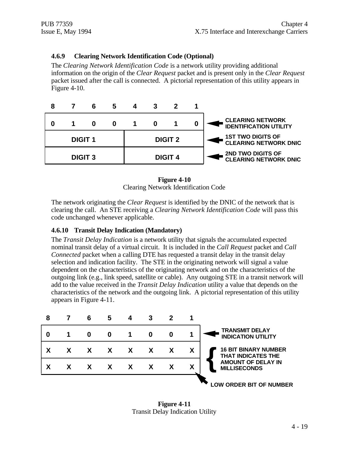#### **4.6.9 Clearing Network Identification Code (Optional)**

The *Clearing Network Identification Code* is a network utility providing additional information on the origin of the *Clear Request* packet and is present only in the *Clear Request* packet issued after the call is connected. A pictorial representation of this utility appears in Figure 4-10.



**Figure 4-10** Clearing Network Identification Code

The network originating the *Clear Request* is identified by the DNIC of the network that is clearing the call. An STE receiving a *Clearing Network Identification Code* will pass this code unchanged whenever applicable.

#### **4.6.10 Transit Delay Indication (Mandatory)**

The *Transit Delay Indication* is a network utility that signals the accumulated expected nominal transit delay of a virtual circuit. It is included in the *Call Request* packet and *Call Connected* packet when a calling DTE has requested a transit delay in the transit delay selection and indication facility. The STE in the originating network will signal a value dependent on the characteristics of the originating network and on the characteristics of the outgoing link (e.g., link speed, satellite or cable). Any outgoing STE in a transit network will add to the value received in the *Transit Delay Indication* utility a value that depends on the characteristics of the network and the outgoing link. A pictorial representation of this utility appears in Figure 4-11.



**Figure 4-11** Transit Delay Indication Utility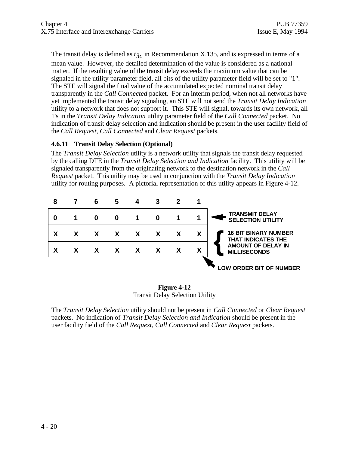The transit delay is defined as  $t_{3c}$  in Recommendation X.135, and is expressed in terms of a mean value. However, the detailed determination of the value is considered as a national matter. If the resulting value of the transit delay exceeds the maximum value that can be signaled in the utility parameter field, all bits of the utility parameter field will be set to "1". The STE will signal the final value of the accumulated expected nominal transit delay transparently in the *Call Connected* packet. For an interim period, when not all networks have yet implemented the transit delay signaling, an STE will not send the *Transit Delay Indication* utility to a network that does not support it. This STE will signal, towards its own network, all 1's in the *Transit Delay Indication* utility parameter field of the *Call Connected* packet. No indication of transit delay selection and indication should be present in the user facility field of the *Call Request*, *Call Connected* and *Clear Request* packets.

### **4.6.11 Transit Delay Selection (Optional)**

The *Transit Delay Selection* utility is a network utility that signals the transit delay requested by the calling DTE in the *Transit Delay Selection and Indication* facility. This utility will be signaled transparently from the originating network to the destination network in the *Call Request* packet. This utility may be used in conjunction with the *Transit Delay Indication* utility for routing purposes. A pictorial representation of this utility appears in Figure 4-12.



**Figure 4-12** Transit Delay Selection Utility

The *Transit Delay Selection* utility should not be present in *Call Connected* or *Clear Request* packets. No indication of *Transit Delay Selection and Indication* should be present in the user facility field of the *Call Request*, *Call Connected* and *Clear Request* packets.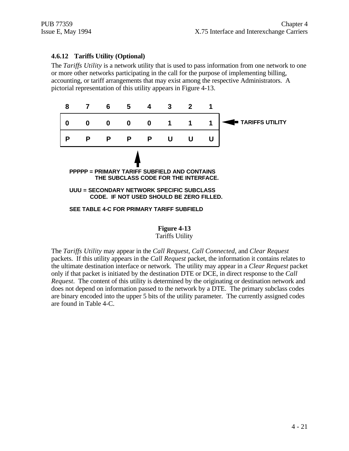#### **4.6.12 Tariffs Utility (Optional)**

The *Tariffs Utility* is a network utility that is used to pass information from one network to one or more other networks participating in the call for the purpose of implementing billing, accounting, or tariff arrangements that may exist among the respective Administrators. A pictorial representation of this utility appears in Figure 4-13.



#### **Figure 4-13**

Tariffs Utility

The *Tariffs Utility* may appear in the *Call Request*, *Call Connected*, and *Clear Request* packets. If this utility appears in the *Call Request* packet, the information it contains relates to the ultimate destination interface or network. The utility may appear in a *Clear Request* packet only if that packet is initiated by the destination DTE or DCE, in direct response to the *Call Request*. The content of this utility is determined by the originating or destination network and does not depend on information passed to the network by a DTE. The primary subclass codes are binary encoded into the upper 5 bits of the utility parameter. The currently assigned codes are found in Table 4-C.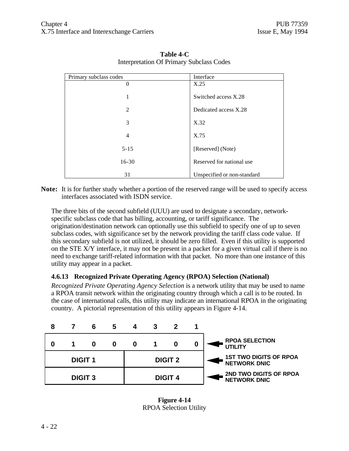| Primary subclass codes | Interface                   |
|------------------------|-----------------------------|
| $\Omega$               | X.25                        |
| 1                      | Switched access X.28        |
| $\overline{2}$         | Dedicated access X.28       |
| 3                      | X.32                        |
| $\overline{4}$         | X.75                        |
| $5 - 15$               | [Reserved] (Note)           |
| 16-30                  | Reserved for national use   |
| 31                     | Unspecified or non-standard |

**Table 4-C** Interpretation Of Primary Subclass Codes

**Note:** It is for further study whether a portion of the reserved range will be used to specify access interfaces associated with ISDN service.

The three bits of the second subfield (UUU) are used to designate a secondary, networkspecific subclass code that has billing, accounting, or tariff significance. The origination/destination network can optionally use this subfield to specify one of up to seven subclass codes, with significance set by the network providing the tariff class code value. If this secondary subfield is not utilized, it should be zero filled. Even if this utility is supported on the STE X/Y interface, it may not be present in a packet for a given virtual call if there is no need to exchange tariff-related information with that packet. No more than one instance of this utility may appear in a packet.

#### **4.6.13 Recognized Private Operating Agency (RPOA) Selection (National)**

*Recognized Private Operating Agency Selection* is a network utility that may be used to name a RPOA transit network within the originating country through which a call is to be routed. In the case of international calls, this utility may indicate an international RPOA in the originating country. A pictorial representation of this utility appears in Figure 4-14.



**Figure 4-14** RPOA Selection Utility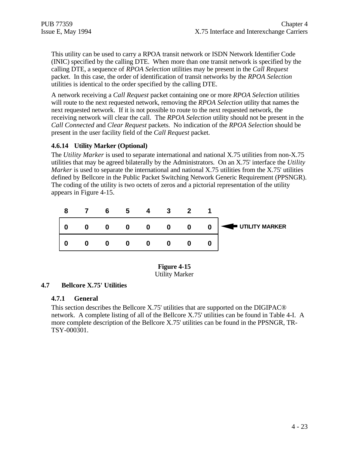This utility can be used to carry a RPOA transit network or ISDN Network Identifier Code (INIC) specified by the calling DTE. When more than one transit network is specified by the calling DTE, a sequence of *RPOA Selection* utilities may be present in the *Call Request* packet. In this case, the order of identification of transit networks by the *RPOA Selection* utilities is identical to the order specified by the calling DTE.

A network receiving a *Call Request* packet containing one or more *RPOA Selection* utilities will route to the next requested network, removing the *RPOA Selection* utility that names the next requested network. If it is not possible to route to the next requested network, the receiving network will clear the call. The *RPOA Selection* utility should not be present in the *Call Connected* and *Clear Request* packets. No indication of the *RPOA Selection* should be present in the user facility field of the *Call Request* packet.

# **4.6.14 Utility Marker (Optional)**

The *Utility Marker* is used to separate international and national X.75 utilities from non-X.75 utilities that may be agreed bilaterally by the Administrators. On an X.75' interface the *Utility Marker* is used to separate the international and national X.75 utilities from the X.75' utilities defined by Bellcore in the Public Packet Switching Network Generic Requirement (PPSNGR). The coding of the utility is two octets of zeros and a pictorial representation of the utility appears in Figure 4-15.



**Figure 4-15** Utility Marker

### **4.7 Bellcore X.75' Utilities**

#### **4.7.1 General**

This section describes the Bellcore X.75' utilities that are supported on the DIGIPAC® network. A complete listing of all of the Bellcore X.75' utilities can be found in Table 4-I. A more complete description of the Bellcore X.75' utilities can be found in the PPSNGR, TR-TSY-000301.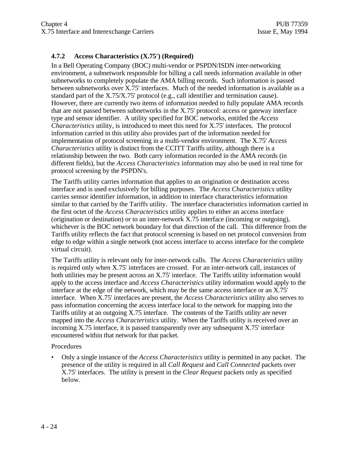# **4.7.2 Access Characteristics (X.75') (Required)**

In a Bell Operating Company (BOC) multi-vendor or PSPDN/ISDN inter-networking environment, a subnetwork responsible for billing a call needs information available in other subnetworks to completely populate the AMA billing records. Such information is passed between subnetworks over X.75' interfaces. Much of the needed information is available as a standard part of the X.75/X.75' protocol (e.g., call identifier and termination cause). However, there are currently two items of information needed to fully populate AMA records that are not passed between subnetworks in the X.75' protocol: access or gateway interface type and sensor identifier. A utility specified for BOC networks, entitled the *Access Characteristics* utility, is introduced to meet this need for X.75' interfaces. The protocol information carried in this utility also provides part of the information needed for implementation of protocol screening in a multi-vendor environment. The X.75' *Access Characteristics* utility is distinct from the CCITT Tariffs utility, although there is a relationship between the two. Both carry information recorded in the AMA records (in different fields), but the *Access Characteristics* information may also be used in real time for protocol screening by the PSPDN's.

The Tariffs utility carries information that applies to an origination or destination access interface and is used exclusively for billing purposes. The *Access Characteristics* utility carries sensor identifier information, in addition to interface characteristics information similar to that carried by the Tariffs utility. The interface characteristics information carried in the first octet of the *Access Characteristics* utility applies to either an access interface (origination or destination) or to an inter-network X.75 interface (incoming or outgoing), whichever is the BOC network boundary for that direction of the call. This difference from the Tariffs utility reflects the fact that protocol screening is based on net protocol conversion from edge to edge within a single network (not access interface to access interface for the complete virtual circuit).

The Tariffs utility is relevant only for inter-network calls. The *Access Characteristics* utility is required only when X.75' interfaces are crossed. For an inter-network call, instances of both utilities may be present across an X.75' interface. The Tariffs utility information would apply to the access interface and *Access Characteristics* utility information would apply to the interface at the edge of the network, which may be the same access interface or an X.75' interface. When X.75' interfaces are present, the *Access Characteristics* utility also serves to pass information concerning the access interface local to the network for mapping into the Tariffs utility at an outgoing X.75 interface. The contents of the Tariffs utility are never mapped into the *Access Characteristics* utility. When the Tariffs utility is received over an incoming X.75 interface, it is passed transparently over any subsequent X.75' interface encountered within that network for that packet.

#### Procedures

• Only a single instance of the *Access Characteristics* utility is permitted in any packet. The presence of the utility is required in all *Call Request* and *Call Connected* packets over X.75' interfaces. The utility is present in the *Clear Request* packets only as specified below.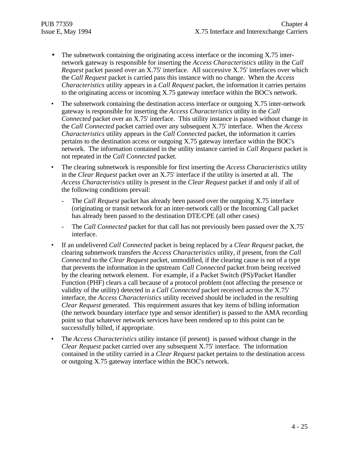- The subnetwork containing the originating access interface or the incoming X.75 internetwork gateway is responsible for inserting the *Access Characteristics* utility in the *Call Request* packet passed over an X.75' interface. All successive X.75' interfaces over which the *Call Request* packet is carried pass this instance with no change. When the *Access Characteristics* utility appears in a *Call Request* packet, the information it carries pertains to the originating access or incoming X.75 gateway interface within the BOC's network.
- The subnetwork containing the destination access interface or outgoing X.75 inter-network gateway is responsible for inserting the *Access Characteristics* utility in the *Call Connected* packet over an X.75' interface. This utility instance is passed without change in the *Call Connected* packet carried over any subsequent X.75' interface. When the *Access Characteristics* utility appears in the *Call Connected* packet, the information it carries pertains to the destination access or outgoing X.75 gateway interface within the BOC's network. The information contained in the utility instance carried in *Call Request* packet is not repeated in the *Call Connected* packet.
- The clearing subnetwork is responsible for first inserting the *Access Characteristics* utility in the *Clear Request* packet over an X.75' interface if the utility is inserted at all. The *Access Characteristics* utility is present in the *Clear Request* packet if and only if all of the following conditions prevail:
	- The *Call Request* packet has already been passed over the outgoing X.75 interface (originating or transit network for an inter-network call) or the Incoming Call packet has already been passed to the destination DTE/CPE (all other cases)
	- The *Call Connected* packet for that call has not previously been passed over the X.75' interface.
- If an undelivered *Call Connected* packet is being replaced by a *Clear Request* packet, the clearing subnetwork transfers the *Access Characteristics* utility, if present, from the *Call Connected* to the *Clear Request* packet, unmodified, if the clearing cause is not of a type that prevents the information in the upstream *Call Connected* packet from being received by the clearing network element. For example, if a Packet Switch (PS)/Packet Handler Function (PHF) clears a call because of a protocol problem (not affecting the presence or validity of the utility) detected in a *Call Connected* packet received across the X.75' interface, the *Access Characteristics* utility received should be included in the resulting *Clear Request* generated. This requirement assures that key items of billing information (the network boundary interface type and sensor identifier) is passed to the AMA recording point so that whatever network services have been rendered up to this point can be successfully billed, if appropriate.
- The *Access Characteristics* utility instance (if present) is passed without change in the *Clear Request* packet carried over any subsequent X.75' interface. The information contained in the utility carried in a *Clear Request* packet pertains to the destination access or outgoing X.75 gateway interface within the BOC's network.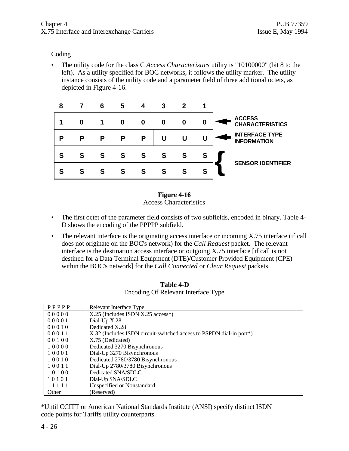### Coding

• The utility code for the class C *Access Characteristics* utility is "10100000" (bit 8 to the left). As a utility specified for BOC networks, it follows the utility marker. The utility instance consists of the utility code and a parameter field of three additional octets, as depicted in Figure 4-16.

| 8 |   | 6 | 5 |   | 3 | 2 | 1 |                                             |
|---|---|---|---|---|---|---|---|---------------------------------------------|
|   | 0 |   | 0 | 0 | 0 | O | 0 | <b>ACCESS</b><br><b>CHARACTERISTICS</b>     |
| Р | Ρ | Р | Ρ | P |   |   | U | <b>INTERFACE TYPE</b><br><b>INFORMATION</b> |
| S | S | S | S | S | S | S | S |                                             |
| S | S | S | S | S | S |   | S | <b>SENSOR IDENTIFIER</b>                    |

**Figure 4-16** Access Characteristics

- The first octet of the parameter field consists of two subfields, encoded in binary. Table 4- D shows the encoding of the PPPPP subfield.
- The relevant interface is the originating access interface or incoming X.75 interface (if call does not originate on the BOC's network) for the *Call Request* packet. The relevant interface is the destination access interface or outgoing X.75 interface [if call is not destined for a Data Terminal Equipment (DTE)/Customer Provided Equipment (CPE) within the BOC's network] for the *Call Connected* or *Clear Request* packets.

| Table 4-D                           |  |
|-------------------------------------|--|
| Encoding Of Relevant Interface Type |  |

| PPPPP | Relevant Interface Type                                             |
|-------|---------------------------------------------------------------------|
| 00000 | $X.25$ (Includes ISDN $X.25$ access <sup>*</sup> )                  |
| 00001 | Dial- $Up X.28$                                                     |
| 00010 | Dedicated X.28                                                      |
| 00011 | X.32 (Includes ISDN circuit-switched access to PSPDN dial-in port*) |
| 00100 | X.75 (Dedicated)                                                    |
| 10000 | Dedicated 3270 Bisynchronous                                        |
| 10001 | Dial-Up 3270 Bisynchronous                                          |
| 10010 | Dedicated 2780/3780 Bisynchronous                                   |
| 10011 | Dial-Up 2780/3780 Bisynchronous                                     |
| 10100 | Dedicated SNA/SDLC                                                  |
| 10101 | Dial-Up SNA/SDLC                                                    |
| 11111 | Unspecified or Nonstandard                                          |
| Other | (Reserved)                                                          |

\*Until CCITT or American National Standards Institute (ANSI) specify distinct ISDN code points for Tariffs utility counterparts.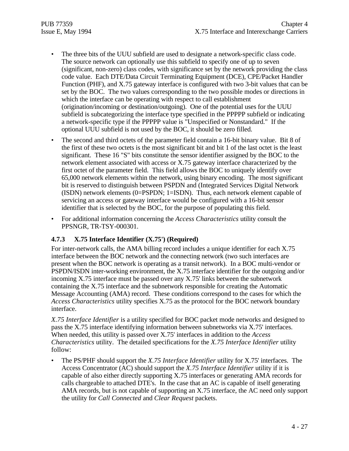- The three bits of the UUU subfield are used to designate a network-specific class code. The source network can optionally use this subfield to specify one of up to seven (significant, non-zero) class codes, with significance set by the network providing the class code value. Each DTE/Data Circuit Terminating Equipment (DCE), CPE/Packet Handler Function (PHF), and X.75 gateway interface is configured with two 3-bit values that can be set by the BOC. The two values corresponding to the two possible modes or directions in which the interface can be operating with respect to call establishment (origination/incoming or destination/outgoing). One of the potential uses for the UUU subfield is subcategorizing the interface type specified in the PPPPP subfield or indicating a network-specific type if the PPPPP value is "Unspecified or Nonstandard." If the optional UUU subfield is not used by the BOC, it should be zero filled.
- The second and third octets of the parameter field contain a 16-bit binary value. Bit 8 of the first of these two octets is the most significant bit and bit 1 of the last octet is the least significant. These 16 "S" bits constitute the sensor identifier assigned by the BOC to the network element associated with access or X.75 gateway interface characterized by the first octet of the parameter field. This field allows the BOC to uniquely identify over 65,000 network elements within the network, using binary encoding. The most significant bit is reserved to distinguish between PSPDN and (Integrated Services Digital Network (ISDN) network elements (0=PSPDN; 1=ISDN). Thus, each network element capable of servicing an access or gateway interface would be configured with a 16-bit sensor identifier that is selected by the BOC, for the purpose of populating this field.
- For additional information concerning the *Access Characteristics* utility consult the PPSNGR, TR-TSY-000301.

# **4.7.3 X.75 Interface Identifier (X.75') (Required)**

For inter-network calls, the AMA billing record includes a unique identifier for each X.75 interface between the BOC network and the connecting network (two such interfaces are present when the BOC network is operating as a transit network). In a BOC multi-vendor or PSPDN/ISDN inter-working environment, the X.75 interface identifier for the outgoing and/or incoming X.75 interface must be passed over any X.75' links between the subnetwork containing the X.75 interface and the subnetwork responsible for creating the Automatic Message Accounting (AMA) record. These conditions correspond to the cases for which the *Access Characteristics* utility specifies X.75 as the protocol for the BOC network boundary interface.

*X.75 Interface Identifier* is a utility specified for BOC packet mode networks and designed to pass the X.75 interface identifying information between subnetworks via X.75' interfaces. When needed, this utility is passed over X.75' interfaces in addition to the *Access Characteristics* utility. The detailed specifications for the *X.75 Interface Identifier* utility follow:

• The PS/PHF should support the *X.75 Interface Identifier* utility for X.75' interfaces. The Access Concentrator (AC) should support the *X.75 Interface Identifier* utility if it is capable of also either directly supporting X.75 interfaces or generating AMA records for calls chargeable to attached DTE's. In the case that an AC is capable of itself generating AMA records, but is not capable of supporting an X.75 interface, the AC need only support the utility for *Call Connected* and *Clear Request* packets.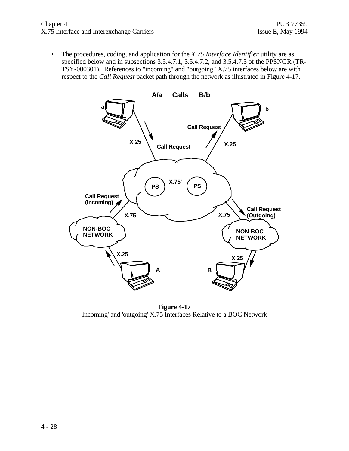#### Chapter 4 PUB 77359 X.75 Interface and Interexchange Carriers Issue E, May 1994

• The procedures, coding, and application for the *X.75 Interface Identifier* utility are as specified below and in subsections 3.5.4.7.1, 3.5.4.7.2, and 3.5.4.7.3 of the PPSNGR (TR-TSY-000301). References to "incoming" and "outgoing" X.75 interfaces below are with respect to the *Call Request* packet path through the network as illustrated in Figure 4-17.



**Figure 4-17** Incoming' and 'outgoing' X.75 Interfaces Relative to a BOC Network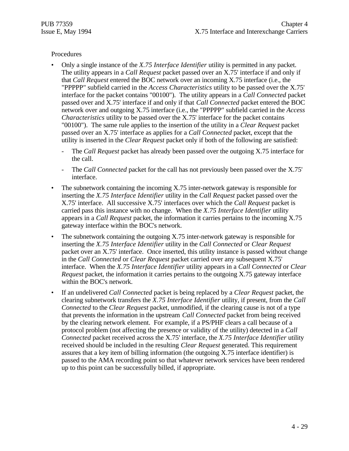### Procedures

- Only a single instance of the *X.75 Interface Identifier* utility is permitted in any packet. The utility appears in a *Call Request* packet passed over an X.75' interface if and only if that *Call Request* entered the BOC network over an incoming X.75 interface (i.e., the "PPPPP" subfield carried in the *Access Characteristics* utility to be passed over the X.75' interface for the packet contains "00100"). The utility appears in a *Call Connected* packet passed over and X.75' interface if and only if that *Call Connected* packet entered the BOC network over and outgoing X.75 interface (i.e., the "PPPPP" subfield carried in the *Access Characteristics* utility to be passed over the X.75' interface for the packet contains "00100"). The same rule applies to the insertion of the utility in a *Clear Request* packet passed over an X.75' interface as applies for a *Call Connected* packet, except that the utility is inserted in the *Clear Request* packet only if both of the following are satisfied:
	- The *Call Request* packet has already been passed over the outgoing X.75 interface for the call.
	- The *Call Connected* packet for the call has not previously been passed over the X.75' interface.
- The subnetwork containing the incoming X.75 inter-network gateway is responsible for inserting the *X.75 Interface Identifier* utility in the *Call Request* packet passed over the X.75' interface. All successive X.75' interfaces over which the *Call Request* packet is carried pass this instance with no change. When the *X.75 Interface Identifier* utility appears in a *Call Request* packet, the information it carries pertains to the incoming X.75 gateway interface within the BOC's network.
- The subnetwork containing the outgoing X.75 inter-network gateway is responsible for inserting the *X.75 Interface Identifier* utility in the *Call Connected* or *Clear Request* packet over an X.75' interface. Once inserted, this utility instance is passed without change in the *Call Connected* or *Clear Request* packet carried over any subsequent X.75' interface. When the *X.75 Interface Identifier* utility appears in a *Call Connected* or *Clear Request* packet, the information it carries pertains to the outgoing X.75 gateway interface within the BOC's network.
- If an undelivered *Call Connected* packet is being replaced by a *Clear Request* packet, the clearing subnetwork transfers the *X.75 Interface Identifier* utility, if present, from the *Call Connected* to the *Clear Request* packet, unmodified, if the clearing cause is not of a type that prevents the information in the upstream *Call Connected* packet from being received by the clearing network element. For example, if a PS/PHF clears a call because of a protocol problem (not affecting the presence or validity of the utility) detected in a *Call Connected* packet received across the X.75' interface, the *X.75 Interface Identifier* utility received should be included in the resulting *Clear Request* generated. This requirement assures that a key item of billing information (the outgoing X.75 interface identifier) is passed to the AMA recording point so that whatever network services have been rendered up to this point can be successfully billed, if appropriate.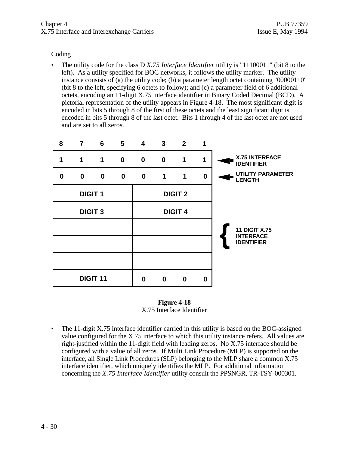#### Coding

• The utility code for the class D *X.75 Interface Identifier* utility is "11100011" (bit 8 to the left). As a utility specified for BOC networks, it follows the utility marker. The utility instance consists of (a) the utility code; (b) a parameter length octet containing "00000110" (bit 8 to the left, specifying 6 octets to follow); and (c) a parameter field of 6 additional octets, encoding an 11-digit X.75 interface identifier in Binary Coded Decimal (BCD). A pictorial representation of the utility appears in Figure 4-18. The most significant digit is encoded in bits 5 through 8 of the first of these octets and the least significant digit is encoded in bits 5 through 8 of the last octet. Bits 1 through 4 of the last octet are not used and are set to all zeros.



# **Figure 4-18**

X.75 Interface Identifier

• The 11-digit X.75 interface identifier carried in this utility is based on the BOC-assigned value configured for the X.75 interface to which this utility instance refers. All values are right-justified within the 11-digit field with leading zeros. No X.75 interface should be configured with a value of all zeros. If Multi Link Procedure (MLP) is supported on the interface, all Single Link Procedures (SLP) belonging to the MLP share a common X.75 interface identifier, which uniquely identifies the MLP. For additional information concerning the *X.75 Interface Identifier* utility consult the PPSNGR, TR-TSY-000301.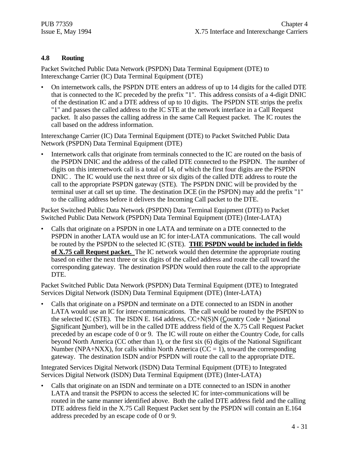# **4.8 Routing**

Packet Switched Public Data Network (PSPDN) Data Terminal Equipment (DTE) to Interexchange Carrier (IC) Data Terminal Equipment (DTE)

• On internetwork calls, the PSPDN DTE enters an address of up to 14 digits for the called DTE that is connected to the IC preceded by the prefix "1". This address consists of a 4-digit DNIC of the destination IC and a DTE address of up to 10 digits. The PSPDN STE strips the prefix "1" and passes the called address to the IC STE at the network interface in a Call Request packet. It also passes the calling address in the same Call Request packet. The IC routes the call based on the address information.

Interexchange Carrier (IC) Data Terminal Equipment (DTE) to Packet Switched Public Data Network (PSPDN) Data Terminal Equipment (DTE)

• Internetwork calls that originate from terminals connected to the IC are routed on the basis of the PSPDN DNIC and the address of the called DTE connected to the PSPDN. The number of digits on this internetwork call is a total of 14, of which the first four digits are the PSPDN DNIC . The IC would use the next three or six digits of the called DTE address to route the call to the appropriate PSPDN gateway (STE). The PSPDN DNIC will be provided by the terminal user at call set up time. The destination DCE (in the PSPDN) may add the prefix "1" to the calling address before it delivers the Incoming Call packet to the DTE.

Packet Switched Public Data Network (PSPDN) Data Terminal Equipment (DTE) to Packet Switched Public Data Network (PSPDN) Data Terminal Equipment (DTE) (Inter-LATA)

• Calls that originate on a PSPDN in one LATA and terminate on a DTE connected to the PSPDN in another LATA would use an IC for inter-LATA communications. The call would be routed by the PSPDN to the selected IC (STE). **THE PSPDN would be included in fields of X.75 call Request packet.** The IC network would then determine the appropriate routing based on either the next three or six digits of the called address and route the call toward the corresponding gateway. The destination PSPDN would then route the call to the appropriate DTE.

Packet Switched Public Data Network (PSPDN) Data Terminal Equipment (DTE) to Integrated Services Digital Network (ISDN) Data Terminal Equipment (DTE) (Inter-LATA)

• Calls that originate on a PSPDN and terminate on a DTE connected to an ISDN in another LATA would use an IC for inter-communications. The call would be routed by the PSPDN to the selected IC (STE). The ISDN E. 164 address,  $CC+N(S)N$  (Country Code + National Significant Number), will be in the called DTE address field of the X.75 Call Request Packet preceded by an escape code of 0 or 9. The IC will route on either the Country Code, for calls beyond North America (CC other than 1), or the first six (6) digits of the National Significant Number (NPA+NXX), for calls within North America ( $CC = 1$ ), toward the corresponding gateway. The destination ISDN and/or PSPDN will route the call to the appropriate DTE.

Integrated Services Digital Network (ISDN) Data Terminal Equipment (DTE) to Integrated Services Digital Network (ISDN) Data Terminal Equipment (DTE) (Inter-LATA)

• Calls that originate on an ISDN and terminate on a DTE connected to an ISDN in another LATA and transit the PSPDN to access the selected IC for inter-communications will be routed in the same manner identified above. Both the called DTE address field and the calling DTE address field in the X.75 Call Request Packet sent by the PSPDN will contain an E.164 address preceded by an escape code of 0 or 9.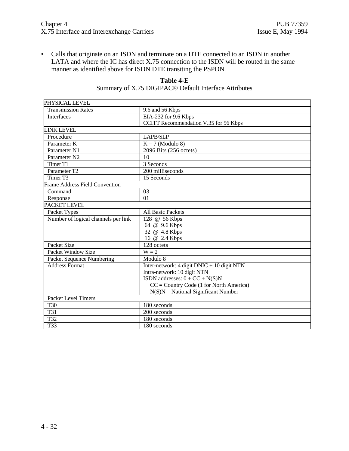• Calls that originate on an ISDN and terminate on a DTE connected to an ISDN in another LATA and where the IC has direct X.75 connection to the ISDN will be routed in the same manner as identified above for ISDN DTE transiting the PSPDN.

| <b>Table 4-E</b>                                                  |
|-------------------------------------------------------------------|
| Summary of X.75 DIGIPAC <sup>®</sup> Default Interface Attributes |

| PHYSICAL LEVEL                        |                                              |
|---------------------------------------|----------------------------------------------|
| <b>Transmission Rates</b>             | 9.6 and 56 Kbps                              |
| <b>Interfaces</b>                     | EIA-232 for 9.6 Kbps                         |
|                                       | CCITT Recommendation V.35 for 56 Kbps        |
| LINK LEVEL                            |                                              |
| Procedure                             | LAPB/SLP                                     |
| Parameter K                           | $K = 7$ (Modulo 8)                           |
| Parameter N1                          | 2096 Bits (256 octets)                       |
| Parameter N2                          | 10                                           |
| Timer T1                              | 3 Seconds                                    |
| Parameter T2                          | 200 milliseconds                             |
| Timer T <sub>3</sub>                  | 15 Seconds                                   |
| <b>Frame Address Field Convention</b> |                                              |
| Command                               | 03                                           |
| Response                              | 01                                           |
| <b>PACKET LEVEL</b>                   |                                              |
| Packet Types                          | <b>All Basic Packets</b>                     |
| Number of logical channels per link   | 128 @ 56 Kbps                                |
|                                       | 64 @ 9.6 Kbps                                |
|                                       | 32 @ 4.8 Kbps                                |
|                                       | 16 @ 2.4 Kbps                                |
| Packet Size                           | 128 octets                                   |
| <b>Packet Window Size</b>             | $\overline{W} = 2$                           |
| Packet Sequence Numbering             | Modulo 8                                     |
| <b>Address Format</b>                 | Inter-network: $4$ digit DNIC + 10 digit NTN |
|                                       | Intra-network: 10 digit NTN                  |
|                                       | ISDN addresses: $0 + CC + N(S)N$             |
|                                       | $CC = Country Code (1 for North America)$    |
|                                       | $N(S)N = National Significant Number$        |
| Packet Level Timers                   |                                              |
| T <sub>30</sub>                       | 180 seconds                                  |
| T31                                   | 200 seconds                                  |
| $\overline{T32}$                      | 180 seconds                                  |
| $\overline{T33}$                      | 180 seconds                                  |

#### 4 - 32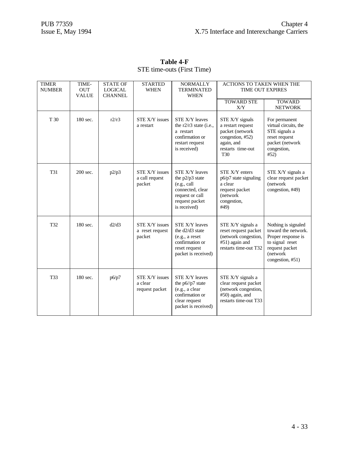| <b>TIMER</b><br><b>NUMBER</b> | TIME-<br><b>OUT</b><br><b>VALUE</b> | <b>STATE OF</b><br><b>LOGICAL</b><br><b>CHANNEL</b> | <b>STARTED</b><br><b>WHEN</b>               | <b>NORMALLY</b><br><b>TERMINATED</b><br><b>WHEN</b>                                                                               | ACTIONS TO TAKEN WHEN THE<br>TIME OUT EXPIRES                                                                                     |                                                                                                                                       |
|-------------------------------|-------------------------------------|-----------------------------------------------------|---------------------------------------------|-----------------------------------------------------------------------------------------------------------------------------------|-----------------------------------------------------------------------------------------------------------------------------------|---------------------------------------------------------------------------------------------------------------------------------------|
|                               |                                     |                                                     |                                             |                                                                                                                                   | <b>TOWARD STE</b><br>X/Y                                                                                                          | <b>TOWARD</b><br><b>NETWORK</b>                                                                                                       |
| T 30                          | 180 sec.                            | r2/r3                                               | STE X/Y issues<br>a restart                 | <b>STE X/Y leaves</b><br>the r2/r3 state (i.e.,<br>a restart<br>confirmation or<br>restart request<br>is received)                | STE X/Y signals<br>a restart request<br>packet (network<br>congestion, #52)<br>again, and<br>restarts time-out<br>T <sub>30</sub> | For permanent<br>virtual circuits, the<br>STE signals a<br>reset request<br>packet (network<br>congestion,<br>#52)                    |
| T31                           | 200 sec.                            | p2/p3                                               | STE X/Y issues<br>a call request<br>packet  | <b>STE X/Y leaves</b><br>the p2/p3 state<br>(e.g., call)<br>connected, clear<br>request or call<br>request packet<br>is received) | STE X/Y enters<br>p6/p7 state signaling<br>a clear<br>request packet<br>(network<br>congestion,<br>#49)                           | STE X/Y signals a<br>clear request packet<br>(network<br>congestion, #49)                                                             |
| T32                           | 180 sec.                            | d2/d3                                               | STE X/Y issues<br>a reset request<br>packet | <b>STE X/Y leaves</b><br>the d2/d3 state<br>(e.g., a reset)<br>confirmation or<br>reset request<br>packet is received)            | STE X/Y signals a<br>reset request packet<br>(network congestion,<br>#51) again and<br>restarts time-out T32                      | Nothing is signaled<br>toward the network.<br>Proper response is<br>to signal reset<br>request packet<br>(network<br>congestion, #51) |
| T33                           | 180 sec.                            | p6/p7                                               | STE X/Y issues<br>a clear<br>request packet | STE X/Y leaves<br>the $p6//p7$ state<br>(e.g., a clear<br>confirmation or<br>clear request<br>packet is received)                 | STE X/Y signals a<br>clear request packet<br>(network congestion,<br>#50) again, and<br>restarts time-out T33                     |                                                                                                                                       |

**Table 4-F** STE time-outs (First Time)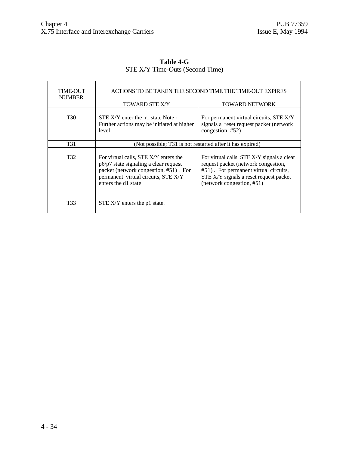| <b>TIME-OUT</b><br><b>NUMBER</b> | ACTIONS TO BE TAKEN THE SECOND TIME THE TIME-OUT EXPIRES<br><b>TOWARD NETWORK</b><br><b>TOWARD STE X/Y</b>                                                                              |                                                                                                                                                                                                   |  |  |
|----------------------------------|-----------------------------------------------------------------------------------------------------------------------------------------------------------------------------------------|---------------------------------------------------------------------------------------------------------------------------------------------------------------------------------------------------|--|--|
|                                  |                                                                                                                                                                                         |                                                                                                                                                                                                   |  |  |
| T30                              | STE X/Y enter the r1 state Note -<br>Further actions may be initiated at higher<br>level                                                                                                | For permanent virtual circuits, STE X/Y<br>signals a reset request packet (network<br>congestion, #52)                                                                                            |  |  |
| T31                              | (Not possible; T31 is not restarted after it has expired)                                                                                                                               |                                                                                                                                                                                                   |  |  |
| T32                              | For virtual calls, STE X/Y enters the<br>$p6/p7$ state signaling a clear request<br>packet (network congestion, #51). For<br>permanent virtual circuits, STE X/Y<br>enters the d1 state | For virtual calls, STE X/Y signals a clear<br>request packet (network congestion,<br>#51). For permanent virtual circuits,<br>STE X/Y signals a reset request packet<br>(network congestion, #51) |  |  |
| T33                              | STE X/Y enters the p1 state.                                                                                                                                                            |                                                                                                                                                                                                   |  |  |

# **Table 4-G** STE X/Y Time-Outs (Second Time)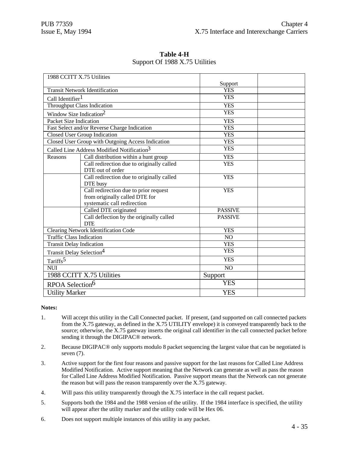| 1988 CCITT X.75 Utilities            |                                                        |                       |  |
|--------------------------------------|--------------------------------------------------------|-----------------------|--|
|                                      |                                                        | Support<br><b>YES</b> |  |
|                                      | <b>Transit Network Identification</b>                  | <b>YES</b>            |  |
| Call Identifier <sup>1</sup>         |                                                        |                       |  |
|                                      | Throughput Class Indication                            | <b>YES</b>            |  |
| Window Size Indication <sup>2</sup>  |                                                        | <b>YES</b>            |  |
| <b>Packet Size Indication</b>        |                                                        | <b>YES</b>            |  |
|                                      | Fast Select and/or Reverse Charge Indication           | <b>YES</b>            |  |
|                                      | <b>Closed User Group Indication</b>                    | <b>YES</b>            |  |
|                                      | Closed User Group with Outgoing Access Indication      | <b>YES</b>            |  |
|                                      | Called Line Address Modified Notification <sup>3</sup> | <b>YES</b>            |  |
| Reasons                              | Call distribution within a hunt group                  | <b>YES</b>            |  |
|                                      | Call redirection due to originally called              | <b>YES</b>            |  |
|                                      | DTE out of order                                       |                       |  |
|                                      | Call redirection due to originally called              | <b>YES</b>            |  |
|                                      | DTE busy                                               |                       |  |
|                                      | Call redirection due to prior request                  | <b>YES</b>            |  |
|                                      | from originally called DTE for                         |                       |  |
|                                      | systematic call redirection                            |                       |  |
|                                      | Called DTE originated                                  | <b>PASSIVE</b>        |  |
|                                      | Call deflection by the originally called               | <b>PASSIVE</b>        |  |
|                                      | <b>DTE</b>                                             |                       |  |
|                                      | <b>Clearing Network Identification Code</b>            | <b>YES</b>            |  |
| <b>Traffic Class Indication</b>      |                                                        | NO                    |  |
| <b>Transit Delay Indication</b>      |                                                        | <b>YES</b>            |  |
| Transit Delay Selection <sup>4</sup> |                                                        | <b>YES</b>            |  |
| Tariffs <sup>5</sup>                 |                                                        | <b>YES</b>            |  |
| <b>NUI</b>                           |                                                        | N <sub>O</sub>        |  |
| 1988 CCITT X.75 Utilities            |                                                        | Support               |  |
| RPOA Selection <sup>6</sup>          |                                                        | <b>YES</b>            |  |
| <b>Utility Marker</b>                |                                                        | <b>YES</b>            |  |

**Table 4-H** Support Of 1988 X.75 Utilities

#### **Notes:**

- 1. Will accept this utility in the Call Connected packet. If present, (and supported on call connected packets from the X.75 gateway, as defined in the X.75 UTILITY envelope) it is conveyed transparently back to the source; otherwise, the X.75 gateway inserts the original call identifier in the call connected packet before sending it through the DIGIPAC® network.
- 2. Because DIGIPAC® only supports modulo 8 packet sequencing the largest value that can be negotiated is seven (7).
- 3. Active support for the first four reasons and passive support for the last reasons for Called Line Address Modified Notification. Active support meaning that the Network can generate as well as pass the reason for Called Line Address Modified Notification. Passive support means that the Network can not generate the reason but will pass the reason transparently over the X.75 gateway.
- 4. Will pass this utility transparently through the X.75 interface in the call request packet.
- 5. Supports both the 1984 and the 1988 version of the utility. If the 1984 interface is specified, the utility will appear after the utility marker and the utility code will be Hex 06.
- 6. Does not support multiple instances of this utility in any packet.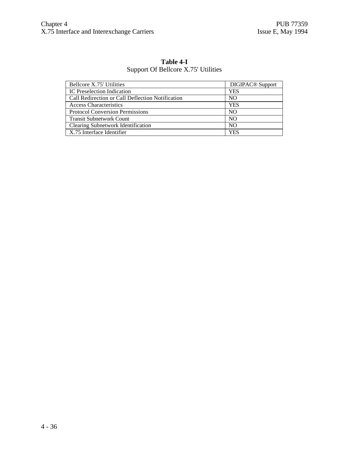| <b>Table 4-I</b>                    |  |
|-------------------------------------|--|
| Support Of Bellcore X.75' Utilities |  |

| Bellcore X.75' Utilities                         | <b>DIGIPAC<sup>®</sup></b> Support |
|--------------------------------------------------|------------------------------------|
| IC Preselection Indication                       | YES                                |
| Call Redirection or Call Deflection Notification | N <sub>O</sub>                     |
| <b>Access Characteristics</b>                    | <b>YES</b>                         |
| <b>Protocol Conversion Permissions</b>           | NO.                                |
| <b>Transit Subnetwork Count</b>                  | N <sub>O</sub>                     |
| Clearing Subnetwork Identification               | NO                                 |
| X.75 Interface Identifier                        | YES                                |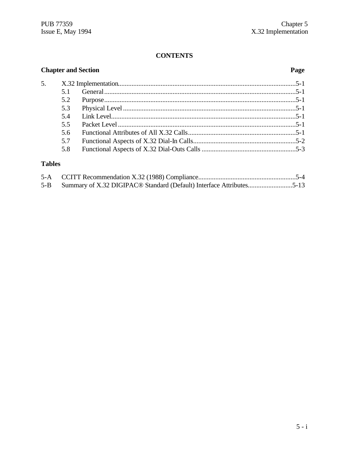# **CONTENTS**

# **Chapter and Section**

# Page

| 5. |     |  |
|----|-----|--|
|    |     |  |
|    | 5.2 |  |
|    | 5.3 |  |
|    | 5.4 |  |
|    | 55  |  |
|    | 5.6 |  |
|    | 57  |  |
|    | 5.8 |  |

# **Tables**

| 5-B Summary of X.32 DIGIPAC <sup>®</sup> Standard (Default) Interface Attributes5-13 |  |
|--------------------------------------------------------------------------------------|--|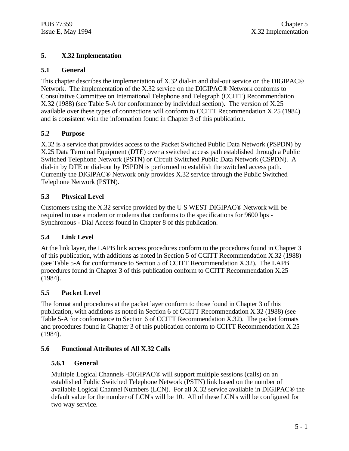# **5. X.32 Implementation**

#### **5.1 General**

This chapter describes the implementation of X.32 dial-in and dial-out service on the DIGIPAC® Network. The implementation of the X.32 service on the DIGIPAC® Network conforms to Consultative Committee on International Telephone and Telegraph (CCITT) Recommendation X.32 (1988) (see Table 5-A for conformance by individual section). The version of X.25 available over these types of connections will conform to CCITT Recommendation X.25 (1984) and is consistent with the information found in Chapter 3 of this publication.

### **5.2 Purpose**

X.32 is a service that provides access to the Packet Switched Public Data Network (PSPDN) by X.25 Data Terminal Equipment (DTE) over a switched access path established through a Public Switched Telephone Network (PSTN) or Circuit Switched Public Data Network (CSPDN). A dial-in by DTE or dial-out by PSPDN is performed to establish the switched access path. Currently the DIGIPAC® Network only provides X.32 service through the Public Switched Telephone Network (PSTN).

### **5.3 Physical Level**

Customers using the X.32 service provided by the U S WEST DIGIPAC® Network will be required to use a modem or modems that conforms to the specifications for 9600 bps - Synchronous - Dial Access found in Chapter 8 of this publication.

#### **5.4 Link Level**

At the link layer, the LAPB link access procedures conform to the procedures found in Chapter 3 of this publication, with additions as noted in Section 5 of CCITT Recommendation X.32 (1988) (see Table 5-A for conformance to Section 5 of CCITT Recommendation X.32). The LAPB procedures found in Chapter 3 of this publication conform to CCITT Recommendation X.25 (1984).

#### **5.5 Packet Level**

The format and procedures at the packet layer conform to those found in Chapter 3 of this publication, with additions as noted in Section 6 of CCITT Recommendation X.32 (1988) (see Table 5-A for conformance to Section 6 of CCITT Recommendation X.32). The packet formats and procedures found in Chapter 3 of this publication conform to CCITT Recommendation X.25 (1984).

#### **5.6 Functional Attributes of All X.32 Calls**

#### **5.6.1 General**

Multiple Logical Channels -DIGIPAC® will support multiple sessions (calls) on an established Public Switched Telephone Network (PSTN) link based on the number of available Logical Channel Numbers (LCN). For all X.32 service available in DIGIPAC® the default value for the number of LCN's will be 10. All of these LCN's will be configured for two way service.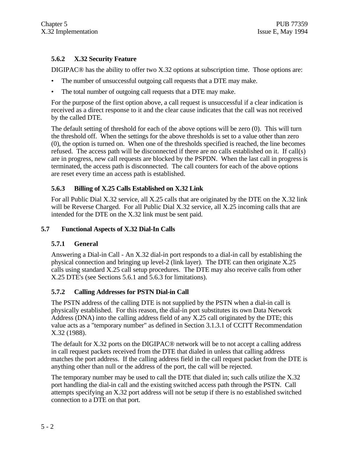# **5.6.2 X.32 Security Feature**

DIGIPAC<sup>®</sup> has the ability to offer two X.32 options at subscription time. Those options are:

- The number of unsuccessful outgoing call requests that a DTE may make.
- The total number of outgoing call requests that a DTE may make.

For the purpose of the first option above, a call request is unsuccessful if a clear indication is received as a direct response to it and the clear cause indicates that the call was not received by the called DTE.

The default setting of threshold for each of the above options will be zero (0). This will turn the threshold off. When the settings for the above thresholds is set to a value other than zero (0), the option is turned on. When one of the thresholds specified is reached, the line becomes refused. The access path will be disconnected if there are no calls established on it. If call(s) are in progress, new call requests are blocked by the PSPDN. When the last call in progress is terminated, the access path is disconnected. The call counters for each of the above options are reset every time an access path is established.

# **5.6.3 Billing of X.25 Calls Established on X.32 Link**

For all Public Dial X.32 service, all X.25 calls that are originated by the DTE on the X.32 link will be Reverse Charged. For all Public Dial X.32 service, all X.25 incoming calls that are intended for the DTE on the X.32 link must be sent paid.

# **5.7 Functional Aspects of X.32 Dial-In Calls**

# **5.7.1 General**

Answering a Dial-in Call - An X.32 dial-in port responds to a dial-in call by establishing the physical connection and bringing up level-2 (link layer). The DTE can then originate X.25 calls using standard X.25 call setup procedures. The DTE may also receive calls from other X.25 DTE's (see Sections 5.6.1 and 5.6.3 for limitations).

# **5.7.2 Calling Addresses for PSTN Dial-in Call**

The PSTN address of the calling DTE is not supplied by the PSTN when a dial-in call is physically established. For this reason, the dial-in port substitutes its own Data Network Address (DNA) into the calling address field of any X.25 call originated by the DTE; this value acts as a "temporary number" as defined in Section 3.1.3.1 of CCITT Recommendation X.32 (1988).

The default for X.32 ports on the DIGIPAC® network will be to not accept a calling address in call request packets received from the DTE that dialed in unless that calling address matches the port address. If the calling address field in the call request packet from the DTE is anything other than null or the address of the port, the call will be rejected.

The temporary number may be used to call the DTE that dialed in; such calls utilize the X.32 port handling the dial-in call and the existing switched access path through the PSTN. Call attempts specifying an X.32 port address will not be setup if there is no established switched connection to a DTE on that port.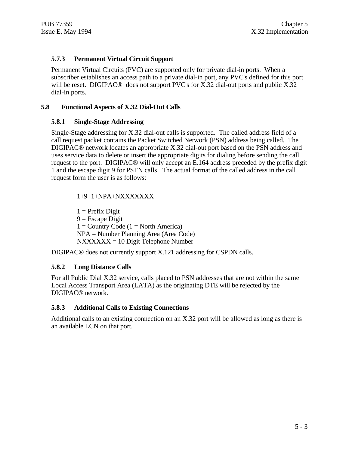## **5.7.3 Permanent Virtual Circuit Support**

Permanent Virtual Circuits (PVC) are supported only for private dial-in ports. When a subscriber establishes an access path to a private dial-in port, any PVC's defined for this port will be reset. DIGIPAC<sup>®</sup> does not support PVC's for X.32 dial-out ports and public X.32 dial-in ports.

#### **5.8 Functional Aspects of X.32 Dial-Out Calls**

#### **5.8.1 Single-Stage Addressing**

Single-Stage addressing for X.32 dial-out calls is supported. The called address field of a call request packet contains the Packet Switched Network (PSN) address being called. The DIGIPAC® network locates an appropriate X.32 dial-out port based on the PSN address and uses service data to delete or insert the appropriate digits for dialing before sending the call request to the port. DIGIPAC® will only accept an E.164 address preceded by the prefix digit 1 and the escape digit 9 for PSTN calls. The actual format of the called address in the call request form the user is as follows:

1+9+1+NPA+NXXXXXXX

 $1$  = Prefix Digit  $9$  = Escape Digit  $1 =$  Country Code (1 = North America) NPA = Number Planning Area (Area Code)  $NXXXXX = 10$  Digit Telephone Number

DIGIPAC® does not currently support X.121 addressing for CSPDN calls.

#### **5.8.2 Long Distance Calls**

For all Public Dial X.32 service, calls placed to PSN addresses that are not within the same Local Access Transport Area (LATA) as the originating DTE will be rejected by the DIGIPAC® network.

#### **5.8.3 Additional Calls to Existing Connections**

Additional calls to an existing connection on an X.32 port will be allowed as long as there is an available LCN on that port.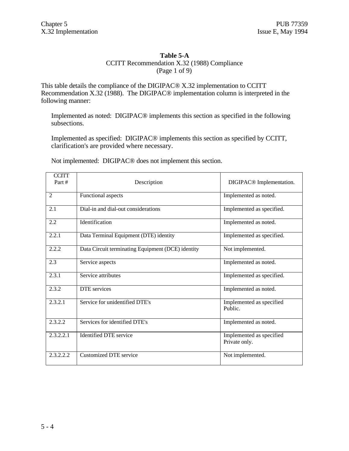#### **Table 5-A**

### CCITT Recommendation X.32 (1988) Compliance (Page 1 of 9)

This table details the compliance of the DIGIPAC® X.32 implementation to CCITT Recommendation X.32 (1988). The DIGIPAC® implementation column is interpreted in the following manner:

Implemented as noted: DIGIPAC® implements this section as specified in the following subsections.

Implemented as specified: DIGIPAC® implements this section as specified by CCITT, clarification's are provided where necessary.

Not implemented: DIGIPAC® does not implement this section.

| <b>CCITT</b><br>Part # | Description                                       | DIGIPAC <sup>®</sup> Implementation.      |
|------------------------|---------------------------------------------------|-------------------------------------------|
| 2                      | Functional aspects                                | Implemented as noted.                     |
| 2.1                    | Dial-in and dial-out considerations               | Implemented as specified.                 |
| 2.2                    | Identification                                    | Implemented as noted.                     |
| 2.2.1                  | Data Terminal Equipment (DTE) identity            | Implemented as specified.                 |
| 2.2.2                  | Data Circuit terminating Equipment (DCE) identity | Not implemented.                          |
| 2.3                    | Service aspects                                   | Implemented as noted.                     |
| 2.3.1                  | Service attributes                                | Implemented as specified.                 |
| 2.3.2                  | DTE services                                      | Implemented as noted.                     |
| 2.3.2.1                | Service for unidentified DTE's                    | Implemented as specified<br>Public.       |
| 2.3.2.2                | Services for identified DTE's                     | Implemented as noted.                     |
| 2.3.2.2.1              | <b>Identified DTE</b> service                     | Implemented as specified<br>Private only. |
| 2.3.2.2.2              | Customized DTE service                            | Not implemented.                          |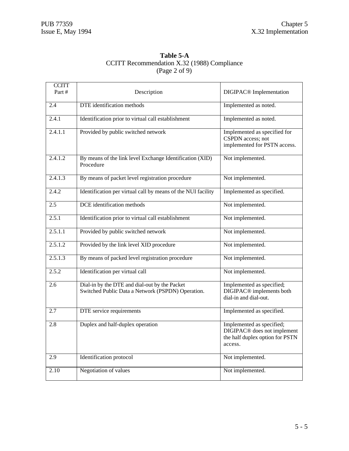# **Table 5-A** CCITT Recommendation X.32 (1988) Compliance (Page 2 of 9)

| <b>CCITT</b><br>Part # | Description                                                                                        | DIGIPAC <sup>®</sup> Implementation                                                                                |
|------------------------|----------------------------------------------------------------------------------------------------|--------------------------------------------------------------------------------------------------------------------|
| 2.4                    | <b>DTE</b> identification methods                                                                  | Implemented as noted.                                                                                              |
| 2.4.1                  | Identification prior to virtual call establishment                                                 | Implemented as noted.                                                                                              |
| 2.4.1.1                | Provided by public switched network                                                                | Implemented as specified for<br>CSPDN access; not<br>implemented for PSTN access.                                  |
| 2.4.1.2                | By means of the link level Exchange Identification (XID)<br>Procedure                              | Not implemented.                                                                                                   |
| 2.4.1.3                | By means of packet level registration procedure                                                    | Not implemented.                                                                                                   |
| 2.4.2                  | Identification per virtual call by means of the NUI facility                                       | Implemented as specified.                                                                                          |
| 2.5                    | DCE identification methods                                                                         | Not implemented.                                                                                                   |
| 2.5.1                  | Identification prior to virtual call establishment                                                 | Not implemented.                                                                                                   |
| 2.5.1.1                | Provided by public switched network                                                                | Not implemented.                                                                                                   |
| 2.5.1.2                | Provided by the link level XID procedure                                                           | Not implemented.                                                                                                   |
| 2.5.1.3                | By means of packed level registration procedure                                                    | Not implemented.                                                                                                   |
| 2.5.2                  | Identification per virtual call                                                                    | Not implemented.                                                                                                   |
| $\overline{2.6}$       | Dial-in by the DTE and dial-out by the Packet<br>Switched Public Data a Network (PSPDN) Operation. | Implemented as specified;<br>DIGIPAC <sup>®</sup> implements both<br>dial-in and dial-out.                         |
| $\overline{2.7}$       | DTE service requirements                                                                           | Implemented as specified.                                                                                          |
| 2.8                    | Duplex and half-duplex operation                                                                   | Implemented as specified;<br>DIGIPAC <sup>®</sup> does not implement<br>the half duplex option for PSTN<br>access. |
| 2.9                    | Identification protocol                                                                            | Not implemented.                                                                                                   |
| 2.10                   | Negotiation of values                                                                              | Not implemented.                                                                                                   |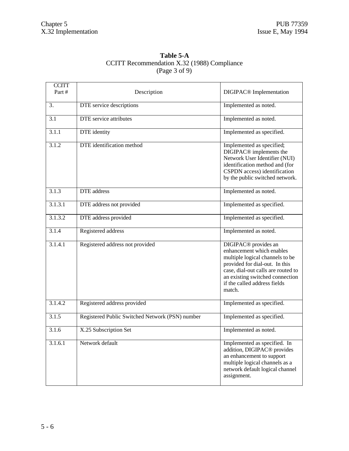# **Table 5-A** CCITT Recommendation X.32 (1988) Compliance (Page 3 of 9)

| <b>CCITT</b><br>Part # | Description                                     | DIGIPAC <sup>®</sup> Implementation                                                                                                                                                                                                                   |
|------------------------|-------------------------------------------------|-------------------------------------------------------------------------------------------------------------------------------------------------------------------------------------------------------------------------------------------------------|
| 3.                     | DTE service descriptions                        | Implemented as noted.                                                                                                                                                                                                                                 |
| 3.1                    | DTE service attributes                          | Implemented as noted.                                                                                                                                                                                                                                 |
| 3.1.1                  | DTE identity                                    | Implemented as specified.                                                                                                                                                                                                                             |
| 3.1.2                  | <b>DTE</b> identification method                | Implemented as specified;<br>DIGIPAC <sup>®</sup> implements the<br>Network User Identifier (NUI)<br>identification method and (for<br>CSPDN access) identification<br>by the public switched network.                                                |
| 3.1.3                  | DTE address                                     | Implemented as noted.                                                                                                                                                                                                                                 |
| 3.1.3.1                | DTE address not provided                        | Implemented as specified.                                                                                                                                                                                                                             |
| 3.1.3.2                | DTE address provided                            | Implemented as specified.                                                                                                                                                                                                                             |
| 3.1.4                  | Registered address                              | Implemented as noted.                                                                                                                                                                                                                                 |
| 3.1.4.1                | Registered address not provided                 | DIGIPAC <sup>®</sup> provides an<br>enhancement which enables<br>multiple logical channels to be<br>provided for dial-out. In this<br>case, dial-out calls are routed to<br>an existing switched connection<br>if the called address fields<br>match. |
| 3.1.4.2                | Registered address provided                     | Implemented as specified.                                                                                                                                                                                                                             |
| 3.1.5                  | Registered Public Switched Network (PSN) number | Implemented as specified.                                                                                                                                                                                                                             |
| 3.1.6                  | X.25 Subscription Set                           | Implemented as noted.                                                                                                                                                                                                                                 |
| 3.1.6.1                | Network default                                 | Implemented as specified. In<br>addition, DIGIPAC <sup>®</sup> provides<br>an enhancement to support<br>multiple logical channels as a<br>network default logical channel<br>assignment.                                                              |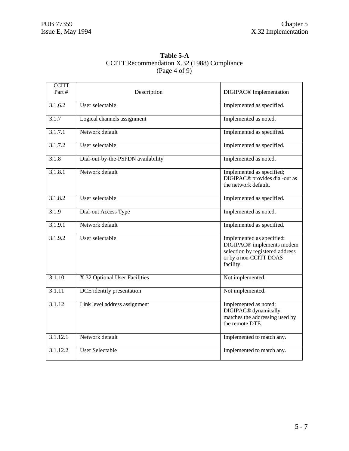# **Table 5-A** CCITT Recommendation X.32 (1988) Compliance (Page 4 of 9)

| <b>CCITT</b><br>Part # | Description                        | DIGIPAC <sup>®</sup> Implementation                                                                                                          |
|------------------------|------------------------------------|----------------------------------------------------------------------------------------------------------------------------------------------|
| 3.1.6.2                | User selectable                    | Implemented as specified.                                                                                                                    |
| 3.1.7                  | Logical channels assignment        | Implemented as noted.                                                                                                                        |
| 3.1.7.1                | Network default                    | Implemented as specified.                                                                                                                    |
| 3.1.7.2                | User selectable                    | Implemented as specified.                                                                                                                    |
| 3.1.8                  | Dial-out-by-the-PSPDN availability | Implemented as noted.                                                                                                                        |
| 3.1.8.1                | Network default                    | Implemented as specified;<br>DIGIPAC <sup>®</sup> provides dial-out as<br>the network default.                                               |
| 3.1.8.2                | User selectable                    | Implemented as specified.                                                                                                                    |
| 3.1.9                  | Dial-out Access Type               | Implemented as noted.                                                                                                                        |
| 3.1.9.1                | Network default                    | Implemented as specified.                                                                                                                    |
| 3.1.9.2                | User selectable                    | Implemented as specified:<br>DIGIPAC <sup>®</sup> implements modem<br>selection by registered address<br>or by a non-CCITT DOAS<br>facility. |
| 3.1.10                 | X.32 Optional User Facilities      | Not implemented.                                                                                                                             |
| 3.1.11                 | DCE identify presentation          | Not implemented.                                                                                                                             |
| 3.1.12                 | Link level address assignment      | Implemented as noted;<br>DIGIPAC <sup>®</sup> dynamically<br>matches the addressing used by<br>the remote DTE.                               |
| 3.1.12.1               | Network default                    | Implemented to match any.                                                                                                                    |
| 3.1.12.2               | <b>User Selectable</b>             | Implemented to match any.                                                                                                                    |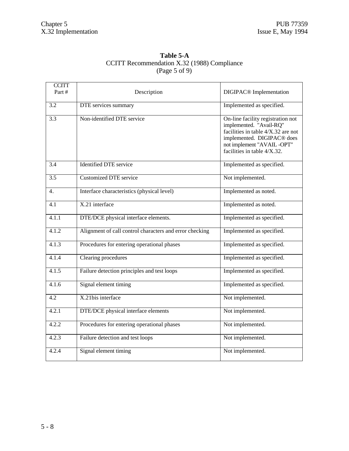| Table 5-A                                   |
|---------------------------------------------|
| CCITT Recommendation X.32 (1988) Compliance |
| (Page 5 of 9)                               |

| <b>CCITT</b><br>Part# | Description                                             | DIGIPAC <sup>®</sup> Implementation                                                                                                                                                             |
|-----------------------|---------------------------------------------------------|-------------------------------------------------------------------------------------------------------------------------------------------------------------------------------------------------|
| $\overline{3.2}$      | DTE services summary                                    | Implemented as specified.                                                                                                                                                                       |
| 3.3                   | Non-identified DTE service                              | On-line facility registration not<br>implemented. "Avail-RQ"<br>facilities in table $4/X$ .32 are not<br>implemented. DIGIPAC® does<br>not implement "AVAIL-OPT"<br>facilities in table 4/X.32. |
| 3.4                   | <b>Identified DTE</b> service                           | Implemented as specified.                                                                                                                                                                       |
| 3.5                   | <b>Customized DTE service</b>                           | Not implemented.                                                                                                                                                                                |
| $\mathbf{4}$ .        | Interface characteristics (physical level)              | Implemented as noted.                                                                                                                                                                           |
| 4.1                   | X.21 interface                                          | Implemented as noted.                                                                                                                                                                           |
| 4.1.1                 | DTE/DCE physical interface elements.                    | Implemented as specified.                                                                                                                                                                       |
| 4.1.2                 | Alignment of call control characters and error checking | Implemented as specified.                                                                                                                                                                       |
| 4.1.3                 | Procedures for entering operational phases              | Implemented as specified.                                                                                                                                                                       |
| 4.1.4                 | Clearing procedures                                     | Implemented as specified.                                                                                                                                                                       |
| 4.1.5                 | Failure detection principles and test loops             | Implemented as specified.                                                                                                                                                                       |
| 4.1.6                 | Signal element timing                                   | Implemented as specified.                                                                                                                                                                       |
| 4.2                   | X.21bis interface                                       | Not implemented.                                                                                                                                                                                |
| 4.2.1                 | DTE/DCE physical interface elements                     | Not implemented.                                                                                                                                                                                |
| 4.2.2                 | Procedures for entering operational phases              | Not implemented.                                                                                                                                                                                |
| 4.2.3                 | Failure detection and test loops                        | Not implemented.                                                                                                                                                                                |
| 4.2.4                 | Signal element timing                                   | Not implemented.                                                                                                                                                                                |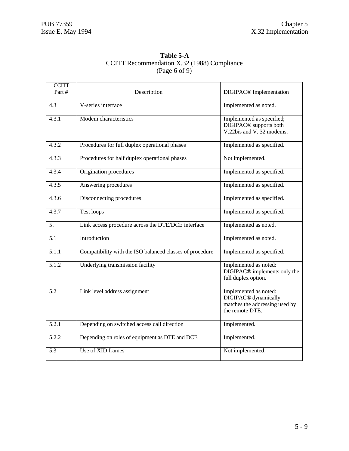| Table 5-A                                   |
|---------------------------------------------|
| CCITT Recommendation X.32 (1988) Compliance |
| (Page 6 of 9)                               |

| <b>CCITT</b><br>Part# | Description                                              | DIGIPAC <sup>®</sup> Implementation                                                                            |
|-----------------------|----------------------------------------------------------|----------------------------------------------------------------------------------------------------------------|
| $\overline{4.3}$      | V-series interface                                       | Implemented as noted.                                                                                          |
| 4.3.1                 | Modem characteristics                                    | Implemented as specified;<br>DIGIPAC <sup>®</sup> supports both<br>V.22bis and V.32 modems.                    |
| 4.3.2                 | Procedures for full duplex operational phases            | Implemented as specified.                                                                                      |
| 4.3.3                 | Procedures for half duplex operational phases            | Not implemented.                                                                                               |
| 4.3.4                 | Origination procedures                                   | Implemented as specified.                                                                                      |
| 4.3.5                 | Answering procedures                                     | Implemented as specified.                                                                                      |
| 4.3.6                 | Disconnecting procedures                                 | Implemented as specified.                                                                                      |
| 4.3.7                 | <b>Test loops</b>                                        | Implemented as specified.                                                                                      |
| $\overline{5}$ .      | Link access procedure across the DTE/DCE interface       | Implemented as noted.                                                                                          |
| 5.1                   | Introduction                                             | Implemented as noted.                                                                                          |
| $\overline{5.1.1}$    | Compatibility with the ISO balanced classes of procedure | Implemented as specified.                                                                                      |
| $\overline{5.1.2}$    | Underlying transmission facility                         | Implemented as noted:<br>DIGIPAC <sup>®</sup> implements only the<br>full duplex option.                       |
| $\overline{5.2}$      | Link level address assignment                            | Implemented as noted:<br>DIGIPAC <sup>®</sup> dynamically<br>matches the addressing used by<br>the remote DTE. |
| $\overline{5.2.1}$    | Depending on switched access call direction              | Implemented.                                                                                                   |
| 5.2.2                 | Depending on roles of equipment as DTE and DCE           | Implemented.                                                                                                   |
| 5.3                   | Use of XID frames                                        | Not implemented.                                                                                               |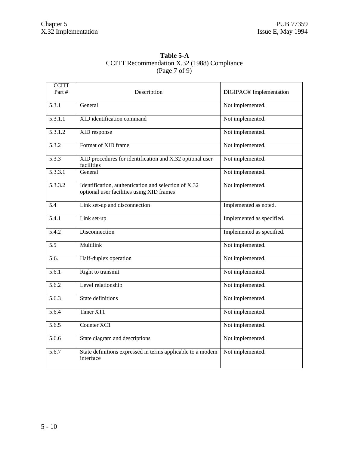# **Table 5-A** CCITT Recommendation X.32 (1988) Compliance (Page 7 of 9)

| <b>CCITT</b><br>Part# | Description                                                                                       | DIGIPAC <sup>®</sup> Implementation |
|-----------------------|---------------------------------------------------------------------------------------------------|-------------------------------------|
| $\overline{5.3.1}$    | General                                                                                           | Not implemented.                    |
| $\overline{5.3.1.1}$  | XID identification command                                                                        | Not implemented.                    |
| $\overline{5.3.1.2}$  | XID response                                                                                      | Not implemented.                    |
| 5.3.2                 | Format of XID frame                                                                               | Not implemented.                    |
| 5.3.3                 | XID procedures for identification and X.32 optional user<br>facilities                            | Not implemented.                    |
| 5.3.3.1               | General                                                                                           | Not implemented.                    |
| $\overline{5.3.3.2}$  | Identification, authentication and selection of X.32<br>optional user facilities using XID frames | Not implemented.                    |
| 5.4                   | Link set-up and disconnection                                                                     | Implemented as noted.               |
| 5.4.1                 | Link set-up                                                                                       | Implemented as specified.           |
| $\overline{5.4.2}$    | Disconnection                                                                                     | Implemented as specified.           |
| 5.5                   | Multilink                                                                                         | Not implemented.                    |
| $\overline{5.6}$ .    | Half-duplex operation                                                                             | Not implemented.                    |
| 5.6.1                 | Right to transmit                                                                                 | Not implemented.                    |
| 5.6.2                 | Level relationship                                                                                | Not implemented.                    |
| 5.6.3                 | <b>State definitions</b>                                                                          | Not implemented.                    |
| 5.6.4                 | Timer XT1                                                                                         | Not implemented.                    |
| 5.6.5                 | Counter XC1                                                                                       | Not implemented.                    |
| 5.6.6                 | State diagram and descriptions                                                                    | Not implemented.                    |
| 5.6.7                 | State definitions expressed in terms applicable to a modem<br>interface                           | Not implemented.                    |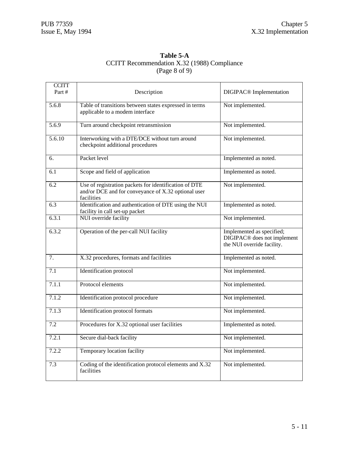| Table 5-A                                   |
|---------------------------------------------|
| CCITT Recommendation X.32 (1988) Compliance |
| (Page $8$ of 9)                             |

| <b>CCITT</b><br>Part# | Description                                                                                                                | DIGIPAC <sup>®</sup> Implementation                                                                |
|-----------------------|----------------------------------------------------------------------------------------------------------------------------|----------------------------------------------------------------------------------------------------|
| 5.6.8                 | Table of transitions between states expressed in terms<br>applicable to a modem interface                                  | Not implemented.                                                                                   |
| 5.6.9                 | Turn around checkpoint retransmission                                                                                      | Not implemented.                                                                                   |
| 5.6.10                | Interworking with a DTE/DCE without turn around<br>checkpoint additional procedures                                        | Not implemented.                                                                                   |
| 6.                    | Packet level                                                                                                               | Implemented as noted.                                                                              |
| 6.1                   | Scope and field of application                                                                                             | Implemented as noted.                                                                              |
| $\overline{6.2}$      | Use of registration packets for identification of DTE<br>and/or DCE and for conveyance of X.32 optional user<br>facilities | Not implemented.                                                                                   |
| $\overline{6.3}$      | Identification and authentication of DTE using the NUI<br>facility in call set-up packet                                   | Implemented as noted.                                                                              |
| 6.3.1                 | NUI override facility                                                                                                      | Not implemented.                                                                                   |
| 6.3.2                 | Operation of the per-call NUI facility                                                                                     | Implemented as specified;<br>DIGIPAC <sup>®</sup> does not implement<br>the NUI override facility. |
| $\overline{7}$ .      | X.32 procedures, formats and facilities                                                                                    | Implemented as noted.                                                                              |
| 7.1                   | Identification protocol                                                                                                    | Not implemented.                                                                                   |
| 7.1.1                 | Protocol elements                                                                                                          | Not implemented.                                                                                   |
| 7.1.2                 | Identification protocol procedure                                                                                          | Not implemented.                                                                                   |
| 7.1.3                 | Identification protocol formats                                                                                            | Not implemented.                                                                                   |
| 7.2                   | Procedures for X.32 optional user facilities                                                                               | Implemented as noted.                                                                              |
| 7.2.1                 | Secure dial-back facility                                                                                                  | Not implemented.                                                                                   |
| 7.2.2                 | Temporary location facility                                                                                                | Not implemented.                                                                                   |
| $\overline{7.3}$      | Coding of the identification protocol elements and X.32<br>facilities                                                      | Not implemented.                                                                                   |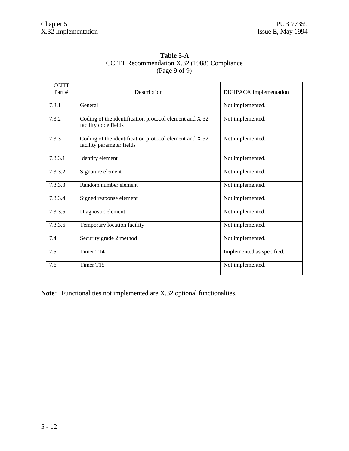| Table 5-A                                   |
|---------------------------------------------|
| CCITT Recommendation X.32 (1988) Compliance |
| (Page 9 of 9)                               |

| <b>CCITT</b><br>Part# | Description                                                                         | DIGIPAC <sup>®</sup> Implementation |  |  |
|-----------------------|-------------------------------------------------------------------------------------|-------------------------------------|--|--|
| 7.3.1                 | General                                                                             | Not implemented.                    |  |  |
| 7.3.2                 | Coding of the identification protocol element and X.32<br>facility code fields      | Not implemented.                    |  |  |
| 7.3.3                 | Coding of the identification protocol element and X.32<br>facility parameter fields | Not implemented.                    |  |  |
| 7.3.3.1               | Identity element                                                                    | Not implemented.                    |  |  |
| 7.3.3.2               | Signature element                                                                   | Not implemented.                    |  |  |
| 7.3.3.3               | Random number element                                                               | Not implemented.                    |  |  |
| 7.3.3.4               | Signed response element                                                             | Not implemented.                    |  |  |
| 7.3.3.5               | Diagnostic element                                                                  | Not implemented.                    |  |  |
| 7.3.3.6               | Temporary location facility                                                         | Not implemented.                    |  |  |
| 7.4                   | Security grade 2 method                                                             | Not implemented.                    |  |  |
| 7.5                   | Timer T14                                                                           | Implemented as specified.           |  |  |
| 7.6                   | Timer T15                                                                           | Not implemented.                    |  |  |

**Note**: Functionalities not implemented are X.32 optional functionalties.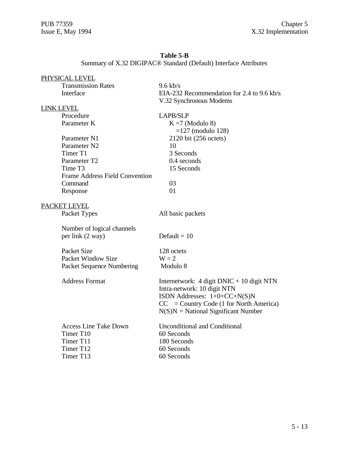# **Table 5-B**

Summary of X.32 DIGIPAC® Standard (Default) Interface Attributes

|                   | PHYSICAL LEVEL                        |                                             |
|-------------------|---------------------------------------|---------------------------------------------|
|                   | <b>Transmission Rates</b>             | $9.6$ kb/s                                  |
|                   | Interface                             | EIA-232 Recommendation for 2.4 to 9.6 kb/s  |
|                   |                                       | V.32 Synchronous Modems                     |
| <b>LINK LEVEL</b> |                                       |                                             |
|                   | Procedure                             | <b>LAPB/SLP</b>                             |
|                   | Parameter K                           | $K = 7$ (Modulo 8)                          |
|                   |                                       | $=127$ (modulo 128)                         |
|                   | Parameter N1                          | 2120 bit (256 octets)                       |
|                   | Parameter N2                          | 10                                          |
|                   | Timer T1                              | 3 Seconds                                   |
|                   | Parameter T2                          | 0.4 seconds                                 |
|                   | Time T <sub>3</sub>                   | 15 Seconds                                  |
|                   | <b>Frame Address Field Convention</b> |                                             |
|                   | Command                               | 03                                          |
|                   | Response                              | 01                                          |
|                   |                                       |                                             |
|                   | PACKET LEVEL                          |                                             |
|                   | Packet Types                          | All basic packets                           |
|                   |                                       |                                             |
|                   | Number of logical channels            |                                             |
|                   | per link (2 way)                      | Default = $10$                              |
|                   |                                       |                                             |
|                   | Packet Size                           | 128 octets                                  |
|                   | <b>Packet Window Size</b>             | $W = 2$                                     |
|                   | <b>Packet Sequence Numbering</b>      | Modulo 8                                    |
|                   |                                       |                                             |
|                   | <b>Address Format</b>                 | Internetwork: $4$ digit DNIC + 10 digit NTN |
|                   |                                       | Intra-network: 10 digit NTN                 |
|                   |                                       | ISDN Addresses: 1+0+CC+N(S)N                |
|                   |                                       | $CC = Country Code (1 for North America)$   |
|                   |                                       | $N(S)N = National Significant Number$       |
|                   |                                       |                                             |
|                   | <b>Access Line Take Down</b>          | <b>Unconditional and Conditional</b>        |
|                   | Timer T10                             | 60 Seconds                                  |
|                   | Timer T11                             | 180 Seconds                                 |
|                   | Timer T12                             | 60 Seconds                                  |
|                   | Timer T13                             | 60 Seconds                                  |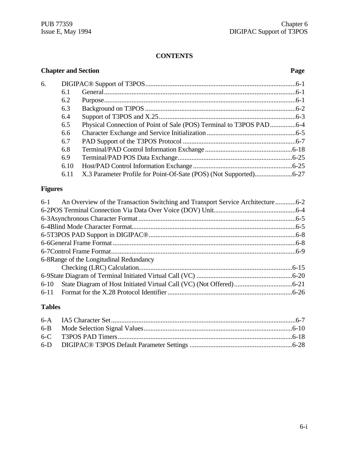# **CONTENTS**

# **Chapter and Section Page**

| 6. |      |  |
|----|------|--|
|    | 6.1  |  |
|    | 6.2  |  |
|    | 6.3  |  |
|    | 6.4  |  |
|    | 6.5  |  |
|    | 6.6  |  |
|    | 6.7  |  |
|    | 6.8  |  |
|    | 6.9  |  |
|    | 6.10 |  |
|    | 6.11 |  |

# **Figures**

| 6-1 An Overview of the Transaction Switching and Transport Service Architecture6-2 |  |
|------------------------------------------------------------------------------------|--|
|                                                                                    |  |
|                                                                                    |  |
|                                                                                    |  |
|                                                                                    |  |
|                                                                                    |  |
|                                                                                    |  |
| 6-8 Range of the Longitudinal Redundancy                                           |  |
|                                                                                    |  |
|                                                                                    |  |
|                                                                                    |  |
|                                                                                    |  |
|                                                                                    |  |

# **Tables**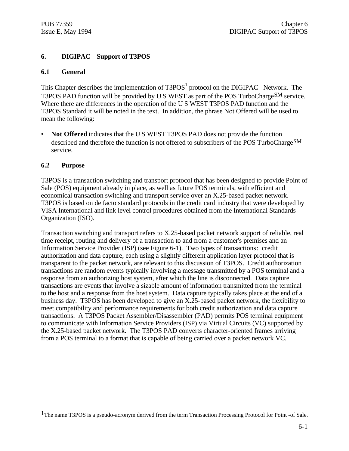# **6. DIGIPAC' Support of T3POS**

#### **6.1 General**

This Chapter describes the implementation of  $T3POS<sup>1</sup>$  protocol on the DIGIPAC Network. The T3POS PAD function will be provided by U S WEST as part of the POS TurboChargeSM service. Where there are differences in the operation of the U S WEST T3POS PAD function and the T3POS Standard it will be noted in the text. In addition, the phrase Not Offered will be used to mean the following:

• **Not Offered** indicates that the U S WEST T3POS PAD does not provide the function described and therefore the function is not offered to subscribers of the POS TurboCharge<sup>SM</sup> service.

#### **6.2 Purpose**

T3POS is a transaction switching and transport protocol that has been designed to provide Point of Sale (POS) equipment already in place, as well as future POS terminals, with efficient and economical transaction switching and transport service over an X.25-based packet network. T3POS is based on de facto standard protocols in the credit card industry that were developed by VISA International and link level control procedures obtained from the International Standards Organization (ISO).

Transaction switching and transport refers to X.25-based packet network support of reliable, real time receipt, routing and delivery of a transaction to and from a customer's premises and an Information Service Provider (ISP) (see Figure 6-1). Two types of transactions: credit authorization and data capture, each using a slightly different application layer protocol that is transparent to the packet network, are relevant to this discussion of T3POS. Credit authorization transactions are random events typically involving a message transmitted by a POS terminal and a response from an authorizing host system, after which the line is disconnected. Data capture transactions are events that involve a sizable amount of information transmitted from the terminal to the host and a response from the host system. Data capture typically takes place at the end of a business day. T3POS has been developed to give an X.25-based packet network, the flexibility to meet compatibility and performance requirements for both credit authorization and data capture transactions. A T3POS Packet Assembler/Disassembler (PAD) permits POS terminal equipment to communicate with Information Service Providers (ISP) via Virtual Circuits (VC) supported by the X.25-based packet network. The T3POS PAD converts character-oriented frames arriving from a POS terminal to a format that is capable of being carried over a packet network VC.

1The name T3POS is a pseudo-acronym derived from the term Transaction Processing Protocol for Point -of Sale.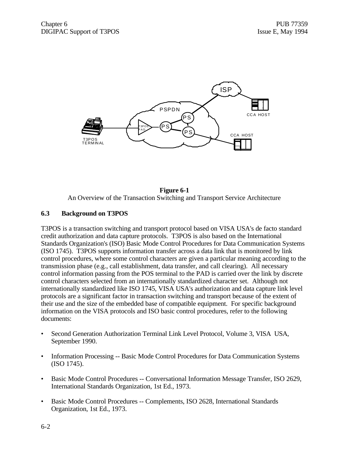

#### **Figure 6-1** An Overview of the Transaction Switching and Transport Service Architecture

# **6.3 Background on T3POS**

T3POS is a transaction switching and transport protocol based on VISA USA's de facto standard credit authorization and data capture protocols. T3POS is also based on the International Standards Organization's (ISO) Basic Mode Control Procedures for Data Communication Systems (ISO 1745). T3POS supports information transfer across a data link that is monitored by link control procedures, where some control characters are given a particular meaning according to the transmission phase (e.g., call establishment, data transfer, and call clearing). All necessary control information passing from the POS terminal to the PAD is carried over the link by discrete control characters selected from an internationally standardized character set. Although not internationally standardized like ISO 1745, VISA USA's authorization and data capture link level protocols are a significant factor in transaction switching and transport because of the extent of their use and the size of the embedded base of compatible equipment. For specific background information on the VISA protocols and ISO basic control procedures, refer to the following documents:

- Second Generation Authorization Terminal Link Level Protocol, Volume 3, VISA USA, September 1990.
- Information Processing -- Basic Mode Control Procedures for Data Communication Systems (ISO 1745).
- Basic Mode Control Procedures -- Conversational Information Message Transfer, ISO 2629, International Standards Organization, 1st Ed., 1973.
- Basic Mode Control Procedures -- Complements, ISO 2628, International Standards Organization, 1st Ed., 1973.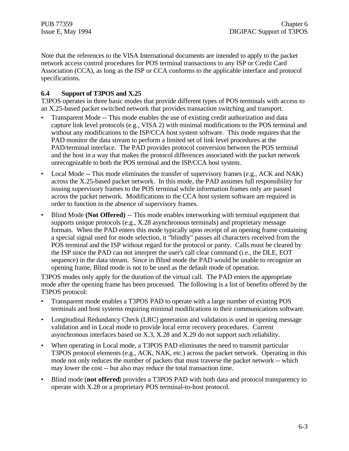Note that the references to the VISA International documents are intended to apply to the packet network access control procedures for POS terminal transactions to any ISP or Credit Card Association (CCA), as long as the ISP or CCA conforms to the applicable interface and protocol specifications.

### **6.4 Support of T3POS and X.25**

T3POS operates in three basic modes that provide different types of POS terminals with access to an X.25-based packet switched network that provides transaction switching and transport.

- Transparent Mode -- This mode enables the use of existing credit authorization and data capture link level protocols (e.g., VISA 2) with minimal modifications to the POS terminal and without any modifications to the ISP/CCA host system software. This mode requires that the PAD monitor the data stream to perform a limited set of link level procedures at the PAD/terminal interface. The PAD provides protocol conversion between the POS terminal and the host in a way that makes the protocol differences associated with the packet network unrecognizable to both the POS terminal and the ISP/CCA host system.
- Local Mode -- This mode eliminates the transfer of supervisory frames (e.g., ACK and NAK) across the X.25-based packet network. In this mode, the PAD assumes full responsibility for issuing supervisory frames to the POS terminal while information frames only are passed across the packet network. Modifications to the CCA host system software are required in order to function in the absence of supervisory frames.
- Blind Mode **(Not Offered)** -- This mode enables interworking with terminal equipment that supports unique protocols (e.g., X.28 asynchronous terminals) and proprietary message formats. When the PAD enters this mode typically upon receipt of an opening frame containing a special signal used for mode selection, it "blindly" passes all characters received from the POS terminal and the ISP without regard for the protocol or parity. Calls must be cleared by the ISP since the PAD can not interpret the user's call clear command (i.e., the DLE, EOT sequence) in the data stream. Since in Blind mode the PAD would be unable to recognize an opening frame, Blind mode is not to be used as the default mode of operation.

T3POS modes only apply for the duration of the virtual call. The PAD enters the appropriate mode after the opening frame has been processed. The following is a list of benefits offered by the T3POS protocol:

- Transparent mode enables a T3POS PAD to operate with a large number of existing POS terminals and host systems requiring minimal modifications to their communications software.
- Longitudinal Redundancy Check (LRC) generation and validation is used in opening message validation and in Local mode to provide local error recovery procedures. Current asynchronous interfaces based on X.3, X.28 and X.29 do not support such reliability.
- When operating in Local mode, a T3POS PAD eliminates the need to transmit particular T3POS protocol elements (e.g., ACK, NAK, etc.) across the packet network. Operating in this mode not only reduces the number of packets that must traverse the packet network -- which may lower the cost -- but also may reduce the total transaction time.
- Blind mode (**not offered**) provides a T3POS PAD with both data and protocol transparency to operate with X.28 or a proprietary POS terminal-to-host protocol.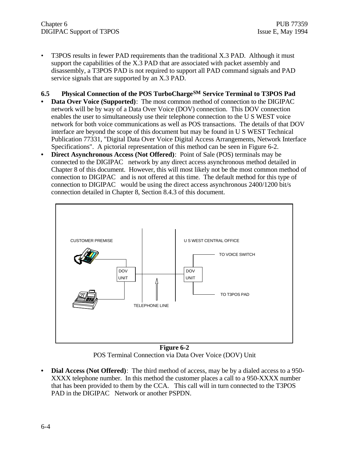• T3POS results in fewer PAD requirements than the traditional X.3 PAD. Although it must support the capabilities of the X.3 PAD that are associated with packet assembly and disassembly, a T3POS PAD is not required to support all PAD command signals and PAD service signals that are supported by an X.3 PAD.

### **6.5 Physical Connection of the POS TurboChargeSM Service Terminal to T3POS Pad**

- **• Data Over Voice (Supported)**: The most common method of connection to the DIGIPAC network will be by way of a Data Over Voice (DOV) connection. This DOV connection enables the user to simultaneously use their telephone connection to the U S WEST voice network for both voice communications as well as POS transactions. The details of that DOV interface are beyond the scope of this document but may be found in U S WEST Technical Publication 77331, "Digital Data Over Voice Digital Access Arrangements, Network Interface Specifications". A pictorial representation of this method can be seen in Figure 6-2.
- **• Direct Asynchronous Access (Not Offered)**: Point of Sale (POS) terminals may be connected to the DIGIPAC network by any direct access asynchronous method detailed in Chapter 8 of this document. However, this will most likely not be the most common method of connection to DIGIPAC and is not offered at this time. The default method for this type of connection to DIGIPAC would be using the direct access asynchronous 2400/1200 bit/s connection detailed in Chapter 8, Section 8.4.3 of this document.



**Figure 6-2** POS Terminal Connection via Data Over Voice (DOV) Unit

**• Dial Access (Not Offered)**: The third method of access, may be by a dialed access to a 950- XXXX telephone number. In this method the customer places a call to a 950-XXXX number that has been provided to them by the CCA. This call will in turn connected to the T3POS PAD in the DIGIPAC Network or another PSPDN.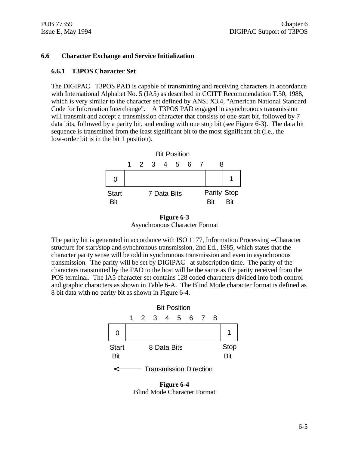#### **6.6 Character Exchange and Service Initialization**

#### **6.6.1 T3POS Character Set**

The DIGIPAC T3POS PAD is capable of transmitting and receiving characters in accordance with International Alphabet No. 5 (IA5) as described in CCITT Recommendation T.50, 1988, which is very similar to the character set defined by ANSI X3.4, "American National Standard Code for Information Interchange". A T3POS PAD engaged in asynchronous transmission will transmit and accept a transmission character that consists of one start bit, followed by 7 data bits, followed by a parity bit, and ending with one stop bit (see Figure 6-3). The data bit sequence is transmitted from the least significant bit to the most significant bit (i.e., the low-order bit is in the bit 1 position).



**Figure 6-3** Asynchronous Character Format

The parity bit is generated in accordance with ISO 1177, Information Processing --Character structure for start/stop and synchronous transmission, 2nd Ed., 1985, which states that the character parity sense will be odd in synchronous transmission and even in asynchronous transmission. The parity will be set by DIGIPAC at subscription time. The parity of the characters transmitted by the PAD to the host will be the same as the parity received from the POS terminal. The IA5 character set contains 128 coded characters divided into both control and graphic characters as shown in Table 6-A. The Blind Mode character format is defined as 8 bit data with no parity bit as shown in Figure 6-4.



**Figure 6-4** Blind Mode Character Format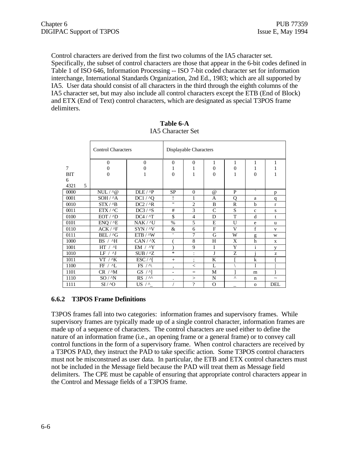Control characters are derived from the first two columns of the IA5 character set. Specifically, the subset of control characters are those that appear in the 6-bit codes defined in Table 1 of ISO 646, Information Processing -- ISO 7-bit coded character set for information interchange, International Standards Organization, 2nd Ed., 1983; which are all supported by IA5. User data should consist of all characters in the third through the eighth columns of the IA5 character set, but may also include all control characters except the ETB (End of Block) and ETX (End of Text) control characters, which are designated as special T3POS frame delimiters.

|            |   | <b>Control Characters</b> |                      | Displayable Characters   |                |                |              |              |                       |
|------------|---|---------------------------|----------------------|--------------------------|----------------|----------------|--------------|--------------|-----------------------|
|            |   | $\Omega$                  | $\overline{0}$       | $\overline{0}$           | $\mathbf{0}$   | 1              | 1            | 1            | 1                     |
| 7          |   | $\overline{0}$            | 0                    | 1                        | 1              | $\overline{0}$ | $\theta$     | 1            |                       |
| <b>BIT</b> |   | $\Omega$                  | 1                    | $\theta$                 | 1              | $\Omega$       | 1            | $\Omega$     | 1                     |
| 6          |   |                           |                      |                          |                |                |              |              |                       |
| 4321       | 5 |                           |                      |                          |                |                |              |              |                       |
| 0000       |   | $NUL / \land @$           | $DLE / \Delta P$     | <b>SP</b>                | $\mathbf{0}$   | $\omega$       | P            | $\sim$       | p                     |
| 0001       |   | SOH / A                   | DC1 / 0              | Ţ                        | 1              | A              | Q            | a            | q                     |
| 0010       |   | STX / 4B                  | DC2 / <sup>2</sup> R | $\mathbf{u}$             | $\overline{2}$ | B              | $\mathbb{R}$ | $\mathbf b$  | $\mathbf{r}$          |
| 0011       |   | ETX / ^C                  | DC3 / 5              | #                        | 3              | $\mathsf{C}$   | S            | $\mathbf{C}$ | S                     |
| 0100       |   | EOT / <sub>1</sub> D      | $DC4 / \Lambda T$    | \$                       | $\overline{4}$ | D              | T            | d            | t                     |
| 0101       |   | ENQ / 2E                  | NAK / ^U             | $\%$                     | 5              | E              | U            | e            | u                     |
| 0110       |   | $ACK / \sqrt{F}$          | $SYN / \sqrt{V}$     | &                        | 6              | F              | V            | f            | $\mathbf{V}$          |
| 0111       |   | BEL / ^G                  | ETB / ^W             | $\mathbf{r}$             | 7              | G              | W            | g            | W                     |
| 1000       |   | BS / <sub>1</sub>         | CAN / <sup>N</sup> X |                          | 8              | H              | X            | h            | $\mathbf{X}$          |
| 1001       |   | HT / 1                    | $EM / \gamma Y$      |                          | 9              | I              | Y            | $\mathbf{i}$ | y                     |
| 1010       |   | IF / AI                   | SUB / 2Z             | $\ast$                   | $\ddot{\cdot}$ | J              | Z            |              | z                     |
| 1011       |   | $VT /^{\wedge}K$          | $ESC / \gamma$       | $+$                      | ٠<br>,         | K              |              | $\mathbf k$  |                       |
| 1100       |   | FF / M                    | $FS / \gamma$        | $\cdot$                  | $\,<\,$        | $\mathbf{L}$   |              |              |                       |
| 1101       |   | CR / M                    | $GS / \Delta$        | $\overline{\phantom{a}}$ | $=$            | M              |              | m            |                       |
| 1110       |   | SO / N                    | RS / M               | $\cdot$                  | $\geq$         | N              | $\wedge$     | n            | $\tilde{\phantom{a}}$ |
| 1111       |   | $SI / \gamma O$           | US $/^{\wedge}$      |                          | $\overline{?}$ | $\Omega$       |              | $\mathbf{o}$ | <b>DEL</b>            |

| Table 6-A         |  |
|-------------------|--|
| IA5 Character Set |  |

# **6.6.2 T3POS Frame Definitions**

T3POS frames fall into two categories: information frames and supervisory frames. While supervisory frames are typically made up of a single control character, information frames are made up of a sequence of characters. The control characters are used either to define the nature of an information frame (i.e., an opening frame or a general frame) or to convey call control functions in the form of a supervisory frame. When control characters are received by a T3POS PAD, they instruct the PAD to take specific action. Some T3POS control characters must not be misconstrued as user data. In particular, the ETB and ETX control characters must not be included in the Message field because the PAD will treat them as Message field delimiters. The CPE must be capable of ensuring that appropriate control characters appear in the Control and Message fields of a T3POS frame.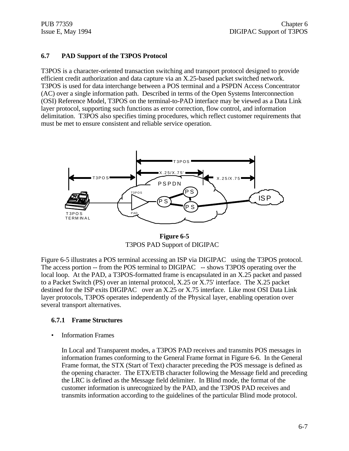### **6.7 PAD Support of the T3POS Protocol**

T3POS is a character-oriented transaction switching and transport protocol designed to provide efficient credit authorization and data capture via an X.25-based packet switched network. T3POS is used for data interchange between a POS terminal and a PSPDN Access Concentrator (AC) over a single information path. Described in terms of the Open Systems Interconnection (OSI) Reference Model, T3POS on the terminal-to-PAD interface may be viewed as a Data Link layer protocol, supporting such functions as error correction, flow control, and information delimitation. T3POS also specifies timing procedures, which reflect customer requirements that must be met to ensure consistent and reliable service operation.



**Figure 6-5** T3POS PAD Support of DIGIPAC

Figure 6-5 illustrates a POS terminal accessing an ISP via DIGIPAC using the T3POS protocol. The access portion -- from the POS terminal to DIGIPAC -- shows T3POS operating over the local loop. At the PAD, a T3POS-formatted frame is encapsulated in an X.25 packet and passed to a Packet Switch (PS) over an internal protocol, X.25 or X.75' interface. The X.25 packet destined for the ISP exits DIGIPAC over an X.25 or X.75 interface. Like most OSI Data Link layer protocols, T3POS operates independently of the Physical layer, enabling operation over several transport alternatives.

#### **6.7.1 Frame Structures**

• Information Frames

In Local and Transparent modes, a T3POS PAD receives and transmits POS messages in information frames conforming to the General Frame format in Figure 6-6. In the General Frame format, the STX (Start of Text) character preceding the POS message is defined as the opening character. The ETX/ETB character following the Message field and preceding the LRC is defined as the Message field delimiter. In Blind mode, the format of the customer information is unrecognized by the PAD, and the T3POS PAD receives and transmits information according to the guidelines of the particular Blind mode protocol.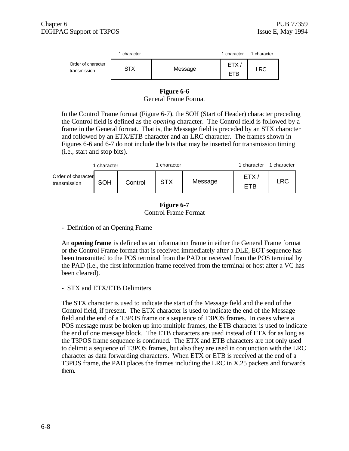|                                    | character |         | 1 character        | 1 character |
|------------------------------------|-----------|---------|--------------------|-------------|
| Order of character<br>transmission | STX       | Message | ETX,<br><b>ETB</b> | ∟RC∶        |

**Figure 6-6** General Frame Format

In the Control Frame format (Figure 6-7), the SOH (Start of Header) character preceding the Control field is defined as the *opening* character. The Control field is followed by a frame in the General format. That is, the Message field is preceded by an STX character and followed by an ETX/ETB character and an LRC character. The frames shown in Figures 6-6 and 6-7 do not include the bits that may be inserted for transmission timing (i.e., start and stop bits).

|                                    | character  |         | character  |         | 1 character        | character |
|------------------------------------|------------|---------|------------|---------|--------------------|-----------|
| Order of character<br>transmission | <b>SOH</b> | Control | <b>STX</b> | Message | ETX.<br><b>ETB</b> | LRC       |

**Figure 6-7** Control Frame Format

- Definition of an Opening Frame

An **opening frame** is defined as an information frame in either the General Frame format or the Control Frame format that is received immediately after a DLE, EOT sequence has been transmitted to the POS terminal from the PAD or received from the POS terminal by the PAD (i.e., the first information frame received from the terminal or host after a VC has been cleared).

#### - STX and ETX/ETB Delimiters

The STX character is used to indicate the start of the Message field and the end of the Control field, if present. The ETX character is used to indicate the end of the Message field and the end of a T3POS frame or a sequence of T3POS frames. In cases where a POS message must be broken up into multiple frames, the ETB character is used to indicate the end of one message block. The ETB characters are used instead of ETX for as long as the T3POS frame sequence is continued. The ETX and ETB characters are not only used to delimit a sequence of T3POS frames, but also they are used in conjunction with the LRC character as data forwarding characters. When ETX or ETB is received at the end of a T3POS frame, the PAD places the frames including the LRC in X.25 packets and forwards them.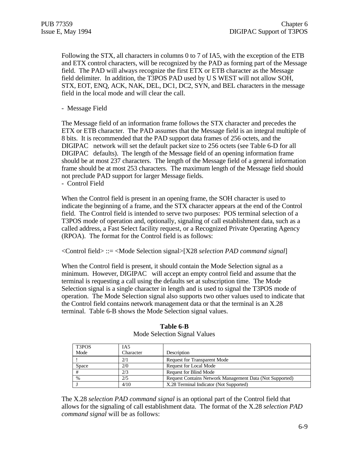Following the STX, all characters in columns 0 to 7 of IA5, with the exception of the ETB and ETX control characters, will be recognized by the PAD as forming part of the Message field. The PAD will always recognize the first ETX or ETB character as the Message field delimiter. In addition, the T3POS PAD used by U S WEST will not allow SOH, STX, EOT, ENQ, ACK, NAK, DEL, DC1, DC2, SYN, and BEL characters in the message field in the local mode and will clear the call.

- Message Field

The Message field of an information frame follows the STX character and precedes the ETX or ETB character. The PAD assumes that the Message field is an integral multiple of 8 bits. It is recommended that the PAD support data frames of 256 octets, and the DIGIPAC network will set the default packet size to 256 octets (see Table 6-D for all DIGIPAC defaults). The length of the Message field of an opening information frame should be at most 237 characters. The length of the Message field of a general information frame should be at most 253 characters. The maximum length of the Message field should not preclude PAD support for larger Message fields.

- Control Field

When the Control field is present in an opening frame, the SOH character is used to indicate the beginning of a frame, and the STX character appears at the end of the Control field. The Control field is intended to serve two purposes: POS terminal selection of a T3POS mode of operation and, optionally, signaling of call establishment data, such as a called address, a Fast Select facility request, or a Recognized Private Operating Agency (RPOA). The format for the Control field is as follows:

<Control field> ::= <Mode Selection signal>[X28 *selection PAD command signal*]

When the Control field is present, it should contain the Mode Selection signal as a minimum. However, DIGIPAC will accept an empty control field and assume that the terminal is requesting a call using the defaults set at subscription time. The Mode Selection signal is a single character in length and is used to signal the T3POS mode of operation. The Mode Selection signal also supports two other values used to indicate that the Control field contains network management data or that the terminal is an X.28 terminal. Table 6-B shows the Mode Selection signal values.

| T <sub>3</sub> PO <sub>S</sub> | IA5       |                                                          |
|--------------------------------|-----------|----------------------------------------------------------|
| Mode                           | Character | Description                                              |
|                                | 2/1       | Request for Transparent Mode                             |
| Space                          | 2/0       | <b>Request for Local Mode</b>                            |
| #                              | 2/3       | <b>Request for Blind Mode</b>                            |
| $\%$                           | 2/5       | Request Contains Network Management Data (Not Supported) |
|                                | 4/10      | X.28 Terminal Indicator (Not Supported)                  |

**Table 6-B** Mode Selection Signal Values

The X.28 *selection PAD command signal* is an optional part of the Control field that allows for the signaling of call establishment data. The format of the X.28 *selection PAD command signal* will be as follows: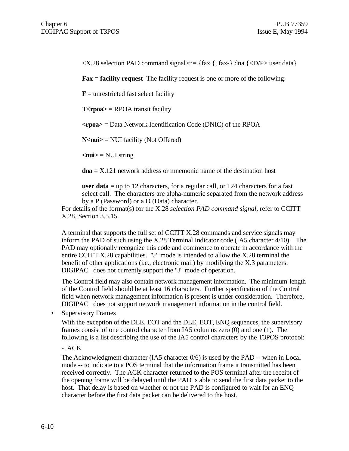$\langle X.28 \rangle$  selection PAD command signal>::= {fax {, fax-} dna { $\langle D/P \rangle$  user data}

**Fax = facility request** The facility request is one or more of the following:

 **= unrestricted fast select facility** 

**T<rpoa>** = RPOA transit facility

**<rpoa>** = Data Network Identification Code (DNIC) of the RPOA

**N<nui>** = NUI facility (Not Offered)

 $\langle \text{nu} \rangle$  = NUI string

**dna** = X.121 network address or mnemonic name of the destination host

**user data** = up to 12 characters, for a regular call, or 124 characters for a fast select call. The characters are alpha-numeric separated from the network address by a P (Password) or a D (Data) character.

For details of the format(s) for the X.28 *selection PAD command signal,* refer to CCITT X.28, Section 3.5.15.

A terminal that supports the full set of CCITT X.28 commands and service signals may inform the PAD of such using the X.28 Terminal Indicator code (IA5 character 4/10). The PAD may optionally recognize this code and commence to operate in accordance with the entire CCITT X.28 capabilities. "J" mode is intended to allow the X.28 terminal the benefit of other applications (i.e., electronic mail) by modifying the X.3 parameters. DIGIPAC does not currently support the "J" mode of operation.

The Control field may also contain network management information. The minimum length of the Control field should be at least 16 characters. Further specification of the Control field when network management information is present is under consideration. Therefore, DIGIPAC does not support network management information in the control field.

• Supervisory Frames

With the exception of the DLE, EOT and the DLE, EOT, ENQ sequences, the supervisory frames consist of one control character from IA5 columns zero (0) and one (1). The following is a list describing the use of the IA5 control characters by the T3POS protocol:

- ACK

The Acknowledgment character (IA5 character 0/6) is used by the PAD -- when in Local mode -- to indicate to a POS terminal that the information frame it transmitted has been received correctly. The ACK character returned to the POS terminal after the receipt of the opening frame will be delayed until the PAD is able to send the first data packet to the host. That delay is based on whether or not the PAD is configured to wait for an ENQ character before the first data packet can be delivered to the host.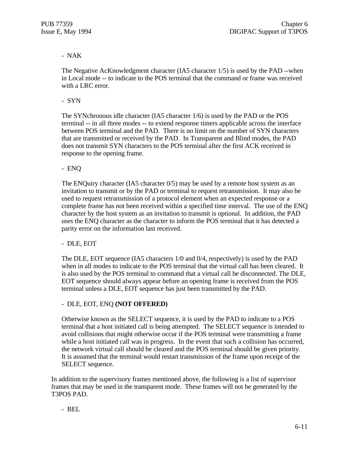## - NAK

The Negative AcKnowledgment character (IA5 character 1/5) is used by the PAD --when in Local mode -- to indicate to the POS terminal that the command or frame was received with a LRC error.

- SYN

The SYNchronous idle character (IA5 character 1/6) is used by the PAD or the POS terminal -- in all three modes -- to extend response timers applicable across the interface between POS terminal and the PAD. There is no limit on the number of SYN characters that are transmitted or received by the PAD. In Transparent and Blind modes, the PAD does not transmit SYN characters to the POS terminal after the first ACK received in response to the opening frame.

- ENQ

The ENQuiry character (IA5 character  $0/5$ ) may be used by a remote host system as an invitation to transmit or by the PAD or terminal to request retransmission. It may also be used to request retransmission of a protocol element when an expected response or a complete frame has not been received within a specified time interval. The use of the ENQ character by the host system as an invitation to transmit is optional. In addition, the PAD uses the ENQ character as the character to inform the POS terminal that it has detected a parity error on the information last received.

## - DLE, EOT

The DLE, EOT sequence (IA5 characters 1/0 and 0/4, respectively) is used by the PAD when in all modes to indicate to the POS terminal that the virtual call has been cleared. It is also used by the POS terminal to command that a virtual call be disconnected. The DLE, EOT sequence should always appear before an opening frame is received from the POS terminal unless a DLE, EOT sequence has just been transmitted by the PAD.

## - DLE, EOT, ENQ **(NOT OFFERED)**

Otherwise known as the SELECT sequence, it is used by the PAD to indicate to a POS terminal that a host initiated call is being attempted. The SELECT sequence is intended to avoid collisions that might otherwise occur if the POS terminal were transmitting a frame while a host initiated call was in progress. In the event that such a collision has occurred, the network virtual call should be cleared and the POS terminal should be given priority. It is assumed that the terminal would restart transmission of the frame upon receipt of the SELECT sequence.

In addition to the supervisory frames mentioned above, the following is a list of supervisor frames that may be used in the transparent mode. These frames will not be generated by the T3POS PAD.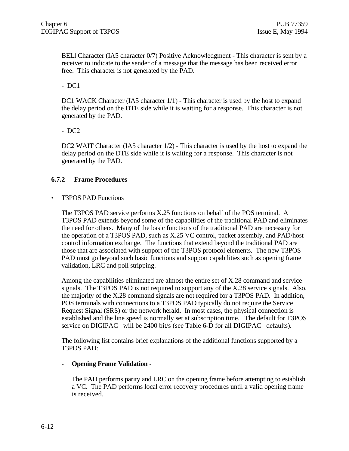BELl Character (IA5 character 0/7) Positive Acknowledgment - This character is sent by a receiver to indicate to the sender of a message that the message has been received error free. This character is not generated by the PAD.

- DC1

DC1 WACK Character (IA5 character 1/1) - This character is used by the host to expand the delay period on the DTE side while it is waiting for a response. This character is not generated by the PAD.

- DC2

DC2 WAIT Character (IA5 character 1/2) - This character is used by the host to expand the delay period on the DTE side while it is waiting for a response. This character is not generated by the PAD.

## **6.7.2 Frame Procedures**

• T3POS PAD Functions

The T3POS PAD service performs X.25 functions on behalf of the POS terminal. A T3POS PAD extends beyond some of the capabilities of the traditional PAD and eliminates the need for others. Many of the basic functions of the traditional PAD are necessary for the operation of a T3POS PAD, such as X.25 VC control, packet assembly, and PAD/host control information exchange. The functions that extend beyond the traditional PAD are those that are associated with support of the T3POS protocol elements. The new T3POS PAD must go beyond such basic functions and support capabilities such as opening frame validation, LRC and poll stripping.

Among the capabilities eliminated are almost the entire set of X.28 command and service signals. The T3POS PAD is not required to support any of the X.28 service signals. Also, the majority of the X.28 command signals are not required for a T3POS PAD. In addition, POS terminals with connections to a T3POS PAD typically do not require the Service Request Signal (SRS) or the network herald. In most cases, the physical connection is established and the line speed is normally set at subscription time. The default for T3POS service on DIGIPAC will be 2400 bit/s (see Table 6-D for all DIGIPAC defaults).

The following list contains brief explanations of the additional functions supported by a T3POS PAD:

#### **- Opening Frame Validation -**

The PAD performs parity and LRC on the opening frame before attempting to establish a VC. The PAD performs local error recovery procedures until a valid opening frame is received.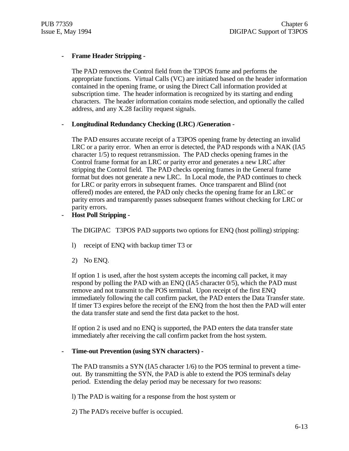## **- Frame Header Stripping -**

The PAD removes the Control field from the T3POS frame and performs the appropriate functions. Virtual Calls (VC) are initiated based on the header information contained in the opening frame, or using the Direct Call information provided at subscription time. The header information is recognized by its starting and ending characters. The header information contains mode selection, and optionally the called address, and any X.28 facility request signals.

#### **- Longitudinal Redundancy Checking (LRC) /Generation -**

The PAD ensures accurate receipt of a T3POS opening frame by detecting an invalid LRC or a parity error. When an error is detected, the PAD responds with a NAK (IA5 character 1/5) to request retransmission. The PAD checks opening frames in the Control frame format for an LRC or parity error and generates a new LRC after stripping the Control field. The PAD checks opening frames in the General frame format but does not generate a new LRC. In Local mode, the PAD continues to check for LRC or parity errors in subsequent frames. Once transparent and Blind (not offered) modes are entered, the PAD only checks the opening frame for an LRC or parity errors and transparently passes subsequent frames without checking for LRC or parity errors.

#### **- Host Poll Stripping -**

The DIGIPAC T3POS PAD supports two options for ENQ (host polling) stripping:

- l) receipt of ENQ with backup timer T3 or
- 2) No ENQ.

If option 1 is used, after the host system accepts the incoming call packet, it may respond by polling the PAD with an ENQ (IA5 character 0/5), which the PAD must remove and not transmit to the POS terminal. Upon receipt of the first ENQ immediately following the call confirm packet, the PAD enters the Data Transfer state. If timer T3 expires before the receipt of the ENQ from the host then the PAD will enter the data transfer state and send the first data packet to the host.

If option 2 is used and no ENQ is supported, the PAD enters the data transfer state immediately after receiving the call confirm packet from the host system.

#### **- Time-out Prevention (using SYN characters) -**

The PAD transmits a SYN (IA5 character  $1/6$ ) to the POS terminal to prevent a timeout. By transmitting the SYN, the PAD is able to extend the POS terminal's delay period. Extending the delay period may be necessary for two reasons:

l) The PAD is waiting for a response from the host system or

2) The PAD's receive buffer is occupied.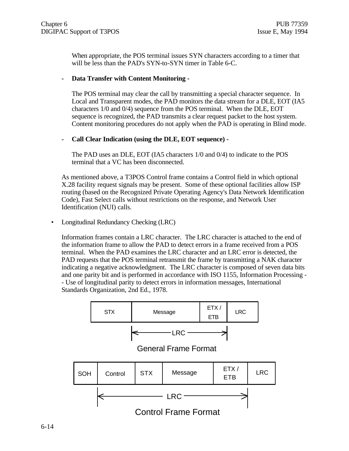When appropriate, the POS terminal issues SYN characters according to a timer that will be less than the PAD's SYN-to-SYN timer in Table 6-C.

#### **- Data Transfer with Content Monitoring -**

The POS terminal may clear the call by transmitting a special character sequence. In Local and Transparent modes, the PAD monitors the data stream for a DLE, EOT (IA5 characters 1/0 and 0/4) sequence from the POS terminal. When the DLE, EOT sequence is recognized, the PAD transmits a clear request packet to the host system. Content monitoring procedures do not apply when the PAD is operating in Blind mode.

#### **- Call Clear Indication (using the DLE, EOT sequence) -**

The PAD uses an DLE, EOT (IA5 characters 1/0 and 0/4) to indicate to the POS terminal that a VC has been disconnected.

As mentioned above, a T3POS Control frame contains a Control field in which optional X.28 facility request signals may be present. Some of these optional facilities allow ISP routing (based on the Recognized Private Operating Agency's Data Network Identification Code), Fast Select calls without restrictions on the response, and Network User Identification (NUI) calls.

• Longitudinal Redundancy Checking (LRC)

Information frames contain a LRC character. The LRC character is attached to the end of the information frame to allow the PAD to detect errors in a frame received from a POS terminal. When the PAD examines the LRC character and an LRC error is detected, the PAD requests that the POS terminal retransmit the frame by transmitting a NAK character indicating a negative acknowledgment. The LRC character is composed of seven data bits and one parity bit and is performed in accordance with ISO 1155, Information Processing - - Use of longitudinal parity to detect errors in information messages, International Standards Organization, 2nd Ed., 1978.

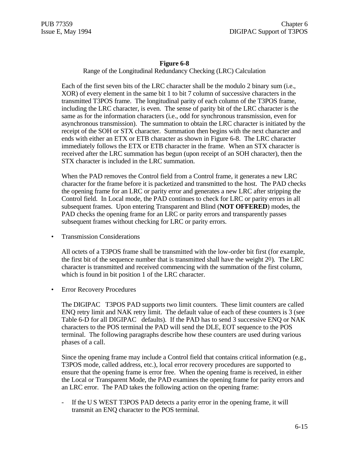#### **Figure 6-8**

Range of the Longitudinal Redundancy Checking (LRC) Calculation

Each of the first seven bits of the LRC character shall be the modulo 2 binary sum (i.e., XOR) of every element in the same bit 1 to bit 7 column of successive characters in the transmitted T3POS frame. The longitudinal parity of each column of the T3POS frame, including the LRC character, is even. The sense of parity bit of the LRC character is the same as for the information characters (i.e., odd for synchronous transmission, even for asynchronous transmission). The summation to obtain the LRC character is initiated by the receipt of the SOH or STX character. Summation then begins with the next character and ends with either an ETX or ETB character as shown in Figure 6-8. The LRC character immediately follows the ETX or ETB character in the frame. When an STX character is received after the LRC summation has begun (upon receipt of an SOH character), then the STX character is included in the LRC summation.

When the PAD removes the Control field from a Control frame, it generates a new LRC character for the frame before it is packetized and transmitted to the host. The PAD checks the opening frame for an LRC or parity error and generates a new LRC after stripping the Control field. In Local mode, the PAD continues to check for LRC or parity errors in all subsequent frames. Upon entering Transparent and Blind (**NOT OFFERED**) modes, the PAD checks the opening frame for an LRC or parity errors and transparently passes subsequent frames without checking for LRC or parity errors.

• Transmission Considerations

All octets of a T3POS frame shall be transmitted with the low-order bit first (for example, the first bit of the sequence number that is transmitted shall have the weight 20). The LRC character is transmitted and received commencing with the summation of the first column, which is found in bit position 1 of the LRC character.

• Error Recovery Procedures

The DIGIPAC T3POS PAD supports two limit counters. These limit counters are called ENQ retry limit and NAK retry limit. The default value of each of these counters is 3 (see Table 6-D for all DIGIPAC defaults). If the PAD has to send 3 successive ENQ or NAK characters to the POS terminal the PAD will send the DLE, EOT sequence to the POS terminal. The following paragraphs describe how these counters are used during various phases of a call.

Since the opening frame may include a Control field that contains critical information (e.g., T3POS mode, called address, etc.), local error recovery procedures are supported to ensure that the opening frame is error free. When the opening frame is received, in either the Local or Transparent Mode, the PAD examines the opening frame for parity errors and an LRC error. The PAD takes the following action on the opening frame:

- If the U S WEST T3POS PAD detects a parity error in the opening frame, it will transmit an ENQ character to the POS terminal.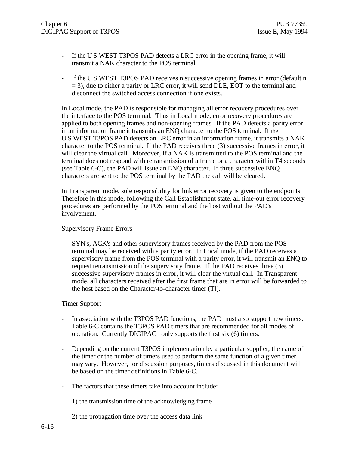- If the U S WEST T3POS PAD detects a LRC error in the opening frame, it will transmit a NAK character to the POS terminal.
- If the U S WEST T3POS PAD receives n successive opening frames in error (default n  $=$  3), due to either a parity or LRC error, it will send DLE, EOT to the terminal and disconnect the switched access connection if one exists.

In Local mode, the PAD is responsible for managing all error recovery procedures over the interface to the POS terminal. Thus in Local mode, error recovery procedures are applied to both opening frames and non-opening frames. If the PAD detects a parity error in an information frame it transmits an ENQ character to the POS terminal. If the U S WEST T3POS PAD detects an LRC error in an information frame, it transmits a NAK character to the POS terminal. If the PAD receives three (3) successive frames in error, it will clear the virtual call. Moreover, if a NAK is transmitted to the POS terminal and the terminal does not respond with retransmission of a frame or a character within T4 seconds (see Table 6-C), the PAD will issue an ENQ character. If three successive ENQ characters are sent to the POS terminal by the PAD the call will be cleared.

In Transparent mode, sole responsibility for link error recovery is given to the endpoints. Therefore in this mode, following the Call Establishment state, all time-out error recovery procedures are performed by the POS terminal and the host without the PAD's involvement.

Supervisory Frame Errors

- SYN's, ACK's and other supervisory frames received by the PAD from the POS terminal may be received with a parity error. In Local mode, if the PAD receives a supervisory frame from the POS terminal with a parity error, it will transmit an ENQ to request retransmission of the supervisory frame. If the PAD receives three (3) successive supervisory frames in error, it will clear the virtual call. In Transparent mode, all characters received after the first frame that are in error will be forwarded to the host based on the Character-to-character timer (Tl).

Timer Support

- In association with the T3POS PAD functions, the PAD must also support new timers. Table 6-C contains the T3POS PAD timers that are recommended for all modes of operation. Currently DIGIPAC only supports the first six (6) timers.
- Depending on the current T3POS implementation by a particular supplier, the name of the timer or the number of timers used to perform the same function of a given timer may vary. However, for discussion purposes, timers discussed in this document will be based on the timer definitions in Table 6-C.
- The factors that these timers take into account include:

1) the transmission time of the acknowledging frame

2) the propagation time over the access data link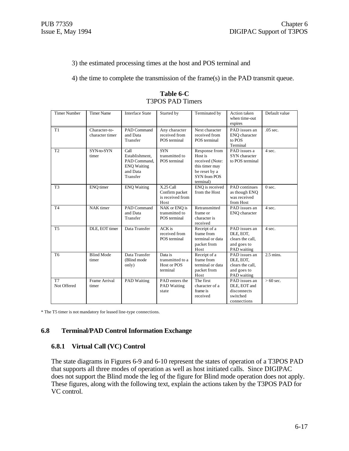3) the estimated processing times at the host and POS terminal and

4) the time to complete the transmission of the frame(s) in the PAD transmit queue.

| <b>Timer Number</b>           | <b>Timer Name</b>                | <b>Interface State</b>                                                               | Started by                                              | Terminated by                                                                                                      | Action taken<br>when time-out<br>expires                                     | Default value |
|-------------------------------|----------------------------------|--------------------------------------------------------------------------------------|---------------------------------------------------------|--------------------------------------------------------------------------------------------------------------------|------------------------------------------------------------------------------|---------------|
| T1                            | Character-to-<br>character timer | PAD Command<br>and Data<br>Transfer                                                  | Any character<br>received from<br>POS terminal          | Next character<br>received from<br>POS terminal                                                                    | PAD issues an<br>ENQ character<br>to POS<br>Terminal                         | .05 sec.      |
| T <sub>2</sub>                | SYN-to-SYN<br>timer              | Call<br>Establishment.<br>PAD Command.<br><b>ENQ Waiting</b><br>and Data<br>Transfer | <b>SYN</b><br>transmitted to<br>POS terminal            | Response from<br>Host is<br>received (Note:<br>this timer may<br>be reset by a<br><b>SYN</b> from POS<br>terminal) | PAD issues a<br>SYN character<br>to POS terminal                             | 4 sec.        |
| T <sub>3</sub>                | ENO timer                        | <b>ENQ Waiting</b>                                                                   | X.25 Call<br>Confirm packet<br>is received from<br>Host | ENQ is received<br>from the Host                                                                                   | PAD continues<br>as though ENQ<br>was received<br>from Host                  | $0$ sec.      |
| T <sub>4</sub>                | NAK timer                        | <b>PAD Command</b><br>and Data<br>Transfer                                           | NAK or ENO is<br>transmitted to<br>POS terminal         | Retransmitted<br>frame or<br>character is<br>received                                                              | PAD issues an<br><b>ENQ</b> character                                        | 4 sec.        |
| <b>T5</b>                     | DLE, EOT timer                   | Data Transfer                                                                        | ACK is<br>received from<br>POS terminal                 | Receipt of a<br>frame from<br>terminal or data<br>packet from<br>Host                                              | PAD issues an<br>DLE, EOT,<br>clears the call,<br>and goes to<br>PAD waiting | 4 sec.        |
| T <sub>6</sub>                | <b>Blind Mode</b><br>timer       | Data Transfer<br>(Blind mode<br>only)                                                | Data is<br>transmitted to a<br>Host or POS<br>terminal  | Receipt of a<br>frame from<br>terminal or data<br>packet from<br>Host                                              | PAD issues an<br>DLE, EOT,<br>clears the call,<br>and goes to<br>PAD waiting | $2.5$ mins.   |
| T <sub>7</sub><br>Not Offered | Frame Arrival<br>timer           | <b>PAD Waiting</b>                                                                   | PAD enters the<br><b>PAD Waiting</b><br>state           | The first<br>character of a<br>frame is<br>received                                                                | PAD issues an<br>DLE, EOT and<br>disconnects<br>switched<br>connections      | $>60$ sec.    |

**Table 6-C** T3POS PAD Timers

\* The T5 timer is not mandatory for leased line-type connections.

#### **6.8 Terminal/PAD Control Information Exchange**

#### **6.8.1 Virtual Call (VC) Control**

The state diagrams in Figures 6-9 and 6-10 represent the states of operation of a T3POS PAD that supports all three modes of operation as well as host initiated calls. Since DIGIPAC does not support the Blind mode the leg of the figure for Blind mode operation does not apply. These figures, along with the following text, explain the actions taken by the T3POS PAD for VC control.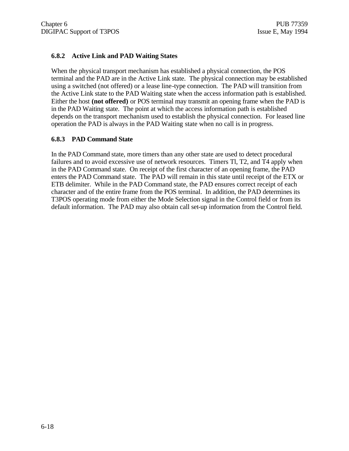## **6.8.2 Active Link and PAD Waiting States**

When the physical transport mechanism has established a physical connection, the POS terminal and the PAD are in the Active Link state. The physical connection may be established using a switched (not offered) or a lease line-type connection. The PAD will transition from the Active Link state to the PAD Waiting state when the access information path is established. Either the host **(not offered)** or POS terminal may transmit an opening frame when the PAD is in the PAD Waiting state. The point at which the access information path is established depends on the transport mechanism used to establish the physical connection. For leased line operation the PAD is always in the PAD Waiting state when no call is in progress.

## **6.8.3 PAD Command State**

In the PAD Command state, more timers than any other state are used to detect procedural failures and to avoid excessive use of network resources. Timers Tl, T2, and T4 apply when in the PAD Command state. On receipt of the first character of an opening frame, the PAD enters the PAD Command state. The PAD will remain in this state until receipt of the ETX or ETB delimiter. While in the PAD Command state, the PAD ensures correct receipt of each character and of the entire frame from the POS terminal. In addition, the PAD determines its T3POS operating mode from either the Mode Selection signal in the Control field or from its default information. The PAD may also obtain call set-up information from the Control field.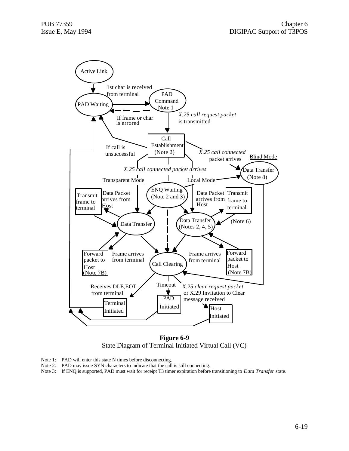

**Figure 6-9** State Diagram of Terminal Initiated Virtual Call (VC)

- Note 1: PAD will enter this state N times before disconnecting.
- Note 2: PAD may issue SYN characters to indicate that the call is still connecting.
- Note 3: If ENQ is supported, PAD must wait for receipt T3 timer expiration before transitioning to *Data Transfer* state.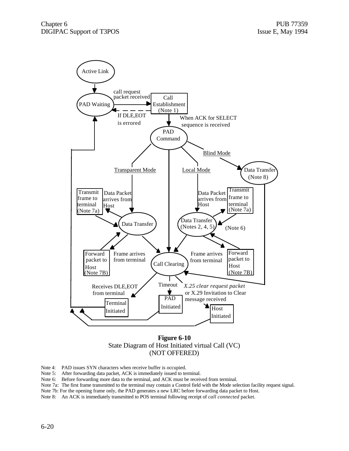

#### **Figure 6-10** State Diagram of Host Initiated virtual Call (VC) (NOT OFFERED)

Note 4: PAD issues SYN characters when receive buffer is occupied.

Note 5: After forwarding data packet, ACK is immediately issued to terminal.

Note 6: Before forwarding more data to the terminal, and ACK must be received from terminal.

Note 7a: The first frame transmitted to the terminal may contain a Control field with the Mode selection facility request signal.

Note 7b: For the opening frame only, the PAD generates a new LRC before forwarding data packet to Host.

Note 8: An ACK is immediately transmitted to POS terminal following receipt of *call connected* packet.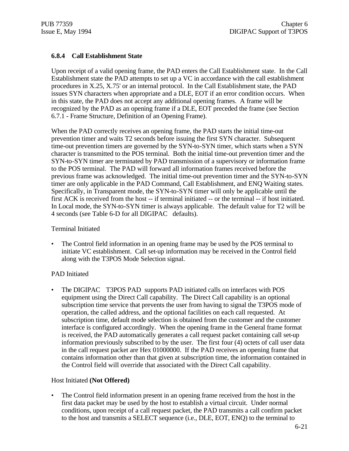## **6.8.4 Call Establishment State**

Upon receipt of a valid opening frame, the PAD enters the Call Establishment state. In the Call Establishment state the PAD attempts to set up a VC in accordance with the call establishment procedures in X.25, X.75' or an internal protocol. In the Call Establishment state, the PAD issues SYN characters when appropriate and a DLE, EOT if an error condition occurs. When in this state, the PAD does not accept any additional opening frames. A frame will be recognized by the PAD as an opening frame if a DLE, EOT preceded the frame (see Section 6.7.1 - Frame Structure, Definition of an Opening Frame).

When the PAD correctly receives an opening frame, the PAD starts the initial time-out prevention timer and waits T2 seconds before issuing the first SYN character. Subsequent time-out prevention timers are governed by the SYN-to-SYN timer, which starts when a SYN character is transmitted to the POS terminal. Both the initial time-out prevention timer and the SYN-to-SYN timer are terminated by PAD transmission of a supervisory or information frame to the POS terminal. The PAD will forward all information frames received before the previous frame was acknowledged. The initial time-out prevention timer and the SYN-to-SYN timer are only applicable in the PAD Command, Call Establishment, and ENQ Waiting states. Specifically, in Transparent mode, the SYN-to-SYN timer will only be applicable until the first ACK is received from the host -- if terminal initiated -- or the terminal -- if host initiated. In Local mode, the SYN-to-SYN timer is always applicable. The default value for T2 will be 4 seconds (see Table 6-D for all DIGIPAC defaults).

### Terminal Initiated

• The Control field information in an opening frame may be used by the POS terminal to initiate VC establishment. Call set-up information may be received in the Control field along with the T3POS Mode Selection signal.

## PAD Initiated

• The DIGIPAC T3POS PAD supports PAD initiated calls on interfaces with POS equipment using the Direct Call capability. The Direct Call capability is an optional subscription time service that prevents the user from having to signal the T3POS mode of operation, the called address, and the optional facilities on each call requested. At subscription time, default mode selection is obtained from the customer and the customer interface is configured accordingly. When the opening frame in the General frame format is received, the PAD automatically generates a call request packet containing call set-up information previously subscribed to by the user. The first four (4) octets of call user data in the call request packet are Hex 01000000. If the PAD receives an opening frame that contains information other than that given at subscription time, the information contained in the Control field will override that associated with the Direct Call capability.

## Host Initiated **(Not Offered)**

• The Control field information present in an opening frame received from the host in the first data packet may be used by the host to establish a virtual circuit. Under normal conditions, upon receipt of a call request packet, the PAD transmits a call confirm packet to the host and transmits a SELECT sequence (i.e., DLE, EOT, ENQ) to the terminal to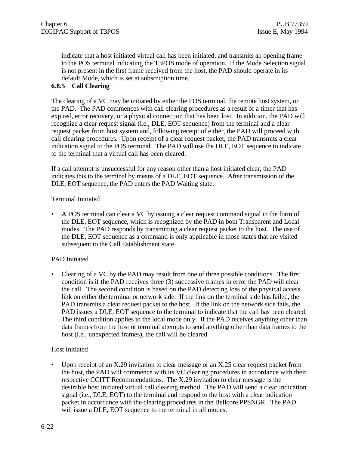indicate that a host initiated virtual call has been initiated, and transmits an opening frame to the POS terminal indicating the T3POS mode of operation. If the Mode Selection signal is not present in the first frame received from the host, the PAD should operate in its default Mode, which is set at subscription time.

## **6.8.5 Call Clearing**

The clearing of a VC may be initiated by either the POS terminal, the remote host system, or the PAD. The PAD commences with call clearing procedures as a result of a timer that has expired, error recovery, or a physical connection that has been lost. In addition, the PAD will recognize a clear request signal (i.e., DLE, EOT sequence) from the terminal and a clear request packet from host system and, following receipt of either, the PAD will proceed with call clearing procedures. Upon receipt of a clear request packet, the PAD transmits a clear indication signal to the POS terminal. The PAD will use the DLE, EOT sequence to indicate to the terminal that a virtual call has been cleared.

If a call attempt is unsuccessful for any reason other than a host initiated clear, the PAD indicates this to the terminal by means of a DLE, EOT sequence. After transmission of the DLE, EOT sequence, the PAD enters the PAD Waiting state.

## Terminal Initiated

• A POS terminal can clear a VC by issuing a clear request command signal in the form of the DLE, EOT sequence, which is recognized by the PAD in both Transparent and Local modes. The PAD responds by transmitting a clear request packet to the host. The use of the DLE, EOT sequence as a command is only applicable in those states that are visited subsequent to the Call Establishment state.

## PAD Initiated

• Clearing of a VC by the PAD may result from one of three possible conditions. The first condition is if the PAD receives three (3) successive frames in error the PAD will clear the call. The second condition is based on the PAD detecting loss of the physical access link on either the terminal or network side. If the link on the terminal side has failed, the PAD transmits a clear request packet to the host. If the link on the network side fails, the PAD issues a DLE, EOT sequence to the terminal to indicate that the call has been cleared. The third condition applies to the local mode only. If the PAD receives anything other than data frames from the host or terminal attempts to send anything other than data frames to the host (i.e., unexpected frames), the call will be cleared.

## Host Initiated

• Upon receipt of an X.29 invitation to clear message or an X.25 clear request packet from the host, the PAD will commence with its VC clearing procedures in accordance with their respective CCITT Recommendations. The X.29 invitation to clear message is the desirable host initiated virtual call clearing method. The PAD will send a clear indication signal (i.e., DLE, EOT) to the terminal and respond to the host with a clear indication packet in accordance with the clearing procedures in the Bellcore PPSNGR. The PAD will issue a DLE, EOT sequence to the terminal in all modes.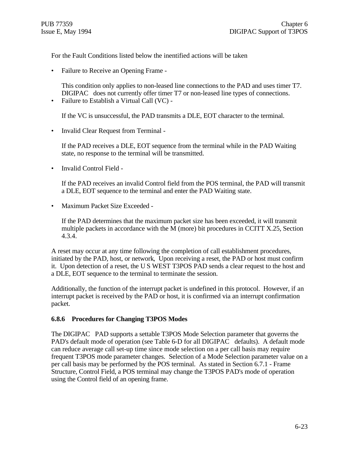For the Fault Conditions listed below the inentified actions will be taken

• Failure to Receive an Opening Frame -

This condition only applies to non-leased line connections to the PAD and uses timer T7. DIGIPAC does not currently offer timer T7 or non-leased line types of connections.

• Failure to Establish a Virtual Call (VC) -

If the VC is unsuccessful, the PAD transmits a DLE, EOT character to the terminal.

• Invalid Clear Request from Terminal -

If the PAD receives a DLE, EOT sequence from the terminal while in the PAD Waiting state, no response to the terminal will be transmitted.

• Invalid Control Field -

If the PAD receives an invalid Control field from the POS terminal, the PAD will transmit a DLE, EOT sequence to the terminal and enter the PAD Waiting state.

• Maximum Packet Size Exceeded -

If the PAD determines that the maximum packet size has been exceeded, it will transmit multiple packets in accordance with the M (more) bit procedures in CCITT X.25, Section 4.3.4.

A reset may occur at any time following the completion of call establishment procedures, initiated by the PAD, host, or network, Upon receiving a reset, the PAD or host must confirm it. Upon detection of a reset, the U S WEST T3POS PAD sends a clear request to the host and a DLE, EOT sequence to the terminal to terminate the session.

Additionally, the function of the interrupt packet is undefined in this protocol. However, if an interrupt packet is received by the PAD or host, it is confirmed via an interrupt confirmation packet.

#### **6.8.6 Procedures for Changing T3POS Modes**

The DIGIPAC PAD supports a settable T3POS Mode Selection parameter that governs the PAD's default mode of operation (see Table 6-D for all DIGIPAC defaults). A default mode can reduce average call set-up time since mode selection on a per call basis may require frequent T3POS mode parameter changes. Selection of a Mode Selection parameter value on a per call basis may be performed by the POS terminal. As stated in Section 6.7.1 - Frame Structure, Control Field, a POS terminal may change the T3POS PAD's mode of operation using the Control field of an opening frame.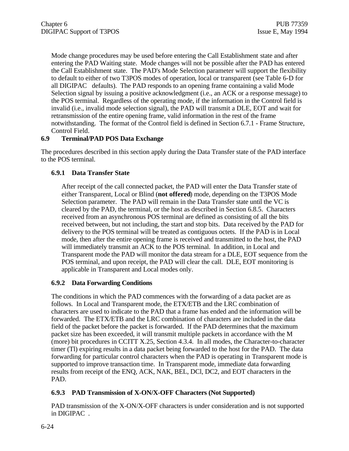Mode change procedures may be used before entering the Call Establishment state and after entering the PAD Waiting state. Mode changes will not be possible after the PAD has entered the Call Establishment state. The PAD's Mode Selection parameter will support the flexibility to default to either of two T3POS modes of operation, local or transparent (see Table 6-D for all DIGIPAC defaults). The PAD responds to an opening frame containing a valid Mode Selection signal by issuing a positive acknowledgment (i.e., an ACK or a response message) to the POS terminal. Regardless of the operating mode, if the information in the Control field is invalid (i.e., invalid mode selection signal), the PAD will transmit a DLE, EOT and wait for retransmission of the entire opening frame, valid information in the rest of the frame notwithstanding. The format of the Control field is defined in Section 6.7.1 - Frame Structure, Control Field.

## **6.9 Terminal/PAD POS Data Exchange**

The procedures described in this section apply during the Data Transfer state of the PAD interface to the POS terminal.

## **6.9.1 Data Transfer State**

After receipt of the call connected packet, the PAD will enter the Data Transfer state of either Transparent, Local or Blind (**not offered**) mode, depending on the T3POS Mode Selection parameter. The PAD will remain in the Data Transfer state until the VC is cleared by the PAD, the terminal, or the host as described in Section 6.8.5. Characters received from an asynchronous POS terminal are defined as consisting of all the bits received between, but not including, the start and stop bits. Data received by the PAD for delivery to the POS terminal will be treated as contiguous octets. If the PAD is in Local mode, then after the entire opening frame is received and transmitted to the host, the PAD will immediately transmit an ACK to the POS terminal. In addition, in Local and Transparent mode the PAD will monitor the data stream for a DLE, EOT sequence from the POS terminal, and upon receipt, the PAD will clear the call. DLE, EOT monitoring is applicable in Transparent and Local modes only.

## **6.9.2 Data Forwarding Conditions**

The conditions in which the PAD commences with the forwarding of a data packet are as follows. In Local and Transparent mode, the ETX/ETB and the LRC combination of characters are used to indicate to the PAD that a frame has ended and the information will be forwarded. The ETX/ETB and the LRC combination of characters are included in the data field of the packet before the packet is forwarded. If the PAD determines that the maximum packet size has been exceeded, it will transmit multiple packets in accordance with the M (more) bit procedures in CCITT X.25, Section 4.3.4. In all modes, the Character-to-character timer (Tl) expiring results in a data packet being forwarded to the host for the PAD. The data forwarding for particular control characters when the PAD is operating in Transparent mode is supported to improve transaction time. In Transparent mode, immediate data forwarding results from receipt of the ENQ, ACK, NAK, BEL, DCl, DC2, and EOT characters in the PAD.

## **6.9.3 PAD Transmission of X-ON/X-OFF Characters (Not Supported)**

PAD transmission of the X-ON/X-OFF characters is under consideration and is not supported in DIGIPAC .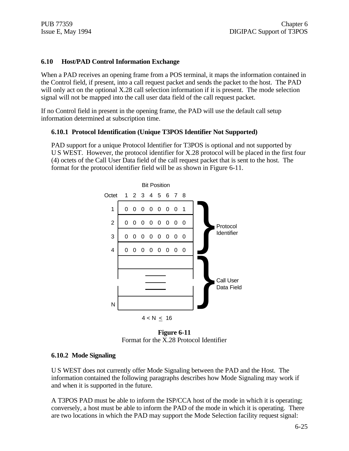#### **6.10 Host/PAD Control Information Exchange**

When a PAD receives an opening frame from a POS terminal, it maps the information contained in the Control field, if present, into a call request packet and sends the packet to the host. The PAD will only act on the optional X.28 call selection information if it is present. The mode selection signal will not be mapped into the call user data field of the call request packet.

If no Control field in present in the opening frame, the PAD will use the default call setup information determined at subscription time.

#### **6.10.1 Protocol Identification (Unique T3POS Identifier Not Supported)**

PAD support for a unique Protocol Identifier for T3POS is optional and not supported by U S WEST. However, the protocol identifier for X.28 protocol will be placed in the first four (4) octets of the Call User Data field of the call request packet that is sent to the host. The format for the protocol identifier field will be as shown in Figure 6-11.



**Figure 6-11** Format for the X.28 Protocol Identifier

#### **6.10.2 Mode Signaling**

U S WEST does not currently offer Mode Signaling between the PAD and the Host. The information contained the following paragraphs describes how Mode Signaling may work if and when it is supported in the future.

A T3POS PAD must be able to inform the ISP/CCA host of the mode in which it is operating; conversely, a host must be able to inform the PAD of the mode in which it is operating. There are two locations in which the PAD may support the Mode Selection facility request signal: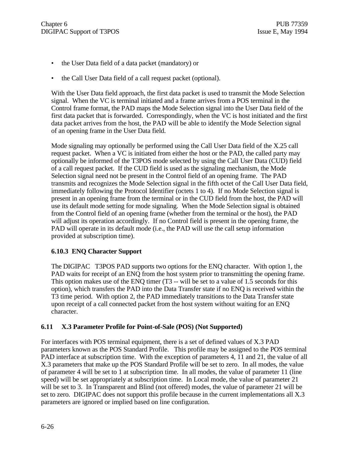- the User Data field of a data packet (mandatory) or
- the Call User Data field of a call request packet (optional).

With the User Data field approach, the first data packet is used to transmit the Mode Selection signal. When the VC is terminal initiated and a frame arrives from a POS terminal in the Control frame format, the PAD maps the Mode Selection signal into the User Data field of the first data packet that is forwarded. Correspondingly, when the VC is host initiated and the first data packet arrives from the host, the PAD will be able to identify the Mode Selection signal of an opening frame in the User Data field.

Mode signaling may optionally be performed using the Call User Data field of the X.25 call request packet. When a VC is initiated from either the host or the PAD, the called party may optionally be informed of the T3POS mode selected by using the Call User Data (CUD) field of a call request packet. If the CUD field is used as the signaling mechanism, the Mode Selection signal need not be present in the Control field of an opening frame. The PAD transmits and recognizes the Mode Selection signal in the fifth octet of the Call User Data field, immediately following the Protocol Identifier (octets 1 to 4). If no Mode Selection signal is present in an opening frame from the terminal or in the CUD field from the host, the PAD will use its default mode setting for mode signaling. When the Mode Selection signal is obtained from the Control field of an opening frame (whether from the terminal or the host), the PAD will adjust its operation accordingly. If no Control field is present in the opening frame, the PAD will operate in its default mode (i.e., the PAD will use the call setup information provided at subscription time).

#### **6.10.3 ENQ Character Support**

The DIGIPAC T3POS PAD supports two options for the ENQ character. With option 1, the PAD waits for receipt of an ENQ from the host system prior to transmitting the opening frame. This option makes use of the ENQ timer (T3 -- will be set to a value of 1.5 seconds for this option), which transfers the PAD into the Data Transfer state if no ENQ is received within the T3 time period. With option 2, the PAD immediately transitions to the Data Transfer state upon receipt of a call connected packet from the host system without waiting for an ENQ character.

#### **6.11 X.3 Parameter Profile for Point-of-Sale (POS) (Not Supported)**

For interfaces with POS terminal equipment, there is a set of defined values of X.3 PAD parameters known as the POS Standard Profile. This profile may be assigned to the POS terminal PAD interface at subscription time. With the exception of parameters 4, 11 and 21, the value of all X.3 parameters that make up the POS Standard Profile will be set to zero. In all modes, the value of parameter 4 will be set to 1 at subscription time. In all modes, the value of parameter 11 (line speed) will be set appropriately at subscription time. In Local mode, the value of parameter 21 will be set to 3. In Transparent and Blind (not offered) modes, the value of parameter 21 will be set to zero. DIGIPAC does not support this profile because in the current implementations all X.3 parameters are ignored or implied based on line configuration.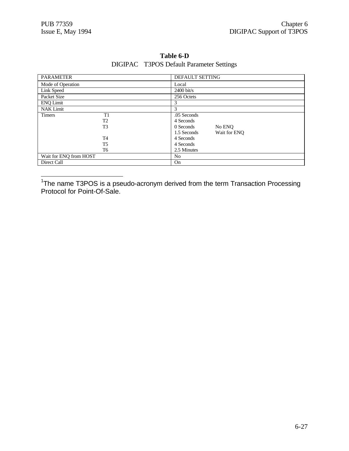| <b>PARAMETER</b>       |                | DEFAULT SETTING |              |
|------------------------|----------------|-----------------|--------------|
| Mode of Operation      |                | Local           |              |
| Link Speed             |                | $2400$ bit/s    |              |
| Packet Size            |                | 256 Octets      |              |
| <b>ENQ Limit</b>       |                | 3               |              |
| <b>NAK Limit</b>       |                | 3               |              |
| <b>Timers</b>          | T1             | .05 Seconds     |              |
|                        | T <sub>2</sub> | 4 Seconds       |              |
|                        | T <sub>3</sub> | 0 Seconds       | No ENQ       |
|                        |                | 1.5 Seconds     | Wait for ENO |
|                        | T <sub>4</sub> | 4 Seconds       |              |
|                        | T5             | 4 Seconds       |              |
|                        | T6             | 2.5 Minutes     |              |
| Wait for ENQ from HOST |                | N <sub>o</sub>  |              |
| Direct Call            |                | On              |              |

## **Table 6-D** DIGIPAC T3POS Default Parameter Settings

 1 The name T3POS is a pseudo-acronym derived from the term Transaction Processing Protocol for Point-Of-Sale.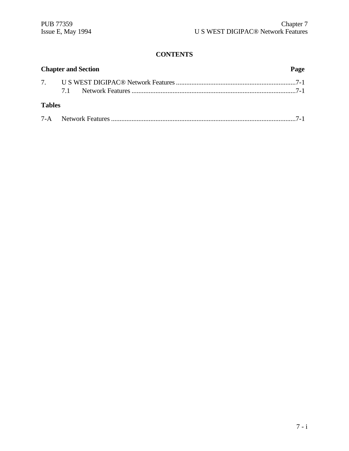# **CONTENTS**

|               | <b>Chapter and Section</b> |  |  |
|---------------|----------------------------|--|--|
|               |                            |  |  |
|               |                            |  |  |
| <b>Tables</b> |                            |  |  |
|               |                            |  |  |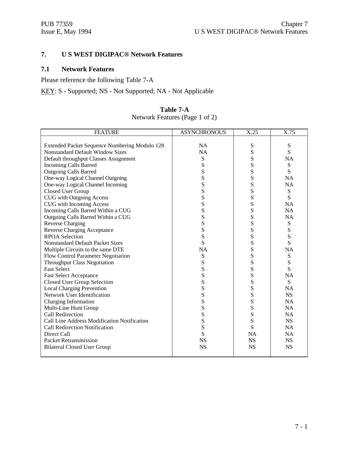# **7. U S WEST DIGIPAC® Network Features**

## **7.1 Network Features**

Please reference the following Table 7-A

KEY: S - Supported; NS - Not Supported; NA - Not Applicable

## **Table 7-A**

Network Features (Page 1 of 2)

| <b>FEATURE</b>                                | <b>ASYNCHRONOUS</b> | X.25        | X.75        |
|-----------------------------------------------|---------------------|-------------|-------------|
|                                               |                     |             |             |
| Extended Packet Sequence Numbering Modulo 128 | NA.                 | S           | S           |
| <b>Nonstandard Default Window Sizes</b>       | <b>NA</b>           | ${\bf S}$   | S           |
| Default throughput Classes Assignment         | S                   | $\mathbf S$ | <b>NA</b>   |
| <b>Incoming Calls Barred</b>                  | S                   | S           | ${\bf S}$   |
| <b>Outgoing Calls Barred</b>                  | S                   | S           | S           |
| One-way Logical Channel Outgoing              | S                   | S           | <b>NA</b>   |
| One-way Logical Channel Incoming              | S                   | S           | <b>NA</b>   |
| <b>Closed User Group</b>                      | S                   | S           | ${\bf S}$   |
| <b>CUG</b> with Outgoing Access               | S                   | S           | S           |
| CUG with Incoming Access                      | ${\bf S}$           | S           | <b>NA</b>   |
| Incoming Calls Barred Within a CUG            | S                   | S           | <b>NA</b>   |
| Outgoing Calls Barred Within a CUG            | S                   | S           | <b>NA</b>   |
| <b>Reverse Charging</b>                       | S                   | S           | ${\bf S}$   |
| <b>Reverse Charging Acceptance</b>            | S                   | S           | $\mathbf S$ |
| <b>RPOA Selection</b>                         | S                   | S           | S           |
| <b>Nonstandard Default Packet Sizes</b>       | S                   | S           | S           |
| Multiple Circuits to the same DTE             | <b>NA</b>           | S           | <b>NA</b>   |
| Flow Control Parameter Negotiation            | S                   | S           | ${\bf S}$   |
| <b>Throughput Class Negotiation</b>           | S                   | S           | S           |
| <b>Fast Select</b>                            | ${\bf S}$           | S           | S           |
| <b>Fast Select Acceptance</b>                 | S                   | S           | NA          |
| <b>Closed User Group Selection</b>            | S                   | S           | S           |
| <b>Local Charging Prevention</b>              | S                   | S           | <b>NA</b>   |
| Network User Identification                   | S                   | S           | <b>NS</b>   |
| Charging Information                          | S                   | S           | <b>NA</b>   |
| Multi-Line Hunt Group                         | S                   | S           | <b>NA</b>   |
| <b>Call Redirection</b>                       | ${\bf S}$           | ${\bf S}$   | <b>NA</b>   |
| Call Line Address Modification Notification   | S                   | S           | <b>NS</b>   |
| <b>Call Redirection Notification</b>          | S                   | S           | <b>NA</b>   |
| Direct Call                                   | S                   | NA          | <b>NA</b>   |
| Packet Retransmission                         | <b>NS</b>           | <b>NS</b>   | <b>NS</b>   |
| <b>Bilateral Closed User Group</b>            | <b>NS</b>           | <b>NS</b>   | <b>NS</b>   |
|                                               |                     |             |             |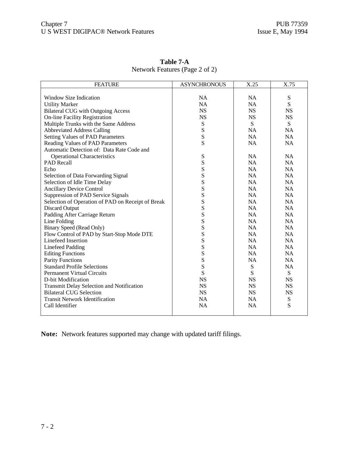| <b>FEATURE</b>                                    | <b>ASYNCHRONOUS</b> | X.25      | X.75      |
|---------------------------------------------------|---------------------|-----------|-----------|
|                                                   |                     |           |           |
| Window Size Indication                            | <b>NA</b>           | <b>NA</b> | S         |
| <b>Utility Marker</b>                             | <b>NA</b>           | NA        | S         |
| <b>Bilateral CUG with Outgoing Access</b>         | NS                  | <b>NS</b> | <b>NS</b> |
| On-line Facility Registration                     | <b>NS</b>           | <b>NS</b> | <b>NS</b> |
| Multiple Trunks with the Same Address             | ${\bf S}$           | S         | S         |
| <b>Abbreviated Address Calling</b>                | ${\bf S}$           | <b>NA</b> | <b>NA</b> |
| <b>Setting Values of PAD Parameters</b>           | ${\bf S}$           | <b>NA</b> | <b>NA</b> |
| Reading Values of PAD Parameters                  | S                   | <b>NA</b> | <b>NA</b> |
| Automatic Detection of: Data Rate Code and        |                     |           |           |
| <b>Operational Characteristics</b>                | S                   | <b>NA</b> | <b>NA</b> |
| <b>PAD</b> Recall                                 | S                   | <b>NA</b> | <b>NA</b> |
| Echo                                              | ${\bf S}$           | <b>NA</b> | <b>NA</b> |
| Selection of Data Forwarding Signal               | S                   | <b>NA</b> | <b>NA</b> |
| Selection of Idle Time Delay                      | S                   | <b>NA</b> | <b>NA</b> |
| <b>Ancillary Device Control</b>                   | S                   | NA        | NA        |
| Suppression of PAD Service Signals                | S                   | <b>NA</b> | NA        |
| Selection of Operation of PAD on Receipt of Break | S                   | <b>NA</b> | NA        |
| <b>Discard Output</b>                             | S                   | <b>NA</b> | <b>NA</b> |
| Padding After Carriage Return                     | S                   | NA        | NA        |
| Line Folding                                      | S                   | <b>NA</b> | <b>NA</b> |
| <b>Binary Speed (Read Only)</b>                   | ${\bf S}$           | <b>NA</b> | NA        |
| Flow Control of PAD by Start-Stop Mode DTE        | S                   | <b>NA</b> | NA        |
| Linefeed Insertion                                | S                   | NA        | NA        |
| <b>Linefeed Padding</b>                           | S                   | NA        | NA        |
| <b>Editing Functions</b>                          | S                   | <b>NA</b> | <b>NA</b> |
| <b>Parity Functions</b>                           | S                   | NA        | NA        |
| <b>Standard Profile Selections</b>                | S                   | ${\bf S}$ | <b>NA</b> |
| <b>Permanent Virtual Circuits</b>                 | S                   | S         | S         |
| D-bit Modification                                | <b>NS</b>           | <b>NS</b> | <b>NS</b> |
| Transmit Delay Selection and Notification         | <b>NS</b>           | <b>NS</b> | <b>NS</b> |
| <b>Bilateral CUG Selection</b>                    | <b>NS</b>           | <b>NS</b> | <b>NS</b> |
| <b>Transit Network Identification</b>             | <b>NA</b>           | <b>NA</b> | ${\bf S}$ |
| Call Identifier                                   | NA                  | NA        | S         |
|                                                   |                     |           |           |

**Table 7-A** Network Features (Page 2 of 2)

**Note:** Network features supported may change with updated tariff filings.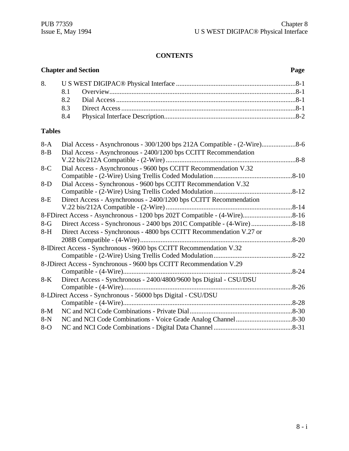# **CONTENTS**

| <b>Chapter and Section</b><br>Page |  |  |
|------------------------------------|--|--|
|                                    |  |  |
|                                    |  |  |
|                                    |  |  |
| 83                                 |  |  |
| 8.4                                |  |  |

## **Tables**

| $8-A$   |                                                                     |           |
|---------|---------------------------------------------------------------------|-----------|
| $8 - B$ | Dial Access - Asynchronous - 2400/1200 bps CCITT Recommendation     |           |
|         |                                                                     |           |
| $8-C$   | Dial Access - Asynchronous - 9600 bps CCITT Recommendation V.32     |           |
|         |                                                                     |           |
| $8-D$   | Dial Access - Synchronous - 9600 bps CCITT Recommendation V.32      |           |
|         |                                                                     |           |
| 8-E     | Direct Access - Asynchronous - 2400/1200 bps CCITT Recommendation   |           |
|         |                                                                     |           |
|         |                                                                     |           |
| $8-G$   |                                                                     |           |
| 8-H     | Direct Access - Synchronous - 4800 bps CCITT Recommendation V.27 or |           |
|         |                                                                     | $.8 - 20$ |
|         | 8-IDirect Access - Synchronous - 9600 bps CCITT Recommendation V.32 |           |
|         |                                                                     |           |
|         | 8-JDirect Access - Synchronous - 9600 bps CCITT Recommendation V.29 |           |
|         |                                                                     | $.8 - 24$ |
| 8-K     | Direct Access - Synchronous - 2400/4800/9600 bps Digital - CSU/DSU  |           |
|         |                                                                     |           |
|         | 8-LDirect Access - Synchronous - 56000 bps Digital - CSU/DSU        |           |
|         |                                                                     |           |
| $8-M$   |                                                                     |           |
| $8-N$   |                                                                     |           |
| $8-O$   |                                                                     |           |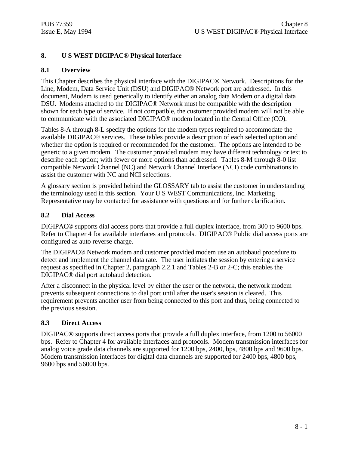## **8. U S WEST DIGIPAC® Physical Interface**

### **8.1 Overview**

This Chapter describes the physical interface with the DIGIPAC® Network. Descriptions for the Line, Modem, Data Service Unit (DSU) and DIGIPAC® Network port are addressed. In this document, Modem is used generically to identify either an analog data Modem or a digital data DSU. Modems attached to the DIGIPAC® Network must be compatible with the description shown for each type of service. If not compatible, the customer provided modem will not be able to communicate with the associated DIGIPAC® modem located in the Central Office (CO).

Tables 8-A through 8-L specify the options for the modem types required to accommodate the available DIGIPAC® services. These tables provide a description of each selected option and whether the option is required or recommended for the customer. The options are intended to be generic to a given modem. The customer provided modem may have different technology or text to describe each option; with fewer or more options than addressed. Tables 8-M through 8-0 list compatible Network Channel (NC) and Network Channel Interface (NCI) code combinations to assist the customer with NC and NCI selections.

A glossary section is provided behind the GLOSSARY tab to assist the customer in understanding the terminology used in this section. Your U S WEST Communications, Inc. Marketing Representative may be contacted for assistance with questions and for further clarification.

## **8.2 Dial Access**

DIGIPAC® supports dial access ports that provide a full duplex interface, from 300 to 9600 bps. Refer to Chapter 4 for available interfaces and protocols. DIGIPAC® Public dial access ports are configured as auto reverse charge.

The DIGIPAC® Network modem and customer provided modem use an autobaud procedure to detect and implement the channel data rate. The user initiates the session by entering a service request as specified in Chapter 2, paragraph 2.2.1 and Tables 2-B or 2-C; this enables the DIGIPAC® dial port autobaud detection.

After a disconnect in the physical level by either the user or the network, the network modem prevents subsequent connections to dial port until after the user's session is cleared. This requirement prevents another user from being connected to this port and thus, being connected to the previous session.

## **8.3 Direct Access**

DIGIPAC® supports direct access ports that provide a full duplex interface, from 1200 to 56000 bps. Refer to Chapter 4 for available interfaces and protocols. Modem transmission interfaces for analog voice grade data channels are supported for 1200 bps, 2400, bps, 4800 bps and 9600 bps. Modem transmission interfaces for digital data channels are supported for 2400 bps, 4800 bps, 9600 bps and 56000 bps.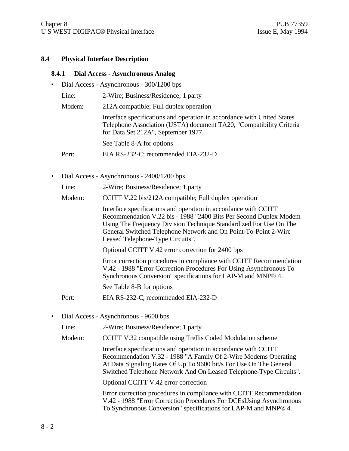#### **8.4 Physical Interface Description**

#### **8.4.1 Dial Access - Asynchronous Analog**

• Dial Access - Asynchronous - 300/1200 bps

Line: 2-Wire; Business/Residence; 1 party

Modem: 212A compatible; Full duplex operation

Interface specifications and operation in accordance with United States Telephone Association (USTA) document TA20, "Compatibility Criteria for Data Set 212A", September 1977.

See Table 8-A for options

Port: EIA RS-232-C; recommended EIA-232-D

• Dial Access - Asynchronous - 2400/1200 bps

Line: 2-Wire; Business/Residence; 1 party

Modem: CCITT V.22 bis/212A compatible; Full duplex operation

Interface specifications and operation in accordance with CCITT Recommendation V.22 bis - 1988 "2400 Bits Per Second Duplex Modem Using The Frequency Division Technique Standardized For Use On The General Switched Telephone Network and On Point-To-Point 2-Wire Leased Telephone-Type Circuits".

Optional CCITT V.42 error correction for 2400 bps

Error correction procedures in compliance with CCITT Recommendation V.42 - 1988 "Error Correction Procedures For Using Asynchronous To Synchronous Conversion" specifications for LAP-M and MNP® 4.

See Table 8-B for options

Port: EIA RS-232-C; recommended EIA-232-D

- Dial Access Asynchronous 9600 bps
	- Line: 2-Wire; Business/Residence; 1 party

Modem: CCITT V.32 compatible using Trellis Coded Modulation scheme

Interface specifications and operation in accordance with CCITT Recommendation V.32 - 1988 "A Family Of 2-Wire Modems Operating At Data Signaling Rates Of Up To 9600 bit/s For Use On The General Switched Telephone Network And On Leased Telephone-Type Circuits".

Optional CCITT V.42 error correction

Error correction procedures in compliance with CCITT Recommendation V.42 - 1988 "Error Correction Procedures For DCEsUsing Asynchronous To Synchronous Conversion" specifications for LAP-M and MNP® 4.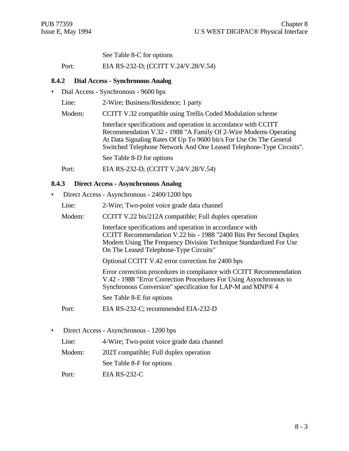See Table 8-C for options

#### Port: EIA RS-232-D; (CCITT V.24/V.28/V.54)

#### **8.4.2 Dial Access - Synchronous Analog**

- Dial Access Synchronous 9600 bps
	- Line: 2-Wire; Business/Residence; 1 party
	- Modem: CCITT V.32 compatible using Trellis Coded Modulation scheme

Interface specifications and operation in accordance with CCITT Recommendation V.32 - 1988 "A Family Of 2-Wire Modems Operating At Data Signaling Rates Of Up To 9600 bit/s For Use On The General Switched Telephone Network And One Leased Telephone-Type Circuits".

See Table 8-D for options

Port: EIA RS-232-D; (CCITT V.24/V.28/V.54)

#### **8.4.3 Direct Access - Asynchronous Analog**

- Direct Access Asynchronous 2400/1200 bps
	- Line: 2-Wire; Two-point voice grade data channel
	- Modem: CCITT V.22 bis/212A compatible; Full duplex operation

Interface specifications and operation in accordance with CCITT Recommendation V.22 bis - 1988 "2400 Bits Per Second Duplex Modem Using The Frequency Division Technique Standardized For Use On The Leased Telephone-Type Circuits"

Optional CCITT V.42 error correction for 2400 bps

Error correction procedures in compliance with CCITT Recommendation V.42 - 1988 "Error Correction Procedures For Using Asynchronous to Synchronous Conversion" specification for LAP-M and MNP® 4

See Table 8-E for options

- Port: EIA RS-232-C; recommended EIA-232-D
- Direct Access Asynchronous 1200 bps

Line: 4-Wire; Two-point voice grade data channel

- Modem: 202T compatible; Full duplex operation
	- See Table 8-F for options
- Port: EIA RS-232-C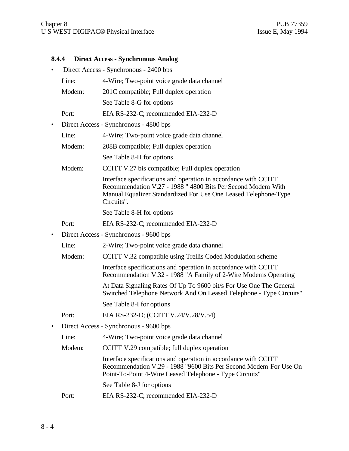# **8.4.4 Direct Access - Synchronous Analog**

| $\bullet$ |        | Direct Access - Synchronous - 2400 bps                                                                                                                                                                           |
|-----------|--------|------------------------------------------------------------------------------------------------------------------------------------------------------------------------------------------------------------------|
|           | Line:  | 4-Wire; Two-point voice grade data channel                                                                                                                                                                       |
|           | Modem: | 201C compatible; Full duplex operation                                                                                                                                                                           |
|           |        | See Table 8-G for options                                                                                                                                                                                        |
|           | Port:  | EIA RS-232-C; recommended EIA-232-D                                                                                                                                                                              |
| $\bullet$ |        | Direct Access - Synchronous - 4800 bps                                                                                                                                                                           |
|           | Line:  | 4-Wire; Two-point voice grade data channel                                                                                                                                                                       |
|           | Modem: | 208B compatible; Full duplex operation                                                                                                                                                                           |
|           |        | See Table 8-H for options                                                                                                                                                                                        |
|           | Modem: | CCITT V.27 bis compatible; Full duplex operation                                                                                                                                                                 |
|           |        | Interface specifications and operation in accordance with CCITT<br>Recommendation V.27 - 1988 " 4800 Bits Per Second Modem With<br>Manual Equalizer Standardized For Use One Leased Telephone-Type<br>Circuits". |
|           |        | See Table 8-H for options                                                                                                                                                                                        |
|           | Port:  | EIA RS-232-C; recommended EIA-232-D                                                                                                                                                                              |
| $\bullet$ |        | Direct Access - Synchronous - 9600 bps                                                                                                                                                                           |
|           | Line:  | 2-Wire; Two-point voice grade data channel                                                                                                                                                                       |
|           | Modem: | CCITT V.32 compatible using Trellis Coded Modulation scheme                                                                                                                                                      |
|           |        | Interface specifications and operation in accordance with CCITT<br>Recommendation V.32 - 1988 "A Family of 2-Wire Modems Operating                                                                               |
|           |        | At Data Signaling Rates Of Up To 9600 bit/s For Use One The General<br>Switched Telephone Network And On Leased Telephone - Type Circuits"                                                                       |
|           |        | See Table 8-I for options                                                                                                                                                                                        |
|           | Port:  | EIA RS-232-D; (CCITT V.24/V.28/V.54)                                                                                                                                                                             |
| ٠         |        | Direct Access - Synchronous - 9600 bps                                                                                                                                                                           |
|           | Line:  | 4-Wire; Two-point voice grade data channel                                                                                                                                                                       |
|           | Modem: | CCITT V.29 compatible; full duplex operation                                                                                                                                                                     |
|           |        | Interface specifications and operation in accordance with CCITT<br>Recommendation V.29 - 1988 "9600 Bits Per Second Modem For Use On<br>Point-To-Point 4-Wire Leased Telephone - Type Circuits"                  |
|           |        | See Table 8-J for options                                                                                                                                                                                        |

Port: EIA RS-232-C; recommended EIA-232-D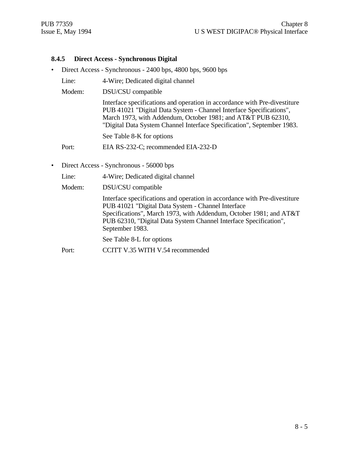#### **8.4.5 Direct Access - Synchronous Digital**

- Direct Access Synchronous 2400 bps, 4800 bps, 9600 bps
	- Line: 4-Wire; Dedicated digital channel
	- Modem: DSU/CSU compatible

Interface specifications and operation in accordance with Pre-divestiture PUB 41021 "Digital Data System - Channel Interface Specifications", March 1973, with Addendum, October 1981; and AT&T PUB 62310, "Digital Data System Channel Interface Specification", September 1983.

See Table 8-K for options

Port: EIA RS-232-C; recommended EIA-232-D

• Direct Access - Synchronous - 56000 bps

Line: 4-Wire; Dedicated digital channel

Modem: DSU/CSU compatible

Interface specifications and operation in accordance with Pre-divestiture PUB 41021 "Digital Data System - Channel Interface Specifications", March 1973, with Addendum, October 1981; and AT&T PUB 62310, "Digital Data System Channel Interface Specification", September 1983.

See Table 8-L for options

Port: CCITT V.35 WITH V.54 recommended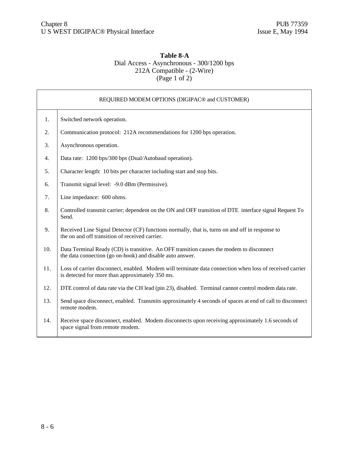$\mathbf{r}$ 

## **Table 8-A** Dial Access - Asynchronous - 300/1200 bps 212A Compatible - (2-Wire) (Page 1 of 2)

|                | REQUIRED MODEM OPTIONS (DIGIPAC® and CUSTOMER)                                                                                                             |
|----------------|------------------------------------------------------------------------------------------------------------------------------------------------------------|
| 1 <sub>1</sub> | Switched network operation.                                                                                                                                |
| 2.             | Communication protocol: 212A recommendations for 1200 bps operation.                                                                                       |
| 3.             | Asynchronous operation.                                                                                                                                    |
| 4.             | Data rate: 1200 bps/300 bps (Dual/Autobaud operation).                                                                                                     |
| 5.             | Character length: 10 bits per character including start and stop bits.                                                                                     |
| 6.             | Transmit signal level: -9.0 dBm (Permissive).                                                                                                              |
| 7.             | Line impedance: 600 ohms.                                                                                                                                  |
| 8.             | Controlled transmit carrier; dependent on the ON and OFF transition of DTE interface signal Request To<br>Send.                                            |
| 9.             | Received Line Signal Detector (CF) functions normally, that is, turns on and off in response to<br>the on and off transition of received carrier.          |
| 10.            | Data Terminal Ready (CD) is transitive. An OFF transition causes the modem to disconnect<br>the data connection (go on-hook) and disable auto answer.      |
| 11.            | Loss of carrier disconnect, enabled. Modem will terminate data connection when loss of received carrier<br>is detected for more than approximately 350 ms. |
| 12.            | DTE control of data rate via the CH lead (pin 23), disabled. Terminal cannot control modem data rate.                                                      |
| 13.            | Send space disconnect, enabled. Transmits approximately 4 seconds of spaces at end of call to disconnect<br>remote modem.                                  |
| 14.            | Receive space disconnect, enabled. Modem disconnects upon receiving approximately 1.6 seconds of<br>space signal from remote modem.                        |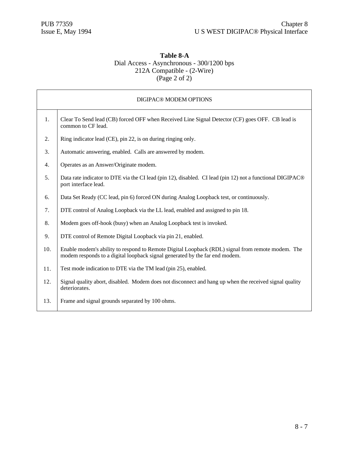## **Table 8-A** Dial Access - Asynchronous - 300/1200 bps 212A Compatible - (2-Wire)  $\frac{1}{2}$  (Page 2 of 2)

| DIGIPAC® MODEM OPTIONS |                                                                                                                                                                                 |  |
|------------------------|---------------------------------------------------------------------------------------------------------------------------------------------------------------------------------|--|
| 1.                     | Clear To Send lead (CB) forced OFF when Received Line Signal Detector (CF) goes OFF. CB lead is<br>common to CF lead.                                                           |  |
| 2.                     | Ring indicator lead (CE), pin 22, is on during ringing only.                                                                                                                    |  |
| 3.                     | Automatic answering, enabled. Calls are answered by modem.                                                                                                                      |  |
| 4.                     | Operates as an Answer/Originate modem.                                                                                                                                          |  |
| 5.                     | Data rate indicator to DTE via the CI lead (pin 12), disabled. CI lead (pin 12) not a functional DIGIPAC <sup>®</sup><br>port interface lead.                                   |  |
| 6.                     | Data Set Ready (CC lead, pin 6) forced ON during Analog Loopback test, or continuously.                                                                                         |  |
| 7.                     | DTE control of Analog Loopback via the LL lead, enabled and assigned to pin 18.                                                                                                 |  |
| 8.                     | Modem goes off-hook (busy) when an Analog Loopback test is invoked.                                                                                                             |  |
| 9.                     | DTE control of Remote Digital Loopback via pin 21, enabled.                                                                                                                     |  |
| 10.                    | Enable modem's ability to respond to Remote Digital Loopback (RDL) signal from remote modem. The<br>modem responds to a digital loopback signal generated by the far end modem. |  |
| 11.                    | Test mode indication to DTE via the TM lead (pin 25), enabled.                                                                                                                  |  |
| 12.                    | Signal quality abort, disabled. Modem does not disconnect and hang up when the received signal quality<br>deteriorates.                                                         |  |
| 13.                    | Frame and signal grounds separated by 100 ohms.                                                                                                                                 |  |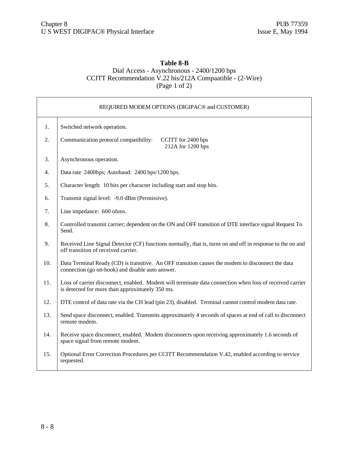## **Table 8-B** Dial Access - Asynchronous - 2400/1200 bps CCITT Recommendation V.22 bis/212A Compaatible - (2-Wire) (Page 1 of 2)

| REQUIRED MODEM OPTIONS (DIGIPAC® and CUSTOMER) |                                                                                                                                                            |
|------------------------------------------------|------------------------------------------------------------------------------------------------------------------------------------------------------------|
| 1.                                             | Switched network operation.                                                                                                                                |
| 2.                                             | Communication protocol compatibility:<br>CCITT for 2400 bps<br>212A for 1200 bps                                                                           |
| 3.                                             | Asynchronous operation.                                                                                                                                    |
| 4.                                             | Data rate 2400bps; Autobaud: 2400 bps/1200 bps.                                                                                                            |
| 5.                                             | Character length: 10 bits per character including start and stop bits.                                                                                     |
| 6.                                             | Transmit signal level: -9.0 dBm (Permissive).                                                                                                              |
| 7.                                             | Line impedance: 600 ohms.                                                                                                                                  |
| 8.                                             | Controlled transmit carrier; dependent on the ON and OFF transition of DTE interface signal Request To<br>Send.                                            |
| 9.                                             | Received Line Signal Detector (CF) functions normally, that is, turns on and off in response to the on and<br>off transition of received carrier.          |
| 10.                                            | Data Terminal Ready (CD) is transitive. An OFF transition causes the modem to disconnect the data<br>connection (go on-hook) and disable auto answer.      |
| 11.                                            | Loss of carrier disconnect, enabled. Modem will terminate data connection when loss of received carrier<br>is detected for more than approximately 350 ms. |
| 12.                                            | DTE control of data rate via the CH lead (pin 23), disabled. Terminal cannot control modem data rate.                                                      |
| 13.                                            | Send space disconnect, enabled. Transmits approximately 4 seconds of spaces at end of call to disconnect<br>remote modem.                                  |
| 14.                                            | Receive space disconnect, enabled. Modem disconnects upon receiving approximately 1.6 seconds of<br>space signal from remote modem.                        |
| 15.                                            | Optional Error Correction Procedures per CCITT Recommendation V.42, enabled according to service<br>requested.                                             |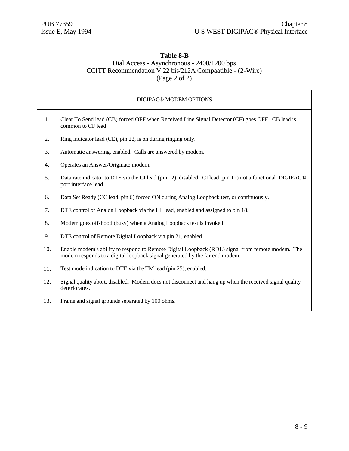## **Table 8-B**

## Dial Access - Asynchronous - 2400/1200 bps CCITT Recommendation V.22 bis/212A Compaatible - (2-Wire) (Page 2 of 2)

| DIGIPAC® MODEM OPTIONS |                                                                                                                                                                                 |  |
|------------------------|---------------------------------------------------------------------------------------------------------------------------------------------------------------------------------|--|
| 1.                     | Clear To Send lead (CB) forced OFF when Received Line Signal Detector (CF) goes OFF. CB lead is<br>common to CF lead.                                                           |  |
| 2.                     | Ring indicator lead (CE), pin 22, is on during ringing only.                                                                                                                    |  |
| 3.                     | Automatic answering, enabled. Calls are answered by modem.                                                                                                                      |  |
| 4.                     | Operates an Answer/Originate modem.                                                                                                                                             |  |
| 5.                     | Data rate indicator to DTE via the CI lead (pin 12), disabled. CI lead (pin 12) not a functional DIGIPAC <sup>®</sup><br>port interface lead.                                   |  |
| 6.                     | Data Set Ready (CC lead, pin 6) forced ON during Analog Loopback test, or continuously.                                                                                         |  |
| 7.                     | DTE control of Analog Loopback via the LL lead, enabled and assigned to pin 18.                                                                                                 |  |
| 8.                     | Modem goes off-hood (busy) when a Analog Loopback test is invoked.                                                                                                              |  |
| 9.                     | DTE control of Remote Digital Loopback via pin 21, enabled.                                                                                                                     |  |
| 10.                    | Enable modem's ability to respond to Remote Digital Loopback (RDL) signal from remote modem. The<br>modem responds to a digital loopback signal generated by the far end modem. |  |
| 11.                    | Test mode indication to DTE via the TM lead (pin 25), enabled.                                                                                                                  |  |
| 12.                    | Signal quality abort, disabled. Modem does not disconnect and hang up when the received signal quality<br>deteriorates.                                                         |  |
| 13.                    | Frame and signal grounds separated by 100 ohms.                                                                                                                                 |  |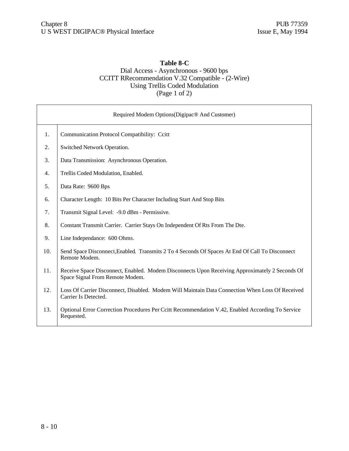## **Table 8-C** Dial Access - Asynchronous - 9600 bps CCITT RRecommendation V.32 Compatible - (2-Wire) Using Trellis Coded Modulation (Page 1 of 2)

| Required Modem Options (Digipac® And Customer) |                                                                                                                                   |  |
|------------------------------------------------|-----------------------------------------------------------------------------------------------------------------------------------|--|
| 1.                                             | Communication Protocol Compatibility: Ccitt                                                                                       |  |
| 2.                                             | Switched Network Operation.                                                                                                       |  |
| 3.                                             | Data Transmission: Asynchronous Operation.                                                                                        |  |
| 4.                                             | Trellis Coded Modulation, Enabled.                                                                                                |  |
| 5.                                             | Data Rate: 9600 Bps                                                                                                               |  |
| 6.                                             | Character Length: 10 Bits Per Character Including Start And Stop Bits                                                             |  |
| 7.                                             | Transmit Signal Level: -9.0 dBm - Permissive.                                                                                     |  |
| 8.                                             | Constant Transmit Carrier. Carrier Stays On Independent Of Rts From The Dte.                                                      |  |
| 9.                                             | Line Independance: 600 Ohms.                                                                                                      |  |
| 10.                                            | Send Space Disconnect, Enabled. Transmits 2 To 4 Seconds Of Spaces At End Of Call To Disconnect<br>Remote Modem.                  |  |
| 11.                                            | Receive Space Disconnect, Enabled. Modem Disconnects Upon Receiving Approximately 2 Seconds Of<br>Space Signal From Remote Modem. |  |
| 12.                                            | Loss Of Carrier Disconnect, Disabled. Modem Will Maintain Data Connection When Loss Of Received<br>Carrier Is Detected.           |  |
| 13.                                            | Optional Error Correction Procedures Per Ccitt Recommendation V.42, Enabled According To Service<br>Requested.                    |  |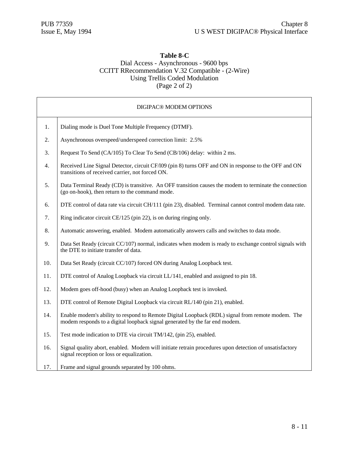# **Table 8-C**

### Dial Access - Asynchronous - 9600 bps CCITT RRecommendation V.32 Compatible - (2-Wire) Using Trellis Coded Modulation (Page 2 of 2)

|     | DIGIPAC <sup>®</sup> MODEM OPTIONS                                                                                                                                              |
|-----|---------------------------------------------------------------------------------------------------------------------------------------------------------------------------------|
| 1.  | Dialing mode is Duel Tone Multiple Frequency (DTMF).                                                                                                                            |
| 2.  | Asynchronous overspeed/underspeed correction limit: 2.5%                                                                                                                        |
| 3.  | Request To Send (CA/105) To Clear To Send (CB/106) delay: within 2 ms.                                                                                                          |
| 4.  | Received Line Signal Detector, circuit CF/109 (pin 8) turns OFF and ON in response to the OFF and ON<br>transitions of received carrier, not forced ON.                         |
| 5.  | Data Terminal Ready (CD) is transitive. An OFF transition causes the modem to terminate the connection<br>(go on-hook), then return to the command mode.                        |
| 6.  | DTE control of data rate via circuit CH/111 (pin 23), disabled. Terminal cannot control modem data rate.                                                                        |
| 7.  | Ring indicator circuit CE/125 (pin 22), is on during ringing only.                                                                                                              |
| 8.  | Automatic answering, enabled. Modem automatically answers calls and switches to data mode.                                                                                      |
| 9.  | Data Set Ready (circuit CC/107) normal, indicates when modem is ready to exchange control signals with<br>the DTE to initiate transfer of data.                                 |
| 10. | Data Set Ready (circuit CC/107) forced ON during Analog Loopback test.                                                                                                          |
| 11. | DTE control of Analog Loopback via circuit LL/141, enabled and assigned to pin 18.                                                                                              |
| 12. | Modem goes off-hood (busy) when an Analog Loopback test is invoked.                                                                                                             |
| 13. | DTE control of Remote Digital Loopback via circuit RL/140 (pin 21), enabled.                                                                                                    |
| 14. | Enable modem's ability to respond to Remote Digital Loopback (RDL) signal from remote modem. The<br>modem responds to a digital loopback signal generated by the far end modem. |
| 15. | Test mode indication to DTE via circuit TM/142, (pin 25), enabled.                                                                                                              |
| 16. | Signal quality abort, enabled. Modem will initiate retrain procedures upon detection of unsatisfactory<br>signal reception or loss or equalization.                             |
| 17. | Frame and signal grounds separated by 100 ohms.                                                                                                                                 |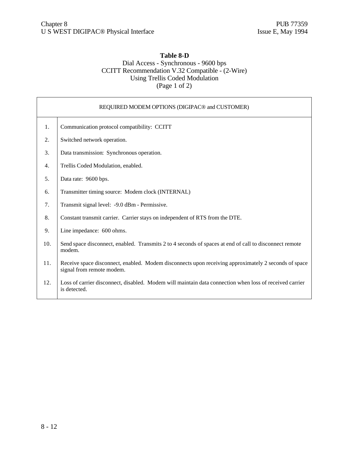## **Table 8-D**

#### Dial Access - Synchronous - 9600 bps CCITT Recommendation V.32 Compatible - (2-Wire) Using Trellis Coded Modulation (Page 1 of 2)

| REQUIRED MODEM OPTIONS (DIGIPAC® and CUSTOMER) |                                                                                                                                   |  |
|------------------------------------------------|-----------------------------------------------------------------------------------------------------------------------------------|--|
| 1.                                             | Communication protocol compatibility: CCITT                                                                                       |  |
| 2.                                             | Switched network operation.                                                                                                       |  |
| 3.                                             | Data transmission: Synchronous operation.                                                                                         |  |
| 4.                                             | Trellis Coded Modulation, enabled.                                                                                                |  |
| 5.                                             | Data rate: 9600 bps.                                                                                                              |  |
| 6.                                             | Transmitter timing source: Modem clock (INTERNAL)                                                                                 |  |
| 7.                                             | Transmit signal level: -9.0 dBm - Permissive.                                                                                     |  |
| 8.                                             | Constant transmit carrier. Carrier stays on independent of RTS from the DTE.                                                      |  |
| 9.                                             | Line impedance: 600 ohms.                                                                                                         |  |
| 10.                                            | Send space disconnect, enabled. Transmits 2 to 4 seconds of spaces at end of call to disconnect remote<br>modem.                  |  |
| 11.                                            | Receive space disconnect, enabled. Modem disconnects upon receiving approximately 2 seconds of space<br>signal from remote modem. |  |
| 12.                                            | Loss of carrier disconnect, disabled. Modem will maintain data connection when loss of received carrier<br>is detected.           |  |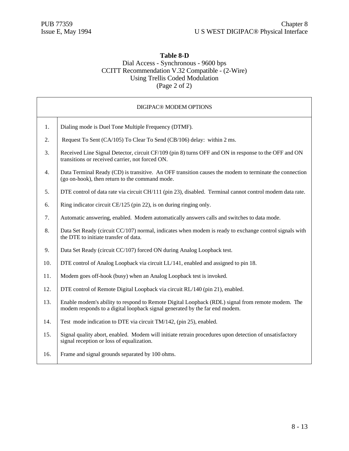# **Table 8-D**

#### Dial Access - Synchronous - 9600 bps CCITT Recommendation V.32 Compatible - (2-Wire) Using Trellis Coded Modulation (Page 2 of 2)

|                | DIGIPAC <sup>®</sup> MODEM OPTIONS                                                                                                                                              |
|----------------|---------------------------------------------------------------------------------------------------------------------------------------------------------------------------------|
| 1.             | Dialing mode is Duel Tone Multiple Frequency (DTMF).                                                                                                                            |
| 2.             | Request To Sent (CA/105) To Clear To Send (CB/106) delay: within 2 ms.                                                                                                          |
| 3.             | Received Line Signal Detector, circuit CF/109 (pin 8) turns OFF and ON in response to the OFF and ON<br>transitions or received carrier, not forced ON.                         |
| 4.             | Data Terminal Ready (CD) is transitive. An OFF transition causes the modem to terminate the connection<br>(go on-hook), then return to the command mode.                        |
| 5 <sub>1</sub> | DTE control of data rate via circuit CH/111 (pin 23), disabled. Terminal cannot control modem data rate.                                                                        |
| 6.             | Ring indicator circuit CE/125 (pin 22), is on during ringing only.                                                                                                              |
| 7.             | Automatic answering, enabled. Modem automatically answers calls and switches to data mode.                                                                                      |
| 8.             | Data Set Ready (circuit CC/107) normal, indicates when modem is ready to exchange control signals with<br>the DTE to initiate transfer of data.                                 |
| 9.             | Data Set Ready (circuit CC/107) forced ON during Analog Loopback test.                                                                                                          |
| 10.            | DTE control of Analog Loopback via circuit LL/141, enabled and assigned to pin 18.                                                                                              |
| 11.            | Modem goes off-hook (busy) when an Analog Loopback test is invoked.                                                                                                             |
| 12.            | DTE control of Remote Digital Loopback via circuit RL/140 (pin 21), enabled.                                                                                                    |
| 13.            | Enable modem's ability to respond to Remote Digital Loopback (RDL) signal from remote modem. The<br>modem responds to a digital loopback signal generated by the far end modem. |
| 14.            | Test mode indication to DTE via circuit TM/142, (pin 25), enabled.                                                                                                              |
| 15.            | Signal quality abort, enabled. Modem will initiate retrain procedures upon detection of unsatisfactory<br>signal reception or loss of equalization.                             |
| 16.            | Frame and signal grounds separated by 100 ohms.                                                                                                                                 |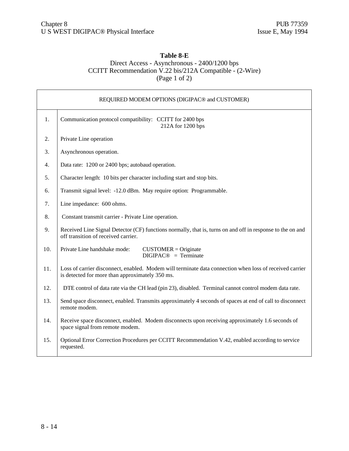### **Table 8-E**

#### Direct Access - Asynchronous - 2400/1200 bps CCITT Recommendation V.22 bis/212A Compatible - (2-Wire) (Page 1 of 2)

|     | REQUIRED MODEM OPTIONS (DIGIPAC® and CUSTOMER)                                                                                                             |
|-----|------------------------------------------------------------------------------------------------------------------------------------------------------------|
| 1.  | Communication protocol compatibility: CCITT for 2400 bps<br>212A for 1200 bps                                                                              |
| 2.  | Private Line operation                                                                                                                                     |
| 3.  | Asynchronous operation.                                                                                                                                    |
| 4.  | Data rate: 1200 or 2400 bps; autobaud operation.                                                                                                           |
| 5.  | Character length: 10 bits per character including start and stop bits.                                                                                     |
| 6.  | Transmit signal level: -12.0 dBm. May require option: Programmable.                                                                                        |
| 7.  | Line impedance: 600 ohms.                                                                                                                                  |
| 8.  | Constant transmit carrier - Private Line operation.                                                                                                        |
| 9.  | Received Line Signal Detector (CF) functions normally, that is, turns on and off in response to the on and<br>off transition of received carrier.          |
| 10. | Private Line handshake mode:<br>$CUSTOMER = Originate$<br>$DIGIPAC@ = Terminate$                                                                           |
| 11. | Loss of carrier disconnect, enabled. Modem will terminate data connection when loss of received carrier<br>is detected for more than approximately 350 ms. |
| 12. | DTE control of data rate via the CH lead (pin 23), disabled. Terminal cannot control modem data rate.                                                      |
| 13. | Send space disconnect, enabled. Transmits approximately 4 seconds of spaces at end of call to disconnect<br>remote modem.                                  |
| 14. | Receive space disconnect, enabled. Modem disconnects upon receiving approximately 1.6 seconds of<br>space signal from remote modem.                        |
| 15. | Optional Error Correction Procedures per CCITT Recommendation V.42, enabled according to service<br>requested.                                             |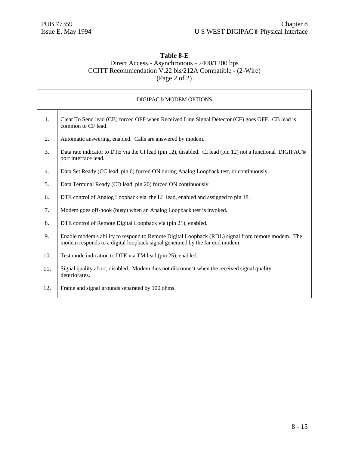# **Table 8-E**

#### Direct Access - Asynchronous - 2400/1200 bps CCITT Recommendation V.22 bis/212A Compatible - (2-Wire) (Page 2 of 2)

| DIGIPAC <sup>®</sup> MODEM OPTIONS |                                                                                                                                                                                 |
|------------------------------------|---------------------------------------------------------------------------------------------------------------------------------------------------------------------------------|
| 1.                                 | Clear To Send lead (CB) forced OFF when Received Line Signal Detector (CF) goes OFF. CB lead is<br>common to CF lead.                                                           |
| 2.                                 | Automatic answering, enabled. Calls are answered by modem.                                                                                                                      |
| 3.                                 | Data rate indicator to DTE via the CI lead (pin 12), disabled. CI lead (pin 12) not a functional DIGIPAC <sup>®</sup><br>port interface lead.                                   |
| 4.                                 | Data Set Ready (CC lead, pin 6) forced ON during Analog Loopback test, or continuously.                                                                                         |
| 5.                                 | Data Terminal Ready (CD lead, pin 20) forced ON continuously.                                                                                                                   |
| 6.                                 | DTE control of Analog Loopback via the LL lead, enabled and assigned to pin 18.                                                                                                 |
| 7.                                 | Modem goes off-hook (busy) when an Analog Loopback test is invoked.                                                                                                             |
| 8.                                 | DTE control of Remote Digital Loopback via (pin 21), enabled.                                                                                                                   |
| 9.                                 | Enable modem's ability to respond to Remote Digital Loopback (RDL) signal from remote modem. The<br>modem responds to a digital loopback signal generated by the far end modem. |
| 10.                                | Test mode indication to DTE via TM lead (pin 25), enabled.                                                                                                                      |
| 11.                                | Signal quality abort, disabled. Modem dies not disconnect when the received signal quality<br>deteriorates.                                                                     |
| 12.                                | Frame and signal grounds separated by 100 ohms.                                                                                                                                 |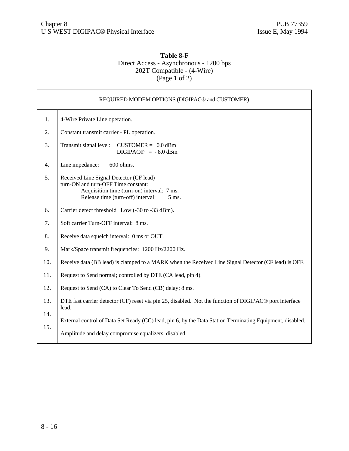#### **Table 8-F** Direct Access - Asynchronous - 1200 bps 202T Compatible - (4-Wire) (Page 1 of 2)

|                  | REQUIRED MODEM OPTIONS (DIGIPAC® and CUSTOMER)                                                                                                                             |
|------------------|----------------------------------------------------------------------------------------------------------------------------------------------------------------------------|
| 1.               | 4-Wire Private Line operation.                                                                                                                                             |
| 2.               | Constant transmit carrier - PL operation.                                                                                                                                  |
| 3.               | Transmit signal level: $CUSTOMER = 0.0$ dBm<br>$DIGIPAC@ = -8.0$ dBm                                                                                                       |
| $\overline{4}$ . | Line impedance:<br>600 ohms.                                                                                                                                               |
| 5.               | Received Line Signal Detector (CF lead)<br>turn-ON and turn-OFF Time constant:<br>Acquisition time (turn-on) interval: 7 ms.<br>Release time (turn-off) interval:<br>5 ms. |
| 6.               | Carrier detect threshold: Low (-30 to -33 dBm).                                                                                                                            |
| 7.               | Soft carrier Turn-OFF interval: 8 ms.                                                                                                                                      |
| 8.               | Receive data squelch interval: 0 ms or OUT.                                                                                                                                |
| 9.               | Mark/Space transmit frequencies: 1200 Hz/2200 Hz.                                                                                                                          |
| 10.              | Receive data (BB lead) is clamped to a MARK when the Received Line Signal Detector (CF lead) is OFF.                                                                       |
| 11.              | Request to Send normal; controlled by DTE (CA lead, pin 4).                                                                                                                |
| 12.              | Request to Send (CA) to Clear To Send (CB) delay; 8 ms.                                                                                                                    |
| 13.              | DTE fast carrier detector (CF) reset via pin 25, disabled. Not the function of DIGIPAC <sup>®</sup> port interface<br>lead.                                                |
| 14.              | External control of Data Set Ready (CC) lead, pin 6, by the Data Station Terminating Equipment, disabled.                                                                  |
| 15.              | Amplitude and delay compromise equalizers, disabled.                                                                                                                       |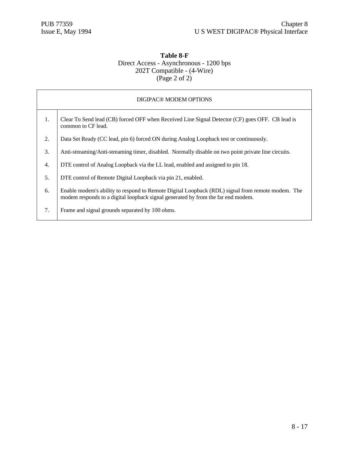#### **Table 8-F** Direct Access - Asynchronous - 1200 bps 202T Compatible - (4-Wire)  $(\text{Page 2 of 2})$

| DIGIPAC <sup>®</sup> MODEM OPTIONS |                                                                                                                                                                                      |
|------------------------------------|--------------------------------------------------------------------------------------------------------------------------------------------------------------------------------------|
| 1.                                 | Clear To Send lead (CB) forced OFF when Received Line Signal Detector (CF) goes OFF. CB lead is<br>common to CF lead.                                                                |
| 2.                                 | Data Set Ready (CC lead, pin 6) forced ON during Analog Loopback test or continuously.                                                                                               |
| 3.                                 | Anti-streaming/Anti-streaming timer, disabled. Normally disable on two point private line circuits.                                                                                  |
| $\overline{4}$ .                   | DTE control of Analog Loopback via the LL lead, enabled and assigned to pin 18.                                                                                                      |
| 5.                                 | DTE control of Remote Digital Loopback via pin 21, enabled.                                                                                                                          |
| 6.                                 | Enable modem's ability to respond to Remote Digital Loopback (RDL) signal from remote modem. The<br>modem responds to a digital loopback signal generated by from the far end modem. |
| 7.                                 | Frame and signal grounds separated by 100 ohms.                                                                                                                                      |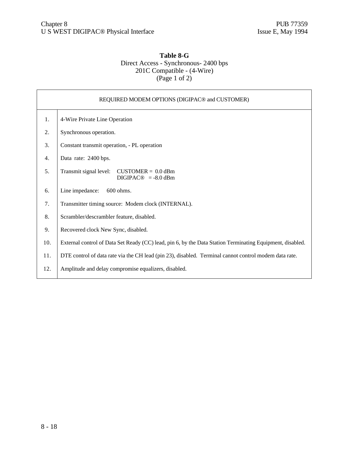#### **Table 8-G** Direct Access - Synchronous- 2400 bps 201C Compatible - (4-Wire) (Page 1 of 2)

|                | REQUIRED MODEM OPTIONS (DIGIPAC® and CUSTOMER)                                                            |
|----------------|-----------------------------------------------------------------------------------------------------------|
| 1 <sub>1</sub> | 4-Wire Private Line Operation                                                                             |
| 2.             | Synchronous operation.                                                                                    |
| 3.             | Constant transmit operation, - PL operation                                                               |
| 4.             | Data rate: 2400 bps.                                                                                      |
| 5.             | Transmit signal level:<br>$CUSTOMER = 0.0$ dBm<br>$DIGIPAC@ = -8.0$ dBm                                   |
| 6.             | Line impedance:<br>$600$ ohms.                                                                            |
| 7.             | Transmitter timing source: Modem clock (INTERNAL).                                                        |
| 8.             | Scrambler/descrambler feature, disabled.                                                                  |
| 9.             | Recovered clock New Sync, disabled.                                                                       |
| 10.            | External control of Data Set Ready (CC) lead, pin 6, by the Data Station Terminating Equipment, disabled. |
| 11.            | DTE control of data rate via the CH lead (pin 23), disabled. Terminal cannot control modem data rate.     |
| 12.            | Amplitude and delay compromise equalizers, disabled.                                                      |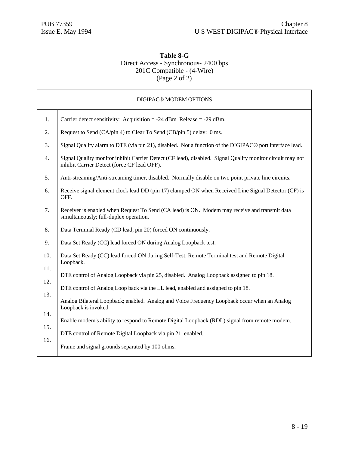#### **Table 8-G** Direct Access - Synchronous- 2400 bps 201C Compatible - (4-Wire) (Page 2 of 2)

|     | DIGIPAC <sup>®</sup> MODEM OPTIONS                                                                                                                       |
|-----|----------------------------------------------------------------------------------------------------------------------------------------------------------|
| 1.  | Carrier detect sensitivity: Acquisition = $-24$ dBm Release = $-29$ dBm.                                                                                 |
| 2.  | Request to Send (CA/pin 4) to Clear To Send (CB/pin 5) delay: 0 ms.                                                                                      |
| 3.  | Signal Quality alarm to DTE (via pin 21), disabled. Not a function of the DIGIPAC <sup>®</sup> port interface lead.                                      |
| 4.  | Signal Quality monitor inhibit Carrier Detect (CF lead), disabled. Signal Quality monitor circuit may not<br>inhibit Carrier Detect (force CF lead OFF). |
| 5.  | Anti-streaming/Anti-streaming timer, disabled. Normally disable on two point private line circuits.                                                      |
| 6.  | Receive signal element clock lead DD (pin 17) clamped ON when Received Line Signal Detector (CF) is<br>OFF.                                              |
| 7.  | Receiver is enabled when Request To Send (CA lead) is ON. Modem may receive and transmit data<br>simultaneously; full-duplex operation.                  |
| 8.  | Data Terminal Ready (CD lead, pin 20) forced ON continuously.                                                                                            |
| 9.  | Data Set Ready (CC) lead forced ON during Analog Loopback test.                                                                                          |
| 10. | Data Set Ready (CC) lead forced ON during Self-Test, Remote Terminal test and Remote Digital<br>Loopback.                                                |
| 11. | DTE control of Analog Loopback via pin 25, disabled. Analog Loopback assigned to pin 18.                                                                 |
| 12. | DTE control of Analog Loop back via the LL lead, enabled and assigned to pin 18.                                                                         |
| 13. | Analog Bilateral Loopback; enabled. Analog and Voice Frequency Loopback occur when an Analog                                                             |
| 14. | Loopback is invoked.                                                                                                                                     |
| 15. | Enable modem's ability to respond to Remote Digital Loopback (RDL) signal from remote modem.                                                             |
| 16. | DTE control of Remote Digital Loopback via pin 21, enabled.                                                                                              |
|     | Frame and signal grounds separated by 100 ohms.                                                                                                          |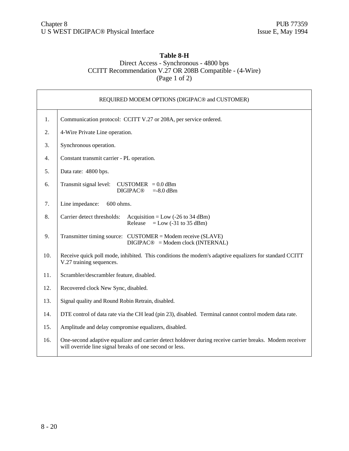#### **Table 8-H**

#### Direct Access - Synchronous - 4800 bps CCITT Recommendation V.27 OR 208B Compatible - (4-Wire) (Page 1 of 2)

|     | REQUIRED MODEM OPTIONS (DIGIPAC® and CUSTOMER)                                                                                                                     |
|-----|--------------------------------------------------------------------------------------------------------------------------------------------------------------------|
| 1.  | Communication protocol: CCITT V.27 or 208A, per service ordered.                                                                                                   |
| 2.  | 4-Wire Private Line operation.                                                                                                                                     |
| 3.  | Synchronous operation.                                                                                                                                             |
| 4.  | Constant transmit carrier - PL operation.                                                                                                                          |
| 5.  | Data rate: 4800 bps.                                                                                                                                               |
| 6.  | Transmit signal level:<br>$CUSTOMER = 0.0$ dBm<br><b>DIGIPAC®</b><br>$=8.0$ dBm                                                                                    |
| 7.  | Line impedance:<br>600 ohms.                                                                                                                                       |
| 8.  | Carrier detect thresholds:<br>Acquisition = Low $(-26 \text{ to } 34 \text{ dBm})$<br>Release<br>$=$ Low (-31 to 35 dBm)                                           |
| 9.  | Transmitter timing source: CUSTOMER = Modem receive (SLAVE)<br>$DIGIPAC@ = Modem clock (INTERNAL)$                                                                 |
| 10. | Receive quick poll mode, inhibited. This conditions the modem's adaptive equalizers for standard CCITT<br>V.27 training sequences.                                 |
| 11. | Scrambler/descrambler feature, disabled.                                                                                                                           |
| 12. | Recovered clock New Sync, disabled.                                                                                                                                |
| 13. | Signal quality and Round Robin Retrain, disabled.                                                                                                                  |
| 14. | DTE control of data rate via the CH lead (pin 23), disabled. Terminal cannot control modem data rate.                                                              |
| 15. | Amplitude and delay compromise equalizers, disabled.                                                                                                               |
| 16. | One-second adaptive equalizer and carrier detect holdover during receive carrier breaks. Modem receiver<br>will override line signal breaks of one second or less. |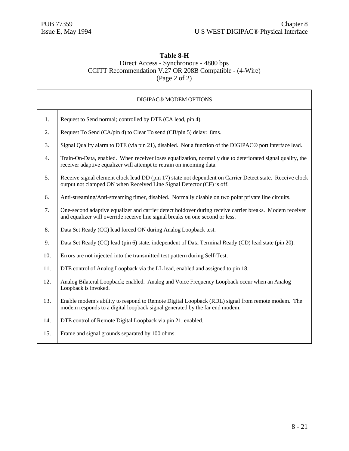## **Table 8-H**

#### Direct Access - Synchronous - 4800 bps CCITT Recommendation V.27 OR 208B Compatible - (4-Wire) (Page 2 of 2)

|     | DIGIPAC <sup>®</sup> MODEM OPTIONS                                                                                                                                                       |
|-----|------------------------------------------------------------------------------------------------------------------------------------------------------------------------------------------|
| 1.  | Request to Send normal; controlled by DTE (CA lead, pin 4).                                                                                                                              |
| 2.  | Request To Send (CA/pin 4) to Clear To send (CB/pin 5) delay: 8ms.                                                                                                                       |
| 3.  | Signal Quality alarm to DTE (via pin 21), disabled. Not a function of the DIGIPAC <sup>®</sup> port interface lead.                                                                      |
| 4.  | Train-On-Data, enabled. When receiver loses equalization, normally due to deteriorated signal quality, the<br>receiver adaptive equalizer will attempt to retrain on incoming data.      |
| 5.  | Receive signal element clock lead DD (pin 17) state not dependent on Carrier Detect state. Receive clock<br>output not clamped ON when Received Line Signal Detector (CF) is off.        |
| 6.  | Anti-streaming/Anti-streaming timer, disabled. Normally disable on two point private line circuits.                                                                                      |
| 7.  | One-second adaptive equalizer and carrier detect holdover during receive carrier breaks. Modem receiver<br>and equalizer will override receive line signal breaks on one second or less. |
| 8.  | Data Set Ready (CC) lead forced ON during Analog Loopback test.                                                                                                                          |
| 9.  | Data Set Ready (CC) lead (pin 6) state, independent of Data Terminal Ready (CD) lead state (pin 20).                                                                                     |
| 10. | Errors are not injected into the transmitted test pattern during Self-Test.                                                                                                              |
| 11. | DTE control of Analog Loopback via the LL lead, enabled and assigned to pin 18.                                                                                                          |
| 12. | Analog Bilateral Loopback; enabled. Analog and Voice Frequency Loopback occur when an Analog<br>Loopback is invoked.                                                                     |
| 13. | Enable modem's ability to respond to Remote Digital Loopback (RDL) signal from remote modem. The<br>modem responds to a digital loopback signal generated by the far end modem.          |
| 14. | DTE control of Remote Digital Loopback via pin 21, enabled.                                                                                                                              |
| 15. | Frame and signal grounds separated by 100 ohms.                                                                                                                                          |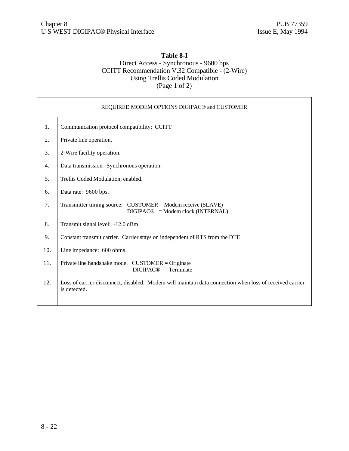#### **Table 8-I**

#### Direct Access - Synchronous - 9600 bps CCITT Recommendation V.32 Compatible - (2-Wire) Using Trellis Coded Modulation (Page 1 of 2)

|     | REQUIRED MODEM OPTIONS DIGIPAC® and CUSTOMER                                                                            |
|-----|-------------------------------------------------------------------------------------------------------------------------|
| 1.  | Communication protocol compatibility: CCITT                                                                             |
| 2.  | Private line operation.                                                                                                 |
| 3.  | 2-Wire facility operation.                                                                                              |
| 4.  | Data transmission: Synchronous operation.                                                                               |
| 5.  | Trellis Coded Modulation, enabled.                                                                                      |
| 6.  | Data rate: 9600 bps.                                                                                                    |
| 7.  | Transmitter timing source: CUSTOMER = Modem receive (SLAVE)<br>$DIGIPAC@ = Modem clock (INTERNAL)$                      |
| 8.  | Transmit signal level: -12.0 dBm                                                                                        |
| 9.  | Constant transmit carrier. Carrier stays on independent of RTS from the DTE.                                            |
| 10. | Line impedance: 600 ohms.                                                                                               |
| 11. | Private line handshake mode: CUSTOMER = Originate<br>$DIGIPAC@ = Terminate$                                             |
| 12. | Loss of carrier disconnect, disabled. Modem will maintain data connection when loss of received carrier<br>is detected. |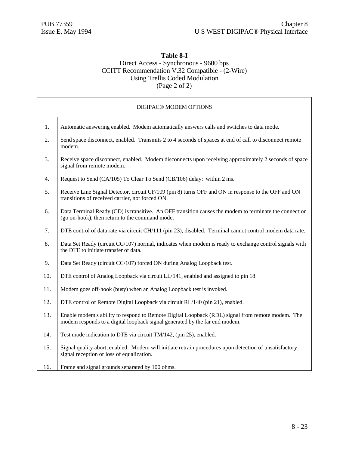## **Table 8-I**

#### Direct Access - Synchronous - 9600 bps CCITT Recommendation V.32 Compatible - (2-Wire) Using Trellis Coded Modulation (Page 2 of 2)

|     | DIGIPAC® MODEM OPTIONS                                                                                                                                                          |
|-----|---------------------------------------------------------------------------------------------------------------------------------------------------------------------------------|
| 1.  | Automatic answering enabled. Modem automatically answers calls and switches to data mode.                                                                                       |
| 2.  | Send space disconnect, enabled. Transmits 2 to 4 seconds of spaces at end of call to disconnect remote<br>modem.                                                                |
| 3.  | Receive space disconnect, enabled. Modem disconnects upon receiving approximately 2 seconds of space<br>signal from remote modem.                                               |
| 4.  | Request to Send (CA/105) To Clear To Send (CB/106) delay: within 2 ms.                                                                                                          |
| 5.  | Receive Line Signal Detector, circuit CF/109 (pin 8) turns OFF and ON in response to the OFF and ON<br>transitions of received carrier, not forced ON.                          |
| 6.  | Data Terminal Ready (CD) is transitive. An OFF transition causes the modem to terminate the connection<br>(go on-hook), then return to the command mode.                        |
| 7.  | DTE control of data rate via circuit CH/111 (pin 23), disabled. Terminal cannot control modem data rate.                                                                        |
| 8.  | Data Set Ready (circuit CC/107) normal, indicates when modem is ready to exchange control signals with<br>the DTE to initiate transfer of data.                                 |
| 9.  | Data Set Ready (circuit CC/107) forced ON during Analog Loopback test.                                                                                                          |
| 10. | DTE control of Analog Loopback via circuit LL/141, enabled and assigned to pin 18.                                                                                              |
| 11. | Modem goes off-hook (busy) when an Analog Loopback test is invoked.                                                                                                             |
| 12. | DTE control of Remote Digital Loopback via circuit RL/140 (pin 21), enabled.                                                                                                    |
| 13. | Enable modem's ability to respond to Remote Digital Loopback (RDL) signal from remote modem. The<br>modem responds to a digital loopback signal generated by the far end modem. |
| 14. | Test mode indication to DTE via circuit TM/142, (pin 25), enabled.                                                                                                              |
| 15. | Signal quality abort, enabled. Modem will initiate retrain procedures upon detection of unsatisfactory<br>signal reception or loss of equalization.                             |
| 16. | Frame and signal grounds separated by 100 ohms.                                                                                                                                 |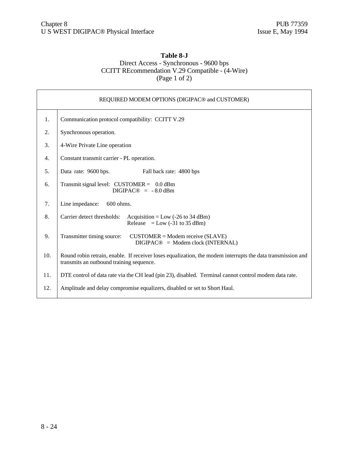# **Table 8-J**

### Direct Access - Synchronous - 9600 bps CCITT REcommendation V.29 Compatible - (4-Wire) (Page 1 of 2)

|                | REQUIRED MODEM OPTIONS (DIGIPAC <sup>®</sup> and CUSTOMER)                                                                                              |
|----------------|---------------------------------------------------------------------------------------------------------------------------------------------------------|
| $\mathbf{1}$ . | Communication protocol compatibility: CCITT V.29                                                                                                        |
| 2.             | Synchronous operation.                                                                                                                                  |
| 3.             | 4-Wire Private Line operation                                                                                                                           |
| 4.             | Constant transmit carrier - PL operation.                                                                                                               |
| 5 <sub>1</sub> | Data rate: 9600 bps.<br>Fall back rate: 4800 bps                                                                                                        |
| 6.             | Transmit signal level: $CUSTOMER = 0.0$ dBm<br>$DIGIPAC@ = -8.0$ dBm                                                                                    |
| 7.             | Line impedance:<br>$600$ ohms.                                                                                                                          |
| 8.             | Carrier detect thresholds: Acquisition = Low $(-26 \text{ to } 34 \text{ dBm})$<br>Release = $Low$ (-31 to 35 dBm)                                      |
| 9.             | Transmitter timing source:<br>$CUSTOMER = Modem receive (SLAVE)$<br>$DIGIPAC@ = Modem clock (INTERNAL)$                                                 |
| 10.            | Round robin retrain, enable. If receiver loses equalization, the modem interrupts the data transmission and<br>transmits an outbound training sequence. |
| 11.            | DTE control of data rate via the CH lead (pin 23), disabled. Terminal cannot control modem data rate.                                                   |
| 12.            | Amplitude and delay compromise equalizers, disabled or set to Short Haul.                                                                               |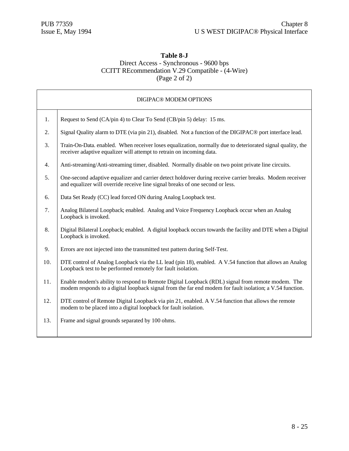# **Table 8-J**

#### Direct Access - Synchronous - 9600 bps CCITT REcommendation V.29 Compatible - (4-Wire) (Page 2 of 2)

| DIGIPAC® MODEM OPTIONS |                                                                                                                                                                                                              |  |  |  |  |
|------------------------|--------------------------------------------------------------------------------------------------------------------------------------------------------------------------------------------------------------|--|--|--|--|
| 1.                     | Request to Send (CA/pin 4) to Clear To Send (CB/pin 5) delay: 15 ms.                                                                                                                                         |  |  |  |  |
| 2.                     | Signal Quality alarm to DTE (via pin 21), disabled. Not a function of the DIGIPAC <sup>®</sup> port interface lead.                                                                                          |  |  |  |  |
| 3.                     | Train-On-Data. enabled. When receiver loses equalization, normally due to deteriorated signal quality, the<br>receiver adaptive equalizer will attempt to retrain on incoming data.                          |  |  |  |  |
| 4.                     | Anti-streaming/Anti-streaming timer, disabled. Normally disable on two point private line circuits.                                                                                                          |  |  |  |  |
| 5.                     | One-second adaptive equalizer and carrier detect holdover during receive carrier breaks. Modem receiver<br>and equalizer will override receive line signal breaks of one second or less.                     |  |  |  |  |
| 6.                     | Data Set Ready (CC) lead forced ON during Analog Loopback test.                                                                                                                                              |  |  |  |  |
| 7.                     | Analog Bilateral Loopback; enabled. Analog and Voice Frequency Loopback occur when an Analog<br>Loopback is invoked.                                                                                         |  |  |  |  |
| 8.                     | Digital Bilateral Loopback; enabled. A digital loopback occurs towards the facility and DTE when a Digital<br>Loopback is invoked.                                                                           |  |  |  |  |
| 9.                     | Errors are not injected into the transmitted test pattern during Self-Test.                                                                                                                                  |  |  |  |  |
| 10.                    | DTE control of Analog Loopback via the LL lead (pin 18), enabled. A V.54 function that allows an Analog<br>Loopback test to be performed remotely for fault isolation.                                       |  |  |  |  |
| 11.                    | Enable modem's ability to respond to Remote Digital Loopback (RDL) signal from remote modem. The<br>modem responds to a digital loopback signal from the far end modem for fault isolation; a V.54 function. |  |  |  |  |
| 12.                    | DTE control of Remote Digital Loopback via pin 21, enabled. A V.54 function that allows the remote<br>modem to be placed into a digital loopback for fault isolation.                                        |  |  |  |  |
| 13.                    | Frame and signal grounds separated by 100 ohms.                                                                                                                                                              |  |  |  |  |
|                        |                                                                                                                                                                                                              |  |  |  |  |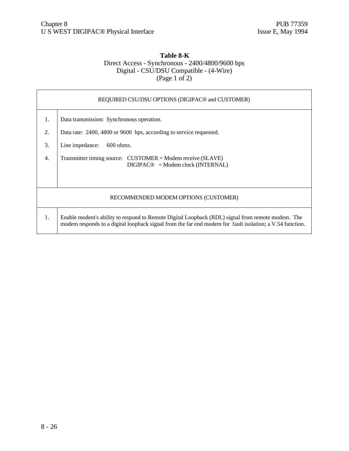#### **Table 8-K** Direct Access - Synchronous - 2400/4800/9600 bps Digital - CSU/DSU Compatible - (4-Wire) (Page 1 of 2)

|                  | REQUIRED CSU/DSU OPTIONS (DIGIPAC® and CUSTOMER)                                                                                                                                                             |
|------------------|--------------------------------------------------------------------------------------------------------------------------------------------------------------------------------------------------------------|
| 1.               | Data transmission: Synchronous operation.                                                                                                                                                                    |
| 2.               | Data rate: 2400, 4800 or 9600 bps, according to service requested.                                                                                                                                           |
| 3.               | Line impedance:<br>$600 \text{ ohms}.$                                                                                                                                                                       |
| $\overline{4}$ . | Transmitter timing source: $\text{CUSTOMER} = \text{Modern receive (SLAVE)}$<br>$DIGIPAC@ = Modem clock (INTERNAL)$                                                                                          |
|                  | RECOMMENDED MODEM OPTIONS (CUSTOMER)                                                                                                                                                                         |
| 1.               | Enable modem's ability to respond to Remote Digital Loopback (RDL) signal from remote modem. The<br>modem responds to a digital loopback signal from the far end modem for fault isolation; a V.54 function. |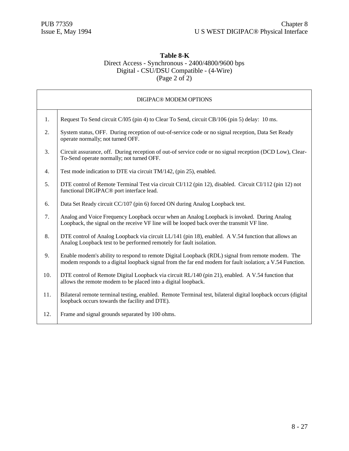# **Table 8-K**

#### Direct Access - Synchronous - 2400/4800/9600 bps Digital - CSU/DSU Compatible - (4-Wire) (Page 2 of 2)

| DIGIPAC® MODEM OPTIONS |                                                                                                                                                                                                              |  |  |  |  |
|------------------------|--------------------------------------------------------------------------------------------------------------------------------------------------------------------------------------------------------------|--|--|--|--|
| 1.                     | Request To Send circuit C/l05 (pin 4) to Clear To Send, circuit CB/106 (pin 5) delay: 10 ms.                                                                                                                 |  |  |  |  |
| 2.                     | System status, OFF. During reception of out-of-service code or no signal reception, Data Set Ready<br>operate normally; not turned OFF.                                                                      |  |  |  |  |
| 3.                     | Circuit assurance, off. During reception of out-of service code or no signal reception (DCD Low), Clear-<br>To-Send operate normally; not turned OFF.                                                        |  |  |  |  |
| 4.                     | Test mode indication to DTE via circuit TM/142, (pin 25), enabled.                                                                                                                                           |  |  |  |  |
| 5.                     | DTE control of Remote Terminal Test via circuit CI/112 (pin 12), disabled. Circuit CI/112 (pin 12) not<br>functional DIGIPAC <sup>®</sup> port interface lead.                                               |  |  |  |  |
| 6.                     | Data Set Ready circuit CC/107 (pin 6) forced ON during Analog Loopback test.                                                                                                                                 |  |  |  |  |
| 7.                     | Analog and Voice Frequency Loopback occur when an Analog Loopback is invoked. During Analog<br>Loopback, the signal on the receive VF line will be looped back over the transmit VF line.                    |  |  |  |  |
| 8.                     | DTE control of Analog Loopback via circuit LL/141 (pin 18), enabled. A V.54 function that allows an<br>Analog Loopback test to be performed remotely for fault isolation.                                    |  |  |  |  |
| 9.                     | Enable modem's ability to respond to remote Digital Loopback (RDL) signal from remote modem. The<br>modem responds to a digital loopback signal from the far end modem for fault isolation; a V.54 Function. |  |  |  |  |
| 10.                    | DTE control of Remote Digital Loopback via circuit RL/140 (pin 21), enabled. A V.54 function that<br>allows the remote modem to be placed into a digital loopback.                                           |  |  |  |  |
| 11.                    | Bilateral remote terminal testing, enabled. Remote Terminal test, bilateral digital loopback occurs (digital<br>loopback occurs towards the facility and DTE).                                               |  |  |  |  |
| 12.                    | Frame and signal grounds separated by 100 ohms.                                                                                                                                                              |  |  |  |  |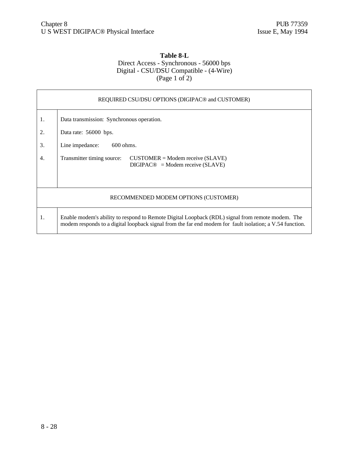#### **Table 8-L** Direct Access - Synchronous - 56000 bps Digital - CSU/DSU Compatible - (4-Wire) (Page 1 of 2)

| REQUIRED CSU/DSU OPTIONS (DIGIPAC <sup>®</sup> and CUSTOMER) |                                                                                                                                                                                                              |  |  |  |  |  |
|--------------------------------------------------------------|--------------------------------------------------------------------------------------------------------------------------------------------------------------------------------------------------------------|--|--|--|--|--|
| 1.                                                           | Data transmission: Synchronous operation.                                                                                                                                                                    |  |  |  |  |  |
| 2.                                                           | Data rate: 56000 bps.                                                                                                                                                                                        |  |  |  |  |  |
| 3.                                                           | Line impedance:<br>$600 \text{ ohms}.$                                                                                                                                                                       |  |  |  |  |  |
| 4.                                                           | Transmitter timing source: CUSTOMER = Modem receive (SLAVE)<br>$DIGIPAC@ = Modem receive (SLAVE)$                                                                                                            |  |  |  |  |  |
|                                                              | RECOMMENDED MODEM OPTIONS (CUSTOMER)                                                                                                                                                                         |  |  |  |  |  |
| 1.                                                           | Enable modem's ability to respond to Remote Digital Loopback (RDL) signal from remote modem. The<br>modem responds to a digital loopback signal from the far end modem for fault isolation; a V.54 function. |  |  |  |  |  |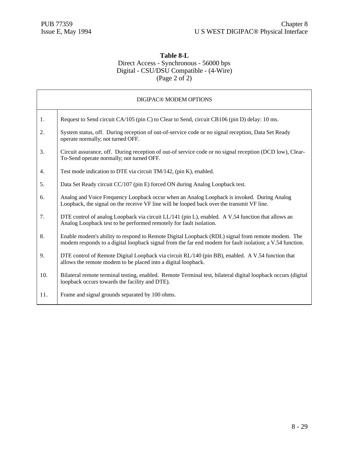# **Table 8-L**

#### Direct Access - Synchronous - 56000 bps Digital - CSU/DSU Compatible - (4-Wire) (Page 2 of 2)

| DIGIPAC <sup>®</sup> MODEM OPTIONS |                                                                                                                                                                                                              |  |  |  |  |
|------------------------------------|--------------------------------------------------------------------------------------------------------------------------------------------------------------------------------------------------------------|--|--|--|--|
| 1.                                 | Request to Send circuit CA/105 (pin C) to Clear to Send, circuit CB106 (pin D) delay: 10 ms.                                                                                                                 |  |  |  |  |
| 2.                                 | System status, off. During reception of out-of-service code or no signal reception, Data Set Ready<br>operate normally; not turned OFF.                                                                      |  |  |  |  |
| 3.                                 | Circuit assurance, off. During reception of out-of service code or no signal reception (DCD low), Clear-<br>To-Send operate normally; not turned OFF.                                                        |  |  |  |  |
| 4.                                 | Test mode indication to DTE via circuit TM/142, (pin K), enabled.                                                                                                                                            |  |  |  |  |
| 5.                                 | Data Set Ready circuit CC/107 (pin E) forced ON during Analog Loopback test.                                                                                                                                 |  |  |  |  |
| 6.                                 | Analog and Voice Frequency Loopback occur when an Analog Loopback is invoked. During Analog<br>Loopback, the signal on the receive VF line will be looped back over the transmit VF line.                    |  |  |  |  |
| 7.                                 | DTE control of analog Loopback via circuit LL/141 (pin L), enabled. A V.54 function that allows an<br>Analog Loopback test to be performed remotely for fault isolation.                                     |  |  |  |  |
| 8.                                 | Enable modem's ability to respond to Remote Digital Loopback (RDL) signal from remote modem. The<br>modem responds to a digital loopback signal from the far end modem for fault isolation; a V.54 function. |  |  |  |  |
| 9.                                 | DTE control of Remote Digital Loopback via circuit RL/140 (pin BB), enabled. A V.54 function that<br>allows the remote modem to be placed into a digital loopback.                                           |  |  |  |  |
| 10.                                | Bilateral remote terminal testing, enabled. Remote Terminal test, bilateral digital loopback occurs (digital<br>loopback occurs towards the facility and DTE).                                               |  |  |  |  |
| 11.                                | Frame and signal grounds separated by 100 ohms.                                                                                                                                                              |  |  |  |  |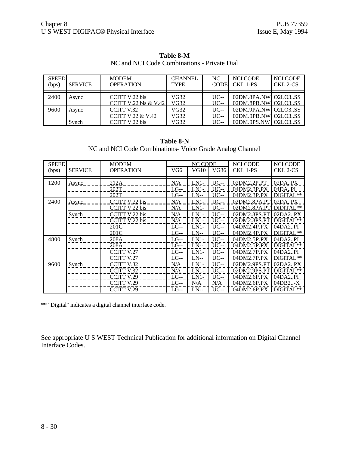| <b>SPEED</b><br>(bps) | <b>SERVICE</b> | <b>MODEM</b><br><b>OPERATION</b>           | <b>CHANNEL</b><br><b>TYPE</b> | NC<br><b>CODE</b> | <b>NCI CODE</b><br>CKL 1-PS                | <b>NCI CODE</b><br>CKL 2-CS |
|-----------------------|----------------|--------------------------------------------|-------------------------------|-------------------|--------------------------------------------|-----------------------------|
| 2400                  | Async          | CCITT V.22 bis<br>CCITT V.22 bis $&$ V.42  | VG32<br>VG32                  | $UC -$<br>$UC -$  | 02DM.8PA.NWLO2LO3SS<br>02DM.8PB.NW O2LO3SS |                             |
| 9600                  | Async          | CCITT V.32<br><b>CCITT V.22 &amp; V.42</b> | VG32<br>VG32                  | $UC -$<br>$UC -$  | 02DM.9PA.NW O2LO3SS<br>02DM.9PB.NW 02L03SS |                             |
|                       | Synch          | CCITT V.22 bis                             | VG32                          | $UC -$            | 02DM.9PS.NW 02LO3SS                        |                             |

**Table 8-M** NC and NCI Code Combinations - Private Dial

#### **Table 8-N**

NC and NCI Code Combinations- Voice Grade Analog Channel

| <b>SPEED</b> |                | <b>MODEM</b>      | NC CODE         |             | NCI CODE           | <b>NCI CODE</b> |             |
|--------------|----------------|-------------------|-----------------|-------------|--------------------|-----------------|-------------|
| (bps)        | <b>SERVICE</b> | <b>OPERATION</b>  | VG <sub>6</sub> | VG10        | VG <sub>36</sub>   | CKL 1-PS        | CKL 2-CS    |
| 1200         | Async.         | 212A              | N/A             | $LN1-$      | $UC -$             | 02DM2.2P.PT     | 02DA.PX     |
|              |                | 202T              | $LG$ --         | $LN1-$      | $UC -$             | 04DM2.3P.PX     | 04DAPI      |
|              |                | 202T              | $LG$ --         | LN--        | $UC -$             | 04DM2.3P.PX     | DIGITAL**   |
| 2400         | Async.         | CCITT V.22 bis    | N/A             | $LN1-$      | $UC -$             | 02DM2.8PA.PTl   | 02DA.PX     |
|              |                | CCITT V.22 bis    | N/A             | $LN1-$      | $UC -$             | 02DM2.8PA.PT    | $DIDITAL**$ |
|              | Synch          | CCITT V.22 bis    | N/A             | $LN1-$      | $UC$ --            | 02DM2.8PS.PT    | 02DA2.PX    |
|              |                | CCITT V.22 bis    | N/A             | $LN1-$      | $UC$ --            | 02DM2.8PS.PT    | DIGITAL**   |
|              |                | 201C              | $LG$ --         | LN1-        | $UC$ --            | 04DM2.4P.PX     | 04DA2PI     |
|              |                | 201C              | $LG$ --         | <b>LN--</b> | $\overline{UC}$ -- | 04DM2.4P.PX     | DIGITAL**   |
| 4800         | Synch          | 208A              | $LG-$           | LN1-        | $UC -$             | 04DM2.5P.PX     | 04DA2PI     |
|              |                | 208A              | $LG$ --         | $LN-$       | $UC -$             | 04DM2.5P.PX     | DIGITAL**   |
|              |                | CCITT V.27        | $LG$ --         | $LN1-$      | $UC$ --            | 04DM2.7P.PX     | 04DA2.PI    |
|              |                | <b>CCITT V.27</b> | $LG$ --         | $LN-$       | $UC -$             | 04DM2.7P.PX     | DIGITAL**   |
| 9600         | Synch          | CCITT V.32        | N/A             | $LN1-$      | $UC -$             | 02DM2.9PS.PT    | 02DA2.PX    |
|              |                | <b>CCITT V.32</b> | N/A             | $LN1-$      | $UC -$             | 02DM2.9PS.PT    | DIGITAL**   |
|              |                | CCITT V.29        | $LG$ --         | $LN1-$      | $UC -$             | 04DM2.6P.PX     | 04DA2PI     |
|              |                | <b>CCITT V.29</b> | $LG$ --         | N/A         | N/A                | 04DM2.6P.PX     | 04DB2X      |
|              |                | <b>CCITT V.29</b> | LG--            | $LN-$       | $UC -$             | 04DM2.6P.PX     | DIGITAL**   |

\*\* "Digital" indicates a digital channel interface code.

See appropriate U S WEST Technical Publication for additional information on Digital Channel Interface Codes.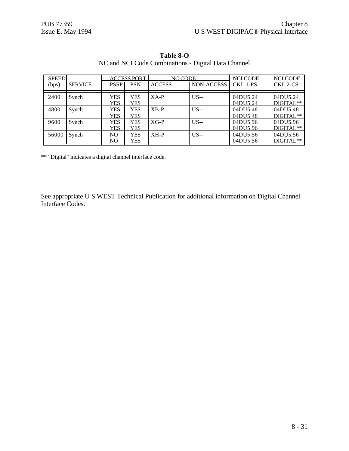| <b>SPEED</b> |                |                          | <b>ACCESS PORT</b>       | <b>NC CODE</b> |            | <b>NCI CODE</b>      | <b>NCI CODE</b>       |
|--------------|----------------|--------------------------|--------------------------|----------------|------------|----------------------|-----------------------|
| (bps)        | <b>SERVICE</b> | <b>PSSP</b>              | <b>PSN</b>               | <b>ACCESS</b>  | NON-ACCESS | CKL 1-PS             | CKL 2-CS              |
| 2400         | Synch          | <b>YES</b><br><b>YES</b> | <b>YES</b><br><b>YES</b> | $XA-P$         | $US -$     | 04DU5.24<br>04DU5.24 | 04DU5.24<br>DIGITAL** |
| 4800         | Synch          | YES<br>YES               | <b>YES</b><br>YES        | $XB-P$         | $US$ --    | 04DU5.48<br>04DU5.48 | 04DU5.48<br>DIGITAL** |
| 9600         | Synch          | YES<br><b>YES</b>        | <b>YES</b><br><b>YES</b> | $XG-P$         | $US$ --    | 04DU5.96<br>04DU5.96 | 04DU5.96<br>DIGITAL** |
| 56000        | Synch          | N <sub>O</sub><br>NO.    | <b>YES</b><br><b>YES</b> | $XH-P$         | $US-$      | 04DU5.56<br>04DU5.56 | 04DU5.56<br>DIGITAL** |

**Table 8-O** NC and NCI Code Combinations - Digital Data Channel

\*\* "Digital" indicates a digital channel interface code.

See appropriate U S WEST Technical Publication for additional information on Digital Channel Interface Codes.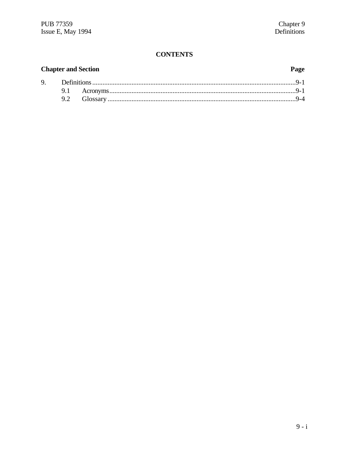## **CONTENTS**

#### **Chapter and Section** Page 9. 9.1 9.2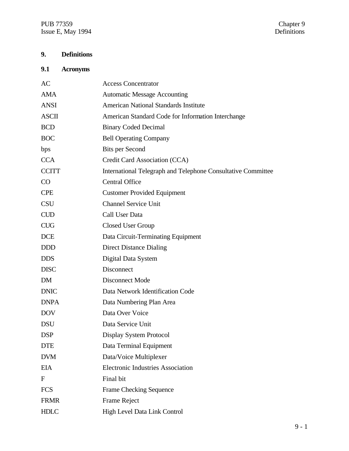PUB 77359 Chapter 9 Issue E, May 1994 **Definitions** 

# **9. Definitions**

# **9.1 Acronyms**

| AC                          | <b>Access Concentrator</b>                                   |
|-----------------------------|--------------------------------------------------------------|
| <b>AMA</b>                  | <b>Automatic Message Accounting</b>                          |
| <b>ANSI</b>                 | <b>American National Standards Institute</b>                 |
| <b>ASCII</b>                | American Standard Code for Information Interchange           |
| <b>BCD</b>                  | <b>Binary Coded Decimal</b>                                  |
| <b>BOC</b>                  | <b>Bell Operating Company</b>                                |
| bps                         | <b>Bits per Second</b>                                       |
| <b>CCA</b>                  | Credit Card Association (CCA)                                |
| <b>CCITT</b>                | International Telegraph and Telephone Consultative Committee |
| CO                          | <b>Central Office</b>                                        |
| <b>CPE</b>                  | <b>Customer Provided Equipment</b>                           |
| <b>CSU</b>                  | <b>Channel Service Unit</b>                                  |
| $\ensuremath{\mathrm{CUD}}$ | Call User Data                                               |
| <b>CUG</b>                  | Closed User Group                                            |
| <b>DCE</b>                  | Data Circuit-Terminating Equipment                           |
| <b>DDD</b>                  | <b>Direct Distance Dialing</b>                               |
| <b>DDS</b>                  | Digital Data System                                          |
| <b>DISC</b>                 | Disconnect                                                   |
| DM                          | Disconnect Mode                                              |
| <b>DNIC</b>                 | Data Network Identification Code                             |
| <b>DNPA</b>                 | Data Numbering Plan Area                                     |
| <b>DOV</b>                  | Data Over Voice                                              |
| <b>DSU</b>                  | Data Service Unit                                            |
| <b>DSP</b>                  | Display System Protocol                                      |
| <b>DTE</b>                  | Data Terminal Equipment                                      |
| <b>DVM</b>                  | Data/Voice Multiplexer                                       |
| <b>EIA</b>                  | <b>Electronic Industries Association</b>                     |
| F                           | Final bit                                                    |
| <b>FCS</b>                  | <b>Frame Checking Sequence</b>                               |
| <b>FRMR</b>                 | Frame Reject                                                 |
| <b>HDLC</b>                 | High Level Data Link Control                                 |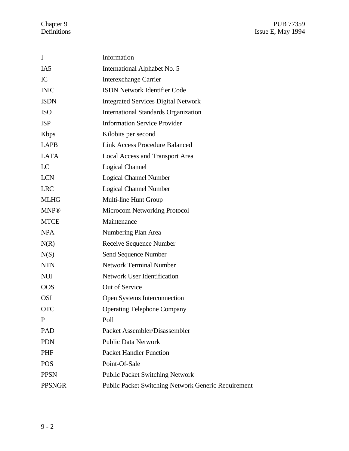| I               | Information                                         |
|-----------------|-----------------------------------------------------|
| IA <sub>5</sub> | International Alphabet No. 5                        |
| IC              | <b>Interexchange Carrier</b>                        |
| <b>INIC</b>     | <b>ISDN Network Identifier Code</b>                 |
| <b>ISDN</b>     | <b>Integrated Services Digital Network</b>          |
| <b>ISO</b>      | <b>International Standards Organization</b>         |
| <b>ISP</b>      | <b>Information Service Provider</b>                 |
| Kbps            | Kilobits per second                                 |
| LAPB            | <b>Link Access Procedure Balanced</b>               |
| <b>LATA</b>     | <b>Local Access and Transport Area</b>              |
| LC              | Logical Channel                                     |
| <b>LCN</b>      | <b>Logical Channel Number</b>                       |
| <b>LRC</b>      | <b>Logical Channel Number</b>                       |
| <b>MLHG</b>     | Multi-line Hunt Group                               |
| <b>MNP®</b>     | <b>Microcom Networking Protocol</b>                 |
| <b>MTCE</b>     | Maintenance                                         |
| <b>NPA</b>      | Numbering Plan Area                                 |
| N(R)            | Receive Sequence Number                             |
| N(S)            | Send Sequence Number                                |
| <b>NTN</b>      | <b>Network Terminal Number</b>                      |
| <b>NUI</b>      | Network User Identification                         |
| <b>OOS</b>      | Out of Service                                      |
| <b>OSI</b>      | Open Systems Interconnection                        |
| <b>OTC</b>      | <b>Operating Telephone Company</b>                  |
| P               | Poll                                                |
| <b>PAD</b>      | Packet Assembler/Disassembler                       |
| <b>PDN</b>      | <b>Public Data Network</b>                          |
| PHF             | <b>Packet Handler Function</b>                      |
| <b>POS</b>      | Point-Of-Sale                                       |
| <b>PPSN</b>     | <b>Public Packet Switching Network</b>              |
| <b>PPSNGR</b>   | Public Packet Switching Network Generic Requirement |
|                 |                                                     |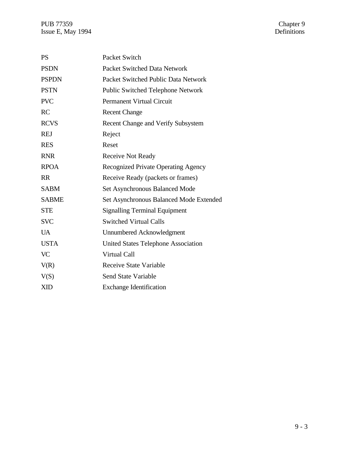| <b>PS</b>    | Packet Switch                              |
|--------------|--------------------------------------------|
| <b>PSDN</b>  | Packet Switched Data Network               |
| <b>PSPDN</b> | Packet Switched Public Data Network        |
| <b>PSTN</b>  | Public Switched Telephone Network          |
| <b>PVC</b>   | <b>Permanent Virtual Circuit</b>           |
| RC           | <b>Recent Change</b>                       |
| <b>RCVS</b>  | <b>Recent Change and Verify Subsystem</b>  |
| <b>REJ</b>   | Reject                                     |
| <b>RES</b>   | Reset                                      |
| <b>RNR</b>   | <b>Receive Not Ready</b>                   |
| <b>RPOA</b>  | Recognized Private Operating Agency        |
| <b>RR</b>    | Receive Ready (packets or frames)          |
| <b>SABM</b>  | <b>Set Asynchronous Balanced Mode</b>      |
| <b>SABME</b> | Set Asynchronous Balanced Mode Extended    |
| <b>STE</b>   | <b>Signalling Terminal Equipment</b>       |
| <b>SVC</b>   | <b>Switched Virtual Calls</b>              |
| <b>UA</b>    | Unnumbered Acknowledgment                  |
| <b>USTA</b>  | <b>United States Telephone Association</b> |
| <b>VC</b>    | Virtual Call                               |
| V(R)         | <b>Receive State Variable</b>              |
| V(S)         | <b>Send State Variable</b>                 |
| <b>XID</b>   | <b>Exchange Identification</b>             |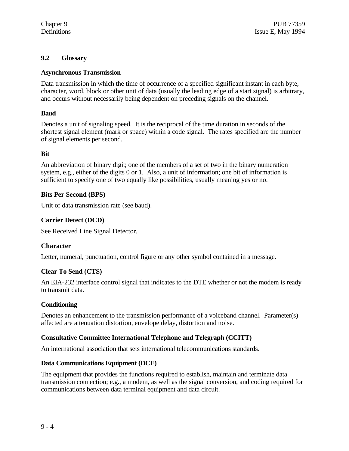#### **9.2 Glossary**

#### **Asynchronous Transmission**

Data transmission in which the time of occurrence of a specified significant instant in each byte, character, word, block or other unit of data (usually the leading edge of a start signal) is arbitrary, and occurs without necessarily being dependent on preceding signals on the channel.

#### **Baud**

Denotes a unit of signaling speed. It is the reciprocal of the time duration in seconds of the shortest signal element (mark or space) within a code signal. The rates specified are the number of signal elements per second.

#### **Bit**

An abbreviation of binary digit; one of the members of a set of two in the binary numeration system, e.g., either of the digits 0 or 1. Also, a unit of information; one bit of information is sufficient to specify one of two equally like possibilities, usually meaning yes or no.

#### **Bits Per Second (BPS)**

Unit of data transmission rate (see baud).

#### **Carrier Detect (DCD)**

See Received Line Signal Detector.

#### **Character**

Letter, numeral, punctuation, control figure or any other symbol contained in a message.

#### **Clear To Send (CTS)**

An EIA-232 interface control signal that indicates to the DTE whether or not the modem is ready to transmit data.

#### **Conditioning**

Denotes an enhancement to the transmission performance of a voiceband channel. Parameter(s) affected are attenuation distortion, envelope delay, distortion and noise.

#### **Consultative Committee International Telephone and Telegraph (CCITT)**

An international association that sets international telecommunications standards.

#### **Data Communications Equipment (DCE)**

The equipment that provides the functions required to establish, maintain and terminate data transmission connection; e.g., a modem, as well as the signal conversion, and coding required for communications between data terminal equipment and data circuit.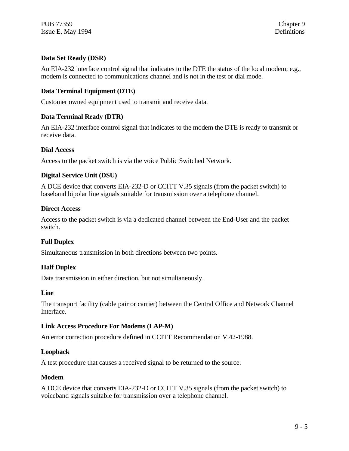## **Data Set Ready (DSR)**

An EIA-232 interface control signal that indicates to the DTE the status of the local modem; e.g., modem is connected to communications channel and is not in the test or dial mode.

### **Data Terminal Equipment (DTE)**

Customer owned equipment used to transmit and receive data.

#### **Data Terminal Ready (DTR)**

An EIA-232 interface control signal that indicates to the modem the DTE is ready to transmit or receive data.

#### **Dial Access**

Access to the packet switch is via the voice Public Switched Network.

#### **Digital Service Unit (DSU)**

A DCE device that converts EIA-232-D or CCITT V.35 signals (from the packet switch) to baseband bipolar line signals suitable for transmission over a telephone channel.

#### **Direct Access**

Access to the packet switch is via a dedicated channel between the End-User and the packet switch.

#### **Full Duplex**

Simultaneous transmission in both directions between two points.

#### **Half Duplex**

Data transmission in either direction, but not simultaneously.

#### **Line**

The transport facility (cable pair or carrier) between the Central Office and Network Channel **Interface** 

#### **Link Access Procedure For Modems (LAP-M)**

An error correction procedure defined in CCITT Recommendation V.42-1988.

#### **Loopback**

A test procedure that causes a received signal to be returned to the source.

#### **Modem**

A DCE device that converts EIA-232-D or CCITT V.35 signals (from the packet switch) to voiceband signals suitable for transmission over a telephone channel.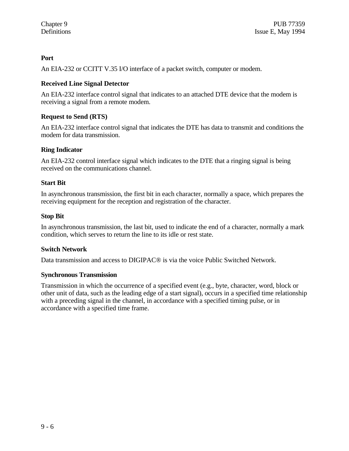### **Port**

An EIA-232 or CCITT V.35 I/O interface of a packet switch, computer or modem.

### **Received Line Signal Detector**

An EIA-232 interface control signal that indicates to an attached DTE device that the modem is receiving a signal from a remote modem.

### **Request to Send (RTS)**

An EIA-232 interface control signal that indicates the DTE has data to transmit and conditions the modem for data transmission.

#### **Ring Indicator**

An EIA-232 control interface signal which indicates to the DTE that a ringing signal is being received on the communications channel.

#### **Start Bit**

In asynchronous transmission, the first bit in each character, normally a space, which prepares the receiving equipment for the reception and registration of the character.

#### **Stop Bit**

In asynchronous transmission, the last bit, used to indicate the end of a character, normally a mark condition, which serves to return the line to its idle or rest state.

#### **Switch Network**

Data transmission and access to DIGIPAC® is via the voice Public Switched Network.

#### **Synchronous Transmission**

Transmission in which the occurrence of a specified event (e.g., byte, character, word, block or other unit of data, such as the leading edge of a start signal), occurs in a specified time relationship with a preceding signal in the channel, in accordance with a specified timing pulse, or in accordance with a specified time frame.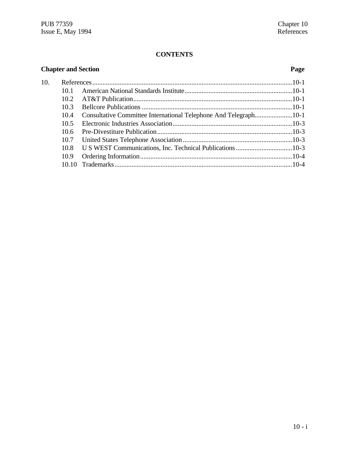# **CONTENTS**

| <b>Chapter and Section</b> |                   |                                                                  |  |
|----------------------------|-------------------|------------------------------------------------------------------|--|
| 10.                        |                   |                                                                  |  |
|                            | 10.1              |                                                                  |  |
|                            | 10.2 <sub>1</sub> |                                                                  |  |
|                            | 10.3              |                                                                  |  |
|                            | 10.4              | Consultative Committee International Telephone And Telegraph10-1 |  |
|                            | 10.5              |                                                                  |  |
|                            | 10.6              |                                                                  |  |
|                            | 10.7              |                                                                  |  |
|                            | 10.8              |                                                                  |  |
|                            | 10.9              |                                                                  |  |
|                            |                   |                                                                  |  |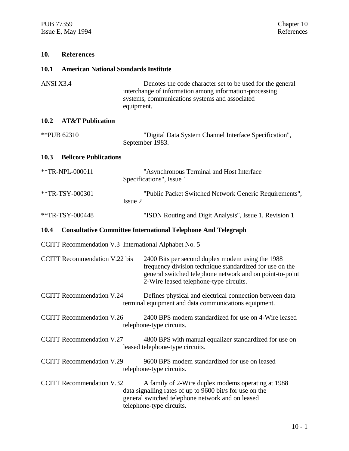# **10. References**

## **10.1 American National Standards Institute**

| ANSI X3.4 |                                                       | equipment. | Denotes the code character set to be used for the general<br>interchange of information among information-processing<br>systems, communications systems and associated                                             |
|-----------|-------------------------------------------------------|------------|--------------------------------------------------------------------------------------------------------------------------------------------------------------------------------------------------------------------|
| 10.2      | <b>AT&amp;T Publication</b>                           |            |                                                                                                                                                                                                                    |
|           | **PUB 62310                                           |            | "Digital Data System Channel Interface Specification",<br>September 1983.                                                                                                                                          |
| 10.3      | <b>Bellcore Publications</b>                          |            |                                                                                                                                                                                                                    |
|           | **TR-NPL-000011                                       |            | "Asynchronous Terminal and Host Interface<br>Specifications", Issue 1                                                                                                                                              |
|           | **TR-TSY-000301                                       | Issue 2    | "Public Packet Switched Network Generic Requirements",                                                                                                                                                             |
|           | **TR-TSY-000448                                       |            | "ISDN Routing and Digit Analysis", Issue 1, Revision 1                                                                                                                                                             |
| 10.4      |                                                       |            | <b>Consultative Committee International Telephone And Telegraph</b>                                                                                                                                                |
|           | CCITT Recommendation V.3 International Alphabet No. 5 |            |                                                                                                                                                                                                                    |
|           | <b>CCITT</b> Recommendation V.22 bis                  |            | 2400 Bits per second duplex modem using the 1988<br>frequency division technique standardized for use on the<br>general switched telephone network and on point-to-point<br>2-Wire leased telephone-type circuits. |
|           | <b>CCITT Recommendation V.24</b>                      |            | Defines physical and electrical connection between data<br>terminal equipment and data communications equipment.                                                                                                   |
|           | <b>CCITT</b> Recommendation V.26                      |            | 2400 BPS modem standardized for use on 4-Wire leased<br>telephone-type circuits.                                                                                                                                   |
|           | <b>CCITT Recommendation V.27</b>                      |            | 4800 BPS with manual equalizer standardized for use on<br>leased telephone-type circuits.                                                                                                                          |
|           | <b>CCITT Recommendation V.29</b>                      |            | 9600 BPS modem standardized for use on leased<br>telephone-type circuits.                                                                                                                                          |
|           | <b>CCITT Recommendation V.32</b>                      |            | A family of 2-Wire duplex modems operating at 1988<br>data signalling rates of up to 9600 bit/s for use on the<br>general switched telephone network and on leased<br>telephone-type circuits.                     |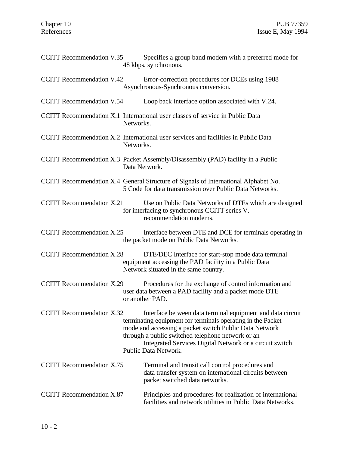| <b>CCITT Recommendation V.35</b> | Specifies a group band modem with a preferred mode for<br>48 kbps, synchronous.                                                                                                                                                                                                                                             |
|----------------------------------|-----------------------------------------------------------------------------------------------------------------------------------------------------------------------------------------------------------------------------------------------------------------------------------------------------------------------------|
| <b>CCITT Recommendation V.42</b> | Error-correction procedures for DCEs using 1988<br>Asynchronous-Synchronous conversion.                                                                                                                                                                                                                                     |
| <b>CCITT Recommendation V.54</b> | Loop back interface option associated with V.24.                                                                                                                                                                                                                                                                            |
|                                  | CCITT Recommendation X.1 International user classes of service in Public Data<br>Networks.                                                                                                                                                                                                                                  |
|                                  | CCITT Recommendation X.2 International user services and facilities in Public Data<br>Networks.                                                                                                                                                                                                                             |
|                                  | CCITT Recommendation X.3 Packet Assembly/Disassembly (PAD) facility in a Public<br>Data Network.                                                                                                                                                                                                                            |
|                                  | CCITT Recommendation X.4 General Structure of Signals of International Alphabet No.<br>5 Code for data transmission over Public Data Networks.                                                                                                                                                                              |
| <b>CCITT Recommendation X.21</b> | Use on Public Data Networks of DTEs which are designed<br>for interfacing to synchronous CCITT series V.<br>recommendation modems.                                                                                                                                                                                          |
| <b>CCITT Recommendation X.25</b> | Interface between DTE and DCE for terminals operating in<br>the packet mode on Public Data Networks.                                                                                                                                                                                                                        |
| <b>CCITT Recommendation X.28</b> | DTE/DEC Interface for start-stop mode data terminal<br>equipment accessing the PAD facility in a Public Data<br>Network situated in the same country.                                                                                                                                                                       |
| <b>CCITT Recommendation X.29</b> | Procedures for the exchange of control information and<br>user data between a PAD facility and a packet mode DTE<br>or another PAD.                                                                                                                                                                                         |
| <b>CCITT Recommendation X.32</b> | Interface between data terminal equipment and data circuit<br>terminating equipment for terminals operating in the Packet<br>mode and accessing a packet switch Public Data Network<br>through a public switched telephone network or an<br>Integrated Services Digital Network or a circuit switch<br>Public Data Network. |
| <b>CCITT</b> Recommendation X.75 | Terminal and transit call control procedures and<br>data transfer system on international circuits between<br>packet switched data networks.                                                                                                                                                                                |
| <b>CCITT</b> Recommendation X.87 | Principles and procedures for realization of international<br>facilities and network utilities in Public Data Networks.                                                                                                                                                                                                     |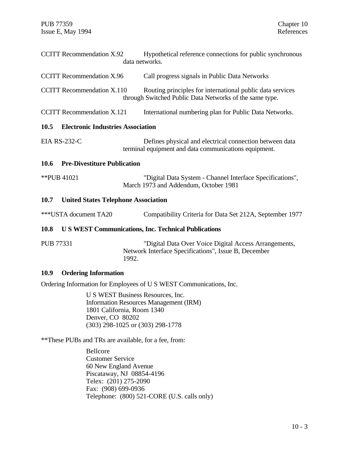|                  | <b>CCITT Recommendation X.92</b>                           | Hypothetical reference connections for public synchronous<br>data networks.                                            |  |
|------------------|------------------------------------------------------------|------------------------------------------------------------------------------------------------------------------------|--|
|                  | <b>CCITT</b> Recommendation X.96                           | Call progress signals in Public Data Networks                                                                          |  |
|                  | <b>CCITT</b> Recommendation X.110                          | Routing principles for international public data services<br>through Switched Public Data Networks of the same type.   |  |
|                  | <b>CCITT Recommendation X.121</b>                          | International numbering plan for Public Data Networks.                                                                 |  |
| 10.5             | <b>Electronic Industries Association</b>                   |                                                                                                                        |  |
|                  | <b>EIA RS-232-C</b>                                        | Defines physical and electrical connection between data<br>terminal equipment and data communications equipment.       |  |
| 10.6             | <b>Pre-Divestiture Publication</b>                         |                                                                                                                        |  |
|                  | **PUB 41021                                                | "Digital Data System - Channel Interface Specifications",<br>March 1973 and Addendum, October 1981                     |  |
| 10.7             | <b>United States Telephone Association</b>                 |                                                                                                                        |  |
|                  | ***USTA document TA20                                      | Compatibility Criteria for Data Set 212A, September 1977                                                               |  |
| 10.8             | <b>US WEST Communications, Inc. Technical Publications</b> |                                                                                                                        |  |
| <b>PUB 77331</b> |                                                            | "Digital Data Over Voice Digital Access Arrangements,<br>Network Interface Specifications", Issue B, December<br>1992. |  |
| <b>10.9</b>      | <b>Ordering Information</b>                                |                                                                                                                        |  |
|                  |                                                            | Ordering Information for Employees of U S WEST Communications, Inc.                                                    |  |
|                  |                                                            | II C WEST Business Desources Inc.                                                                                      |  |

U S WEST Business Resources, Inc. Information Resources Management (IRM) 1801 California, Room 1340 Denver, CO 80202 (303) 298-1025 or (303) 298-1778

\*\*These PUBs and TRs are available, for a fee, from:

Bellcore Customer Service 60 New England Avenue Piscataway, NJ 08854-4196 Telex: (201) 275-2090 Fax: (908) 699-0936 Telephone: (800) 521-CORE (U.S. calls only)